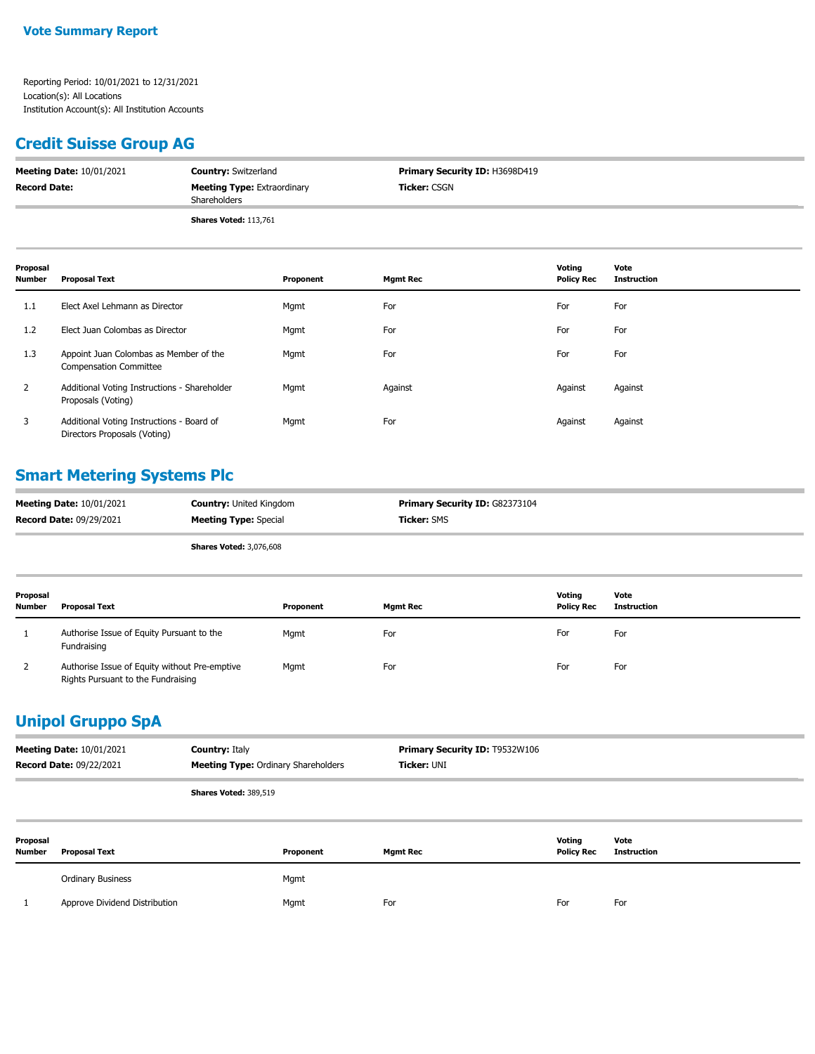#### **Credit Suisse Group AG**

| <b>Meeting Date: 10/01/2021</b> | <b>Country: Switzerland</b>                        | <b>Primary Security ID: H3698D419</b> |
|---------------------------------|----------------------------------------------------|---------------------------------------|
| <b>Record Date:</b>             | <b>Meeting Type: Extraordinary</b><br>Shareholders | <b>Ticker: CSGN</b>                   |
|                                 | <b>Shares Voted: 113,761</b>                       |                                       |

| Proposal<br><b>Number</b> | <b>Proposal Text</b>                                                      | Proponent | <b>Mgmt Rec</b> | Voting<br><b>Policy Rec</b> | Vote<br><b>Instruction</b> |
|---------------------------|---------------------------------------------------------------------------|-----------|-----------------|-----------------------------|----------------------------|
| 1.1                       | Elect Axel Lehmann as Director                                            | Mgmt      | For             | For                         | For                        |
| 1.2                       | Elect Juan Colombas as Director                                           | Mgmt      | For             | For                         | For                        |
| 1.3                       | Appoint Juan Colombas as Member of the<br><b>Compensation Committee</b>   | Mgmt      | For             | For                         | For                        |
| $\overline{2}$            | Additional Voting Instructions - Shareholder<br>Proposals (Voting)        | Mgmt      | Against         | Against                     | Against                    |
| 3                         | Additional Voting Instructions - Board of<br>Directors Proposals (Voting) | Mgmt      | For             | Against                     | Against                    |

# **Smart Metering Systems Plc**

| <b>Meeting Date: 10/01/2021</b> | <b>Country:</b> United Kingdom | <b>Primary Security ID: G82373104</b> |
|---------------------------------|--------------------------------|---------------------------------------|
| <b>Record Date: 09/29/2021</b>  | <b>Meeting Type: Special</b>   | <b>Ticker:</b> SMS                    |
|                                 | . <i>.</i> .<br>$-1$           |                                       |

| <b>Shares Voted: 3,076,608</b> |  |
|--------------------------------|--|
|--------------------------------|--|

| Proposal<br><b>Number</b> | <b>Proposal Text</b>                                                                | Proponent | Mgmt Rec | Voting<br><b>Policy Rec</b> | Vote<br><b>Instruction</b> |
|---------------------------|-------------------------------------------------------------------------------------|-----------|----------|-----------------------------|----------------------------|
|                           | Authorise Issue of Equity Pursuant to the<br>Fundraising                            | Mgmt      | For      | For                         | For                        |
|                           | Authorise Issue of Equity without Pre-emptive<br>Rights Pursuant to the Fundraising | Mgmt      | For      | For                         | For                        |

### **Unipol Gruppo SpA**

|                    | <b>Meeting Date: 10/01/2021</b><br><b>Record Date: 09/22/2021</b> | <b>Country: Italy</b><br><b>Meeting Type: Ordinary Shareholders</b> | <b>Primary Security ID: T9532W106</b><br>Ticker: UNI |                             |                            |
|--------------------|-------------------------------------------------------------------|---------------------------------------------------------------------|------------------------------------------------------|-----------------------------|----------------------------|
|                    |                                                                   | Shares Voted: 389,519                                               |                                                      |                             |                            |
| Proposal<br>Number | <b>Proposal Text</b>                                              | Proponent                                                           | <b>Mgmt Rec</b>                                      | Votina<br><b>Policy Rec</b> | Vote<br><b>Instruction</b> |

| <b>Ordinary Business</b>      | Mgmt |     |     |     |
|-------------------------------|------|-----|-----|-----|
| Approve Dividend Distribution | Mqmt | For | For | For |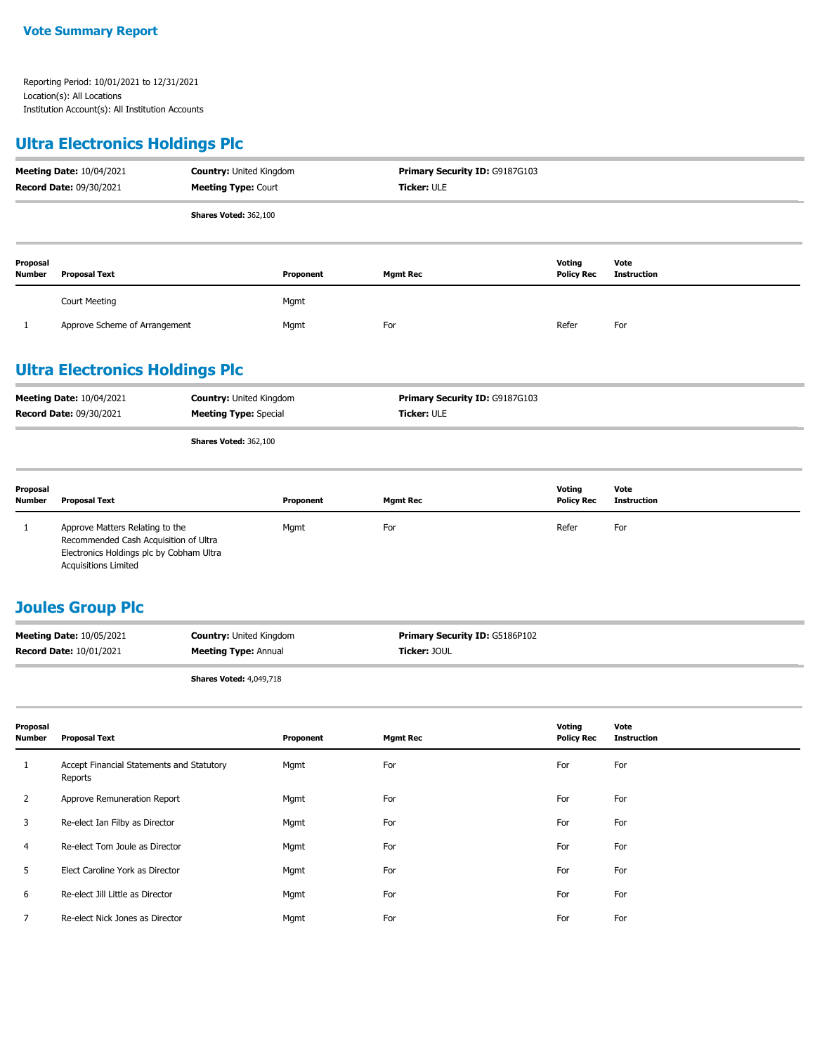# **Ultra Electronics Holdings Plc**

| <b>Meeting Date: 10/04/2021</b><br>Record Date: 09/30/2021 |                               | <b>Country: United Kingdom</b><br><b>Meeting Type: Court</b> |           | Primary Security ID: G9187G103<br><b>Ticker: ULE</b> |                             |                            |
|------------------------------------------------------------|-------------------------------|--------------------------------------------------------------|-----------|------------------------------------------------------|-----------------------------|----------------------------|
|                                                            |                               | <b>Shares Voted: 362,100</b>                                 |           |                                                      |                             |                            |
| Proposal<br><b>Number</b>                                  | <b>Proposal Text</b>          |                                                              | Proponent | <b>Mgmt Rec</b>                                      | Voting<br><b>Policy Rec</b> | Vote<br><b>Instruction</b> |
|                                                            | <b>Court Meeting</b>          |                                                              | Mgmt      |                                                      |                             |                            |
|                                                            | Approve Scheme of Arrangement |                                                              | Mgmt      | For                                                  | Refer                       | For                        |

# **Ultra Electronics Holdings Plc**

| <b>Meeting Date: 10/04/2021</b> | <b>Country:</b> United Kingdom | <b>Primary Security ID: G9187G103</b> |
|---------------------------------|--------------------------------|---------------------------------------|
| <b>Record Date: 09/30/2021</b>  | <b>Meeting Type: Special</b>   | <b>Ticker: ULE</b>                    |
|                                 |                                |                                       |

**Shares Voted:** 362,100

| Proposal<br><b>Number</b> | Proposal Text                                                                                                                                       | Proponent | Mgmt Rec | Votina<br><b>Policy Rec</b> | Vote<br>Instruction |
|---------------------------|-----------------------------------------------------------------------------------------------------------------------------------------------------|-----------|----------|-----------------------------|---------------------|
|                           | Approve Matters Relating to the<br>Recommended Cash Acquisition of Ultra<br>Electronics Holdings plc by Cobham Ultra<br><b>Acquisitions Limited</b> | Mgmt      | For      | Refer                       | For                 |

#### **Joules Group Plc**

| <b>Meeting Date: 10/05/2021</b> | <b>Country: United Kingdom</b> | <b>Primary Security ID: G5186P102</b> |
|---------------------------------|--------------------------------|---------------------------------------|
| <b>Record Date: 10/01/2021</b>  | <b>Meeting Type: Annual</b>    | Ticker: JOUL                          |
|                                 |                                |                                       |

**Shares Voted:** 4,049,718

| Proposal<br><b>Number</b> | <b>Proposal Text</b>                                 | Proponent | <b>Mgmt Rec</b> | Voting<br><b>Policy Rec</b> | Vote<br><b>Instruction</b> |
|---------------------------|------------------------------------------------------|-----------|-----------------|-----------------------------|----------------------------|
| л.                        | Accept Financial Statements and Statutory<br>Reports | Mgmt      | For             | For                         | For                        |
| $\overline{2}$            | Approve Remuneration Report                          | Mgmt      | For             | For                         | For                        |
| 3                         | Re-elect Ian Filby as Director                       | Mgmt      | For             | For                         | For                        |
| $\overline{4}$            | Re-elect Tom Joule as Director                       | Mgmt      | For             | For                         | For                        |
| 5                         | Elect Caroline York as Director                      | Mgmt      | For             | For                         | For                        |
| 6                         | Re-elect Jill Little as Director                     | Mgmt      | For             | For                         | For                        |
|                           | Re-elect Nick Jones as Director                      | Mgmt      | For             | For                         | For                        |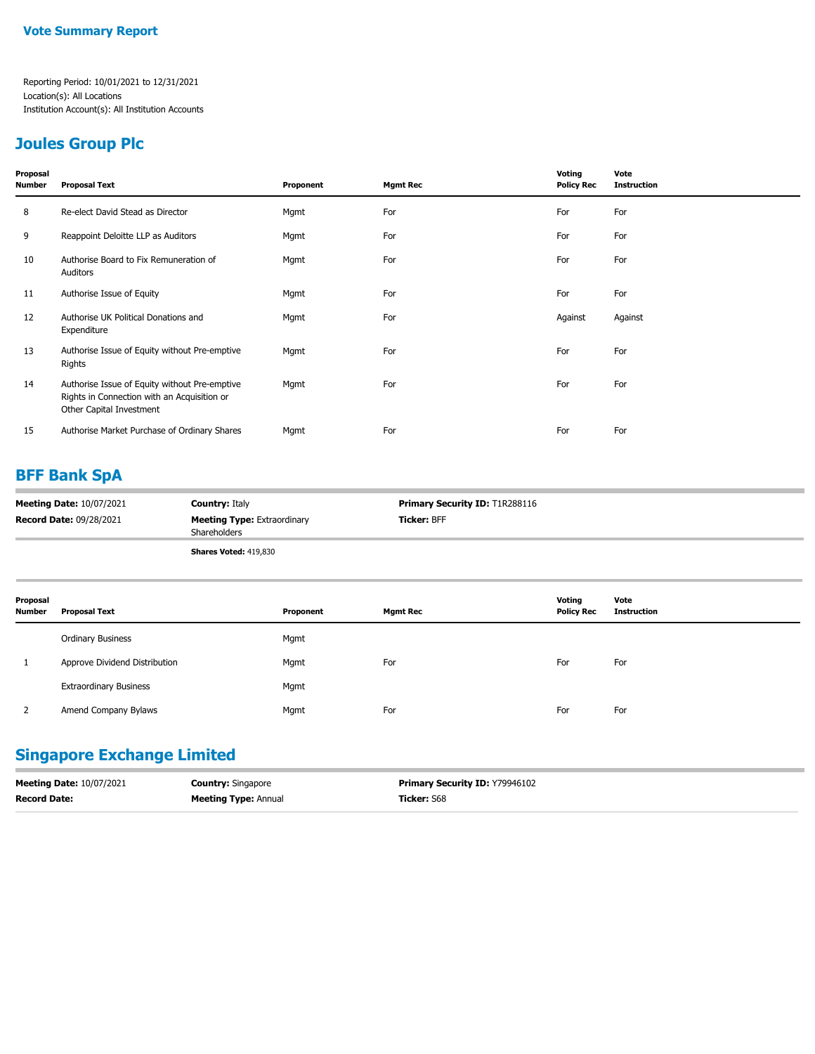#### **Joules Group Plc**

| Proposal<br>Number | <b>Proposal Text</b>                                                                                                     | Proponent | <b>Mgmt Rec</b> | Voting<br><b>Policy Rec</b> | Vote<br><b>Instruction</b> |
|--------------------|--------------------------------------------------------------------------------------------------------------------------|-----------|-----------------|-----------------------------|----------------------------|
| 8                  | Re-elect David Stead as Director                                                                                         | Mgmt      | For             | For                         | For                        |
| 9                  | Reappoint Deloitte LLP as Auditors                                                                                       | Mgmt      | For             | For                         | For                        |
| 10                 | Authorise Board to Fix Remuneration of<br>Auditors                                                                       | Mgmt      | For             | For                         | For                        |
| 11                 | Authorise Issue of Equity                                                                                                | Mgmt      | For             | For                         | For                        |
| 12                 | Authorise UK Political Donations and<br>Expenditure                                                                      | Mgmt      | For             | Against                     | Against                    |
| 13                 | Authorise Issue of Equity without Pre-emptive<br>Rights                                                                  | Mgmt      | For             | For                         | For                        |
| 14                 | Authorise Issue of Equity without Pre-emptive<br>Rights in Connection with an Acquisition or<br>Other Capital Investment | Mgmt      | For             | For                         | For                        |
| 15                 | Authorise Market Purchase of Ordinary Shares                                                                             | Mgmt      | For             | For                         | For                        |

### **BFF Bank SpA**

| <b>Meeting Date: 10/07/2021</b> | <b>Country: Italy</b>                                     | <b>Primary Security ID: T1R288116</b> |
|---------------------------------|-----------------------------------------------------------|---------------------------------------|
| <b>Record Date: 09/28/2021</b>  | <b>Meeting Type: Extraordinary</b><br><b>Shareholders</b> | <b>Ticker: BFF</b>                    |
|                                 | <b>Shares Voted: 419,830</b>                              |                                       |

| Proposal<br><b>Number</b> | <b>Proposal Text</b>          | Proponent | <b>Mgmt Rec</b> | Voting<br><b>Policy Rec</b> | Vote<br><b>Instruction</b> |
|---------------------------|-------------------------------|-----------|-----------------|-----------------------------|----------------------------|
|                           | <b>Ordinary Business</b>      | Mgmt      |                 |                             |                            |
|                           | Approve Dividend Distribution | Mgmt      | For             | For                         | For                        |
|                           | <b>Extraordinary Business</b> | Mgmt      |                 |                             |                            |
|                           | Amend Company Bylaws          | Mgmt      | For             | For                         | For                        |

### **Singapore Exchange Limited**

| <b>Meeting Date: 10/07/2021</b> | <b>Country: Singapore</b>   | <b>Primary Security ID: Y79946102</b> |
|---------------------------------|-----------------------------|---------------------------------------|
| <b>Record Date:</b>             | <b>Meeting Type: Annual</b> | Ticker: S68                           |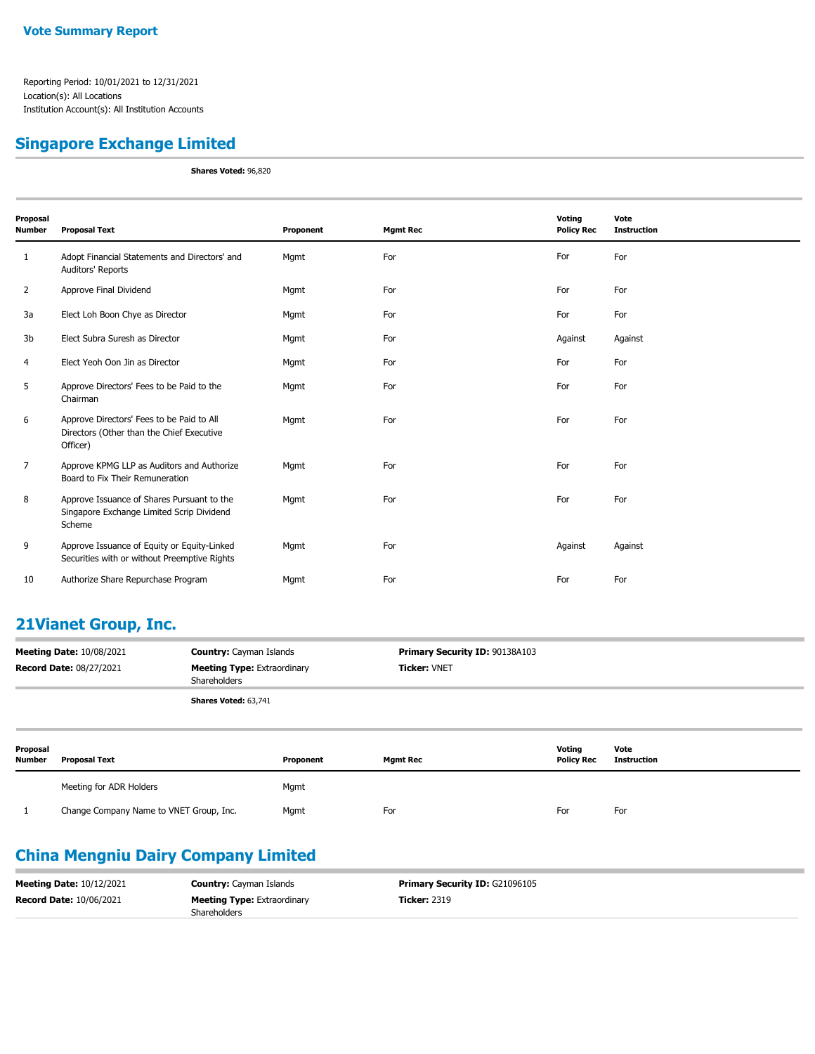#### **Singapore Exchange Limited**

**Shares Voted:** 96,820

| Proposal<br>Number | <b>Proposal Text</b>                                                                               | Proponent | <b>Mgmt Rec</b> | Voting<br><b>Policy Rec</b> | Vote<br><b>Instruction</b> |
|--------------------|----------------------------------------------------------------------------------------------------|-----------|-----------------|-----------------------------|----------------------------|
| 1                  | Adopt Financial Statements and Directors' and<br>Auditors' Reports                                 | Mgmt      | For             | For                         | For                        |
| $\overline{2}$     | Approve Final Dividend                                                                             | Mgmt      | For             | For                         | For                        |
| 3a                 | Elect Loh Boon Chye as Director                                                                    | Mgmt      | For             | For                         | For                        |
| 3b                 | Elect Subra Suresh as Director                                                                     | Mgmt      | For             | Against                     | Against                    |
| 4                  | Elect Yeoh Oon Jin as Director                                                                     | Mgmt      | For             | For                         | For                        |
| 5                  | Approve Directors' Fees to be Paid to the<br>Chairman                                              | Mgmt      | For             | For                         | For                        |
| 6                  | Approve Directors' Fees to be Paid to All<br>Directors (Other than the Chief Executive<br>Officer) | Mgmt      | For             | For                         | For                        |
| $\overline{7}$     | Approve KPMG LLP as Auditors and Authorize<br>Board to Fix Their Remuneration                      | Mgmt      | For             | For                         | For                        |
| 8                  | Approve Issuance of Shares Pursuant to the<br>Singapore Exchange Limited Scrip Dividend<br>Scheme  | Mgmt      | For             | For                         | For                        |
| 9                  | Approve Issuance of Equity or Equity-Linked<br>Securities with or without Preemptive Rights        | Mgmt      | For             | Against                     | Against                    |
| 10                 | Authorize Share Repurchase Program                                                                 | Mgmt      | For             | For                         | For                        |

#### **21Vianet Group, Inc.**

| <b>Meeting Date: 10/08/2021</b><br><b>Country:</b> Cayman Islands<br><b>Record Date: 08/27/2021</b><br><b>Meeting Type: Extraordinary</b><br>Shareholders |                      | Primary Security ID: 90138A103<br><b>Ticker: VNET</b> |                 |                             |                     |  |  |
|-----------------------------------------------------------------------------------------------------------------------------------------------------------|----------------------|-------------------------------------------------------|-----------------|-----------------------------|---------------------|--|--|
|                                                                                                                                                           |                      | Shares Voted: 63,741                                  |                 |                             |                     |  |  |
| Proposal<br><b>Number</b>                                                                                                                                 | <b>Proposal Text</b> | Proponent                                             | <b>Mamt Rec</b> | Votina<br><b>Policy Rec</b> | Vote<br>Instruction |  |  |

| Number | <b>Proposal Text</b>                    | Proponent | <b>Mamt Rec</b> | <b>Policy Rec</b> | Instruction |
|--------|-----------------------------------------|-----------|-----------------|-------------------|-------------|
|        | Meeting for ADR Holders                 | Mgmt      |                 |                   |             |
|        | Change Company Name to VNET Group, Inc. | Mgmt      | For             | For               | For         |

### **China Mengniu Dairy Company Limited**

| <b>Meeting Date: 10/12/2021</b> | <b>Country:</b> Cayman Islands                            | <b>Primary Security ID: G21096105</b> |
|---------------------------------|-----------------------------------------------------------|---------------------------------------|
| <b>Record Date: 10/06/2021</b>  | <b>Meeting Type:</b> Extraordinary<br><b>Shareholders</b> | <b>Ticker: 2319</b>                   |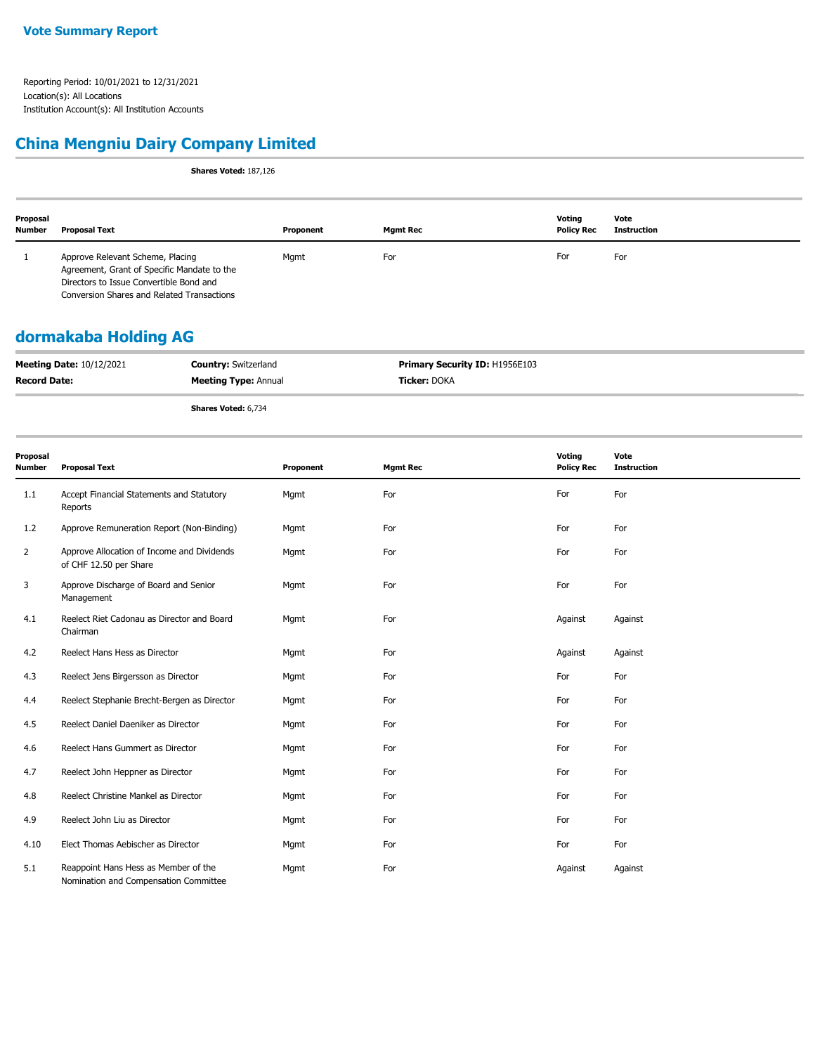#### **China Mengniu Dairy Company Limited**

**Shares Voted:** 187,126

| Proposal<br><b>Number</b> | Proposal Text                                                                                                                                                            | Proponent | Mgmt Rec | Votina<br><b>Policy Rec</b> | Vote<br><b>Instruction</b> |
|---------------------------|--------------------------------------------------------------------------------------------------------------------------------------------------------------------------|-----------|----------|-----------------------------|----------------------------|
|                           | Approve Relevant Scheme, Placing<br>Agreement, Grant of Specific Mandate to the<br>Directors to Issue Convertible Bond and<br>Conversion Shares and Related Transactions | Mgmt      | For      | For                         | For                        |

#### **dormakaba Holding AG**

| <b>Meeting Date: 10/12/2021</b> | <b>Country:</b> Switzerland | <b>Primary Security ID: H1956E103</b> |
|---------------------------------|-----------------------------|---------------------------------------|
| <b>Record Date:</b>             | <b>Meeting Type: Annual</b> | <b>Ticker:</b> DOKA                   |
|                                 | <b>Shares Voted: 6,734</b>  |                                       |

| Proposal<br><b>Number</b> | <b>Proposal Text</b>                                                          | Proponent | <b>Mgmt Rec</b> | Voting<br><b>Policy Rec</b> | Vote<br><b>Instruction</b> |
|---------------------------|-------------------------------------------------------------------------------|-----------|-----------------|-----------------------------|----------------------------|
| 1.1                       | Accept Financial Statements and Statutory<br>Reports                          | Mgmt      | For             | For                         | For                        |
| 1.2                       | Approve Remuneration Report (Non-Binding)                                     | Mgmt      | For             | For                         | For                        |
| $\overline{2}$            | Approve Allocation of Income and Dividends<br>of CHF 12.50 per Share          | Mgmt      | For             | For                         | For                        |
| 3                         | Approve Discharge of Board and Senior<br>Management                           | Mgmt      | For             | For                         | For                        |
| 4.1                       | Reelect Riet Cadonau as Director and Board<br>Chairman                        | Mgmt      | For             | Against                     | Against                    |
| 4.2                       | Reelect Hans Hess as Director                                                 | Mgmt      | For             | Against                     | Against                    |
| 4.3                       | Reelect Jens Birgersson as Director                                           | Mgmt      | For             | For                         | For                        |
| 4.4                       | Reelect Stephanie Brecht-Bergen as Director                                   | Mgmt      | For             | For                         | For                        |
| 4.5                       | Reelect Daniel Daeniker as Director                                           | Mgmt      | For             | For                         | For                        |
| 4.6                       | Reelect Hans Gummert as Director                                              | Mgmt      | For             | For                         | For                        |
| 4.7                       | Reelect John Heppner as Director                                              | Mgmt      | For             | For                         | For                        |
| 4.8                       | Reelect Christine Mankel as Director                                          | Mgmt      | For             | For                         | For                        |
| 4.9                       | Reelect John Liu as Director                                                  | Mgmt      | For             | For                         | For                        |
| 4.10                      | Elect Thomas Aebischer as Director                                            | Mgmt      | For             | For                         | For                        |
| 5.1                       | Reappoint Hans Hess as Member of the<br>Nomination and Compensation Committee | Mgmt      | For             | Against                     | Against                    |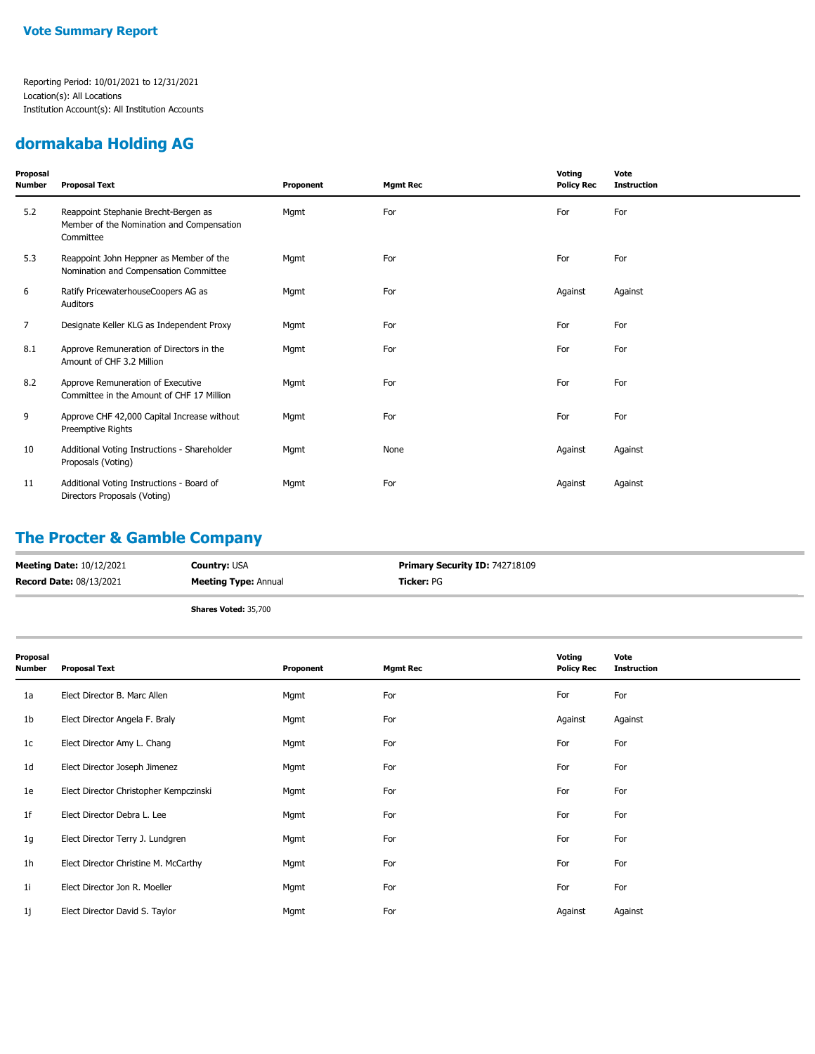#### **dormakaba Holding AG**

| Proposal<br>Number | <b>Proposal Text</b>                                                                           | Proponent | <b>Mgmt Rec</b> | Voting<br><b>Policy Rec</b> | Vote<br><b>Instruction</b> |
|--------------------|------------------------------------------------------------------------------------------------|-----------|-----------------|-----------------------------|----------------------------|
| 5.2                | Reappoint Stephanie Brecht-Bergen as<br>Member of the Nomination and Compensation<br>Committee | Mgmt      | For             | For                         | For                        |
| 5.3                | Reappoint John Heppner as Member of the<br>Nomination and Compensation Committee               | Mgmt      | For             | For                         | For                        |
| 6                  | Ratify PricewaterhouseCoopers AG as<br>Auditors                                                | Mgmt      | For             | Against                     | Against                    |
| 7                  | Designate Keller KLG as Independent Proxy                                                      | Mgmt      | For             | For                         | For                        |
| 8.1                | Approve Remuneration of Directors in the<br>Amount of CHF 3.2 Million                          | Mgmt      | For             | For                         | For                        |
| 8.2                | Approve Remuneration of Executive<br>Committee in the Amount of CHF 17 Million                 | Mgmt      | For             | For                         | For                        |
| 9                  | Approve CHF 42,000 Capital Increase without<br>Preemptive Rights                               | Mgmt      | For             | For                         | For                        |
| 10                 | Additional Voting Instructions - Shareholder<br>Proposals (Voting)                             | Mgmt      | None            | Against                     | Against                    |
| 11                 | Additional Voting Instructions - Board of<br>Directors Proposals (Voting)                      | Mgmt      | For             | Against                     | Against                    |

### **The Procter & Gamble Company**

| <b>Meeting Date: 10/12/2021</b> | <b>Country: USA</b>         | <b>Primary Security ID: 742718109</b> |
|---------------------------------|-----------------------------|---------------------------------------|
| <b>Record Date: 08/13/2021</b>  | <b>Meeting Type: Annual</b> | <b>Ticker: PG</b>                     |
|                                 | <b>Shares Voted: 35,700</b> |                                       |

| Proposal<br><b>Number</b> | <b>Proposal Text</b>                   | Proponent | <b>Mgmt Rec</b> | Voting<br><b>Policy Rec</b> | Vote<br><b>Instruction</b> |
|---------------------------|----------------------------------------|-----------|-----------------|-----------------------------|----------------------------|
| 1a                        | Elect Director B. Marc Allen           | Mgmt      | For             | For                         | For                        |
| 1b                        | Elect Director Angela F. Braly         | Mgmt      | For             | Against                     | Against                    |
| 1c                        | Elect Director Amy L. Chang            | Mgmt      | For             | For                         | For                        |
| 1d                        | Elect Director Joseph Jimenez          | Mgmt      | For             | For                         | For                        |
| 1e                        | Elect Director Christopher Kempczinski | Mgmt      | For             | For                         | For                        |
| 1f                        | Elect Director Debra L. Lee            | Mgmt      | For             | For                         | For                        |
| 1g                        | Elect Director Terry J. Lundgren       | Mgmt      | For             | For                         | For                        |
| 1 <sub>h</sub>            | Elect Director Christine M. McCarthy   | Mgmt      | For             | For                         | For                        |
| 1i                        | Elect Director Jon R. Moeller          | Mgmt      | For             | For                         | For                        |
| 1j                        | Elect Director David S. Taylor         | Mgmt      | For             | Against                     | Against                    |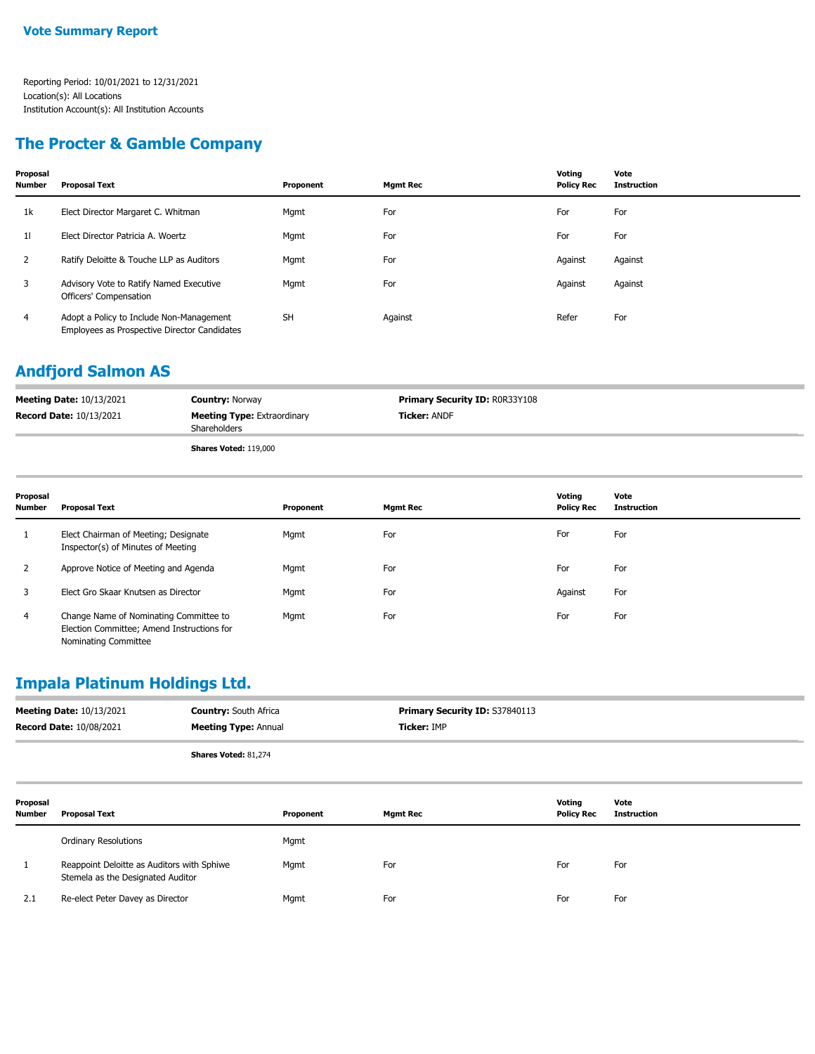#### **The Procter & Gamble Company**

| Proposal<br><b>Number</b> | <b>Proposal Text</b>                                                                     | Proponent | <b>Mgmt Rec</b> | Voting<br><b>Policy Rec</b> | Vote<br><b>Instruction</b> |
|---------------------------|------------------------------------------------------------------------------------------|-----------|-----------------|-----------------------------|----------------------------|
| 1k                        | Elect Director Margaret C. Whitman                                                       | Mgmt      | For             | For                         | For                        |
| 11                        | Elect Director Patricia A. Woertz                                                        | Mgmt      | For             | For                         | For                        |
| 2                         | Ratify Deloitte & Touche LLP as Auditors                                                 | Mgmt      | For             | Against                     | Against                    |
| 3                         | Advisory Vote to Ratify Named Executive<br>Officers' Compensation                        | Mgmt      | For             | Against                     | Against                    |
| $\overline{4}$            | Adopt a Policy to Include Non-Management<br>Employees as Prospective Director Candidates | <b>SH</b> | Against         | Refer                       | For                        |

#### **Andfjord Salmon AS**

| <b>Meeting Date: 10/13/2021</b> | <b>Country: Norway</b>                             | <b>Primary Security ID: ROR33Y108</b> |
|---------------------------------|----------------------------------------------------|---------------------------------------|
| <b>Record Date: 10/13/2021</b>  | <b>Meeting Type: Extraordinary</b><br>Shareholders | <b>Ticker: ANDF</b>                   |
|                                 | <b>Shares Voted: 119,000</b>                       |                                       |

| Proposal<br><b>Number</b> | <b>Proposal Text</b>                                                                                         | Proponent | <b>Mgmt Rec</b> | Votina<br><b>Policy Rec</b> | Vote<br><b>Instruction</b> |
|---------------------------|--------------------------------------------------------------------------------------------------------------|-----------|-----------------|-----------------------------|----------------------------|
|                           | Elect Chairman of Meeting; Designate<br>Inspector(s) of Minutes of Meeting                                   | Mgmt      | For             | For                         | For                        |
| 2                         | Approve Notice of Meeting and Agenda                                                                         | Mgmt      | For             | For                         | For                        |
| 3                         | Elect Gro Skaar Knutsen as Director                                                                          | Mgmt      | For             | Against                     | For                        |
| 4                         | Change Name of Nominating Committee to<br>Election Committee; Amend Instructions for<br>Nominating Committee | Mgmt      | For             | For                         | For                        |

### **Impala Platinum Holdings Ltd.**

|                    | <b>Meeting Date: 10/13/2021</b><br><b>Record Date: 10/08/2021</b>               | <b>Country: South Africa</b><br><b>Meeting Type: Annual</b> |           | Primary Security ID: S37840113<br>Ticker: IMP |                             |                            |
|--------------------|---------------------------------------------------------------------------------|-------------------------------------------------------------|-----------|-----------------------------------------------|-----------------------------|----------------------------|
|                    |                                                                                 | Shares Voted: 81,274                                        |           |                                               |                             |                            |
| Proposal<br>Number | <b>Proposal Text</b>                                                            |                                                             | Proponent | <b>Mgmt Rec</b>                               | Voting<br><b>Policy Rec</b> | Vote<br><b>Instruction</b> |
|                    | <b>Ordinary Resolutions</b>                                                     |                                                             | Mgmt      |                                               |                             |                            |
|                    | Reappoint Deloitte as Auditors with Sphiwe<br>Stemela as the Designated Auditor |                                                             | Mgmt      | For                                           | For                         | For                        |
| 2.1                | Re-elect Peter Davey as Director                                                |                                                             | Mgmt      | For                                           | For                         | For                        |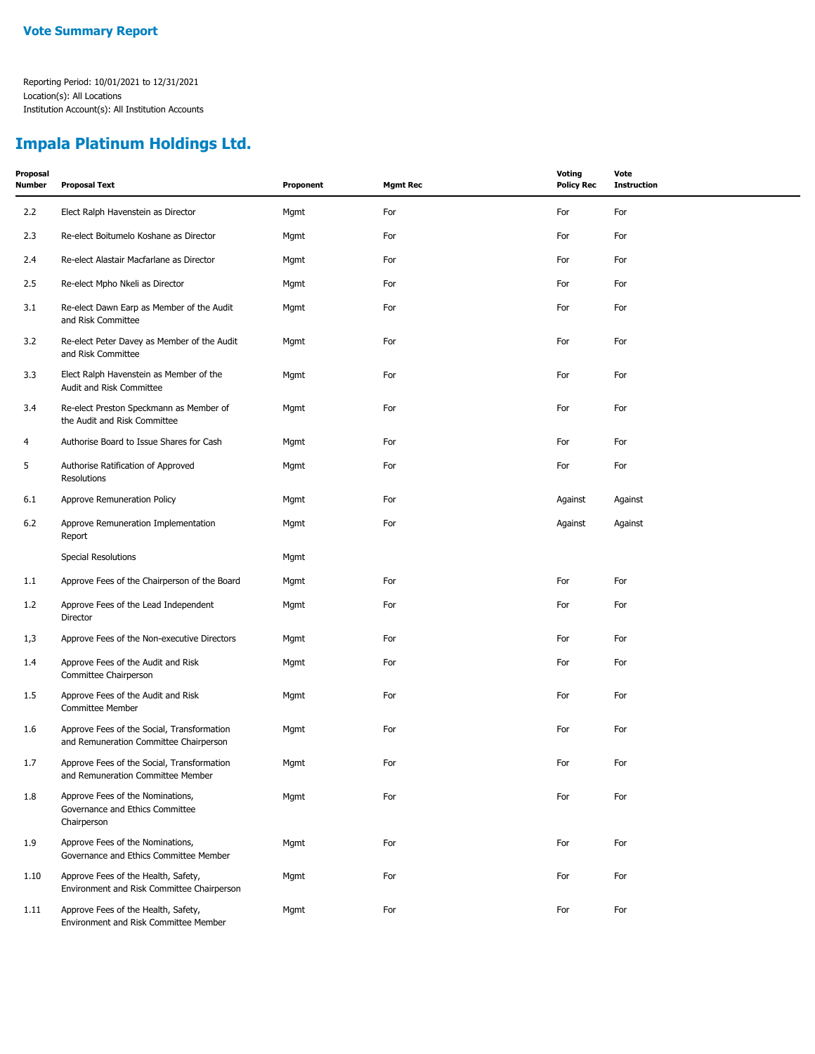# **Impala Platinum Holdings Ltd.**

| Proposal<br><b>Number</b> | <b>Proposal Text</b>                                                                 | Proponent | <b>Mgmt Rec</b> | <b>Voting</b><br><b>Policy Rec</b> | Vote<br><b>Instruction</b> |
|---------------------------|--------------------------------------------------------------------------------------|-----------|-----------------|------------------------------------|----------------------------|
| 2.2                       | Elect Ralph Havenstein as Director                                                   | Mgmt      | For             | For                                | For                        |
| 2.3                       | Re-elect Boitumelo Koshane as Director                                               | Mgmt      | For             | For                                | For                        |
| 2.4                       | Re-elect Alastair Macfarlane as Director                                             | Mgmt      | For             | For                                | For                        |
| 2.5                       | Re-elect Mpho Nkeli as Director                                                      | Mgmt      | For             | For                                | For                        |
| 3.1                       | Re-elect Dawn Earp as Member of the Audit<br>and Risk Committee                      | Mgmt      | For             | For                                | For                        |
| 3.2                       | Re-elect Peter Davey as Member of the Audit<br>and Risk Committee                    | Mgmt      | For             | For                                | For                        |
| 3.3                       | Elect Ralph Havenstein as Member of the<br>Audit and Risk Committee                  | Mgmt      | For             | For                                | For                        |
| 3.4                       | Re-elect Preston Speckmann as Member of<br>the Audit and Risk Committee              | Mgmt      | For             | For                                | For                        |
| $\overline{4}$            | Authorise Board to Issue Shares for Cash                                             | Mgmt      | For             | For                                | For                        |
| 5                         | Authorise Ratification of Approved<br>Resolutions                                    | Mgmt      | For             | For                                | For                        |
| 6.1                       | Approve Remuneration Policy                                                          | Mgmt      | For             | Against                            | Against                    |
| 6.2                       | Approve Remuneration Implementation<br>Report                                        | Mgmt      | For             | Against                            | Against                    |
|                           | Special Resolutions                                                                  | Mgmt      |                 |                                    |                            |
| 1.1                       | Approve Fees of the Chairperson of the Board                                         | Mgmt      | For             | For                                | For                        |
| 1.2                       | Approve Fees of the Lead Independent<br>Director                                     | Mgmt      | For             | For                                | For                        |
| 1,3                       | Approve Fees of the Non-executive Directors                                          | Mgmt      | For             | For                                | For                        |
| 1.4                       | Approve Fees of the Audit and Risk<br>Committee Chairperson                          | Mgmt      | For             | For                                | For                        |
| 1.5                       | Approve Fees of the Audit and Risk<br><b>Committee Member</b>                        | Mgmt      | For             | For                                | For                        |
| 1.6                       | Approve Fees of the Social, Transformation<br>and Remuneration Committee Chairperson | Mgmt      | For             | For                                | For                        |
| 1.7                       | Approve Fees of the Social, Transformation<br>and Remuneration Committee Member      | Mgmt      | For             | For                                | For                        |
| 1.8                       | Approve Fees of the Nominations,<br>Governance and Ethics Committee<br>Chairperson   | Mgmt      | For             | For                                | For                        |
| 1.9                       | Approve Fees of the Nominations,<br>Governance and Ethics Committee Member           | Mgmt      | For             | For                                | For                        |
| 1.10                      | Approve Fees of the Health, Safety,<br>Environment and Risk Committee Chairperson    | Mgmt      | For             | For                                | For                        |
| 1.11                      | Approve Fees of the Health, Safety,<br>Environment and Risk Committee Member         | Mgmt      | For             | For                                | For                        |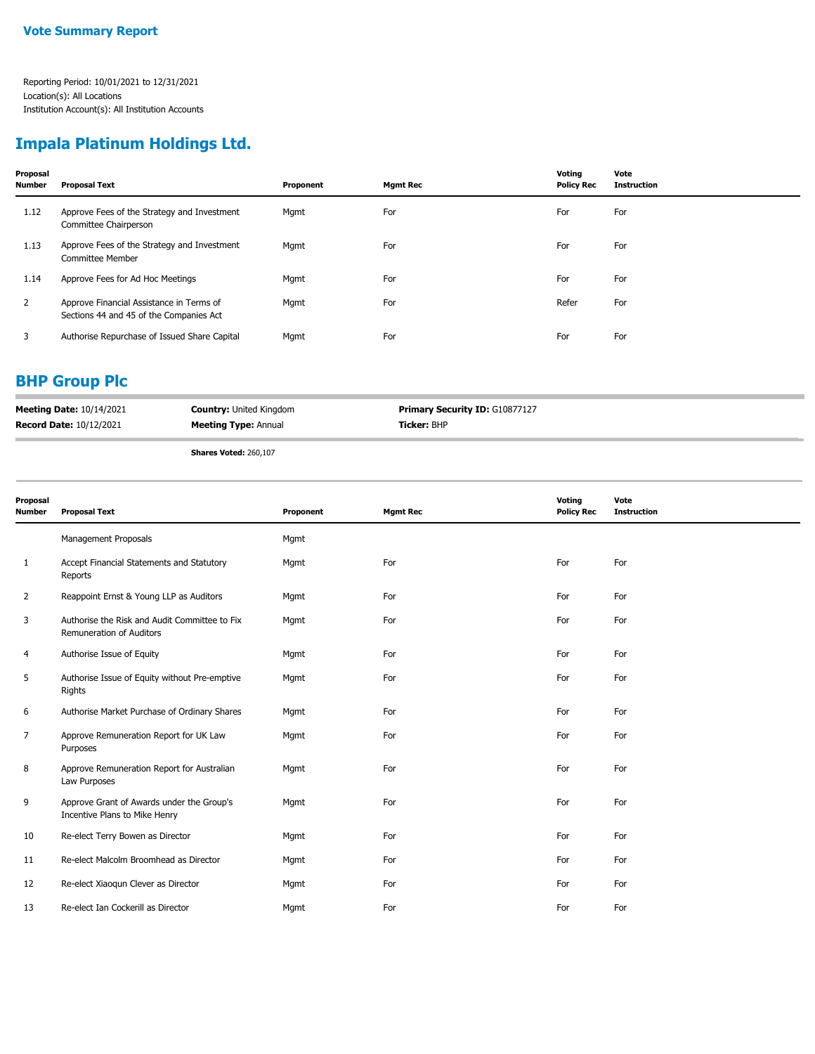#### **Impala Platinum Holdings Ltd.**

| Proposal<br><b>Number</b> | <b>Proposal Text</b>                                                                | Proponent | <b>Mgmt Rec</b> | Voting<br><b>Policy Rec</b> | Vote<br><b>Instruction</b> |
|---------------------------|-------------------------------------------------------------------------------------|-----------|-----------------|-----------------------------|----------------------------|
| 1.12                      | Approve Fees of the Strategy and Investment<br>Committee Chairperson                | Mgmt      | For             | For                         | For                        |
| 1.13                      | Approve Fees of the Strategy and Investment<br><b>Committee Member</b>              | Mgmt      | For             | For                         | For                        |
| 1.14                      | Approve Fees for Ad Hoc Meetings                                                    | Mgmt      | For             | For                         | For                        |
| 2                         | Approve Financial Assistance in Terms of<br>Sections 44 and 45 of the Companies Act | Mgmt      | For             | Refer                       | For                        |
| 3                         | Authorise Repurchase of Issued Share Capital                                        | Mgmt      | For             | For                         | For                        |

#### **BHP Group Plc**

| <b>Meeting Date: 10/14/2021</b> | <b>Country: United Kingdom</b> | <b>Primary Security ID: G10877127</b> |
|---------------------------------|--------------------------------|---------------------------------------|
| <b>Record Date: 10/12/2021</b>  | <b>Meeting Type: Annual</b>    | <b>Ticker: BHP</b>                    |
|                                 |                                |                                       |

**Shares Voted:** 260,107

| Proposal<br>Number | <b>Proposal Text</b>                                                       | Proponent | <b>Mgmt Rec</b> | Voting<br><b>Policy Rec</b> | Vote<br><b>Instruction</b> |
|--------------------|----------------------------------------------------------------------------|-----------|-----------------|-----------------------------|----------------------------|
|                    | Management Proposals                                                       | Mgmt      |                 |                             |                            |
| $\mathbf{1}$       | Accept Financial Statements and Statutory<br>Reports                       | Mgmt      | For             | For                         | For                        |
| $\overline{2}$     | Reappoint Ernst & Young LLP as Auditors                                    | Mgmt      | For             | For                         | For                        |
| 3                  | Authorise the Risk and Audit Committee to Fix<br>Remuneration of Auditors  | Mgmt      | For             | For                         | For                        |
| 4                  | Authorise Issue of Equity                                                  | Mgmt      | For             | For                         | For                        |
| 5                  | Authorise Issue of Equity without Pre-emptive<br>Rights                    | Mgmt      | For             | For                         | For                        |
| 6                  | Authorise Market Purchase of Ordinary Shares                               | Mgmt      | For             | For                         | For                        |
| $\overline{7}$     | Approve Remuneration Report for UK Law<br>Purposes                         | Mgmt      | For             | For                         | For                        |
| 8                  | Approve Remuneration Report for Australian<br>Law Purposes                 | Mgmt      | For             | For                         | For                        |
| 9                  | Approve Grant of Awards under the Group's<br>Incentive Plans to Mike Henry | Mgmt      | For             | For                         | For                        |
| 10                 | Re-elect Terry Bowen as Director                                           | Mgmt      | For             | For                         | For                        |
| 11                 | Re-elect Malcolm Broomhead as Director                                     | Mgmt      | For             | For                         | For                        |
| 12                 | Re-elect Xiaoqun Clever as Director                                        | Mgmt      | For             | For                         | For                        |
| 13                 | Re-elect Ian Cockerill as Director                                         | Mgmt      | For             | For                         | For                        |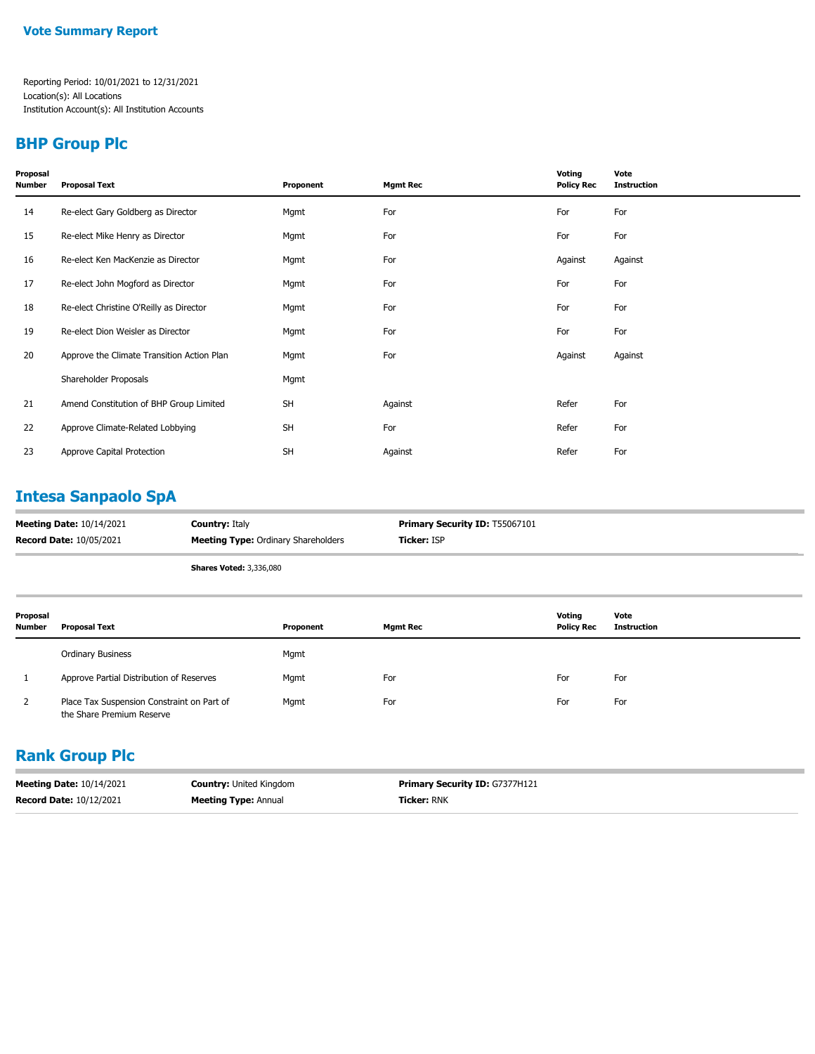#### **BHP Group Plc**

| Proposal<br>Number | <b>Proposal Text</b>                       | Proponent | <b>Mgmt Rec</b> | Voting<br><b>Policy Rec</b> | Vote<br><b>Instruction</b> |
|--------------------|--------------------------------------------|-----------|-----------------|-----------------------------|----------------------------|
| 14                 | Re-elect Gary Goldberg as Director         | Mgmt      | For             | For                         | For                        |
| 15                 | Re-elect Mike Henry as Director            | Mgmt      | For             | For                         | For                        |
| 16                 | Re-elect Ken MacKenzie as Director         | Mgmt      | For             | Against                     | Against                    |
| 17                 | Re-elect John Mogford as Director          | Mgmt      | For             | For                         | For                        |
| 18                 | Re-elect Christine O'Reilly as Director    | Mgmt      | For             | For                         | For                        |
| 19                 | Re-elect Dion Weisler as Director          | Mgmt      | For             | For                         | For                        |
| 20                 | Approve the Climate Transition Action Plan | Mgmt      | For             | Against                     | Against                    |
|                    | Shareholder Proposals                      | Mgmt      |                 |                             |                            |
| 21                 | Amend Constitution of BHP Group Limited    | <b>SH</b> | Against         | Refer                       | For                        |
| 22                 | Approve Climate-Related Lobbying           | <b>SH</b> | For             | Refer                       | For                        |
| 23                 | Approve Capital Protection                 | <b>SH</b> | Against         | Refer                       | For                        |

# **Intesa Sanpaolo SpA**

| <b>Meeting Date: 10/14/2021</b> | <b>Country: Italy</b>                      | <b>Primary Security ID: T55067101</b> |
|---------------------------------|--------------------------------------------|---------------------------------------|
| <b>Record Date: 10/05/2021</b>  | <b>Meeting Type:</b> Ordinary Shareholders | <b>Ticker: ISP</b>                    |
|                                 |                                            |                                       |

**Shares Voted:** 3,336,080

| Proposal<br>Number | <b>Proposal Text</b>                                                    | Proponent | <b>Mgmt Rec</b> | Votina<br><b>Policy Rec</b> | Vote<br>Instruction |
|--------------------|-------------------------------------------------------------------------|-----------|-----------------|-----------------------------|---------------------|
|                    | <b>Ordinary Business</b>                                                | Mgmt      |                 |                             |                     |
|                    | Approve Partial Distribution of Reserves                                | Mgmt      | For             | For                         | For                 |
| 2                  | Place Tax Suspension Constraint on Part of<br>the Share Premium Reserve | Mgmt      | For             | For                         | For                 |

#### **Rank Group Plc**

| <b>Meeting Date: 10/14/2021</b> | <b>Country: United Kingdom</b> | <b>Primary Security ID: G7377H121</b> |
|---------------------------------|--------------------------------|---------------------------------------|
| <b>Record Date: 10/12/2021</b>  | <b>Meeting Type: Annual</b>    | <b>Ticker: RNK</b>                    |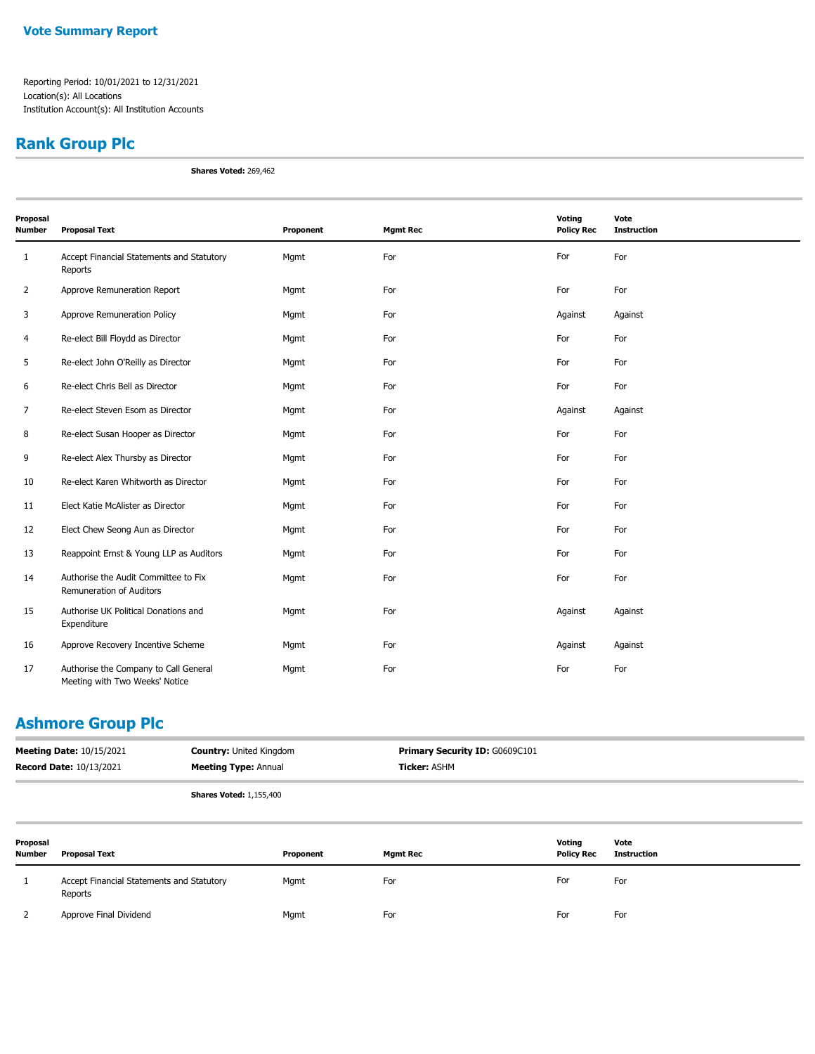### **Rank Group Plc**

**Shares Voted:** 269,462

| Proposal       |                                                                         |           |                 | Voting            | Vote               |
|----------------|-------------------------------------------------------------------------|-----------|-----------------|-------------------|--------------------|
| <b>Number</b>  | <b>Proposal Text</b>                                                    | Proponent | <b>Mgmt Rec</b> | <b>Policy Rec</b> | <b>Instruction</b> |
| 1              | Accept Financial Statements and Statutory<br>Reports                    | Mgmt      | For             | For               | For                |
| $\overline{2}$ | Approve Remuneration Report                                             | Mgmt      | For             | For               | For                |
| 3              | Approve Remuneration Policy                                             | Mgmt      | For             | Against           | Against            |
| 4              | Re-elect Bill Floydd as Director                                        | Mgmt      | For             | For               | For                |
| 5              | Re-elect John O'Reilly as Director                                      | Mgmt      | For             | For               | For                |
| 6              | Re-elect Chris Bell as Director                                         | Mgmt      | For             | For               | For                |
| $\overline{7}$ | Re-elect Steven Esom as Director                                        | Mgmt      | For             | Against           | Against            |
| 8              | Re-elect Susan Hooper as Director                                       | Mgmt      | For             | For               | For                |
| 9              | Re-elect Alex Thursby as Director                                       | Mgmt      | For             | For               | For                |
| 10             | Re-elect Karen Whitworth as Director                                    | Mgmt      | For             | For               | For                |
| 11             | Elect Katie McAlister as Director                                       | Mgmt      | For             | For               | For                |
| 12             | Elect Chew Seong Aun as Director                                        | Mgmt      | For             | For               | For                |
| 13             | Reappoint Ernst & Young LLP as Auditors                                 | Mgmt      | For             | For               | For                |
| 14             | Authorise the Audit Committee to Fix<br>Remuneration of Auditors        | Mgmt      | For             | For               | For                |
| 15             | Authorise UK Political Donations and<br>Expenditure                     | Mgmt      | For             | Against           | Against            |
| 16             | Approve Recovery Incentive Scheme                                       | Mgmt      | For             | Against           | Against            |
| 17             | Authorise the Company to Call General<br>Meeting with Two Weeks' Notice | Mgmt      | For             | For               | For                |

#### **Ashmore Group Plc**

| <b>Meeting Date: 10/15/2021</b> | <b>Country:</b> United Kingdom | <b>Primary Security ID: G0609C101</b> |
|---------------------------------|--------------------------------|---------------------------------------|
| <b>Record Date: 10/13/2021</b>  | <b>Meeting Type: Annual</b>    | <b>Ticker:</b> ASHM                   |
|                                 |                                |                                       |

**Shares Voted:** 1,155,400

| Proposal<br><b>Number</b> | <b>Proposal Text</b>                                 | Proponent | <b>Mgmt Rec</b> | Voting<br><b>Policy Rec</b> | Vote<br>Instruction |
|---------------------------|------------------------------------------------------|-----------|-----------------|-----------------------------|---------------------|
|                           | Accept Financial Statements and Statutory<br>Reports | Mgmt      | For             | For                         | For                 |
|                           | Approve Final Dividend                               | Mgmt      | For             | For                         | For                 |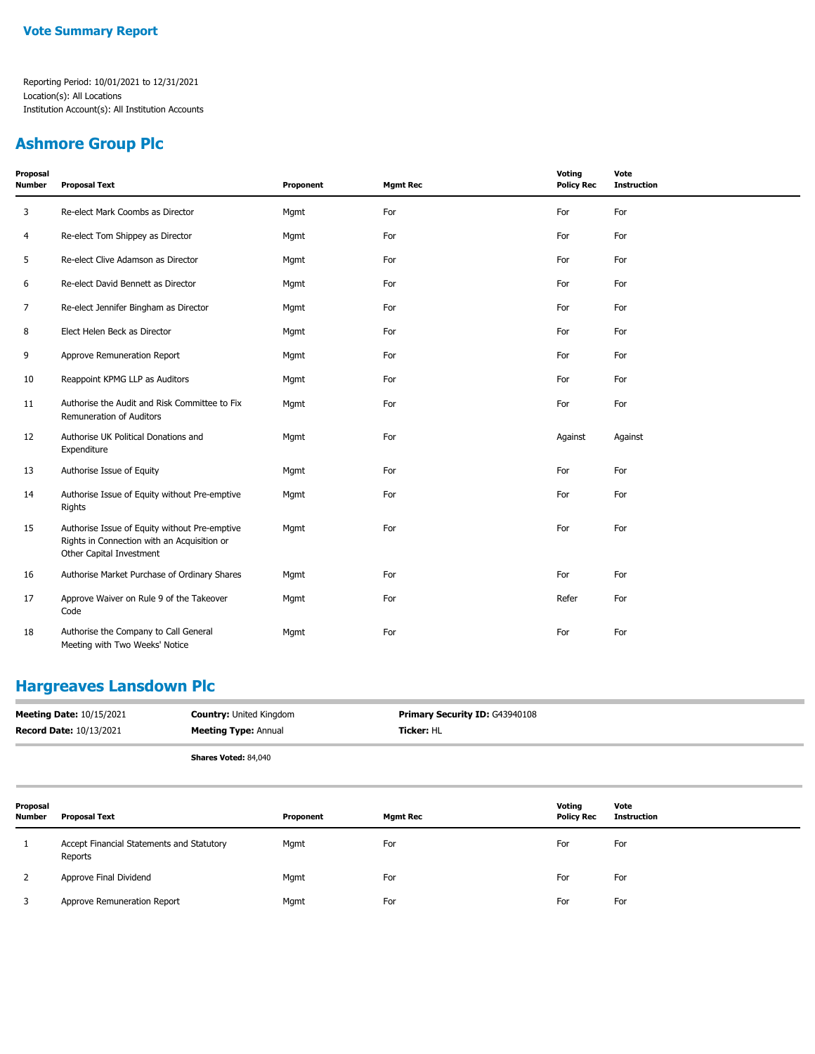#### **Ashmore Group Plc**

| Proposal<br>Number | <b>Proposal Text</b>                                                                                                     | Proponent | <b>Mgmt Rec</b> | Voting<br><b>Policy Rec</b> | Vote<br><b>Instruction</b> |
|--------------------|--------------------------------------------------------------------------------------------------------------------------|-----------|-----------------|-----------------------------|----------------------------|
| 3                  | Re-elect Mark Coombs as Director                                                                                         | Mgmt      | For             | For                         | For                        |
| 4                  | Re-elect Tom Shippey as Director                                                                                         | Mgmt      | For             | For                         | For                        |
| 5                  | Re-elect Clive Adamson as Director                                                                                       | Mgmt      | For             | For                         | For                        |
| 6                  | Re-elect David Bennett as Director                                                                                       | Mgmt      | For             | For                         | For                        |
| 7                  | Re-elect Jennifer Bingham as Director                                                                                    | Mgmt      | For             | For                         | For                        |
| 8                  | Elect Helen Beck as Director                                                                                             | Mgmt      | For             | For                         | For                        |
| 9                  | Approve Remuneration Report                                                                                              | Mgmt      | For             | For                         | For                        |
| 10                 | Reappoint KPMG LLP as Auditors                                                                                           | Mgmt      | For             | For                         | For                        |
| 11                 | Authorise the Audit and Risk Committee to Fix<br>Remuneration of Auditors                                                | Mgmt      | For             | For                         | For                        |
| 12                 | Authorise UK Political Donations and<br>Expenditure                                                                      | Mgmt      | For             | Against                     | Against                    |
| 13                 | Authorise Issue of Equity                                                                                                | Mgmt      | For             | For                         | For                        |
| 14                 | Authorise Issue of Equity without Pre-emptive<br>Rights                                                                  | Mgmt      | For             | For                         | For                        |
| 15                 | Authorise Issue of Equity without Pre-emptive<br>Rights in Connection with an Acquisition or<br>Other Capital Investment | Mgmt      | For             | For                         | For                        |
| 16                 | Authorise Market Purchase of Ordinary Shares                                                                             | Mgmt      | For             | For                         | For                        |
| 17                 | Approve Waiver on Rule 9 of the Takeover<br>Code                                                                         | Mgmt      | For             | Refer                       | For                        |
| 18                 | Authorise the Company to Call General<br>Meeting with Two Weeks' Notice                                                  | Mgmt      | For             | For                         | For                        |

#### **Hargreaves Lansdown Plc**

| <b>Meeting Date: 10/15/2021</b><br><b>Record Date: 10/13/2021</b> |                                                      | <b>Country: United Kingdom</b><br><b>Meeting Type: Annual</b> |                 | Primary Security ID: G43940108 |                            |  |
|-------------------------------------------------------------------|------------------------------------------------------|---------------------------------------------------------------|-----------------|--------------------------------|----------------------------|--|
|                                                                   |                                                      | Shares Voted: 84,040                                          |                 |                                |                            |  |
| Proposal<br><b>Number</b>                                         | <b>Proposal Text</b>                                 | Proponent                                                     | <b>Mgmt Rec</b> | Voting<br><b>Policy Rec</b>    | Vote<br><b>Instruction</b> |  |
|                                                                   | Accept Financial Statements and Statutory<br>Reports | Mgmt                                                          | For             | For                            | For                        |  |
|                                                                   | Approve Final Dividend                               | Mgmt                                                          | For             | For                            | For                        |  |

3 Approve Remuneration Report **For** Mgmt For For For For For For For For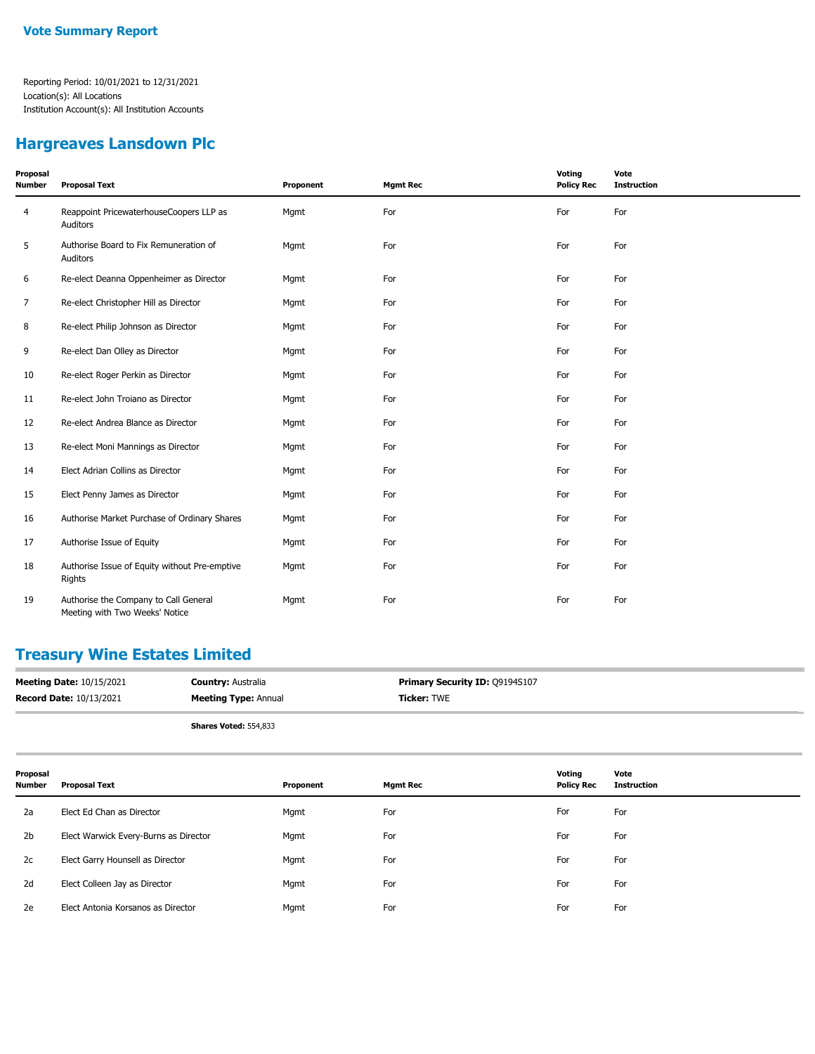#### **Hargreaves Lansdown Plc**

| Proposal<br>Number | <b>Proposal Text</b>                                                    | Proponent | <b>Mgmt Rec</b> | Voting<br><b>Policy Rec</b> | Vote<br><b>Instruction</b> |
|--------------------|-------------------------------------------------------------------------|-----------|-----------------|-----------------------------|----------------------------|
| 4                  | Reappoint PricewaterhouseCoopers LLP as<br>Auditors                     | Mgmt      | For             | For                         | For                        |
| 5                  | Authorise Board to Fix Remuneration of<br>Auditors                      | Mgmt      | For             | For                         | For                        |
| 6                  | Re-elect Deanna Oppenheimer as Director                                 | Mgmt      | For             | For                         | For                        |
| 7                  | Re-elect Christopher Hill as Director                                   | Mgmt      | For             | For                         | For                        |
| 8                  | Re-elect Philip Johnson as Director                                     | Mgmt      | For             | For                         | For                        |
| 9                  | Re-elect Dan Olley as Director                                          | Mgmt      | For             | For                         | For                        |
| 10                 | Re-elect Roger Perkin as Director                                       | Mgmt      | For             | For                         | For                        |
| 11                 | Re-elect John Troiano as Director                                       | Mgmt      | For             | For                         | For                        |
| 12                 | Re-elect Andrea Blance as Director                                      | Mgmt      | For             | For                         | For                        |
| 13                 | Re-elect Moni Mannings as Director                                      | Mgmt      | For             | For                         | For                        |
| 14                 | Elect Adrian Collins as Director                                        | Mgmt      | For             | For                         | For                        |
| 15                 | Elect Penny James as Director                                           | Mgmt      | For             | For                         | For                        |
| 16                 | Authorise Market Purchase of Ordinary Shares                            | Mgmt      | For             | For                         | For                        |
| 17                 | Authorise Issue of Equity                                               | Mgmt      | For             | For                         | For                        |
| 18                 | Authorise Issue of Equity without Pre-emptive<br>Rights                 | Mgmt      | For             | For                         | For                        |
| 19                 | Authorise the Company to Call General<br>Meeting with Two Weeks' Notice | Mgmt      | For             | For                         | For                        |

### **Treasury Wine Estates Limited**

| <b>Meeting Date: 10/15/2021</b> | <b>Country: Australia</b>    | <b>Primary Security ID: Q9194S107</b> |
|---------------------------------|------------------------------|---------------------------------------|
| <b>Record Date: 10/13/2021</b>  | <b>Meeting Type: Annual</b>  | <b>Ticker: TWE</b>                    |
|                                 | <b>Shares Voted: 554,833</b> |                                       |

| Proposal<br><b>Number</b> | <b>Proposal Text</b>                  | Proponent | <b>Mgmt Rec</b> | Voting<br><b>Policy Rec</b> | Vote<br><b>Instruction</b> |
|---------------------------|---------------------------------------|-----------|-----------------|-----------------------------|----------------------------|
| 2a                        | Elect Ed Chan as Director             | Mgmt      | For             | For                         | For                        |
| 2 <sub>b</sub>            | Elect Warwick Every-Burns as Director | Mgmt      | For             | For                         | For                        |
| 2c                        | Elect Garry Hounsell as Director      | Mgmt      | For             | For                         | For                        |
| 2d                        | Elect Colleen Jay as Director         | Mgmt      | For             | For                         | For                        |
| 2e                        | Elect Antonia Korsanos as Director    | Mgmt      | For             | For                         | For                        |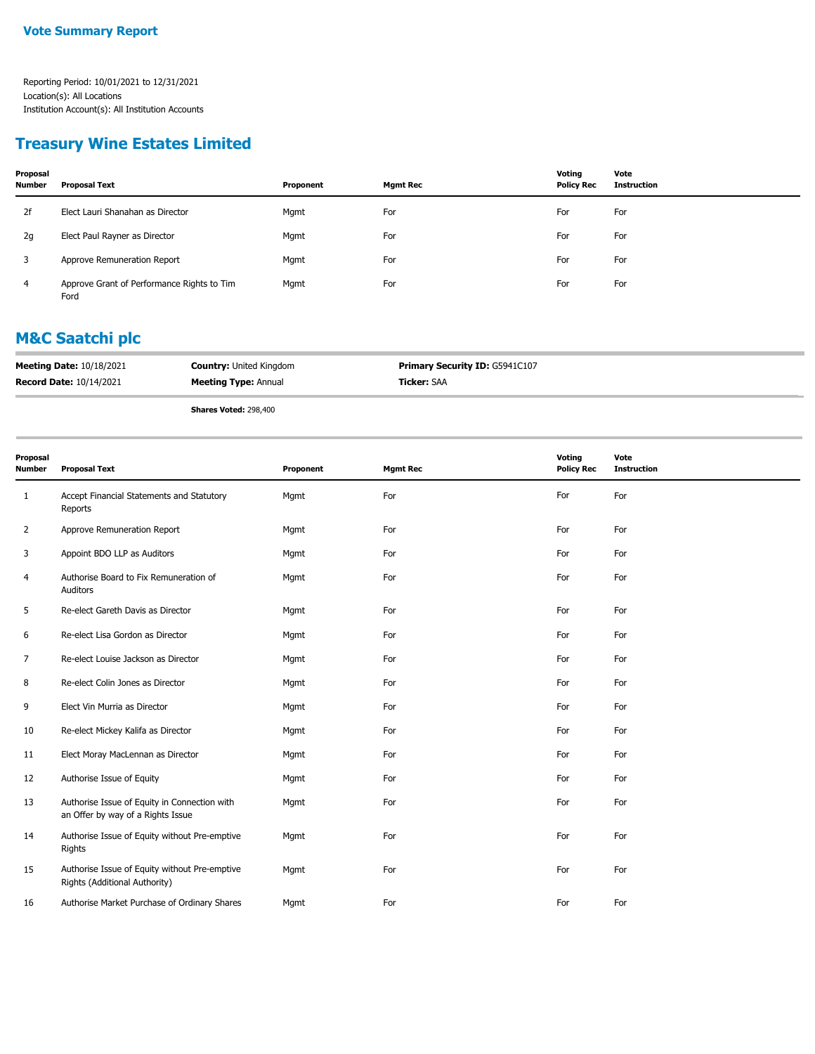#### **Treasury Wine Estates Limited**

| Proposal<br><b>Number</b> | <b>Proposal Text</b>                               | Proponent | Mgmt Rec | Votina<br><b>Policy Rec</b> | Vote<br>Instruction |
|---------------------------|----------------------------------------------------|-----------|----------|-----------------------------|---------------------|
| 2f                        | Elect Lauri Shanahan as Director                   | Mgmt      | For      | For                         | For                 |
| 2g                        | Elect Paul Rayner as Director                      | Mgmt      | For      | For                         | For                 |
| 3                         | Approve Remuneration Report                        | Mgmt      | For      | For                         | For                 |
| 4                         | Approve Grant of Performance Rights to Tim<br>Ford | Mgmt      | For      | For                         | For                 |

#### **M&C Saatchi plc**

| <b>Meeting Date: 10/18/2021</b> | <b>Country: United Kingdom</b> | <b>Primary Security ID: G5941C107</b> |
|---------------------------------|--------------------------------|---------------------------------------|
| <b>Record Date: 10/14/2021</b>  | <b>Meeting Type: Annual</b>    | <b>Ticker: SAA</b>                    |
|                                 | Shares Voted: 298,400          |                                       |

| Proposal<br><b>Number</b> | <b>Proposal Text</b>                                                              | Proponent | <b>Mgmt Rec</b> | Voting<br><b>Policy Rec</b> | Vote<br><b>Instruction</b> |
|---------------------------|-----------------------------------------------------------------------------------|-----------|-----------------|-----------------------------|----------------------------|
| 1                         | Accept Financial Statements and Statutory<br>Reports                              | Mgmt      | For             | For                         | For                        |
| 2                         | Approve Remuneration Report                                                       | Mgmt      | For             | For                         | For                        |
| 3                         | Appoint BDO LLP as Auditors                                                       | Mgmt      | For             | For                         | For                        |
| 4                         | Authorise Board to Fix Remuneration of<br>Auditors                                | Mgmt      | For             | For                         | For                        |
| 5                         | Re-elect Gareth Davis as Director                                                 | Mgmt      | For             | For                         | For                        |
| 6                         | Re-elect Lisa Gordon as Director                                                  | Mgmt      | For             | For                         | For                        |
| $\overline{7}$            | Re-elect Louise Jackson as Director                                               | Mgmt      | For             | For                         | For                        |
| 8                         | Re-elect Colin Jones as Director                                                  | Mgmt      | For             | For                         | For                        |
| 9                         | Elect Vin Murria as Director                                                      | Mgmt      | For             | For                         | For                        |
| 10                        | Re-elect Mickey Kalifa as Director                                                | Mgmt      | For             | For                         | For                        |
| 11                        | Elect Moray MacLennan as Director                                                 | Mgmt      | For             | For                         | For                        |
| 12                        | Authorise Issue of Equity                                                         | Mgmt      | For             | For                         | For                        |
| 13                        | Authorise Issue of Equity in Connection with<br>an Offer by way of a Rights Issue | Mgmt      | For             | For                         | For                        |
| 14                        | Authorise Issue of Equity without Pre-emptive<br>Rights                           | Mgmt      | For             | For                         | For                        |
| 15                        | Authorise Issue of Equity without Pre-emptive<br>Rights (Additional Authority)    | Mgmt      | For             | For                         | For                        |
| 16                        | Authorise Market Purchase of Ordinary Shares                                      | Mgmt      | For             | For                         | For                        |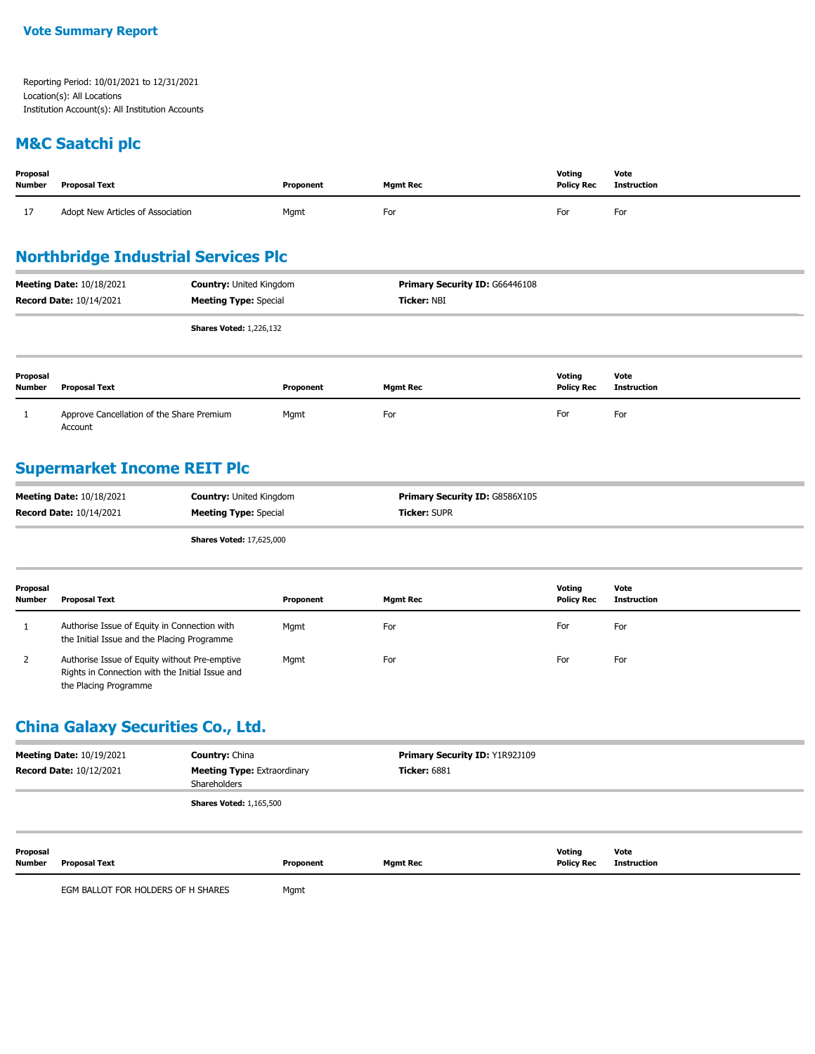#### **M&C Saatchi plc**

| Proposal<br>Number | <b>Proposal Text</b>              | Proponent | <b>Mamt Rec</b> | Voting<br><b>Policy Rec</b> | Vote<br>Instruction |
|--------------------|-----------------------------------|-----------|-----------------|-----------------------------|---------------------|
| 17<br><b>*</b>     | Adopt New Articles of Association | Mgmt      | For             | For                         | For                 |

#### **Northbridge Industrial Services Plc**

|                    | <b>Meeting Date: 10/18/2021</b><br><b>Record Date: 10/14/2021</b> | <b>Country: United Kingdom</b><br><b>Meeting Type: Special</b> | <b>Primary Security ID: G66446108</b><br><b>Ticker: NBI</b> |                             |                            |
|--------------------|-------------------------------------------------------------------|----------------------------------------------------------------|-------------------------------------------------------------|-----------------------------|----------------------------|
|                    |                                                                   | <b>Shares Voted: 1,226,132</b>                                 |                                                             |                             |                            |
| Proposal<br>Number | <b>Proposal Text</b>                                              | Proponent                                                      | <b>Mgmt Rec</b>                                             | Voting<br><b>Policy Rec</b> | Vote<br><b>Instruction</b> |

 1 Approve Cancellation of the Share Premium Account Mgmt For For For

#### **Supermarket Income REIT Plc**

| <b>Meeting Date: 10/18/2021</b> | <b>Country: United Kingdom</b> | <b>Primary Security ID: G8586X105</b> |
|---------------------------------|--------------------------------|---------------------------------------|
| <b>Record Date: 10/14/2021</b>  | <b>Meeting Type:</b> Special   | <b>Ticker: SUPR</b>                   |
|                                 | $AL = 11.4 - 11.47$ COE 000    |                                       |

**Shares Voted:** 17,625,000

| Proposal<br><b>Number</b> | <b>Proposal Text</b>                                                                                                      | Proponent | <b>Mgmt Rec</b> | Votina<br><b>Policy Rec</b> | Vote<br>Instruction |
|---------------------------|---------------------------------------------------------------------------------------------------------------------------|-----------|-----------------|-----------------------------|---------------------|
|                           | Authorise Issue of Equity in Connection with<br>the Initial Issue and the Placing Programme                               | Mgmt      | For             | For                         | For                 |
| 2                         | Authorise Issue of Equity without Pre-emptive<br>Rights in Connection with the Initial Issue and<br>the Placing Programme | Mgmt      | For             | For                         | For                 |

### **China Galaxy Securities Co., Ltd.**

| <b>Meeting Date: 10/19/2021</b><br><b>Country: China</b><br><b>Meeting Type: Extraordinary</b><br><b>Record Date: 10/12/2021</b><br>Shareholders |                                    | Primary Security ID: Y1R92J109<br><b>Ticker: 6881</b> |           |                 |                             |                            |
|--------------------------------------------------------------------------------------------------------------------------------------------------|------------------------------------|-------------------------------------------------------|-----------|-----------------|-----------------------------|----------------------------|
|                                                                                                                                                  |                                    | <b>Shares Voted: 1,165,500</b>                        |           |                 |                             |                            |
| Proposal<br>Number                                                                                                                               | Proposal Text                      |                                                       | Proponent | <b>Mgmt Rec</b> | Voting<br><b>Policy Rec</b> | Vote<br><b>Instruction</b> |
|                                                                                                                                                  | EGM BALLOT FOR HOLDERS OF H SHARES |                                                       | Mgmt      |                 |                             |                            |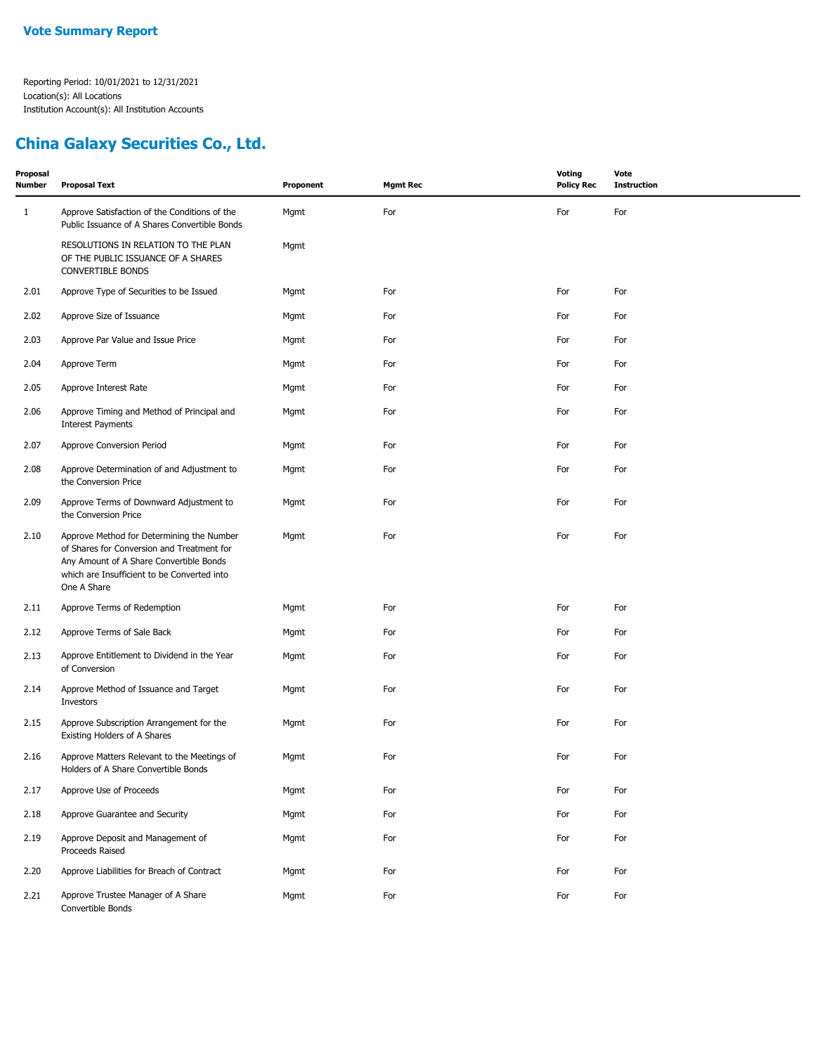### **China Galaxy Securities Co., Ltd.**

| Proposal<br><b>Number</b> | <b>Proposal Text</b>                                                                                                                                                                             | Proponent | <b>Mgmt Rec</b> | <b>Voting</b><br><b>Policy Rec</b> | Vote<br><b>Instruction</b> |
|---------------------------|--------------------------------------------------------------------------------------------------------------------------------------------------------------------------------------------------|-----------|-----------------|------------------------------------|----------------------------|
| $\mathbf{1}$              | Approve Satisfaction of the Conditions of the<br>Public Issuance of A Shares Convertible Bonds                                                                                                   | Mgmt      | For             | For                                | For                        |
|                           | RESOLUTIONS IN RELATION TO THE PLAN<br>OF THE PUBLIC ISSUANCE OF A SHARES<br><b>CONVERTIBLE BONDS</b>                                                                                            | Mgmt      |                 |                                    |                            |
| 2.01                      | Approve Type of Securities to be Issued                                                                                                                                                          | Mgmt      | For             | For                                | For                        |
| 2.02                      | Approve Size of Issuance                                                                                                                                                                         | Mgmt      | For             | For                                | For                        |
| 2.03                      | Approve Par Value and Issue Price                                                                                                                                                                | Mgmt      | For             | For                                | For                        |
| 2.04                      | Approve Term                                                                                                                                                                                     | Mgmt      | For             | For                                | For                        |
| 2.05                      | Approve Interest Rate                                                                                                                                                                            | Mgmt      | For             | For                                | For                        |
| 2.06                      | Approve Timing and Method of Principal and<br><b>Interest Payments</b>                                                                                                                           | Mgmt      | For             | For                                | For                        |
| 2.07                      | Approve Conversion Period                                                                                                                                                                        | Mgmt      | For             | For                                | For                        |
| 2.08                      | Approve Determination of and Adjustment to<br>the Conversion Price                                                                                                                               | Mgmt      | For             | For                                | For                        |
| 2.09                      | Approve Terms of Downward Adjustment to<br>the Conversion Price                                                                                                                                  | Mgmt      | For             | For                                | For                        |
| 2.10                      | Approve Method for Determining the Number<br>of Shares for Conversion and Treatment for<br>Any Amount of A Share Convertible Bonds<br>which are Insufficient to be Converted into<br>One A Share | Mgmt      | For             | For                                | For                        |
| 2.11                      | Approve Terms of Redemption                                                                                                                                                                      | Mgmt      | For             | For                                | For                        |
| 2.12                      | Approve Terms of Sale Back                                                                                                                                                                       | Mgmt      | For             | For                                | For                        |
| 2.13                      | Approve Entitlement to Dividend in the Year<br>of Conversion                                                                                                                                     | Mgmt      | For             | For                                | For                        |
| 2.14                      | Approve Method of Issuance and Target<br>Investors                                                                                                                                               | Mgmt      | For             | For                                | For                        |
| 2.15                      | Approve Subscription Arrangement for the<br>Existing Holders of A Shares                                                                                                                         | Mgmt      | For             | For                                | For                        |
| 2.16                      | Approve Matters Relevant to the Meetings of<br>Holders of A Share Convertible Bonds                                                                                                              | Mgmt      | For             | For                                | For                        |
| 2.17                      | Approve Use of Proceeds                                                                                                                                                                          | Mgmt      | For             | For                                | For                        |
| 2.18                      | Approve Guarantee and Security                                                                                                                                                                   | Mgmt      | For             | For                                | For                        |
| 2.19                      | Approve Deposit and Management of<br>Proceeds Raised                                                                                                                                             | Mgmt      | For             | For                                | For                        |
| 2.20                      | Approve Liabilities for Breach of Contract                                                                                                                                                       | Mgmt      | For             | For                                | For                        |
| 2.21                      | Approve Trustee Manager of A Share<br>Convertible Bonds                                                                                                                                          | Mgmt      | For             | For                                | For                        |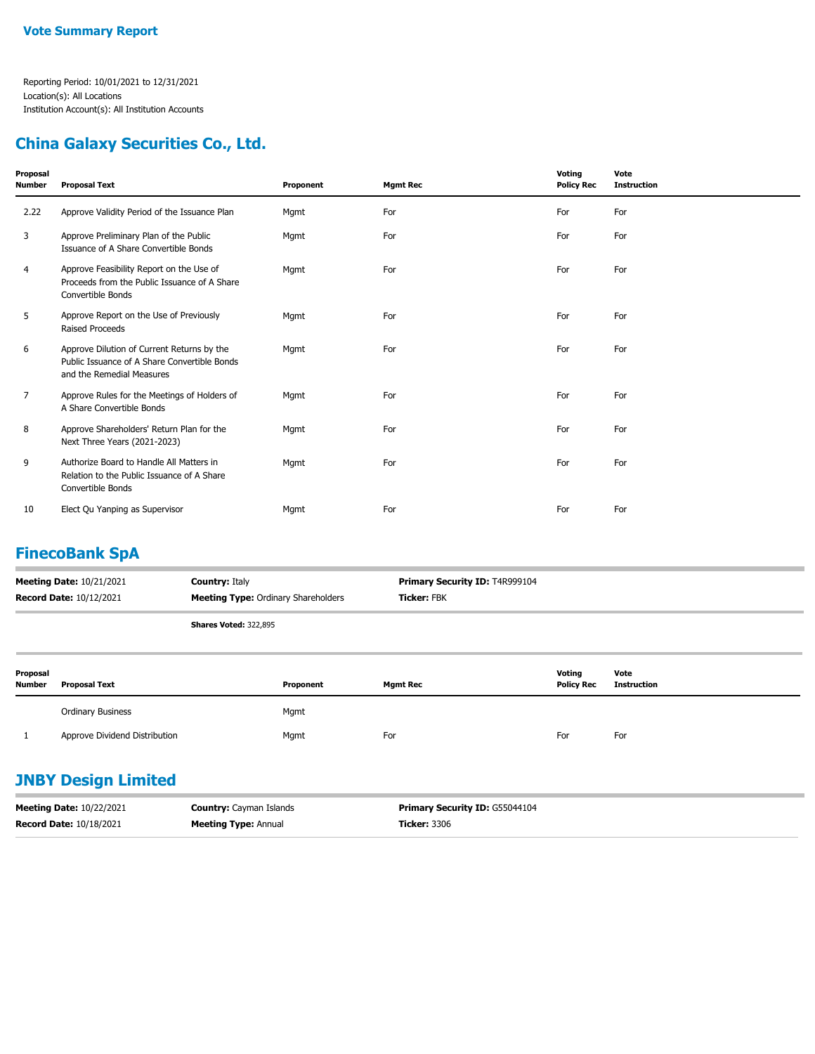#### **China Galaxy Securities Co., Ltd.**

| Proposal<br>Number | <b>Proposal Text</b>                                                                                                    | Proponent | <b>Mgmt Rec</b> | Voting<br><b>Policy Rec</b> | Vote<br><b>Instruction</b> |
|--------------------|-------------------------------------------------------------------------------------------------------------------------|-----------|-----------------|-----------------------------|----------------------------|
| 2.22               | Approve Validity Period of the Issuance Plan                                                                            | Mgmt      | For             | For                         | For                        |
| 3                  | Approve Preliminary Plan of the Public<br>Issuance of A Share Convertible Bonds                                         | Mgmt      | For             | For                         | For                        |
| 4                  | Approve Feasibility Report on the Use of<br>Proceeds from the Public Issuance of A Share<br>Convertible Bonds           | Mgmt      | For             | For                         | For                        |
| 5                  | Approve Report on the Use of Previously<br><b>Raised Proceeds</b>                                                       | Mgmt      | For             | For                         | For                        |
| 6                  | Approve Dilution of Current Returns by the<br>Public Issuance of A Share Convertible Bonds<br>and the Remedial Measures | Mgmt      | For             | For                         | For                        |
| 7                  | Approve Rules for the Meetings of Holders of<br>A Share Convertible Bonds                                               | Mgmt      | For             | For                         | For                        |
| 8                  | Approve Shareholders' Return Plan for the<br>Next Three Years (2021-2023)                                               | Mgmt      | For             | For                         | For                        |
| 9                  | Authorize Board to Handle All Matters in<br>Relation to the Public Issuance of A Share<br>Convertible Bonds             | Mgmt      | For             | For                         | For                        |
| 10                 | Elect Qu Yanping as Supervisor                                                                                          | Mgmt      | For             | For                         | For                        |

### **FinecoBank SpA**

| <b>Meeting Date: 10/21/2021</b><br><b>Country: Italy</b><br><b>Meeting Type:</b> Ordinary Shareholders<br><b>Record Date: 10/12/2021</b> |                              | <b>Primary Security ID: T4R999104</b><br><b>Ticker: FBK</b> |
|------------------------------------------------------------------------------------------------------------------------------------------|------------------------------|-------------------------------------------------------------|
|                                                                                                                                          | <b>Shares Voted: 322,895</b> |                                                             |

| Proposal<br><b>Number</b> | <b>Proposal Text</b>          | Proponent | <b>Mgmt Rec</b> | Voting<br><b>Policy Rec</b> | Vote<br><b>Instruction</b> |
|---------------------------|-------------------------------|-----------|-----------------|-----------------------------|----------------------------|
|                           | <b>Ordinary Business</b>      | Mgmt      |                 |                             |                            |
|                           | Approve Dividend Distribution | Mgmt      | For             | For                         | For                        |

### **JNBY Design Limited**

| <b>Meeting Date: 10/22/2021</b> | <b>Country:</b> Cayman Islands | <b>Primary Security ID: G55044104</b> |
|---------------------------------|--------------------------------|---------------------------------------|
| <b>Record Date: 10/18/2021</b>  | <b>Meeting Type: Annual</b>    | <b>Ticker:</b> 3306                   |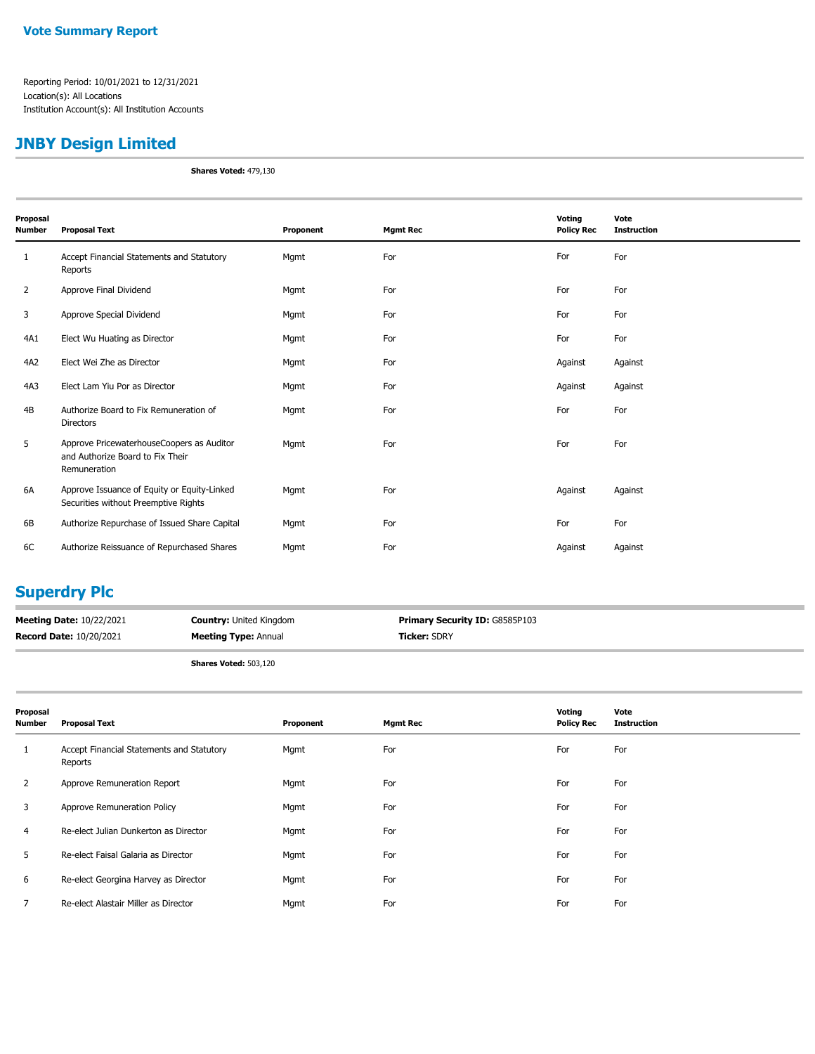#### **JNBY Design Limited**

**Shares Voted:** 479,130

| Proposal<br>Number | <b>Proposal Text</b>                                                                          | Proponent | <b>Mgmt Rec</b> | Voting<br><b>Policy Rec</b> | Vote<br><b>Instruction</b> |
|--------------------|-----------------------------------------------------------------------------------------------|-----------|-----------------|-----------------------------|----------------------------|
| 1                  | Accept Financial Statements and Statutory<br>Reports                                          | Mgmt      | For             | For                         | For                        |
| $\overline{2}$     | Approve Final Dividend                                                                        | Mgmt      | For             | For                         | For                        |
| 3                  | Approve Special Dividend                                                                      | Mgmt      | For             | For                         | For                        |
| 4A1                | Elect Wu Huating as Director                                                                  | Mgmt      | For             | For                         | For                        |
| 4A2                | Elect Wei Zhe as Director                                                                     | Mgmt      | For             | Against                     | Against                    |
| 4A3                | Elect Lam Yiu Por as Director                                                                 | Mgmt      | For             | Against                     | Against                    |
| 4B                 | Authorize Board to Fix Remuneration of<br><b>Directors</b>                                    | Mgmt      | For             | For                         | For                        |
| 5                  | Approve PricewaterhouseCoopers as Auditor<br>and Authorize Board to Fix Their<br>Remuneration | Mgmt      | For             | For                         | For                        |
| 6A                 | Approve Issuance of Equity or Equity-Linked<br>Securities without Preemptive Rights           | Mgmt      | For             | Against                     | Against                    |
| 6B                 | Authorize Repurchase of Issued Share Capital                                                  | Mgmt      | For             | For                         | For                        |
| 6C                 | Authorize Reissuance of Repurchased Shares                                                    | Mgmt      | For             | Against                     | Against                    |

#### **Superdry Plc**

| <b>Meeting Date: 10/22/2021</b> | <b>Country: United Kingdom</b> | <b>Primary Security ID: G8585P103</b> |
|---------------------------------|--------------------------------|---------------------------------------|
| <b>Record Date: 10/20/2021</b>  | <b>Meeting Type: Annual</b>    | <b>Ticker:</b> SDRY                   |

**Shares Voted:** 503,120

| Proposal<br><b>Number</b> | <b>Proposal Text</b>                                 | Proponent | <b>Mgmt Rec</b> | Voting<br><b>Policy Rec</b> | Vote<br><b>Instruction</b> |
|---------------------------|------------------------------------------------------|-----------|-----------------|-----------------------------|----------------------------|
| 1                         | Accept Financial Statements and Statutory<br>Reports | Mgmt      | For             | For                         | For                        |
| 2                         | Approve Remuneration Report                          | Mgmt      | For             | For                         | For                        |
| 3                         | Approve Remuneration Policy                          | Mgmt      | For             | For                         | For                        |
| 4                         | Re-elect Julian Dunkerton as Director                | Mgmt      | For             | For                         | For                        |
| 5.                        | Re-elect Faisal Galaria as Director                  | Mgmt      | For             | For                         | For                        |
| 6                         | Re-elect Georgina Harvey as Director                 | Mgmt      | For             | For                         | For                        |
|                           | Re-elect Alastair Miller as Director                 | Mgmt      | For             | For                         | For                        |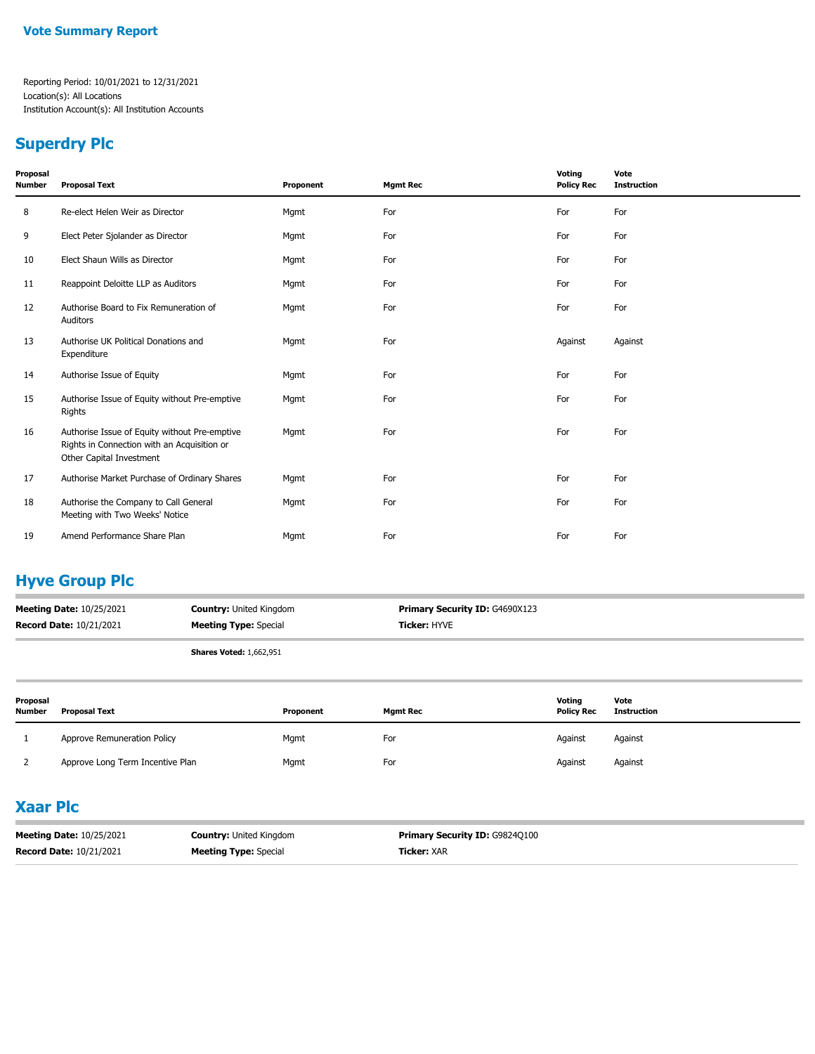#### **Superdry Plc**

| Proposal<br>Number | <b>Proposal Text</b>                                                                                                     | Proponent | <b>Mgmt Rec</b> | Voting<br><b>Policy Rec</b> | Vote<br><b>Instruction</b> |
|--------------------|--------------------------------------------------------------------------------------------------------------------------|-----------|-----------------|-----------------------------|----------------------------|
| 8                  | Re-elect Helen Weir as Director                                                                                          | Mgmt      | For             | For                         | For                        |
| 9                  | Elect Peter Sjolander as Director                                                                                        | Mgmt      | For             | For                         | For                        |
| 10                 | Elect Shaun Wills as Director                                                                                            | Mgmt      | For             | For                         | For                        |
| 11                 | Reappoint Deloitte LLP as Auditors                                                                                       | Mgmt      | For             | For                         | For                        |
| 12                 | Authorise Board to Fix Remuneration of<br>Auditors                                                                       | Mgmt      | For             | For                         | For                        |
| 13                 | Authorise UK Political Donations and<br>Expenditure                                                                      | Mgmt      | For             | Against                     | Against                    |
| 14                 | Authorise Issue of Equity                                                                                                | Mgmt      | For             | For                         | For                        |
| 15                 | Authorise Issue of Equity without Pre-emptive<br>Rights                                                                  | Mgmt      | For             | For                         | For                        |
| 16                 | Authorise Issue of Equity without Pre-emptive<br>Rights in Connection with an Acquisition or<br>Other Capital Investment | Mgmt      | For             | For                         | For                        |
| 17                 | Authorise Market Purchase of Ordinary Shares                                                                             | Mgmt      | For             | For                         | For                        |
| 18                 | Authorise the Company to Call General<br>Meeting with Two Weeks' Notice                                                  | Mgmt      | For             | For                         | For                        |
| 19                 | Amend Performance Share Plan                                                                                             | Mgmt      | For             | For                         | For                        |

### **Hyve Group Plc**

| <b>Meeting Date: 10/25/2021</b> | <b>Country: United Kingdom</b> | <b>Primary Security ID: G4690X123</b> |
|---------------------------------|--------------------------------|---------------------------------------|
| <b>Record Date: 10/21/2021</b>  | <b>Meeting Type:</b> Special   | <b>Ticker:</b> HYVE                   |
|                                 | <b>Shares Voted: 1,662,951</b> |                                       |

| Proposal<br><b>Number</b> | <b>Proposal Text</b>             | Proponent | <b>Mamt Rec</b> | Voting<br><b>Policy Rec</b> | Vote<br><b>Instruction</b> |
|---------------------------|----------------------------------|-----------|-----------------|-----------------------------|----------------------------|
|                           | Approve Remuneration Policy      | Mgmt      | For             | Against                     | Against                    |
|                           | Approve Long Term Incentive Plan | Mgmt      | For             | Against                     | Against                    |

#### **Xaar Plc**

| <b>Meeting Date: 10/25/2021</b> | <b>Country: United Kingdom</b> | <b>Primary Security ID: G9824Q100</b> |
|---------------------------------|--------------------------------|---------------------------------------|
| <b>Record Date: 10/21/2021</b>  | <b>Meeting Type: Special</b>   | <b>Ticker: XAR</b>                    |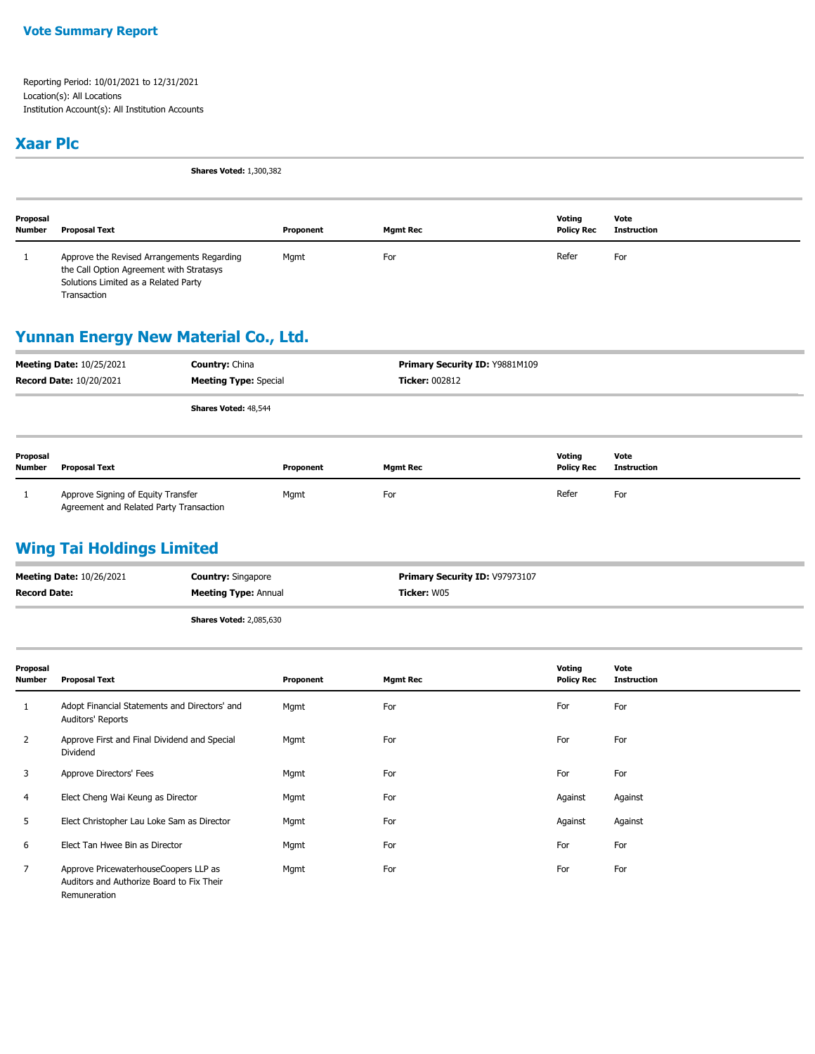#### **Xaar Plc**

**Shares Voted:** 1,300,382

| Proposal<br><b>Number</b> | Proposal Text                                                                                                                                 | Proponent | Mgmt Rec | Votina<br><b>Policy Rec</b> | Vote<br>Instruction |
|---------------------------|-----------------------------------------------------------------------------------------------------------------------------------------------|-----------|----------|-----------------------------|---------------------|
|                           | Approve the Revised Arrangements Regarding<br>the Call Option Agreement with Stratasys<br>Solutions Limited as a Related Party<br>Transaction | Mgmt      | For      | Refer                       | For                 |

#### **Yunnan Energy New Material Co., Ltd.**

|                    | <b>Meeting Date: 10/25/2021</b><br><b>Record Date: 10/20/2021</b>             | <b>Country: China</b><br><b>Meeting Type: Special</b> |           | <b>Ticker: 002812</b> | Primary Security ID: Y9881M109 |                             |                            |
|--------------------|-------------------------------------------------------------------------------|-------------------------------------------------------|-----------|-----------------------|--------------------------------|-----------------------------|----------------------------|
|                    |                                                                               | Shares Voted: 48,544                                  |           |                       |                                |                             |                            |
| Proposal<br>Number | <b>Proposal Text</b>                                                          |                                                       | Proponent | <b>Mgmt Rec</b>       |                                | Voting<br><b>Policy Rec</b> | Vote<br><b>Instruction</b> |
|                    | Approve Signing of Equity Transfer<br>Agreement and Related Party Transaction |                                                       | Mgmt      | For                   |                                | Refer                       | For                        |

#### **Wing Tai Holdings Limited**

| <b>Meeting Date: 10/26/2021</b> | <b>Country: Singapore</b>      | Primary Security ID: V97973107 |
|---------------------------------|--------------------------------|--------------------------------|
| <b>Record Date:</b>             | <b>Meeting Type: Annual</b>    | <b>Ticker: W05</b>             |
|                                 | <b>Shares Voted: 2,085,630</b> |                                |

| Proposal<br>Number | Proposal Text                                                                                      | Proponent | <b>Mgmt Rec</b> | Voting<br><b>Policy Rec</b> | Vote<br><b>Instruction</b> |
|--------------------|----------------------------------------------------------------------------------------------------|-----------|-----------------|-----------------------------|----------------------------|
| 1                  | Adopt Financial Statements and Directors' and<br>Auditors' Reports                                 | Mgmt      | For             | For                         | For                        |
| 2                  | Approve First and Final Dividend and Special<br>Dividend                                           | Mgmt      | For             | For                         | For                        |
| 3                  | Approve Directors' Fees                                                                            | Mgmt      | For             | For                         | For                        |
| 4                  | Elect Cheng Wai Keung as Director                                                                  | Mgmt      | For             | Against                     | Against                    |
| 5                  | Elect Christopher Lau Loke Sam as Director                                                         | Mgmt      | For             | Against                     | Against                    |
| 6                  | Elect Tan Hwee Bin as Director                                                                     | Mgmt      | For             | For                         | For                        |
| $\overline{7}$     | Approve PricewaterhouseCoopers LLP as<br>Auditors and Authorize Board to Fix Their<br>Remuneration | Mgmt      | For             | For                         | For                        |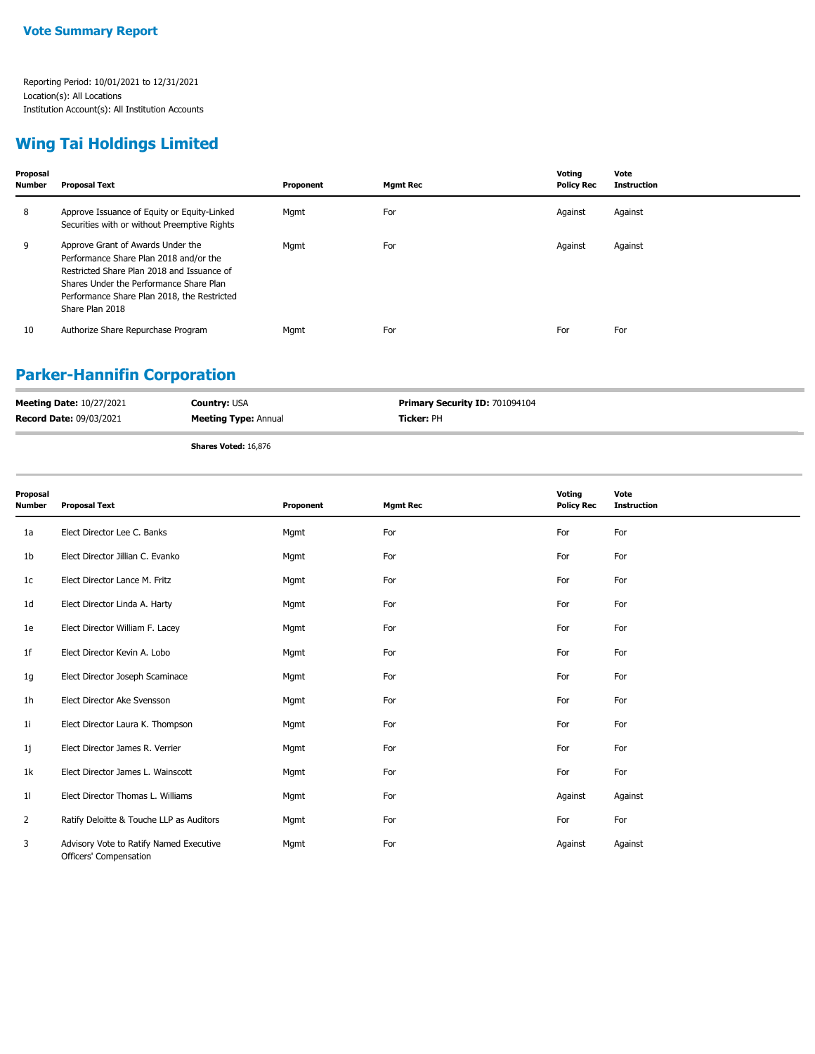### **Wing Tai Holdings Limited**

| Proposal<br><b>Number</b> | <b>Proposal Text</b>                                                                                                                                                                                                                   | Proponent | <b>Mgmt Rec</b> | Votina<br><b>Policy Rec</b> | Vote<br><b>Instruction</b> |
|---------------------------|----------------------------------------------------------------------------------------------------------------------------------------------------------------------------------------------------------------------------------------|-----------|-----------------|-----------------------------|----------------------------|
| 8                         | Approve Issuance of Equity or Equity-Linked<br>Securities with or without Preemptive Rights                                                                                                                                            | Mgmt      | For             | Against                     | Against                    |
| 9                         | Approve Grant of Awards Under the<br>Performance Share Plan 2018 and/or the<br>Restricted Share Plan 2018 and Issuance of<br>Shares Under the Performance Share Plan<br>Performance Share Plan 2018, the Restricted<br>Share Plan 2018 | Mgmt      | For             | Against                     | Against                    |
| 10                        | Authorize Share Repurchase Program                                                                                                                                                                                                     | Mgmt      | For             | For                         | For                        |

### **Parker-Hannifin Corporation**

| <b>Meeting Date: 10/27/2021</b> | <b>Country: USA</b>         | <b>Primary Security ID: 701094104</b> |
|---------------------------------|-----------------------------|---------------------------------------|
| <b>Record Date: 09/03/2021</b>  | <b>Meeting Type: Annual</b> | <b>Ticker:</b> PH                     |
|                                 | Shares Voted: 16.876        |                                       |

**Shares Voted:** 16,876

| Proposal<br><b>Number</b> | <b>Proposal Text</b>                                              | Proponent | <b>Mgmt Rec</b> | Voting<br><b>Policy Rec</b> | Vote<br><b>Instruction</b> |
|---------------------------|-------------------------------------------------------------------|-----------|-----------------|-----------------------------|----------------------------|
| 1a                        | Elect Director Lee C. Banks                                       | Mgmt      | For             | For                         | For                        |
| 1b                        | Elect Director Jillian C. Evanko                                  | Mgmt      | For             | For                         | For                        |
| 1c                        | Elect Director Lance M. Fritz                                     | Mgmt      | For             | For                         | For                        |
| 1d                        | Elect Director Linda A. Harty                                     | Mgmt      | For             | For                         | For                        |
| 1e                        | Elect Director William F. Lacey                                   | Mgmt      | For             | For                         | For                        |
| 1f                        | Elect Director Kevin A. Lobo                                      | Mgmt      | For             | For                         | For                        |
| 1g                        | Elect Director Joseph Scaminace                                   | Mgmt      | For             | For                         | For                        |
| 1 <sub>h</sub>            | Elect Director Ake Svensson                                       | Mgmt      | For             | For                         | For                        |
| 1i                        | Elect Director Laura K. Thompson                                  | Mgmt      | For             | For                         | For                        |
| 1j                        | Elect Director James R. Verrier                                   | Mgmt      | For             | For                         | For                        |
| 1k                        | Elect Director James L. Wainscott                                 | Mgmt      | For             | For                         | For                        |
| 11                        | Elect Director Thomas L. Williams                                 | Mgmt      | For             | Against                     | Against                    |
| $\overline{2}$            | Ratify Deloitte & Touche LLP as Auditors                          | Mgmt      | For             | For                         | For                        |
| 3                         | Advisory Vote to Ratify Named Executive<br>Officers' Compensation | Mgmt      | For             | Against                     | Against                    |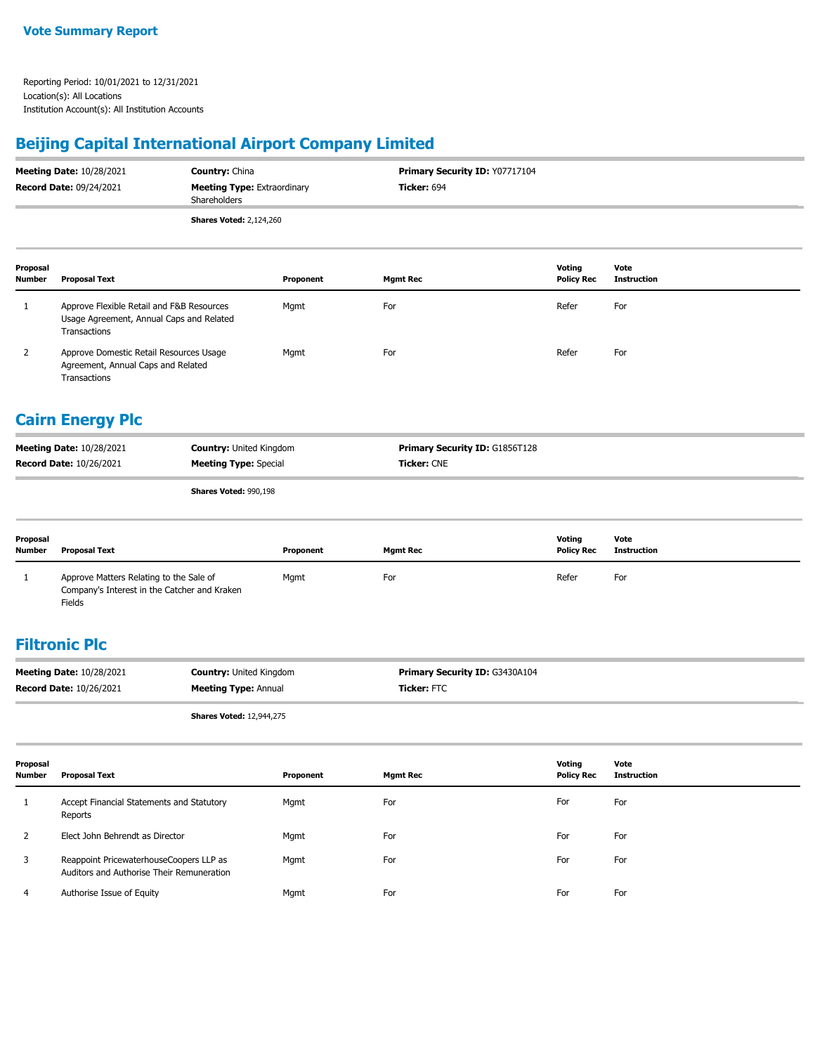### **Beijing Capital International Airport Company Limited**

| <b>Meeting Date: 10/28/2021</b> | <b>Country: China</b>                              | <b>Primary Security ID: Y07717104</b> |
|---------------------------------|----------------------------------------------------|---------------------------------------|
| <b>Record Date: 09/24/2021</b>  | <b>Meeting Type: Extraordinary</b><br>Shareholders | <b>Ticker: 694</b>                    |
|                                 | <b>Shares Voted: 2,124,260</b>                     |                                       |

| Proposal<br><b>Number</b> | <b>Proposal Text</b>                                                                                  | Proponent | <b>Mamt Rec</b> | Voting<br><b>Policy Rec</b> | Vote<br><b>Instruction</b> |
|---------------------------|-------------------------------------------------------------------------------------------------------|-----------|-----------------|-----------------------------|----------------------------|
|                           | Approve Flexible Retail and F&B Resources<br>Usage Agreement, Annual Caps and Related<br>Transactions | Mgmt      | For             | Refer                       | For                        |
|                           | Approve Domestic Retail Resources Usage<br>Agreement, Annual Caps and Related<br>Transactions         | Mgmt      | For             | Refer                       | For                        |

#### **Cairn Energy Plc**

|                                 | $-1$                           |                                       |
|---------------------------------|--------------------------------|---------------------------------------|
| <b>Record Date: 10/26/2021</b>  | <b>Meeting Type: Special</b>   | <b>Ticker: CNE</b>                    |
| <b>Meeting Date: 10/28/2021</b> | <b>Country: United Kingdom</b> | <b>Primary Security ID: G1856T128</b> |

**Shares Voted:** 990,198

| Proposal<br><b>Number</b> | <b>Proposal Text</b>                                                                              | Proponent | <b>Mgmt Rec</b> | Votina<br><b>Policy Rec</b> | Vote<br>Instruction |
|---------------------------|---------------------------------------------------------------------------------------------------|-----------|-----------------|-----------------------------|---------------------|
|                           | Approve Matters Relating to the Sale of<br>Company's Interest in the Catcher and Kraken<br>Fields | Mgmt      | For             | Refer                       | For                 |

#### **Filtronic Plc**

| <b>Meeting Date: 10/28/2021</b> | <b>Country: United Kingdom</b> | <b>Primary Security ID: G3430A104</b> |
|---------------------------------|--------------------------------|---------------------------------------|
| <b>Record Date: 10/26/2021</b>  | <b>Meeting Type: Annual</b>    | <b>Ticker:</b> FTC                    |
|                                 |                                |                                       |

**Shares Voted:** 12,944,275

| Proposal<br><b>Number</b> | <b>Proposal Text</b>                                                                 | Proponent | <b>Mgmt Rec</b> | Voting<br><b>Policy Rec</b> | Vote<br>Instruction |
|---------------------------|--------------------------------------------------------------------------------------|-----------|-----------------|-----------------------------|---------------------|
|                           | Accept Financial Statements and Statutory<br>Reports                                 | Mgmt      | For             | For                         | For                 |
|                           | Elect John Behrendt as Director                                                      | Mgmt      | For             | For                         | For                 |
| 3                         | Reappoint PricewaterhouseCoopers LLP as<br>Auditors and Authorise Their Remuneration | Mgmt      | For             | For                         | For                 |
|                           | Authorise Issue of Equity                                                            | Mgmt      | For             | For                         | For                 |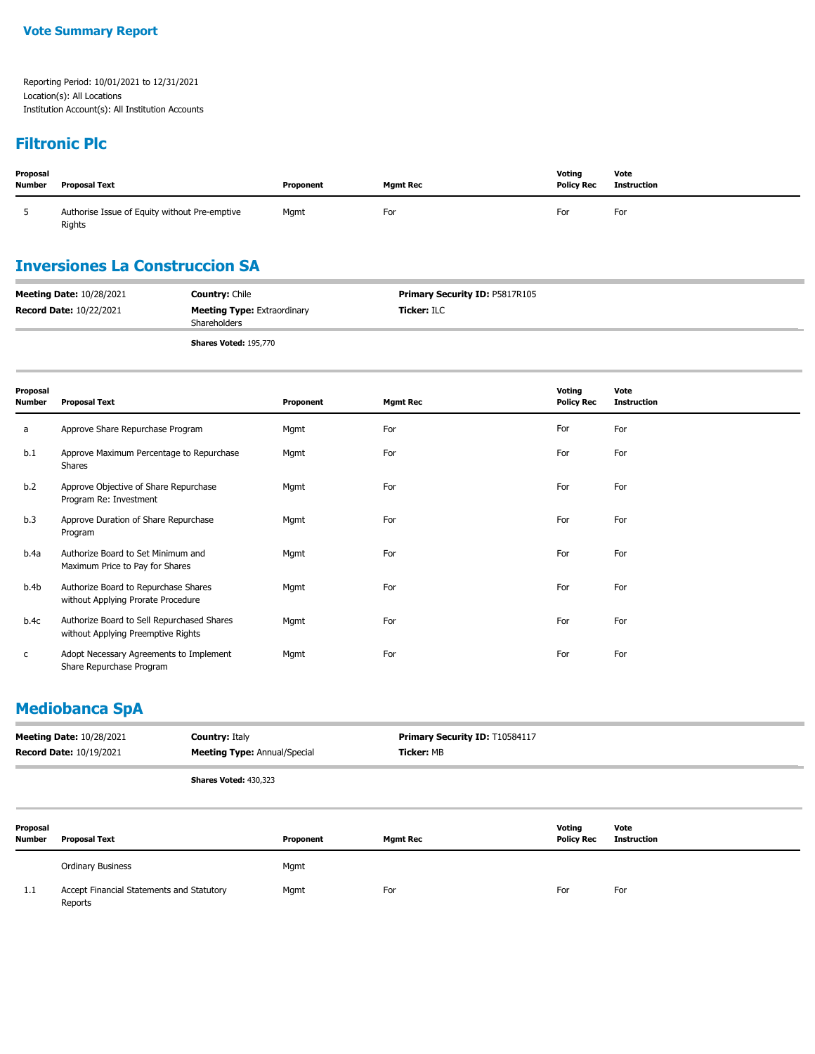### **Filtronic Plc**

| Proposal<br><b>Number</b> | <b>Proposal Text</b>                                    | Proponent | <b>Mamt Rec</b> | Votina<br><b>Policy Rec</b> | Vote<br><b>Instruction</b> |
|---------------------------|---------------------------------------------------------|-----------|-----------------|-----------------------------|----------------------------|
|                           | Authorise Issue of Equity without Pre-emptive<br>Rights | Mgmt      | For             | For                         | For                        |

### **Inversiones La Construccion SA**

| <b>Meeting Date: 10/28/2021</b> | <b>Country: Chile</b>                              | <b>Primary Security ID: P5817R105</b> |  |
|---------------------------------|----------------------------------------------------|---------------------------------------|--|
| <b>Record Date: 10/22/2021</b>  | <b>Meeting Type:</b> Extraordinary<br>Shareholders | <b>Ticker: ILC</b>                    |  |
|                                 | <b>Shares Voted: 195,770</b>                       |                                       |  |

| Proposal<br>Number | <b>Proposal Text</b>                                                             | Proponent | <b>Mgmt Rec</b> | Voting<br><b>Policy Rec</b> | Vote<br><b>Instruction</b> |
|--------------------|----------------------------------------------------------------------------------|-----------|-----------------|-----------------------------|----------------------------|
| a                  | Approve Share Repurchase Program                                                 | Mgmt      | For             | For                         | For                        |
| b.1                | Approve Maximum Percentage to Repurchase<br>Shares                               | Mgmt      | For             | For                         | For                        |
| b.2                | Approve Objective of Share Repurchase<br>Program Re: Investment                  | Mgmt      | For             | For                         | For                        |
| b.3                | Approve Duration of Share Repurchase<br>Program                                  | Mgmt      | For             | For                         | For                        |
| b.4a               | Authorize Board to Set Minimum and<br>Maximum Price to Pay for Shares            | Mgmt      | For             | For                         | For                        |
| b.4b               | Authorize Board to Repurchase Shares<br>without Applying Prorate Procedure       | Mgmt      | For             | For                         | For                        |
| b.4c               | Authorize Board to Sell Repurchased Shares<br>without Applying Preemptive Rights | Mgmt      | For             | For                         | For                        |
| C                  | Adopt Necessary Agreements to Implement<br>Share Repurchase Program              | Mgmt      | For             | For                         | For                        |

#### **Mediobanca SpA**

| <b>Country: Italy</b><br><b>Meeting Date: 10/28/2021</b><br><b>Record Date: 10/19/2021</b> |                                                      |                                     | Primary Security ID: T10584117 |                 |                             |                            |
|--------------------------------------------------------------------------------------------|------------------------------------------------------|-------------------------------------|--------------------------------|-----------------|-----------------------------|----------------------------|
|                                                                                            |                                                      | <b>Meeting Type: Annual/Special</b> |                                | Ticker: MB      |                             |                            |
|                                                                                            |                                                      | <b>Shares Voted: 430,323</b>        |                                |                 |                             |                            |
| Proposal<br><b>Number</b>                                                                  | <b>Proposal Text</b>                                 |                                     | Proponent                      | <b>Mgmt Rec</b> | Voting<br><b>Policy Rec</b> | Vote<br><b>Instruction</b> |
|                                                                                            | Ordinary Business                                    |                                     | Mgmt                           |                 |                             |                            |
| 1.1                                                                                        | Accept Financial Statements and Statutory<br>Reports |                                     | Mgmt                           | For             | For                         | For                        |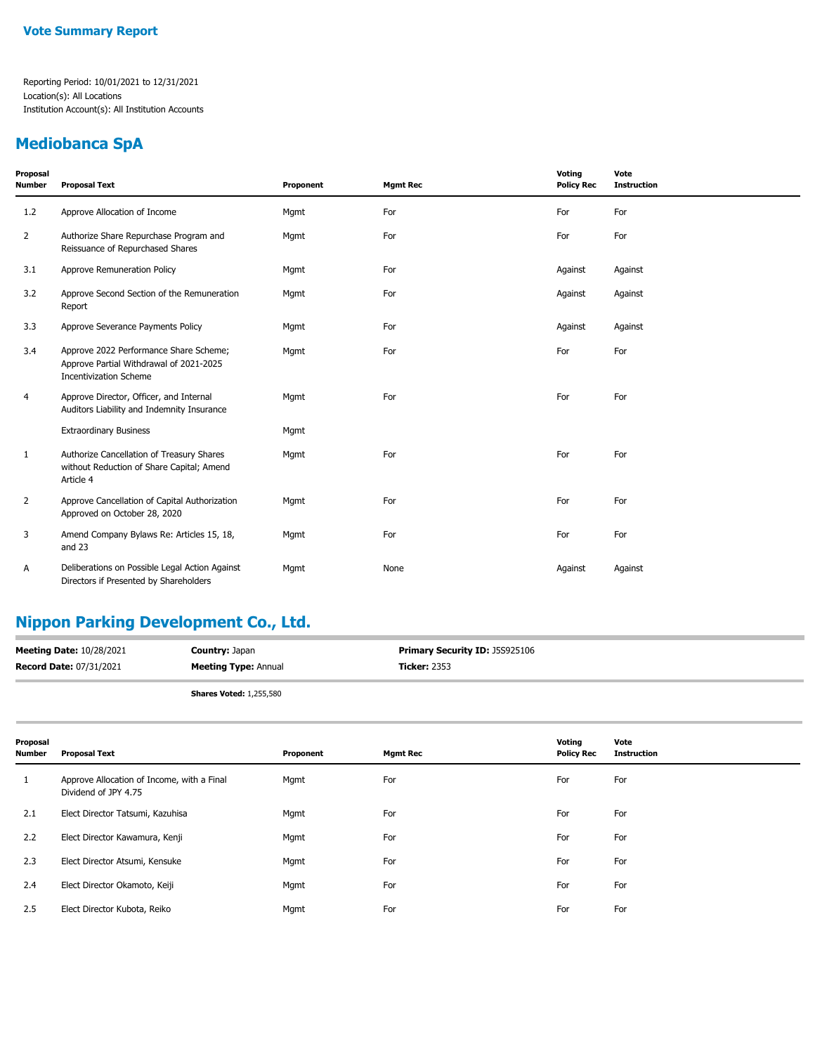#### **Mediobanca SpA**

| Proposal<br>Number | <b>Proposal Text</b>                                                                                               | Proponent | <b>Mgmt Rec</b> | Voting<br><b>Policy Rec</b> | Vote<br><b>Instruction</b> |
|--------------------|--------------------------------------------------------------------------------------------------------------------|-----------|-----------------|-----------------------------|----------------------------|
| 1.2                | Approve Allocation of Income                                                                                       | Mgmt      | For             | For                         | For                        |
| $\overline{2}$     | Authorize Share Repurchase Program and<br>Reissuance of Repurchased Shares                                         | Mgmt      | For             | For                         | For                        |
| 3.1                | Approve Remuneration Policy                                                                                        | Mgmt      | For             | Against                     | Against                    |
| 3.2                | Approve Second Section of the Remuneration<br>Report                                                               | Mgmt      | For             | Against                     | Against                    |
| 3.3                | Approve Severance Payments Policy                                                                                  | Mgmt      | For             | Against                     | Against                    |
| 3.4                | Approve 2022 Performance Share Scheme;<br>Approve Partial Withdrawal of 2021-2025<br><b>Incentivization Scheme</b> | Mgmt      | For             | For                         | For                        |
| 4                  | Approve Director, Officer, and Internal<br>Auditors Liability and Indemnity Insurance                              | Mgmt      | For             | For                         | For                        |
|                    | <b>Extraordinary Business</b>                                                                                      | Mgmt      |                 |                             |                            |
| 1                  | Authorize Cancellation of Treasury Shares<br>without Reduction of Share Capital; Amend<br>Article 4                | Mgmt      | For             | For                         | For                        |
| $\overline{2}$     | Approve Cancellation of Capital Authorization<br>Approved on October 28, 2020                                      | Mgmt      | For             | For                         | For                        |
| 3                  | Amend Company Bylaws Re: Articles 15, 18,<br>and 23                                                                | Mgmt      | For             | For                         | For                        |
| А                  | Deliberations on Possible Legal Action Against<br>Directors if Presented by Shareholders                           | Mgmt      | None            | Against                     | Against                    |

### **Nippon Parking Development Co., Ltd.**

| <b>Meeting Date: 10/28/2021</b> | <b>Country: Japan</b>          | Primary Security ID: J5S925106 |
|---------------------------------|--------------------------------|--------------------------------|
| <b>Record Date: 07/31/2021</b>  | <b>Meeting Type: Annual</b>    | <b>Ticker: 2353</b>            |
|                                 | <b>Shares Voted: 1,255,580</b> |                                |

| Proposal<br><b>Number</b> | <b>Proposal Text</b>                                               | Proponent | <b>Mgmt Rec</b> | Voting<br><b>Policy Rec</b> | Vote<br><b>Instruction</b> |
|---------------------------|--------------------------------------------------------------------|-----------|-----------------|-----------------------------|----------------------------|
| 1                         | Approve Allocation of Income, with a Final<br>Dividend of JPY 4.75 | Mgmt      | For             | For                         | For                        |
| 2.1                       | Elect Director Tatsumi, Kazuhisa                                   | Mgmt      | For             | For                         | For                        |
| 2.2                       | Elect Director Kawamura, Kenji                                     | Mgmt      | For             | For                         | For                        |
| 2.3                       | Elect Director Atsumi, Kensuke                                     | Mgmt      | For             | For                         | For                        |
| 2.4                       | Elect Director Okamoto, Keiji                                      | Mgmt      | For             | For                         | For                        |
| 2.5                       | Elect Director Kubota, Reiko                                       | Mgmt      | For             | For                         | For                        |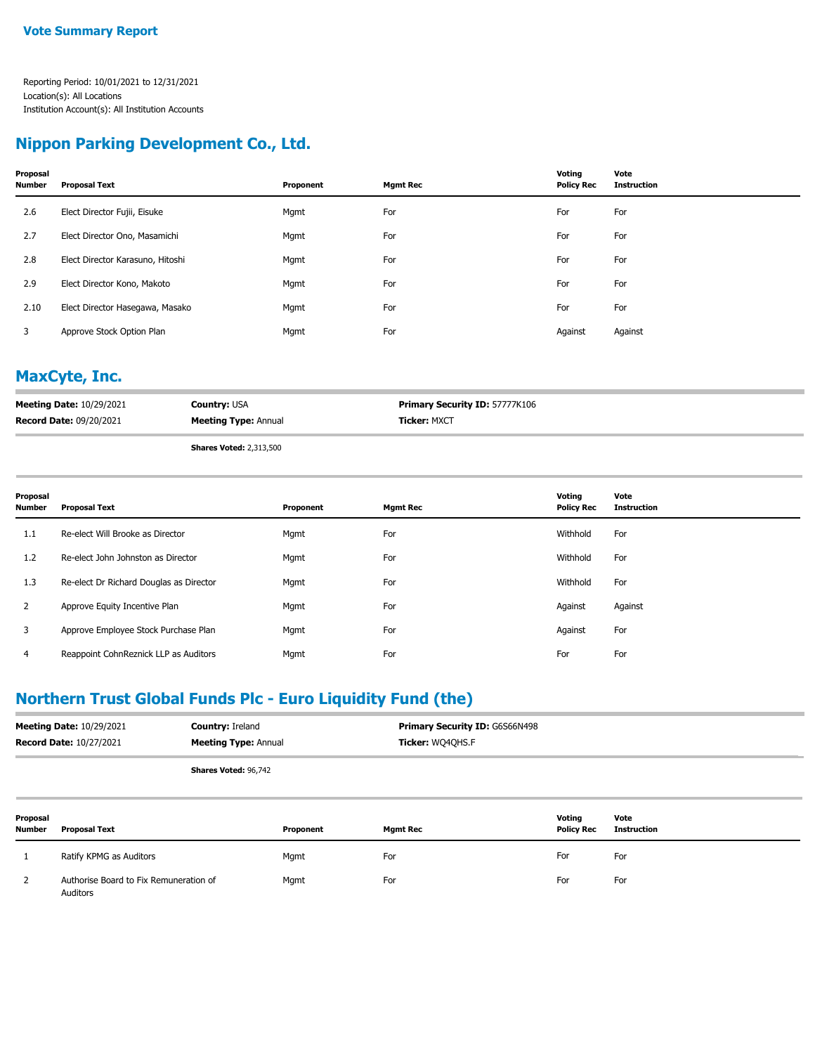#### **Nippon Parking Development Co., Ltd.**

| Proposal<br><b>Number</b> | <b>Proposal Text</b>             | Proponent | <b>Mgmt Rec</b> | Voting<br><b>Policy Rec</b> | Vote<br><b>Instruction</b> |
|---------------------------|----------------------------------|-----------|-----------------|-----------------------------|----------------------------|
| 2.6                       | Elect Director Fujii, Eisuke     | Mgmt      | For             | For                         | For                        |
| 2.7                       | Elect Director Ono, Masamichi    | Mgmt      | For             | For                         | For                        |
| 2.8                       | Elect Director Karasuno, Hitoshi | Mgmt      | For             | For                         | For                        |
| 2.9                       | Elect Director Kono, Makoto      | Mgmt      | For             | For                         | For                        |
| 2.10                      | Elect Director Hasegawa, Masako  | Mgmt      | For             | For                         | For                        |
| 3                         | Approve Stock Option Plan        | Mgmt      | For             | Against                     | Against                    |

#### **MaxCyte, Inc.**

| <b>Meeting Date: 10/29/2021</b> | <b>Country: USA</b>         | <b>Primary Security ID: 57777K106</b> |
|---------------------------------|-----------------------------|---------------------------------------|
| <b>Record Date: 09/20/2021</b>  | <b>Meeting Type: Annual</b> | <b>Ticker: MXCT</b>                   |
|                                 | Charge Vatadi 2.212 E00     |                                       |

**Shares Voted:** 2,313,500

| Proposal<br><b>Number</b> | Proposal Text                           | Proponent | <b>Mgmt Rec</b> | Voting<br><b>Policy Rec</b> | Vote<br><b>Instruction</b> |
|---------------------------|-----------------------------------------|-----------|-----------------|-----------------------------|----------------------------|
| 1.1                       | Re-elect Will Brooke as Director        | Mgmt      | For             | Withhold                    | For                        |
| 1.2                       | Re-elect John Johnston as Director      | Mgmt      | For             | Withhold                    | For                        |
| 1.3                       | Re-elect Dr Richard Douglas as Director | Mgmt      | For             | Withhold                    | For                        |
| $\overline{2}$            | Approve Equity Incentive Plan           | Mgmt      | For             | Against                     | Against                    |
| 3                         | Approve Employee Stock Purchase Plan    | Mgmt      | For             | Against                     | For                        |
| 4                         | Reappoint CohnReznick LLP as Auditors   | Mgmt      | For             | For                         | For                        |

### **Northern Trust Global Funds Plc - Euro Liquidity Fund (the)**

| <b>Meeting Date: 10/29/2021</b><br><b>Record Date: 10/27/2021</b> |                                                    | <b>Country: Ireland</b><br><b>Meeting Type: Annual</b> |           | Primary Security ID: G6S66N498<br>Ticker: WQ4QHS.F |                             |                            |
|-------------------------------------------------------------------|----------------------------------------------------|--------------------------------------------------------|-----------|----------------------------------------------------|-----------------------------|----------------------------|
|                                                                   |                                                    | Shares Voted: 96,742                                   |           |                                                    |                             |                            |
| Proposal<br><b>Number</b>                                         | <b>Proposal Text</b>                               |                                                        | Proponent | <b>Mgmt Rec</b>                                    | Voting<br><b>Policy Rec</b> | Vote<br><b>Instruction</b> |
|                                                                   | Ratify KPMG as Auditors                            |                                                        | Mgmt      | For                                                | For                         | For                        |
| 2                                                                 | Authorise Board to Fix Remuneration of<br>Auditors |                                                        | Mgmt      | For                                                | For                         | For                        |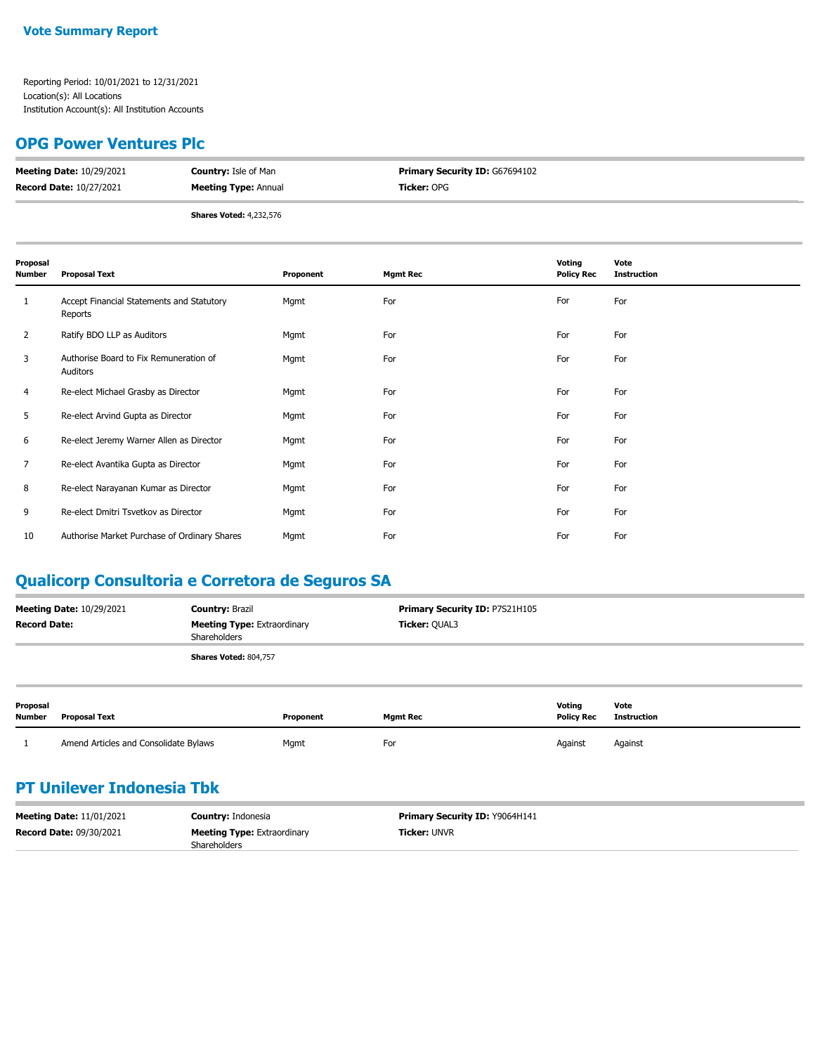#### **OPG Power Ventures Plc**

| <b>Meeting Date: 10/29/2021</b> | <b>Country: Isle of Man</b>    | <b>Primary Security ID: G67694102</b> |
|---------------------------------|--------------------------------|---------------------------------------|
| <b>Record Date: 10/27/2021</b>  | <b>Meeting Type: Annual</b>    | <b>Ticker:</b> OPG                    |
|                                 | <b>Shares Voted: 4,232,576</b> |                                       |

| Proposal<br><b>Number</b> | <b>Proposal Text</b>                                 | Proponent | <b>Mgmt Rec</b> | Voting<br><b>Policy Rec</b> | Vote<br><b>Instruction</b> |
|---------------------------|------------------------------------------------------|-----------|-----------------|-----------------------------|----------------------------|
| 1                         | Accept Financial Statements and Statutory<br>Reports | Mgmt      | For             | For                         | For                        |
| 2                         | Ratify BDO LLP as Auditors                           | Mgmt      | For             | For                         | For                        |
| 3                         | Authorise Board to Fix Remuneration of<br>Auditors   | Mgmt      | For             | For                         | For                        |
| 4                         | Re-elect Michael Grasby as Director                  | Mgmt      | For             | For                         | For                        |
| 5                         | Re-elect Arvind Gupta as Director                    | Mgmt      | For             | For                         | For                        |
| 6                         | Re-elect Jeremy Warner Allen as Director             | Mgmt      | For             | For                         | For                        |
| 7                         | Re-elect Avantika Gupta as Director                  | Mgmt      | For             | For                         | For                        |
| 8                         | Re-elect Narayanan Kumar as Director                 | Mgmt      | For             | For                         | For                        |
| 9                         | Re-elect Dmitri Tsvetkov as Director                 | Mgmt      | For             | For                         | For                        |
| 10                        | Authorise Market Purchase of Ordinary Shares         | Mgmt      | For             | For                         | For                        |

### **Qualicorp Consultoria e Corretora de Seguros SA**

| <b>Meeting Date: 10/29/2021</b> | <b>Country: Brazil</b>                             | <b>Primary Security ID: P7S21H105</b> |
|---------------------------------|----------------------------------------------------|---------------------------------------|
| <b>Record Date:</b>             | <b>Meeting Type: Extraordinary</b><br>Shareholders | <b>Ticker: OUAL3</b>                  |
|                                 | <b>Shares Voted: 804,757</b>                       |                                       |
|                                 |                                                    |                                       |

| Proposal<br><b>Number</b> | <b>Proposal Text</b>                  | Proponent | <b>Mamt Rec</b> | Voting<br><b>Policy Rec</b> | Vote<br>Instruction |
|---------------------------|---------------------------------------|-----------|-----------------|-----------------------------|---------------------|
|                           | Amend Articles and Consolidate Bylaws | Mgmt      | For             | Against                     | Against             |

### **PT Unilever Indonesia Tbk**

| <b>Meeting Date: 11/01/2021</b> | <b>Country: Indonesia</b>          | <b>Primary Security ID: Y9064H141</b> |
|---------------------------------|------------------------------------|---------------------------------------|
| <b>Record Date: 09/30/2021</b>  | <b>Meeting Type: Extraordinary</b> | <b>Ticker: UNVR</b>                   |
|                                 | <b>Shareholders</b>                |                                       |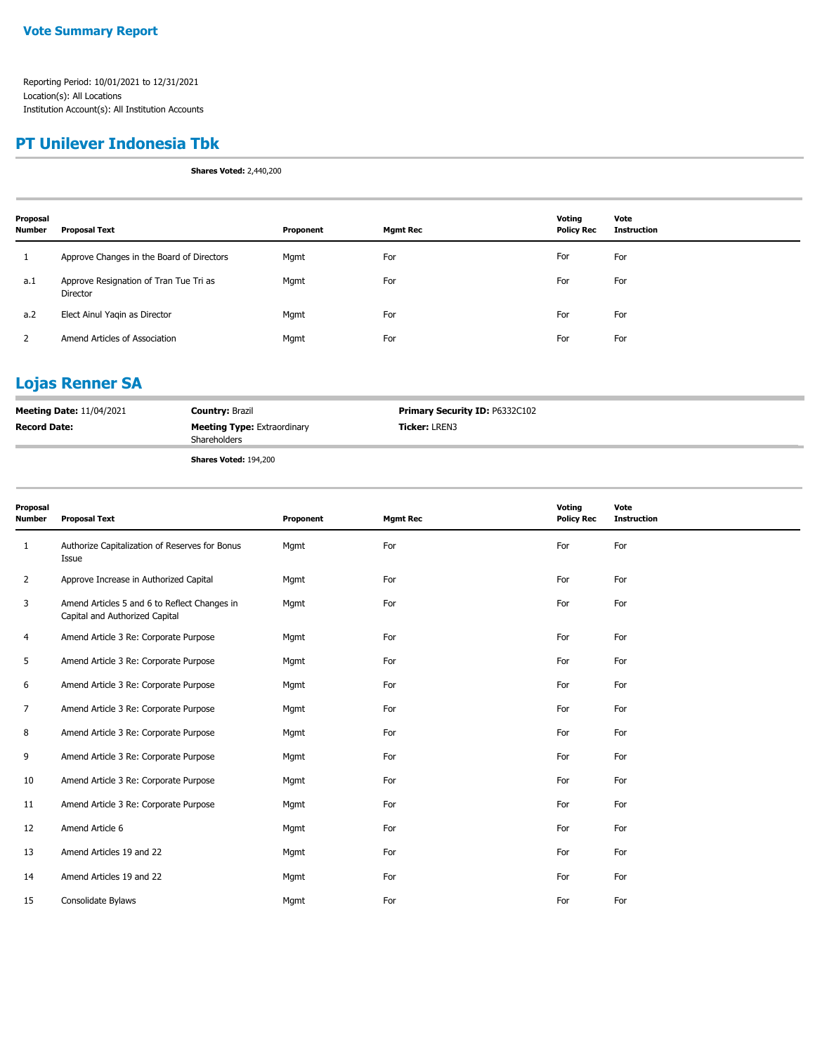#### **PT Unilever Indonesia Tbk**

**Shares Voted:** 2,440,200

| Proposal<br><b>Number</b> | <b>Proposal Text</b>                               | Proponent | <b>Mgmt Rec</b> | Voting<br><b>Policy Rec</b> | Vote<br><b>Instruction</b> |
|---------------------------|----------------------------------------------------|-----------|-----------------|-----------------------------|----------------------------|
|                           | Approve Changes in the Board of Directors          | Mgmt      | For             | For                         | For                        |
| a.1                       | Approve Resignation of Tran Tue Tri as<br>Director | Mgmt      | For             | For                         | For                        |
| a.2                       | Elect Ainul Yaqin as Director                      | Mgmt      | For             | For                         | For                        |
|                           | Amend Articles of Association                      | Mgmt      | For             | For                         | For                        |

### **Lojas Renner SA**

| <b>Meeting Date: 11/04/2021</b> | <b>Country: Brazil</b>                                    | Primary Security ID: P6332C102 |
|---------------------------------|-----------------------------------------------------------|--------------------------------|
| <b>Record Date:</b>             | <b>Meeting Type: Extraordinary</b><br><b>Shareholders</b> | <b>Ticker: LREN3</b>           |
|                                 | <b>Shares Voted: 194,200</b>                              |                                |

| Proposal<br>Number | <b>Proposal Text</b>                                                           | Proponent | <b>Mgmt Rec</b> | Voting<br><b>Policy Rec</b> | Vote<br><b>Instruction</b> |
|--------------------|--------------------------------------------------------------------------------|-----------|-----------------|-----------------------------|----------------------------|
| 1                  | Authorize Capitalization of Reserves for Bonus<br>Issue                        | Mgmt      | For             | For                         | For                        |
| $\overline{2}$     | Approve Increase in Authorized Capital                                         | Mgmt      | For             | For                         | For                        |
| 3                  | Amend Articles 5 and 6 to Reflect Changes in<br>Capital and Authorized Capital | Mgmt      | For             | For                         | For                        |
| $\overline{4}$     | Amend Article 3 Re: Corporate Purpose                                          | Mgmt      | For             | For                         | For                        |
| 5                  | Amend Article 3 Re: Corporate Purpose                                          | Mgmt      | For             | For                         | For                        |
| 6                  | Amend Article 3 Re: Corporate Purpose                                          | Mgmt      | For             | For                         | For                        |
| $\overline{7}$     | Amend Article 3 Re: Corporate Purpose                                          | Mgmt      | For             | For                         | For                        |
| 8                  | Amend Article 3 Re: Corporate Purpose                                          | Mgmt      | For             | For                         | For                        |
| 9                  | Amend Article 3 Re: Corporate Purpose                                          | Mgmt      | For             | For                         | For                        |
| 10                 | Amend Article 3 Re: Corporate Purpose                                          | Mgmt      | For             | For                         | For                        |
| 11                 | Amend Article 3 Re: Corporate Purpose                                          | Mgmt      | For             | For                         | For                        |
| 12                 | Amend Article 6                                                                | Mgmt      | For             | For                         | For                        |
| 13                 | Amend Articles 19 and 22                                                       | Mgmt      | For             | For                         | For                        |
| 14                 | Amend Articles 19 and 22                                                       | Mgmt      | For             | For                         | For                        |
| 15                 | Consolidate Bylaws                                                             | Mgmt      | For             | For                         | For                        |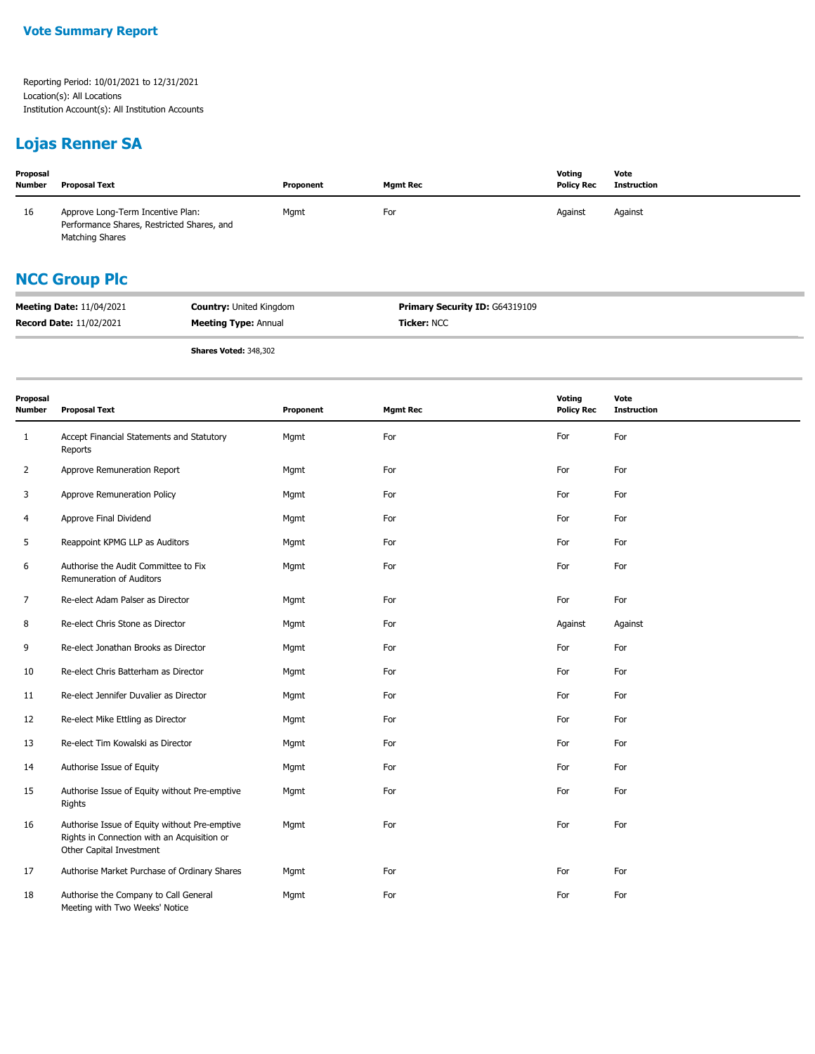### **Lojas Renner SA**

| Proposal<br><b>Number</b> | Proposal Text                                                                                             | Proponent | <b>Mgmt Rec</b> | Voting<br><b>Policy Rec</b> | Vote<br>Instruction |  |
|---------------------------|-----------------------------------------------------------------------------------------------------------|-----------|-----------------|-----------------------------|---------------------|--|
| 16                        | Approve Long-Term Incentive Plan:<br>Performance Shares, Restricted Shares, and<br><b>Matching Shares</b> | Mgmt      | For             | Against                     | Against             |  |
|                           | <b>NCC Group Plc</b>                                                                                      |           |                 |                             |                     |  |

| <b>Meeting Date: 11/04/2021</b> | <b>Country: United Kingdom</b> | <b>Primary Security ID: G64319109</b> |
|---------------------------------|--------------------------------|---------------------------------------|
| <b>Record Date: 11/02/2021</b>  | <b>Meeting Type: Annual</b>    | <b>Ticker: NCC</b>                    |

**Shares Voted:** 348,302

| Proposal<br><b>Number</b> | <b>Proposal Text</b>                                                                                                     | Proponent | <b>Mgmt Rec</b> | Voting<br><b>Policy Rec</b> | Vote<br><b>Instruction</b> |
|---------------------------|--------------------------------------------------------------------------------------------------------------------------|-----------|-----------------|-----------------------------|----------------------------|
| $\mathbf{1}$              | Accept Financial Statements and Statutory<br>Reports                                                                     | Mgmt      | For             | For                         | For                        |
| 2                         | Approve Remuneration Report                                                                                              | Mgmt      | For             | For                         | For                        |
| 3                         | Approve Remuneration Policy                                                                                              | Mgmt      | For             | For                         | For                        |
| 4                         | Approve Final Dividend                                                                                                   | Mgmt      | For             | For                         | For                        |
| 5                         | Reappoint KPMG LLP as Auditors                                                                                           | Mgmt      | For             | For                         | For                        |
| 6                         | Authorise the Audit Committee to Fix<br>Remuneration of Auditors                                                         | Mgmt      | For             | For                         | For                        |
| 7                         | Re-elect Adam Palser as Director                                                                                         | Mgmt      | For             | For                         | For                        |
| 8                         | Re-elect Chris Stone as Director                                                                                         | Mgmt      | For             | Against                     | Against                    |
| 9                         | Re-elect Jonathan Brooks as Director                                                                                     | Mgmt      | For             | For                         | For                        |
| 10                        | Re-elect Chris Batterham as Director                                                                                     | Mgmt      | For             | For                         | For                        |
| 11                        | Re-elect Jennifer Duvalier as Director                                                                                   | Mgmt      | For             | For                         | For                        |
| 12                        | Re-elect Mike Ettling as Director                                                                                        | Mgmt      | For             | For                         | For                        |
| 13                        | Re-elect Tim Kowalski as Director                                                                                        | Mgmt      | For             | For                         | For                        |
| 14                        | Authorise Issue of Equity                                                                                                | Mgmt      | For             | For                         | For                        |
| 15                        | Authorise Issue of Equity without Pre-emptive<br>Rights                                                                  | Mgmt      | For             | For                         | For                        |
| 16                        | Authorise Issue of Equity without Pre-emptive<br>Rights in Connection with an Acquisition or<br>Other Capital Investment | Mgmt      | For             | For                         | For                        |
| 17                        | Authorise Market Purchase of Ordinary Shares                                                                             | Mgmt      | For             | For                         | For                        |
| 18                        | Authorise the Company to Call General<br>Meeting with Two Weeks' Notice                                                  | Mgmt      | For             | For                         | For                        |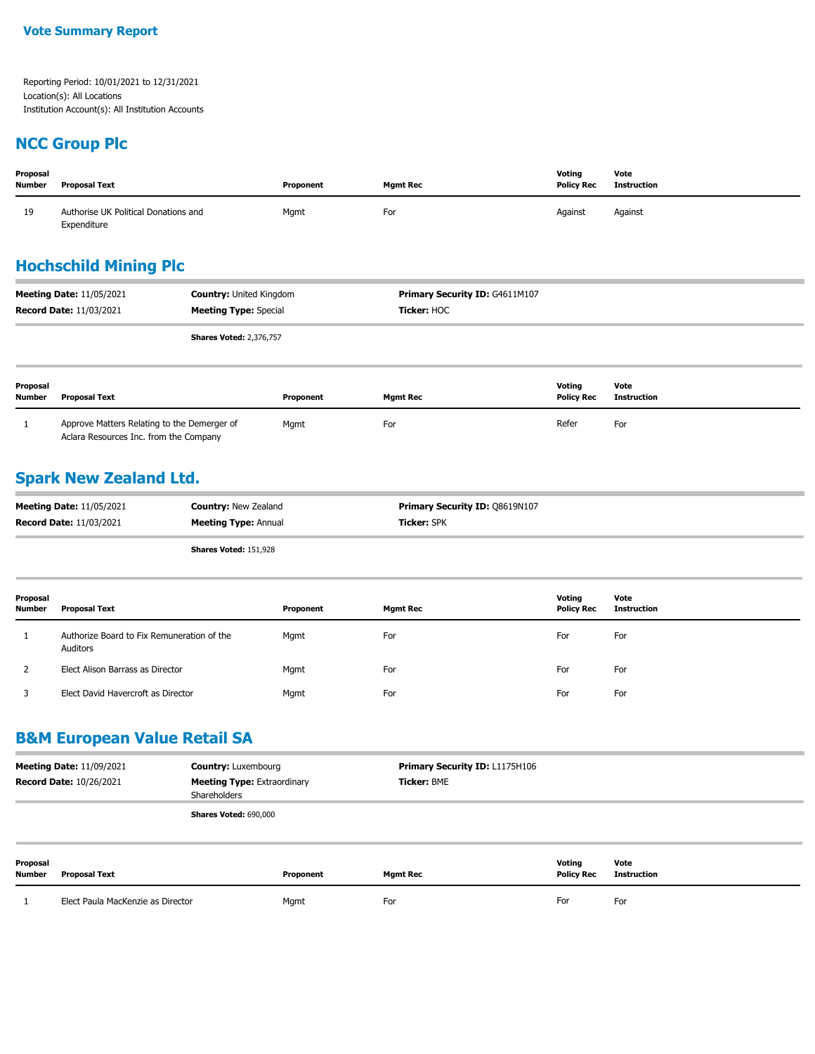#### **NCC Group Plc**

| Proposal<br><b>Number</b>                                                                                                           | <b>Proposal Text</b>                                                                  |                                | Proponent                                     | <b>Mgmt Rec</b> | Voting<br><b>Policy Rec</b> | Vote<br><b>Instruction</b> |  |  |
|-------------------------------------------------------------------------------------------------------------------------------------|---------------------------------------------------------------------------------------|--------------------------------|-----------------------------------------------|-----------------|-----------------------------|----------------------------|--|--|
| 19                                                                                                                                  | Authorise UK Political Donations and<br>Expenditure                                   |                                | Mgmt                                          | For             | Against                     | Against                    |  |  |
|                                                                                                                                     | <b>Hochschild Mining Plc</b>                                                          |                                |                                               |                 |                             |                            |  |  |
| <b>Meeting Date: 11/05/2021</b><br><b>Country: United Kingdom</b><br><b>Record Date: 11/03/2021</b><br><b>Meeting Type: Special</b> |                                                                                       |                                | Primary Security ID: G4611M107<br>Ticker: HOC |                 |                             |                            |  |  |
|                                                                                                                                     |                                                                                       | <b>Shares Voted: 2,376,757</b> |                                               |                 |                             |                            |  |  |
| Proposal<br><b>Number</b>                                                                                                           | <b>Proposal Text</b>                                                                  |                                | Proponent                                     | <b>Mgmt Rec</b> | Voting<br><b>Policy Rec</b> | Vote<br><b>Instruction</b> |  |  |
| 1                                                                                                                                   | Approve Matters Relating to the Demerger of<br>Aclara Resources Inc. from the Company |                                | Mgmt                                          | For             | Refer                       | For                        |  |  |

### **Spark New Zealand Ltd.**

| <b>Meeting Date: 11/05/2021</b> | <b>Country: New Zealand</b>  | <b>Primary Security ID: 08619N107</b> |
|---------------------------------|------------------------------|---------------------------------------|
| <b>Record Date: 11/03/2021</b>  | <b>Meeting Type: Annual</b>  | <b>Ticker:</b> SPK                    |
|                                 | <b>Shares Voted: 151.928</b> |                                       |

| Proposal<br><b>Number</b> | Proposal Text                                          | Proponent | <b>Mgmt Rec</b> | Voting<br><b>Policy Rec</b> | Vote<br>Instruction |
|---------------------------|--------------------------------------------------------|-----------|-----------------|-----------------------------|---------------------|
|                           | Authorize Board to Fix Remuneration of the<br>Auditors | Mgmt      | For             | For                         | For                 |
|                           | Elect Alison Barrass as Director                       | Mgmt      | For             | For                         | For                 |
|                           | Elect David Havercroft as Director                     | Mgmt      | For             | For                         | For                 |

### **B&M European Value Retail SA**

| <b>Meeting Date: 11/09/2021</b><br><b>Record Date: 10/26/2021</b> |                                   | <b>Country: Luxembourg</b><br><b>Meeting Type: Extraordinary</b><br>Shareholders |           | <b>Primary Security ID: L1175H106</b><br><b>Ticker: BME</b> |                             |                            |
|-------------------------------------------------------------------|-----------------------------------|----------------------------------------------------------------------------------|-----------|-------------------------------------------------------------|-----------------------------|----------------------------|
|                                                                   |                                   | Shares Voted: 690,000                                                            |           |                                                             |                             |                            |
| Proposal<br><b>Number</b>                                         | Proposal Text                     |                                                                                  | Proponent | <b>Mgmt Rec</b>                                             | Voting<br><b>Policy Rec</b> | Vote<br><b>Instruction</b> |
|                                                                   | Elect Paula MacKenzie as Director |                                                                                  | Mgmt      | For                                                         | For                         | For                        |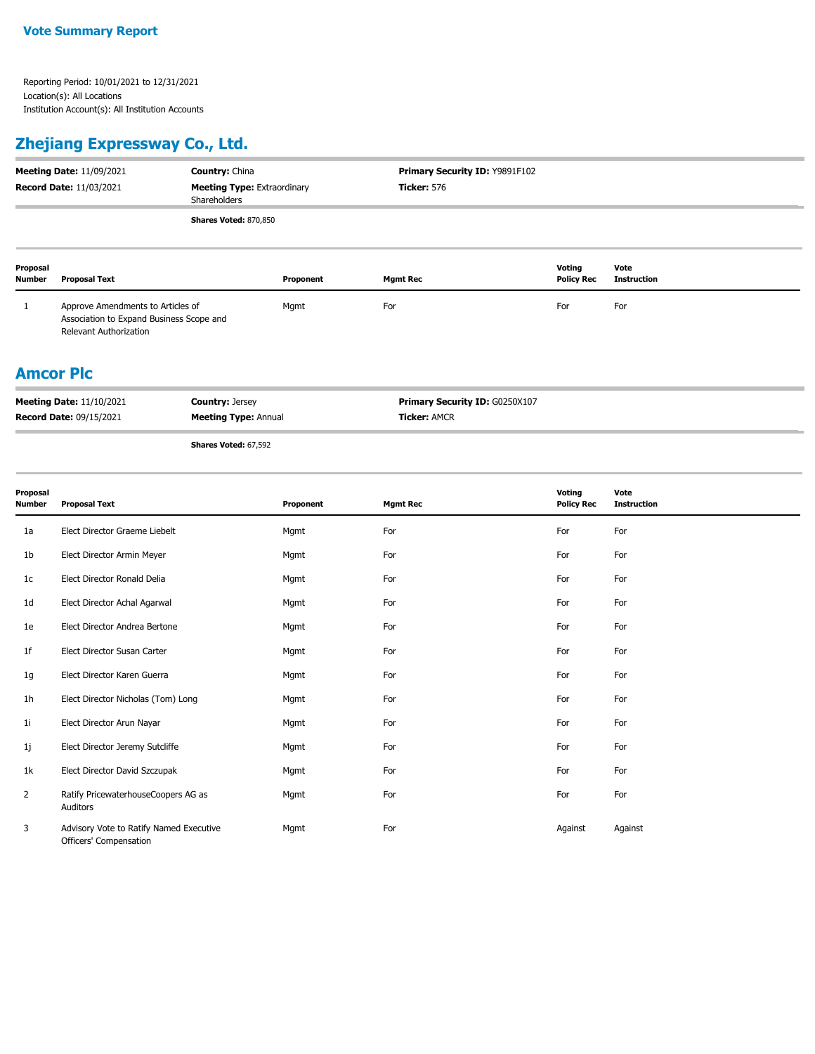Relevant Authorization

### **Zhejiang Expressway Co., Ltd.**

| <b>Meeting Date: 11/09/2021</b><br><b>Record Date: 11/03/2021</b> |                                                                               | <b>Country: China</b><br><b>Meeting Type: Extraordinary</b><br>Shareholders |           | Primary Security ID: Y9891F102<br><b>Ticker: 576</b> |                             |                            |
|-------------------------------------------------------------------|-------------------------------------------------------------------------------|-----------------------------------------------------------------------------|-----------|------------------------------------------------------|-----------------------------|----------------------------|
|                                                                   |                                                                               | Shares Voted: 870,850                                                       |           |                                                      |                             |                            |
| Proposal<br><b>Number</b>                                         | <b>Proposal Text</b>                                                          |                                                                             | Proponent | <b>Mgmt Rec</b>                                      | Voting<br><b>Policy Rec</b> | Vote<br><b>Instruction</b> |
|                                                                   | Approve Amendments to Articles of<br>Association to Expand Business Scope and |                                                                             | Mgmt      | For                                                  | For                         | For                        |

#### **Amcor Plc**

| <b>Meeting Date: 11/10/2021</b> | <b>Country: Jersey</b>      | <b>Primary Security ID: G0250X107</b> |
|---------------------------------|-----------------------------|---------------------------------------|
| <b>Record Date: 09/15/2021</b>  | <b>Meeting Type: Annual</b> | <b>Ticker: AMCR</b>                   |
|                                 |                             |                                       |

**Shares Voted:** 67,592

| Proposal<br>Number | <b>Proposal Text</b>                                              | Proponent | <b>Mgmt Rec</b> | Voting<br><b>Policy Rec</b> | Vote<br><b>Instruction</b> |
|--------------------|-------------------------------------------------------------------|-----------|-----------------|-----------------------------|----------------------------|
| 1a                 | Elect Director Graeme Liebelt                                     | Mgmt      | For             | For                         | For                        |
| 1b                 | Elect Director Armin Meyer                                        | Mgmt      | For             | For                         | For                        |
| 1c                 | Elect Director Ronald Delia                                       | Mgmt      | For             | For                         | For                        |
| 1 <sub>d</sub>     | Elect Director Achal Agarwal                                      | Mgmt      | For             | For                         | For                        |
| 1e                 | Elect Director Andrea Bertone                                     | Mgmt      | For             | For                         | For                        |
| 1f                 | Elect Director Susan Carter                                       | Mgmt      | For             | For                         | For                        |
| 1g                 | Elect Director Karen Guerra                                       | Mgmt      | For             | For                         | For                        |
| 1h                 | Elect Director Nicholas (Tom) Long                                | Mgmt      | For             | For                         | For                        |
| 11                 | Elect Director Arun Nayar                                         | Mgmt      | For             | For                         | For                        |
| 1j                 | Elect Director Jeremy Sutcliffe                                   | Mgmt      | For             | For                         | For                        |
| 1k                 | Elect Director David Szczupak                                     | Mgmt      | For             | For                         | For                        |
| $\overline{2}$     | Ratify PricewaterhouseCoopers AG as<br>Auditors                   | Mgmt      | For             | For                         | For                        |
| 3                  | Advisory Vote to Ratify Named Executive<br>Officers' Compensation | Mgmt      | For             | Against                     | Against                    |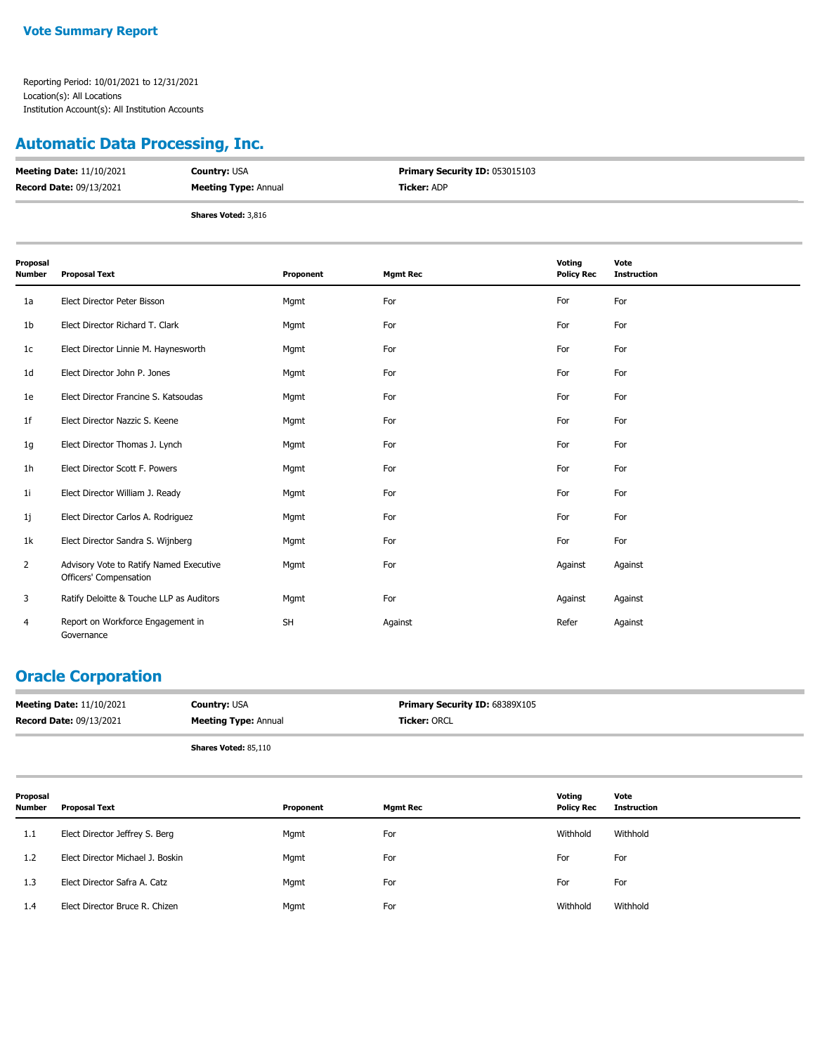#### **Automatic Data Processing, Inc.**

| <b>Meeting Date: 11/10/2021</b> | <b>Country: USA</b>         | <b>Primary Security ID: 053015103</b> |
|---------------------------------|-----------------------------|---------------------------------------|
| <b>Record Date: 09/13/2021</b>  | <b>Meeting Type: Annual</b> | <b>Ticker: ADP</b>                    |
|                                 | <b>Shares Voted: 3,816</b>  |                                       |

| Proposal<br><b>Number</b> | <b>Proposal Text</b>                                              | Proponent | <b>Mgmt Rec</b> | Voting<br><b>Policy Rec</b> | Vote<br><b>Instruction</b> |
|---------------------------|-------------------------------------------------------------------|-----------|-----------------|-----------------------------|----------------------------|
| 1a                        | Elect Director Peter Bisson                                       | Mgmt      | For             | For                         | For                        |
| 1b                        | Elect Director Richard T. Clark                                   | Mgmt      | For             | For                         | For                        |
| 1 <sub>c</sub>            | Elect Director Linnie M. Haynesworth                              | Mgmt      | For             | For                         | For                        |
| 1 <sub>d</sub>            | Elect Director John P. Jones                                      | Mgmt      | For             | For                         | For                        |
| 1e                        | Elect Director Francine S. Katsoudas                              | Mgmt      | For             | For                         | For                        |
| 1 <sub>f</sub>            | Elect Director Nazzic S. Keene                                    | Mgmt      | For             | For                         | For                        |
| 1g                        | Elect Director Thomas J. Lynch                                    | Mgmt      | For             | For                         | For                        |
| 1 <sub>h</sub>            | Elect Director Scott F. Powers                                    | Mgmt      | For             | For                         | For                        |
| 1 <sub>i</sub>            | Elect Director William J. Ready                                   | Mgmt      | For             | For                         | For                        |
| 1j                        | Elect Director Carlos A. Rodriguez                                | Mgmt      | For             | For                         | For                        |
| 1k                        | Elect Director Sandra S. Wijnberg                                 | Mgmt      | For             | For                         | For                        |
| 2                         | Advisory Vote to Ratify Named Executive<br>Officers' Compensation | Mgmt      | For             | Against                     | Against                    |
| 3                         | Ratify Deloitte & Touche LLP as Auditors                          | Mgmt      | For             | Against                     | Against                    |
| $\overline{4}$            | Report on Workforce Engagement in<br>Governance                   | <b>SH</b> | Against         | Refer                       | Against                    |

### **Oracle Corporation**

| <b>Meeting Date: 11/10/2021</b> | <b>Country: USA</b>         | <b>Primary Security ID: 68389X105</b> |
|---------------------------------|-----------------------------|---------------------------------------|
| <b>Record Date: 09/13/2021</b>  | <b>Meeting Type: Annual</b> | <b>Ticker: ORCL</b>                   |
|                                 | <b>Shares Voted: 85,110</b> |                                       |

| Proposal<br><b>Number</b> | Proposal Text                    | Proponent | <b>Mgmt Rec</b> | Voting<br><b>Policy Rec</b> | Vote<br><b>Instruction</b> |
|---------------------------|----------------------------------|-----------|-----------------|-----------------------------|----------------------------|
| 1.1                       | Elect Director Jeffrey S. Berg   | Mgmt      | For             | Withhold                    | Withhold                   |
| 1.2                       | Elect Director Michael J. Boskin | Mgmt      | For             | For                         | For                        |
| 1.3                       | Elect Director Safra A. Catz     | Mgmt      | For             | For                         | For                        |
| 1.4                       | Elect Director Bruce R. Chizen   | Mgmt      | For             | Withhold                    | Withhold                   |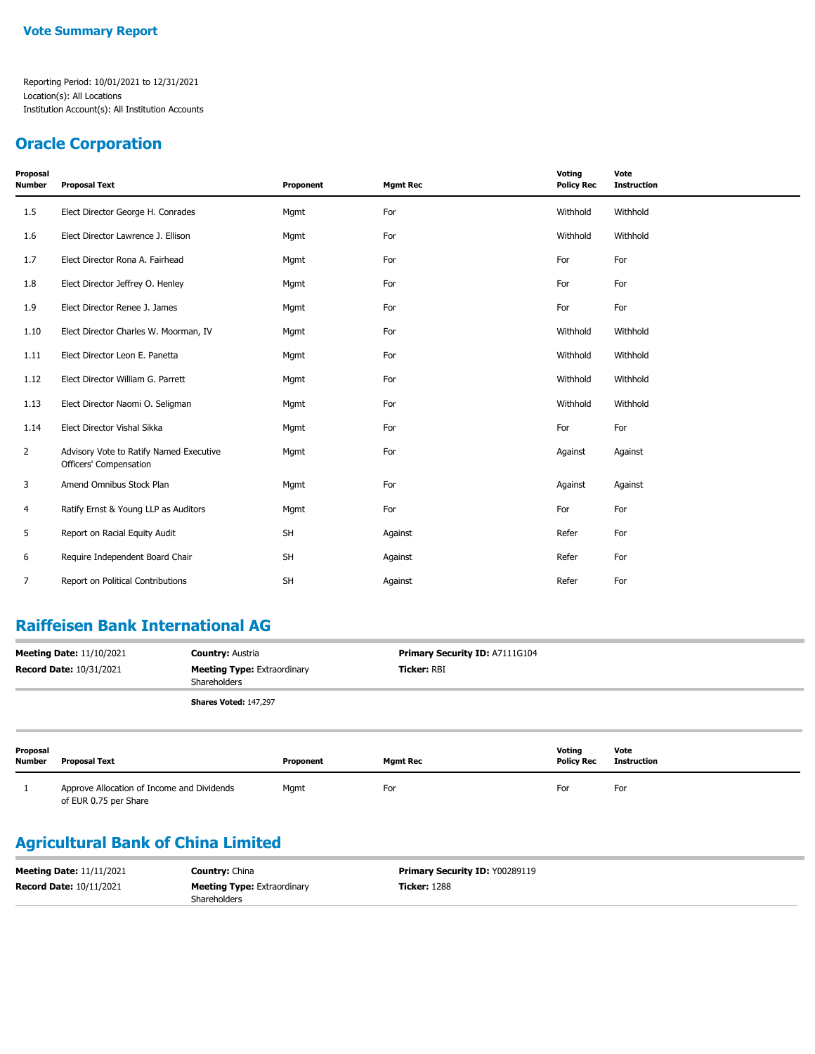#### **Oracle Corporation**

| Proposal<br><b>Number</b> | <b>Proposal Text</b>                                              | Proponent | <b>Mgmt Rec</b> | Voting<br><b>Policy Rec</b> | Vote<br><b>Instruction</b> |
|---------------------------|-------------------------------------------------------------------|-----------|-----------------|-----------------------------|----------------------------|
| 1.5                       | Elect Director George H. Conrades                                 | Mgmt      | For             | Withhold                    | Withhold                   |
| 1.6                       | Elect Director Lawrence J. Ellison                                | Mgmt      | For             | Withhold                    | Withhold                   |
| 1.7                       | Elect Director Rona A. Fairhead                                   | Mgmt      | For             | For                         | For                        |
| 1.8                       | Elect Director Jeffrey O. Henley                                  | Mgmt      | For             | For                         | For                        |
| 1.9                       | Elect Director Renee J. James                                     | Mgmt      | For             | For                         | For                        |
| 1.10                      | Elect Director Charles W. Moorman, IV                             | Mgmt      | For             | Withhold                    | Withhold                   |
| 1.11                      | Elect Director Leon E. Panetta                                    | Mgmt      | For             | Withhold                    | Withhold                   |
| 1.12                      | Elect Director William G. Parrett                                 | Mgmt      | For             | Withhold                    | Withhold                   |
| 1.13                      | Elect Director Naomi O. Seligman                                  | Mgmt      | For             | Withhold                    | Withhold                   |
| 1.14                      | Elect Director Vishal Sikka                                       | Mgmt      | For             | For                         | For                        |
| $\overline{2}$            | Advisory Vote to Ratify Named Executive<br>Officers' Compensation | Mgmt      | For             | Against                     | Against                    |
| 3                         | Amend Omnibus Stock Plan                                          | Mgmt      | For             | Against                     | Against                    |
| 4                         | Ratify Ernst & Young LLP as Auditors                              | Mgmt      | For             | For                         | For                        |
| 5                         | Report on Racial Equity Audit                                     | <b>SH</b> | Against         | Refer                       | For                        |
| 6                         | Require Independent Board Chair                                   | <b>SH</b> | Against         | Refer                       | For                        |
| 7                         | Report on Political Contributions                                 | <b>SH</b> | Against         | Refer                       | For                        |

### **Raiffeisen Bank International AG**

| <b>Meeting Date: 11/10/2021</b><br><b>Country: Austria</b>                           |                                                                     |                              | Primary Security ID: A7111G104 |                 |                             |                            |
|--------------------------------------------------------------------------------------|---------------------------------------------------------------------|------------------------------|--------------------------------|-----------------|-----------------------------|----------------------------|
| <b>Record Date: 10/31/2021</b><br><b>Meeting Type: Extraordinary</b><br>Shareholders |                                                                     | Ticker: RBI                  |                                |                 |                             |                            |
|                                                                                      |                                                                     | <b>Shares Voted: 147,297</b> |                                |                 |                             |                            |
| Proposal<br><b>Number</b>                                                            | <b>Proposal Text</b>                                                |                              | Proponent                      | <b>Mgmt Rec</b> | Voting<br><b>Policy Rec</b> | Vote<br><b>Instruction</b> |
|                                                                                      | Approve Allocation of Income and Dividends<br>of EUR 0.75 per Share |                              | Mgmt                           | For             | For                         | For                        |

### **Agricultural Bank of China Limited**

| <b>Meeting Date: 11/11/2021</b> | <b>Country: China</b>              | <b>Primary Security ID: Y00289119</b> |
|---------------------------------|------------------------------------|---------------------------------------|
| <b>Record Date: 10/11/2021</b>  | <b>Meeting Type: Extraordinary</b> | <b>Ticker: 1288</b>                   |
|                                 | <b>Shareholders</b>                |                                       |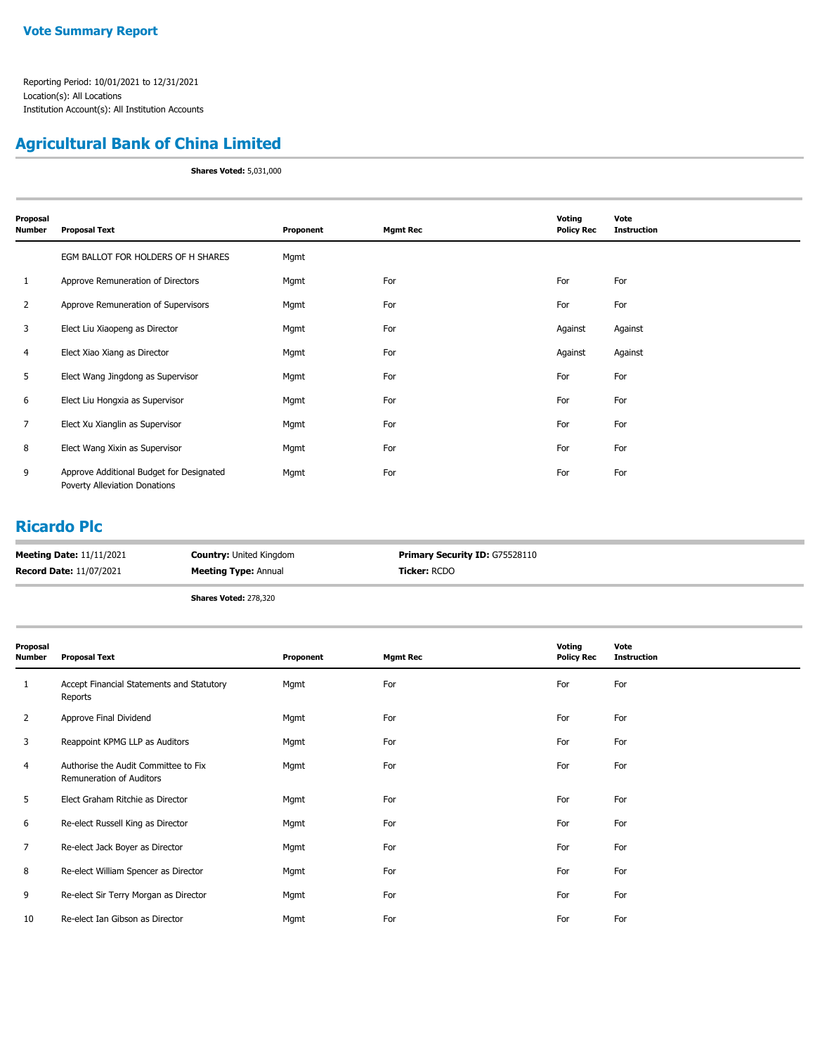### **Agricultural Bank of China Limited**

**Shares Voted:** 5,031,000

| Proposal       |                                                                           |           |                 | Voting            | Vote               |
|----------------|---------------------------------------------------------------------------|-----------|-----------------|-------------------|--------------------|
| <b>Number</b>  | <b>Proposal Text</b>                                                      | Proponent | <b>Mgmt Rec</b> | <b>Policy Rec</b> | <b>Instruction</b> |
|                | EGM BALLOT FOR HOLDERS OF H SHARES                                        | Mgmt      |                 |                   |                    |
| 1              | Approve Remuneration of Directors                                         | Mgmt      | For             | For               | For                |
| 2              | Approve Remuneration of Supervisors                                       | Mgmt      | For             | For               | For                |
| 3              | Elect Liu Xiaopeng as Director                                            | Mgmt      | For             | Against           | Against            |
| 4              | Elect Xiao Xiang as Director                                              | Mgmt      | For             | Against           | Against            |
| 5              | Elect Wang Jingdong as Supervisor                                         | Mgmt      | For             | For               | For                |
| 6              | Elect Liu Hongxia as Supervisor                                           | Mgmt      | For             | For               | For                |
| $\overline{7}$ | Elect Xu Xianglin as Supervisor                                           | Mgmt      | For             | For               | For                |
| 8              | Elect Wang Xixin as Supervisor                                            | Mgmt      | For             | For               | For                |
| 9              | Approve Additional Budget for Designated<br>Poverty Alleviation Donations | Mgmt      | For             | For               | For                |

#### **Ricardo Plc**

| <b>Meeting Date: 11/11/2021</b> | <b>Country: United Kingdom</b> | <b>Primary Security ID: G75528110</b> |
|---------------------------------|--------------------------------|---------------------------------------|
| <b>Record Date: 11/07/2021</b>  | <b>Meeting Type: Annual</b>    | <b>Ticker: RCDO</b>                   |
|                                 | <b>Shares Voted: 278,320</b>   |                                       |

| Proposal<br><b>Number</b> | <b>Proposal Text</b>                                                    | Proponent | <b>Mgmt Rec</b> | Voting<br><b>Policy Rec</b> | Vote<br><b>Instruction</b> |
|---------------------------|-------------------------------------------------------------------------|-----------|-----------------|-----------------------------|----------------------------|
| 1                         | Accept Financial Statements and Statutory<br>Reports                    | Mgmt      | For             | For                         | For                        |
| $\overline{2}$            | Approve Final Dividend                                                  | Mgmt      | For             | For                         | For                        |
| 3                         | Reappoint KPMG LLP as Auditors                                          | Mgmt      | For             | For                         | For                        |
| 4                         | Authorise the Audit Committee to Fix<br><b>Remuneration of Auditors</b> | Mgmt      | For             | For                         | For                        |
| 5                         | Elect Graham Ritchie as Director                                        | Mgmt      | For             | For                         | For                        |
| 6                         | Re-elect Russell King as Director                                       | Mgmt      | For             | For                         | For                        |
| 7                         | Re-elect Jack Boyer as Director                                         | Mgmt      | For             | For                         | For                        |
| 8                         | Re-elect William Spencer as Director                                    | Mgmt      | For             | For                         | For                        |
| 9                         | Re-elect Sir Terry Morgan as Director                                   | Mgmt      | For             | For                         | For                        |
| 10                        | Re-elect Ian Gibson as Director                                         | Mgmt      | For             | For                         | For                        |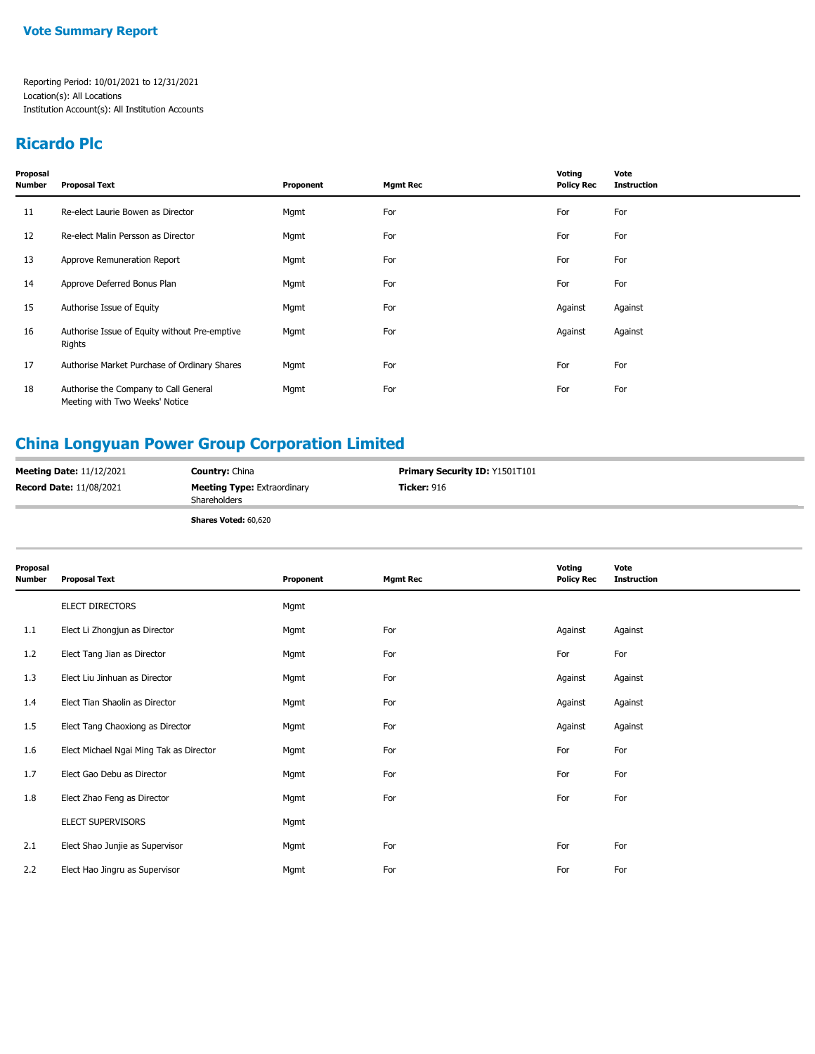#### **Ricardo Plc**

| Proposal<br><b>Number</b> | <b>Proposal Text</b>                                                    | Proponent | <b>Mgmt Rec</b> | Voting<br><b>Policy Rec</b> | Vote<br><b>Instruction</b> |
|---------------------------|-------------------------------------------------------------------------|-----------|-----------------|-----------------------------|----------------------------|
| 11                        | Re-elect Laurie Bowen as Director                                       | Mgmt      | For             | For                         | For                        |
| 12                        | Re-elect Malin Persson as Director                                      | Mgmt      | For             | For                         | For                        |
| 13                        | Approve Remuneration Report                                             | Mgmt      | For             | For                         | For                        |
| 14                        | Approve Deferred Bonus Plan                                             | Mgmt      | For             | For                         | For                        |
| 15                        | Authorise Issue of Equity                                               | Mgmt      | For             | Against                     | Against                    |
| 16                        | Authorise Issue of Equity without Pre-emptive<br>Rights                 | Mgmt      | For             | Against                     | Against                    |
| 17                        | Authorise Market Purchase of Ordinary Shares                            | Mgmt      | For             | For                         | For                        |
| 18                        | Authorise the Company to Call General<br>Meeting with Two Weeks' Notice | Mgmt      | For             | For                         | For                        |

# **China Longyuan Power Group Corporation Limited**

| <b>Meeting Date: 11/12/2021</b> | <b>Country: China</b>                              | <b>Primary Security ID: Y1501T101</b> |
|---------------------------------|----------------------------------------------------|---------------------------------------|
| <b>Record Date: 11/08/2021</b>  | <b>Meeting Type: Extraordinary</b><br>Shareholders | <b>Ticker: 916</b>                    |
|                                 | <b>Shares Voted: 60,620</b>                        |                                       |

| Proposal<br>Number | <b>Proposal Text</b>                    | Proponent | <b>Mgmt Rec</b> | Voting<br><b>Policy Rec</b> | Vote<br><b>Instruction</b> |
|--------------------|-----------------------------------------|-----------|-----------------|-----------------------------|----------------------------|
|                    | ELECT DIRECTORS                         | Mgmt      |                 |                             |                            |
| 1.1                | Elect Li Zhongjun as Director           | Mgmt      | For             | Against                     | Against                    |
| 1.2                | Elect Tang Jian as Director             | Mgmt      | For             | For                         | For                        |
| 1.3                | Elect Liu Jinhuan as Director           | Mgmt      | For             | Against                     | Against                    |
| 1.4                | Elect Tian Shaolin as Director          | Mgmt      | For             | Against                     | Against                    |
| 1.5                | Elect Tang Chaoxiong as Director        | Mgmt      | For             | Against                     | Against                    |
| 1.6                | Elect Michael Ngai Ming Tak as Director | Mgmt      | For             | For                         | For                        |
| 1.7                | Elect Gao Debu as Director              | Mgmt      | For             | For                         | For                        |
| 1.8                | Elect Zhao Feng as Director             | Mgmt      | For             | For                         | For                        |
|                    | ELECT SUPERVISORS                       | Mgmt      |                 |                             |                            |
| 2.1                | Elect Shao Junjie as Supervisor         | Mgmt      | For             | For                         | For                        |
| 2.2                | Elect Hao Jingru as Supervisor          | Mgmt      | For             | For                         | For                        |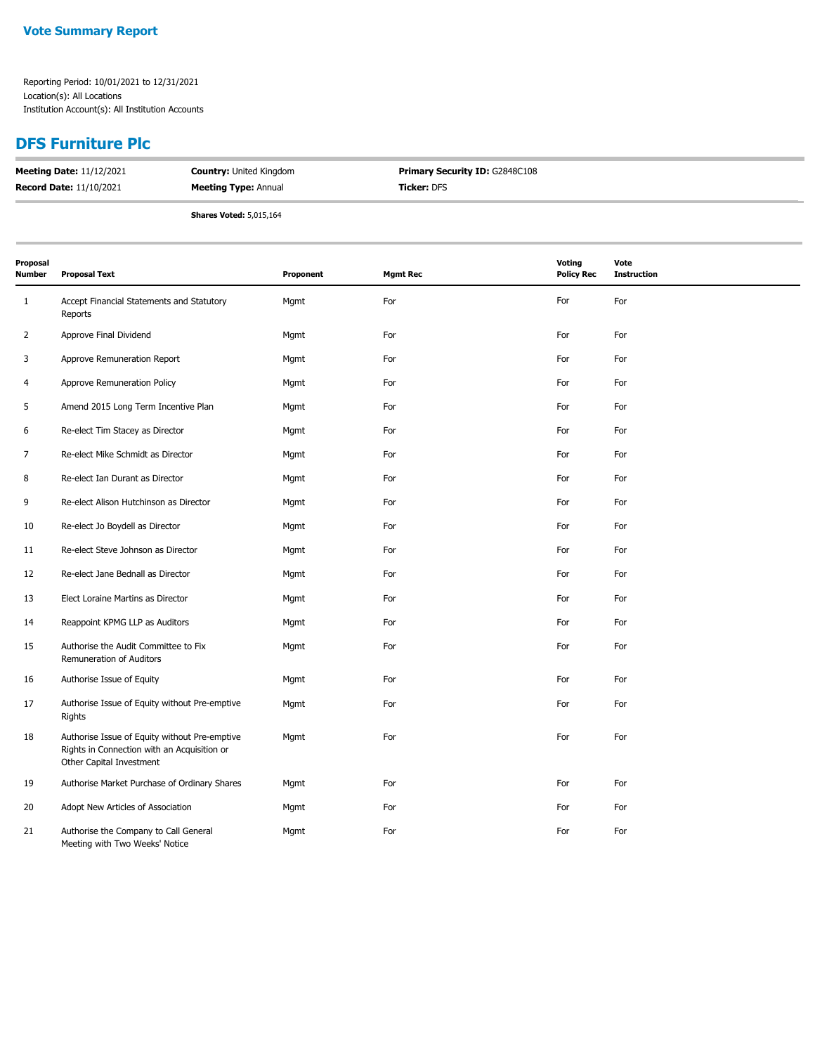### **DFS Furniture Plc**

| <b>Meeting Date: 11/12/2021</b> | <b>Country: United Kingdom</b> | <b>Primary Security ID: G2848C108</b> |
|---------------------------------|--------------------------------|---------------------------------------|
| <b>Record Date: 11/10/2021</b>  | <b>Meeting Type: Annual</b>    | <b>Ticker:</b> DFS                    |
|                                 | <b>Shares Voted: 5,015,164</b> |                                       |

| Proposal<br><b>Number</b> | <b>Proposal Text</b>                                                                                                     | Proponent | <b>Mgmt Rec</b> | <b>Voting</b><br><b>Policy Rec</b> | Vote<br><b>Instruction</b> |
|---------------------------|--------------------------------------------------------------------------------------------------------------------------|-----------|-----------------|------------------------------------|----------------------------|
| $\mathbf{1}$              | Accept Financial Statements and Statutory<br>Reports                                                                     | Mgmt      | For             | For                                | For                        |
| $\overline{2}$            | Approve Final Dividend                                                                                                   | Mgmt      | For             | For                                | For                        |
| 3                         | Approve Remuneration Report                                                                                              | Mgmt      | For             | For                                | For                        |
| $\overline{4}$            | Approve Remuneration Policy                                                                                              | Mgmt      | For             | For                                | For                        |
| 5                         | Amend 2015 Long Term Incentive Plan                                                                                      | Mgmt      | For             | For                                | For                        |
| 6                         | Re-elect Tim Stacey as Director                                                                                          | Mgmt      | For             | For                                | For                        |
| $\overline{7}$            | Re-elect Mike Schmidt as Director                                                                                        | Mgmt      | For             | For                                | For                        |
| 8                         | Re-elect Ian Durant as Director                                                                                          | Mgmt      | For             | For                                | For                        |
| 9                         | Re-elect Alison Hutchinson as Director                                                                                   | Mgmt      | For             | For                                | For                        |
| 10                        | Re-elect Jo Boydell as Director                                                                                          | Mgmt      | For             | For                                | For                        |
| 11                        | Re-elect Steve Johnson as Director                                                                                       | Mgmt      | For             | For                                | For                        |
| 12                        | Re-elect Jane Bednall as Director                                                                                        | Mgmt      | For             | For                                | For                        |
| 13                        | Elect Loraine Martins as Director                                                                                        | Mgmt      | For             | For                                | For                        |
| 14                        | Reappoint KPMG LLP as Auditors                                                                                           | Mgmt      | For             | For                                | For                        |
| 15                        | Authorise the Audit Committee to Fix<br>Remuneration of Auditors                                                         | Mgmt      | For             | For                                | For                        |
| 16                        | Authorise Issue of Equity                                                                                                | Mgmt      | For             | For                                | For                        |
| 17                        | Authorise Issue of Equity without Pre-emptive<br>Rights                                                                  | Mgmt      | For             | For                                | For                        |
| 18                        | Authorise Issue of Equity without Pre-emptive<br>Rights in Connection with an Acquisition or<br>Other Capital Investment | Mgmt      | For             | For                                | For                        |
| 19                        | Authorise Market Purchase of Ordinary Shares                                                                             | Mgmt      | For             | For                                | For                        |
| 20                        | Adopt New Articles of Association                                                                                        | Mgmt      | For             | For                                | For                        |
| 21                        | Authorise the Company to Call General<br>Meeting with Two Weeks' Notice                                                  | Mgmt      | For             | For                                | For                        |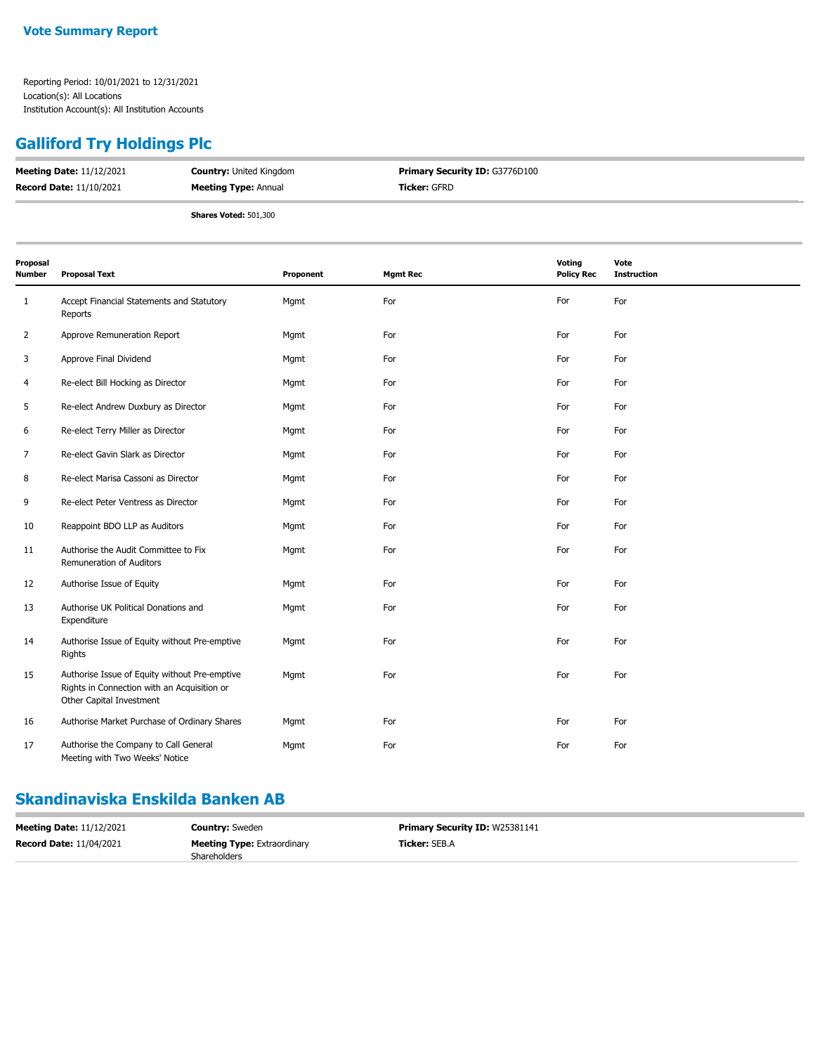# **Galliford Try Holdings Plc**

| <b>Meeting Date: 11/12/2021</b> | <b>Country: United Kingdom</b> | <b>Primary Security ID: G3776D100</b> |
|---------------------------------|--------------------------------|---------------------------------------|
| <b>Record Date: 11/10/2021</b>  | <b>Meeting Type: Annual</b>    | <b>Ticker:</b> GFRD                   |
|                                 | <b>Shares Voted: 501,300</b>   |                                       |

| Proposal<br>Number | <b>Proposal Text</b>                                                                                                     | Proponent | <b>Mgmt Rec</b> | Voting<br><b>Policy Rec</b> | Vote<br><b>Instruction</b> |
|--------------------|--------------------------------------------------------------------------------------------------------------------------|-----------|-----------------|-----------------------------|----------------------------|
| 1                  | Accept Financial Statements and Statutory<br>Reports                                                                     | Mgmt      | For             | For                         | For                        |
| 2                  | Approve Remuneration Report                                                                                              | Mgmt      | For             | For                         | For                        |
| 3                  | Approve Final Dividend                                                                                                   | Mgmt      | For             | For                         | For                        |
| 4                  | Re-elect Bill Hocking as Director                                                                                        | Mgmt      | For             | For                         | For                        |
| 5                  | Re-elect Andrew Duxbury as Director                                                                                      | Mgmt      | For             | For                         | For                        |
| 6                  | Re-elect Terry Miller as Director                                                                                        | Mgmt      | For             | For                         | For                        |
| 7                  | Re-elect Gavin Slark as Director                                                                                         | Mgmt      | For             | For                         | For                        |
| 8                  | Re-elect Marisa Cassoni as Director                                                                                      | Mgmt      | For             | For                         | For                        |
| 9                  | Re-elect Peter Ventress as Director                                                                                      | Mgmt      | For             | For                         | For                        |
| 10                 | Reappoint BDO LLP as Auditors                                                                                            | Mgmt      | For             | For                         | For                        |
| 11                 | Authorise the Audit Committee to Fix<br>Remuneration of Auditors                                                         | Mgmt      | For             | For                         | For                        |
| 12                 | Authorise Issue of Equity                                                                                                | Mgmt      | For             | For                         | For                        |
| 13                 | Authorise UK Political Donations and<br>Expenditure                                                                      | Mgmt      | For             | For                         | For                        |
| 14                 | Authorise Issue of Equity without Pre-emptive<br>Rights                                                                  | Mgmt      | For             | For                         | For                        |
| 15                 | Authorise Issue of Equity without Pre-emptive<br>Rights in Connection with an Acquisition or<br>Other Capital Investment | Mgmt      | For             | For                         | For                        |
| 16                 | Authorise Market Purchase of Ordinary Shares                                                                             | Mgmt      | For             | For                         | For                        |
| 17                 | Authorise the Company to Call General<br>Meeting with Two Weeks' Notice                                                  | Mgmt      | For             | For                         | For                        |

#### **Skandinaviska Enskilda Banken AB**

| <b>Meeting Date: 11/12/2021</b> | <b>Country:</b> Sweden             | <b>Primary Security ID: W25381141</b> |
|---------------------------------|------------------------------------|---------------------------------------|
| <b>Record Date: 11/04/2021</b>  | <b>Meeting Type: Extraordinary</b> | <b>Ticker: SEB.A</b>                  |
|                                 | <b>Shareholders</b>                |                                       |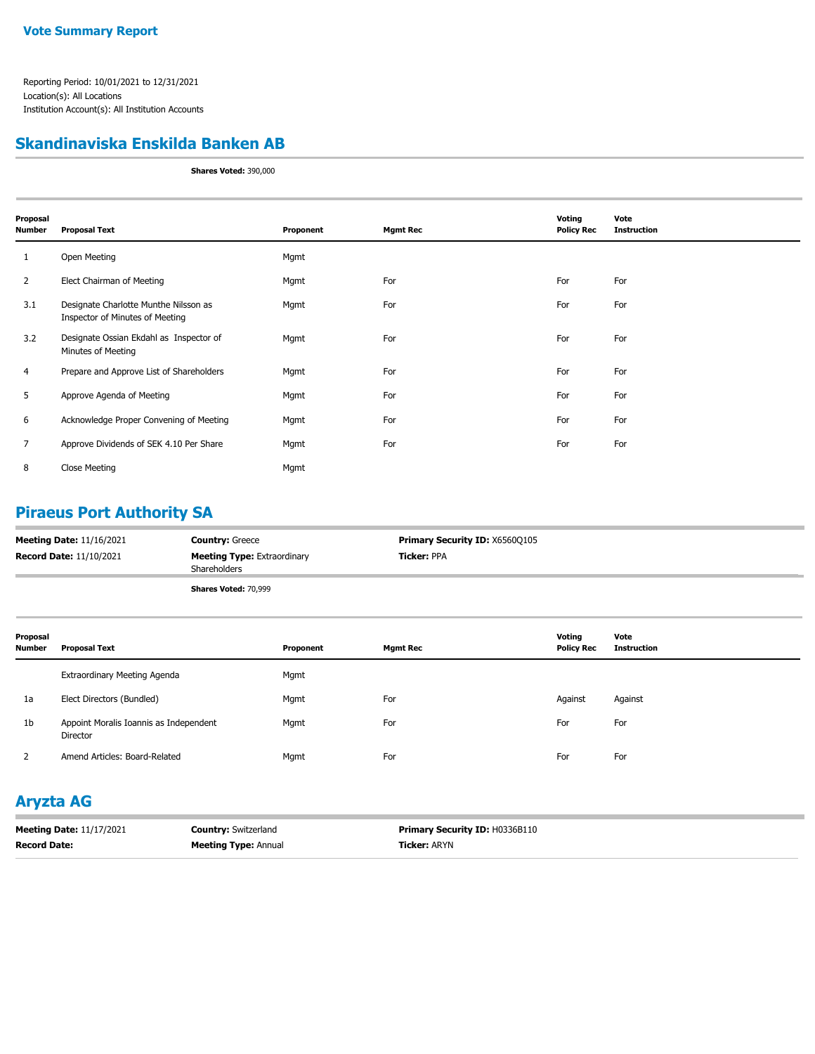#### **Skandinaviska Enskilda Banken AB**

**Shares Voted:** 390,000

| Proposal<br>Number | <b>Proposal Text</b>                                                     | Proponent | <b>Mgmt Rec</b> | Voting<br><b>Policy Rec</b> | Vote<br><b>Instruction</b> |
|--------------------|--------------------------------------------------------------------------|-----------|-----------------|-----------------------------|----------------------------|
| 1                  | Open Meeting                                                             | Mgmt      |                 |                             |                            |
| $\overline{2}$     | Elect Chairman of Meeting                                                | Mgmt      | For             | For                         | For                        |
| 3.1                | Designate Charlotte Munthe Nilsson as<br>Inspector of Minutes of Meeting | Mgmt      | For             | For                         | For                        |
| 3.2                | Designate Ossian Ekdahl as Inspector of<br>Minutes of Meeting            | Mgmt      | For             | For                         | For                        |
| 4                  | Prepare and Approve List of Shareholders                                 | Mgmt      | For             | For                         | For                        |
| 5                  | Approve Agenda of Meeting                                                | Mgmt      | For             | For                         | For                        |
| 6                  | Acknowledge Proper Convening of Meeting                                  | Mgmt      | For             | For                         | For                        |
| 7                  | Approve Dividends of SEK 4.10 Per Share                                  | Mgmt      | For             | For                         | For                        |
| 8                  | Close Meeting                                                            | Mgmt      |                 |                             |                            |

#### **Piraeus Port Authority SA**

| <b>Meeting Date: 11/16/2021</b> | <b>Country: Greece</b>                             | <b>Primary Security ID: X6560Q105</b> |
|---------------------------------|----------------------------------------------------|---------------------------------------|
| <b>Record Date: 11/10/2021</b>  | <b>Meeting Type: Extraordinary</b><br>Shareholders | <b>Ticker: PPA</b>                    |
|                                 | Shares Voted: 70,999                               |                                       |

| Proposal<br><b>Number</b> | <b>Proposal Text</b>                               | Proponent | <b>Mgmt Rec</b> | Voting<br><b>Policy Rec</b> | Vote<br>Instruction |
|---------------------------|----------------------------------------------------|-----------|-----------------|-----------------------------|---------------------|
|                           | Extraordinary Meeting Agenda                       | Mgmt      |                 |                             |                     |
| 1a                        | Elect Directors (Bundled)                          | Mgmt      | For             | Against                     | Against             |
| 1b                        | Appoint Moralis Ioannis as Independent<br>Director | Mgmt      | For             | For                         | For                 |
|                           | Amend Articles: Board-Related                      | Mgmt      | For             | For                         | For                 |

### **Aryzta AG**

| <b>Meeting Date: 11/17/2021</b> | <b>Country: Switzerland</b> | <b>Primary Security ID: H0336B110</b> |
|---------------------------------|-----------------------------|---------------------------------------|
| <b>Record Date:</b>             | <b>Meeting Type: Annual</b> | <b>Ticker:</b> ARYN                   |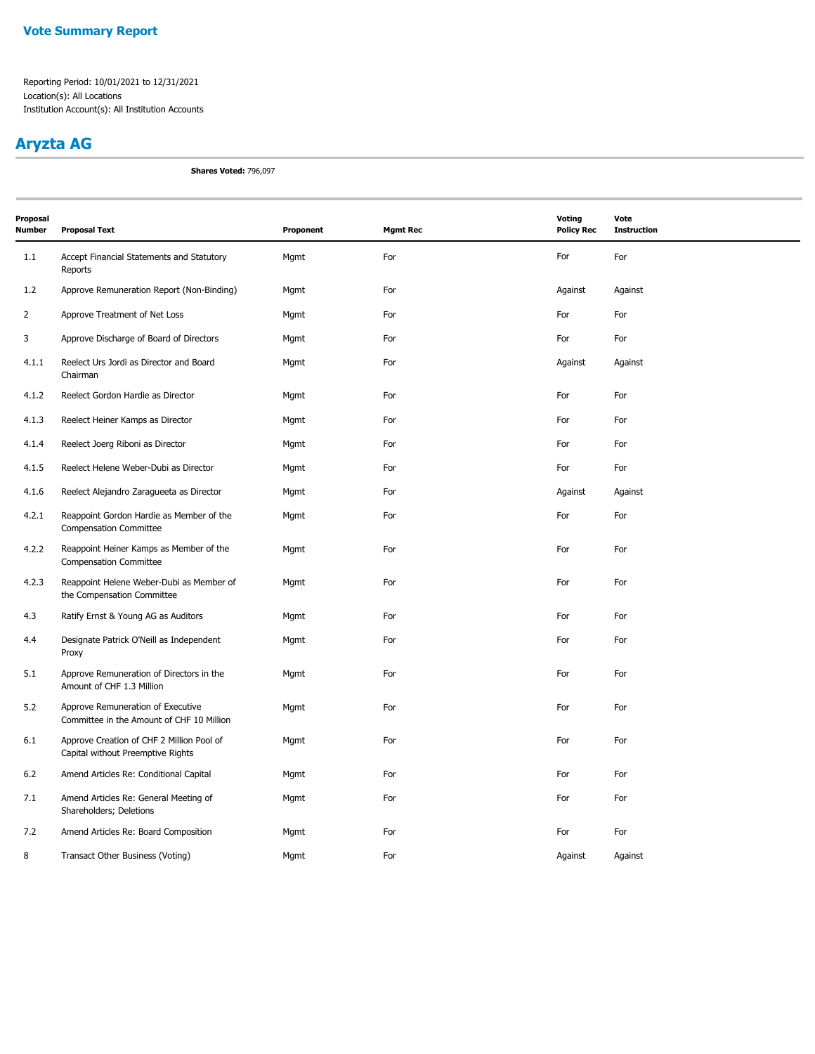## **Aryzta AG**

**Shares Voted:** 796,097

| Proposal<br><b>Number</b> | <b>Proposal Text</b>                                                           | Proponent | <b>Mgmt Rec</b> | Voting<br><b>Policy Rec</b> | Vote<br><b>Instruction</b> |
|---------------------------|--------------------------------------------------------------------------------|-----------|-----------------|-----------------------------|----------------------------|
| 1.1                       | Accept Financial Statements and Statutory<br>Reports                           | Mgmt      | For             | For                         | For                        |
| 1.2                       | Approve Remuneration Report (Non-Binding)                                      | Mgmt      | For             | Against                     | Against                    |
| $\overline{2}$            | Approve Treatment of Net Loss                                                  | Mgmt      | For             | For                         | For                        |
| 3                         | Approve Discharge of Board of Directors                                        | Mgmt      | For             | For                         | For                        |
| 4.1.1                     | Reelect Urs Jordi as Director and Board<br>Chairman                            | Mgmt      | For             | Against                     | Against                    |
| 4.1.2                     | Reelect Gordon Hardie as Director                                              | Mgmt      | For             | For                         | For                        |
| 4.1.3                     | Reelect Heiner Kamps as Director                                               | Mgmt      | For             | For                         | For                        |
| 4.1.4                     | Reelect Joerg Riboni as Director                                               | Mgmt      | For             | For                         | For                        |
| 4.1.5                     | Reelect Helene Weber-Dubi as Director                                          | Mgmt      | For             | For                         | For                        |
| 4.1.6                     | Reelect Alejandro Zaragueeta as Director                                       | Mgmt      | For             | Against                     | Against                    |
| 4.2.1                     | Reappoint Gordon Hardie as Member of the<br><b>Compensation Committee</b>      | Mgmt      | For             | For                         | For                        |
| 4.2.2                     | Reappoint Heiner Kamps as Member of the<br><b>Compensation Committee</b>       | Mgmt      | For             | For                         | For                        |
| 4.2.3                     | Reappoint Helene Weber-Dubi as Member of<br>the Compensation Committee         | Mgmt      | For             | For                         | For                        |
| 4.3                       | Ratify Ernst & Young AG as Auditors                                            | Mgmt      | For             | For                         | For                        |
| 4.4                       | Designate Patrick O'Neill as Independent<br>Proxy                              | Mgmt      | For             | For                         | For                        |
| 5.1                       | Approve Remuneration of Directors in the<br>Amount of CHF 1.3 Million          | Mgmt      | For             | For                         | For                        |
| 5.2                       | Approve Remuneration of Executive<br>Committee in the Amount of CHF 10 Million | Mgmt      | For             | For                         | For                        |
| 6.1                       | Approve Creation of CHF 2 Million Pool of<br>Capital without Preemptive Rights | Mgmt      | For             | For                         | For                        |
| 6.2                       | Amend Articles Re: Conditional Capital                                         | Mgmt      | For             | For                         | For                        |
| 7.1                       | Amend Articles Re: General Meeting of<br>Shareholders; Deletions               | Mgmt      | For             | For                         | For                        |
| 7.2                       | Amend Articles Re: Board Composition                                           | Mgmt      | For             | For                         | For                        |
| 8                         | Transact Other Business (Voting)                                               | Mgmt      | For             | Against                     | Against                    |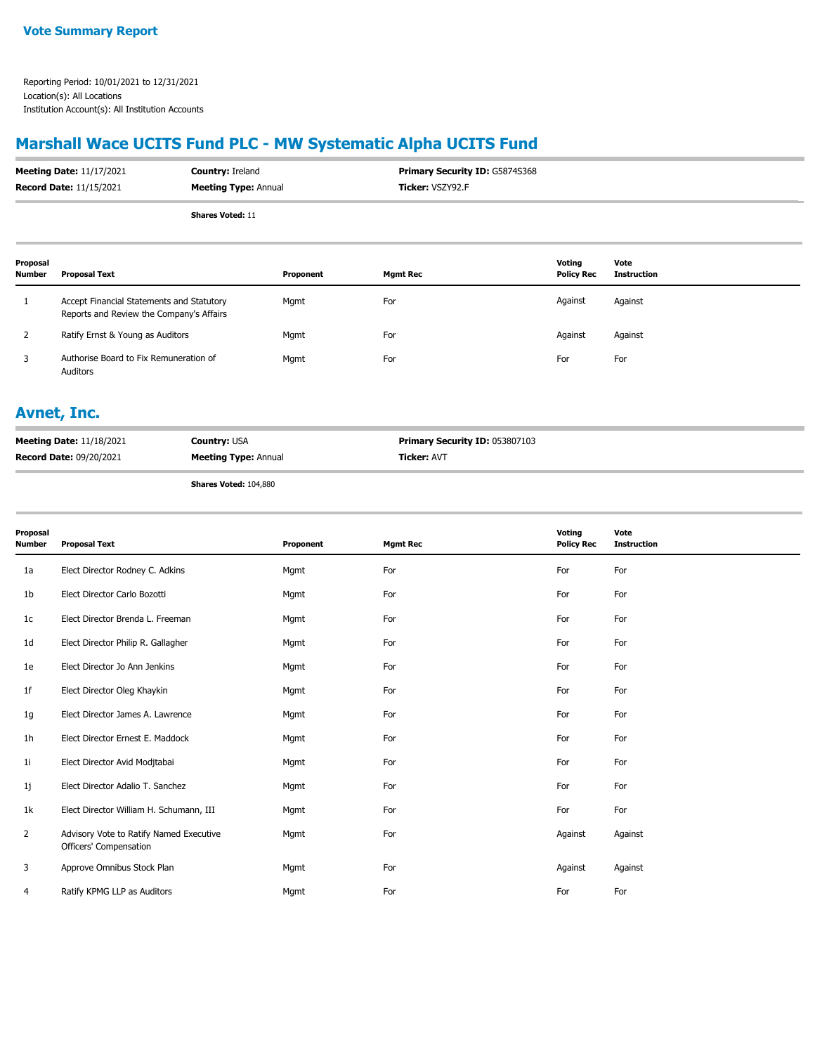## **Marshall Wace UCITS Fund PLC - MW Systematic Alpha UCITS Fund**

| <b>Meeting Date: 11/17/2021</b> | <b>Country: Ireland</b>     | <b>Primary Security ID: G5874S368</b> |
|---------------------------------|-----------------------------|---------------------------------------|
| <b>Record Date: 11/15/2021</b>  | <b>Meeting Type: Annual</b> | <b>Ticker: VSZY92.F</b>               |
|                                 | <b>Shares Voted: 11</b>     |                                       |

| Proposal<br>Number | Proposal Text                                                                         | Proponent | Mgmt Rec | Votina<br><b>Policy Rec</b> | Vote<br>Instruction |
|--------------------|---------------------------------------------------------------------------------------|-----------|----------|-----------------------------|---------------------|
|                    | Accept Financial Statements and Statutory<br>Reports and Review the Company's Affairs | Mgmt      | For      | Against                     | Against             |
|                    | Ratify Ernst & Young as Auditors                                                      | Mgmt      | For      | Against                     | Against             |
|                    | Authorise Board to Fix Remuneration of<br>Auditors                                    | Mgmt      | For      | For                         | For                 |

#### **Avnet, Inc.**

| <b>Meeting Date: 11/18/2021</b> | <b>Country: USA</b>         | <b>Primary Security ID: 053807103</b> |
|---------------------------------|-----------------------------|---------------------------------------|
| <b>Record Date: 09/20/2021</b>  | <b>Meeting Type: Annual</b> | <b>Ticker: AVT</b>                    |

**Shares Voted:** 104,880

| Proposal<br>Number | <b>Proposal Text</b>                                              | Proponent | <b>Mgmt Rec</b> | Voting<br><b>Policy Rec</b> | Vote<br><b>Instruction</b> |
|--------------------|-------------------------------------------------------------------|-----------|-----------------|-----------------------------|----------------------------|
| 1a                 | Elect Director Rodney C. Adkins                                   | Mgmt      | For             | For                         | For                        |
| 1b                 | Elect Director Carlo Bozotti                                      | Mgmt      | For             | For                         | For                        |
| 1c                 | Elect Director Brenda L. Freeman                                  | Mgmt      | For             | For                         | For                        |
| 1d                 | Elect Director Philip R. Gallagher                                | Mgmt      | For             | For                         | For                        |
| 1e                 | Elect Director Jo Ann Jenkins                                     | Mgmt      | For             | For                         | For                        |
| 1f                 | Elect Director Oleg Khaykin                                       | Mgmt      | For             | For                         | For                        |
| 1g                 | Elect Director James A. Lawrence                                  | Mgmt      | For             | For                         | For                        |
| 1h                 | Elect Director Ernest E. Maddock                                  | Mgmt      | For             | For                         | For                        |
| 11                 | Elect Director Avid Modjtabai                                     | Mgmt      | For             | For                         | For                        |
| 1j                 | Elect Director Adalio T. Sanchez                                  | Mgmt      | For             | For                         | For                        |
| 1k                 | Elect Director William H. Schumann, III                           | Mgmt      | For             | For                         | For                        |
| $\overline{2}$     | Advisory Vote to Ratify Named Executive<br>Officers' Compensation | Mgmt      | For             | Against                     | Against                    |
| 3                  | Approve Omnibus Stock Plan                                        | Mgmt      | For             | Against                     | Against                    |
| 4                  | Ratify KPMG LLP as Auditors                                       | Mgmt      | For             | For                         | For                        |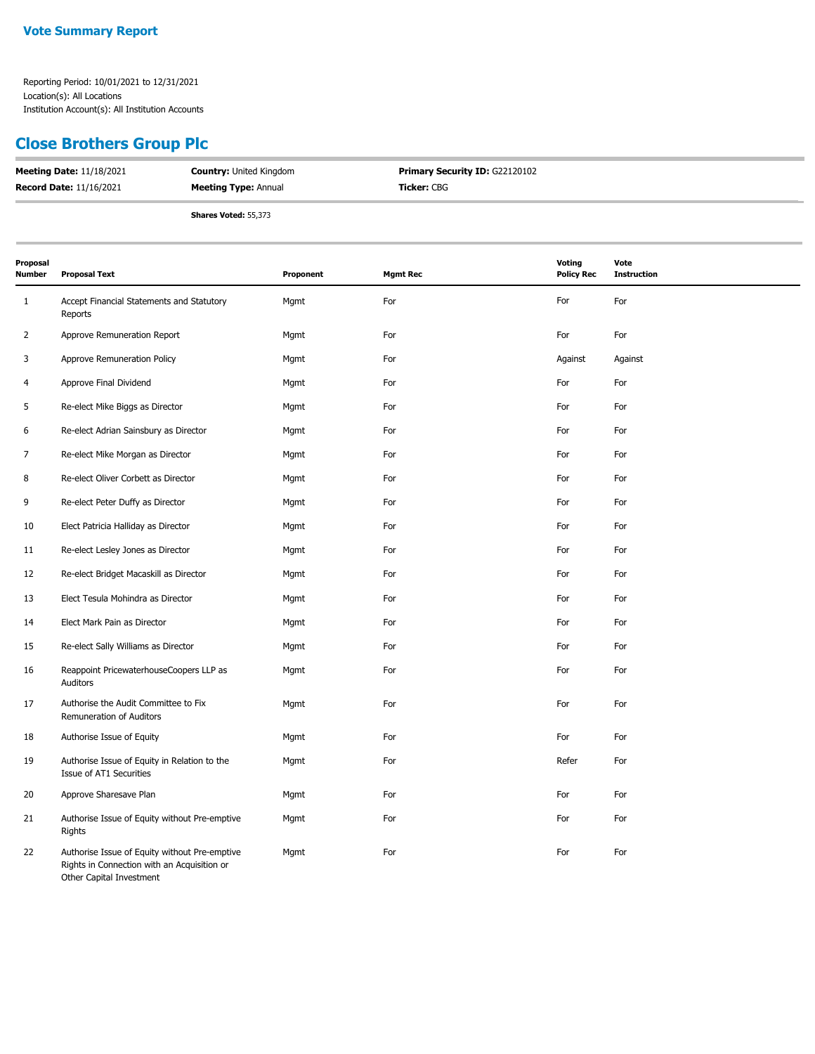#### **Close Brothers Group Plc**

| <b>Meeting Date: 11/18/2021</b> | <b>Country: United Kingdom</b> | <b>Primary Security ID: G22120102</b> |
|---------------------------------|--------------------------------|---------------------------------------|
| <b>Record Date: 11/16/2021</b>  | <b>Meeting Type: Annual</b>    | <b>Ticker:</b> CBG                    |
|                                 | <b>Shares Voted: 55,373</b>    |                                       |

| Proposal<br>Number | <b>Proposal Text</b>                                                                                                     | Proponent | <b>Mgmt Rec</b> | <b>Voting</b><br><b>Policy Rec</b> | Vote<br><b>Instruction</b> |
|--------------------|--------------------------------------------------------------------------------------------------------------------------|-----------|-----------------|------------------------------------|----------------------------|
| $\mathbf{1}$       | Accept Financial Statements and Statutory<br>Reports                                                                     | Mgmt      | For             | For                                | For                        |
| 2                  | Approve Remuneration Report                                                                                              | Mgmt      | For             | For                                | For                        |
| 3                  | Approve Remuneration Policy                                                                                              | Mgmt      | For             | Against                            | Against                    |
| 4                  | Approve Final Dividend                                                                                                   | Mgmt      | For             | For                                | For                        |
| 5                  | Re-elect Mike Biggs as Director                                                                                          | Mgmt      | For             | For                                | For                        |
| 6                  | Re-elect Adrian Sainsbury as Director                                                                                    | Mgmt      | For             | For                                | For                        |
| 7                  | Re-elect Mike Morgan as Director                                                                                         | Mgmt      | For             | For                                | For                        |
| 8                  | Re-elect Oliver Corbett as Director                                                                                      | Mgmt      | For             | For                                | For                        |
| 9                  | Re-elect Peter Duffy as Director                                                                                         | Mgmt      | For             | For                                | For                        |
| 10                 | Elect Patricia Halliday as Director                                                                                      | Mgmt      | For             | For                                | For                        |
| 11                 | Re-elect Lesley Jones as Director                                                                                        | Mgmt      | For             | For                                | For                        |
| 12                 | Re-elect Bridget Macaskill as Director                                                                                   | Mgmt      | For             | For                                | For                        |
| 13                 | Elect Tesula Mohindra as Director                                                                                        | Mgmt      | For             | For                                | For                        |
| 14                 | Elect Mark Pain as Director                                                                                              | Mgmt      | For             | For                                | For                        |
| 15                 | Re-elect Sally Williams as Director                                                                                      | Mgmt      | For             | For                                | For                        |
| 16                 | Reappoint PricewaterhouseCoopers LLP as<br>Auditors                                                                      | Mgmt      | For             | For                                | For                        |
| 17                 | Authorise the Audit Committee to Fix<br>Remuneration of Auditors                                                         | Mgmt      | For             | For                                | For                        |
| 18                 | Authorise Issue of Equity                                                                                                | Mgmt      | For             | For                                | For                        |
| 19                 | Authorise Issue of Equity in Relation to the<br>Issue of AT1 Securities                                                  | Mgmt      | For             | Refer                              | For                        |
| 20                 | Approve Sharesave Plan                                                                                                   | Mgmt      | For             | For                                | For                        |
| 21                 | Authorise Issue of Equity without Pre-emptive<br>Rights                                                                  | Mgmt      | For             | For                                | For                        |
| 22                 | Authorise Issue of Equity without Pre-emptive<br>Rights in Connection with an Acquisition or<br>Other Capital Investment | Mgmt      | For             | For                                | For                        |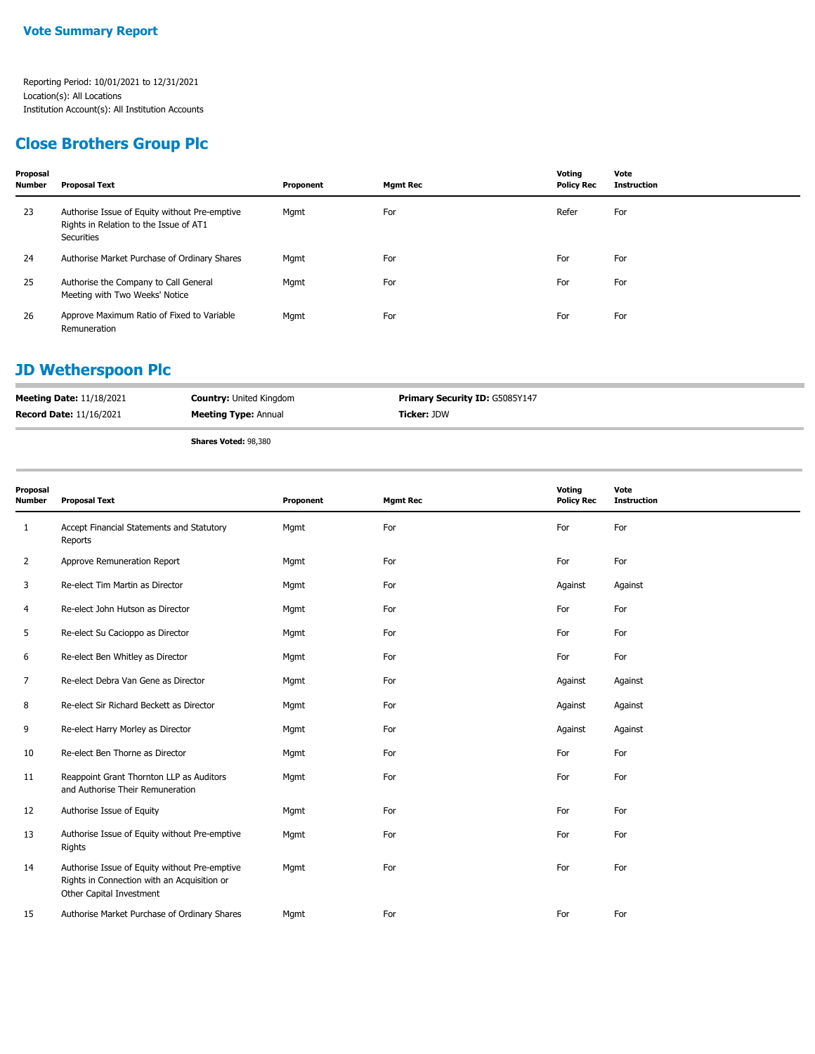## **Close Brothers Group Plc**

| Proposal<br><b>Number</b> | <b>Proposal Text</b>                                                                                  | Proponent | <b>Mgmt Rec</b> | Voting<br><b>Policy Rec</b> | Vote<br><b>Instruction</b> |
|---------------------------|-------------------------------------------------------------------------------------------------------|-----------|-----------------|-----------------------------|----------------------------|
| 23                        | Authorise Issue of Equity without Pre-emptive<br>Rights in Relation to the Issue of AT1<br>Securities | Mgmt      | For             | Refer                       | For                        |
| 24                        | Authorise Market Purchase of Ordinary Shares                                                          | Mgmt      | For             | For                         | For                        |
| 25                        | Authorise the Company to Call General<br>Meeting with Two Weeks' Notice                               | Mgmt      | For             | For                         | For                        |
| 26                        | Approve Maximum Ratio of Fixed to Variable<br>Remuneration                                            | Mgmt      | For             | For                         | For                        |

## **JD Wetherspoon Plc**

| <b>Meeting Date: 11/18/2021</b> | <b>Country: United Kingdom</b> | <b>Primary Security ID: G5085Y147</b> |
|---------------------------------|--------------------------------|---------------------------------------|
| <b>Record Date: 11/16/2021</b>  | <b>Meeting Type: Annual</b>    | <b>Ticker: JDW</b>                    |

**Shares Voted:** 98,380

| Proposal<br>Number | <b>Proposal Text</b>                                                                                                     | Proponent | <b>Mgmt Rec</b> | Voting<br><b>Policy Rec</b> | Vote<br><b>Instruction</b> |
|--------------------|--------------------------------------------------------------------------------------------------------------------------|-----------|-----------------|-----------------------------|----------------------------|
| 1                  | Accept Financial Statements and Statutory<br>Reports                                                                     | Mgmt      | For             | For                         | For                        |
| $\overline{2}$     | Approve Remuneration Report                                                                                              | Mgmt      | For             | For                         | For                        |
| 3                  | Re-elect Tim Martin as Director                                                                                          | Mgmt      | For             | Against                     | Against                    |
| 4                  | Re-elect John Hutson as Director                                                                                         | Mgmt      | For             | For                         | For                        |
| 5                  | Re-elect Su Cacioppo as Director                                                                                         | Mgmt      | For             | For                         | For                        |
| 6                  | Re-elect Ben Whitley as Director                                                                                         | Mgmt      | For             | For                         | For                        |
| 7                  | Re-elect Debra Van Gene as Director                                                                                      | Mgmt      | For             | Against                     | Against                    |
| 8                  | Re-elect Sir Richard Beckett as Director                                                                                 | Mgmt      | For             | Against                     | Against                    |
| 9                  | Re-elect Harry Morley as Director                                                                                        | Mgmt      | For             | Against                     | Against                    |
| 10                 | Re-elect Ben Thorne as Director                                                                                          | Mgmt      | For             | For                         | For                        |
| 11                 | Reappoint Grant Thornton LLP as Auditors<br>and Authorise Their Remuneration                                             | Mgmt      | For             | For                         | For                        |
| 12                 | Authorise Issue of Equity                                                                                                | Mgmt      | For             | For                         | For                        |
| 13                 | Authorise Issue of Equity without Pre-emptive<br>Rights                                                                  | Mgmt      | For             | For                         | For                        |
| 14                 | Authorise Issue of Equity without Pre-emptive<br>Rights in Connection with an Acquisition or<br>Other Capital Investment | Mgmt      | For             | For                         | For                        |
| 15                 | Authorise Market Purchase of Ordinary Shares                                                                             | Mgmt      | For             | For                         | For                        |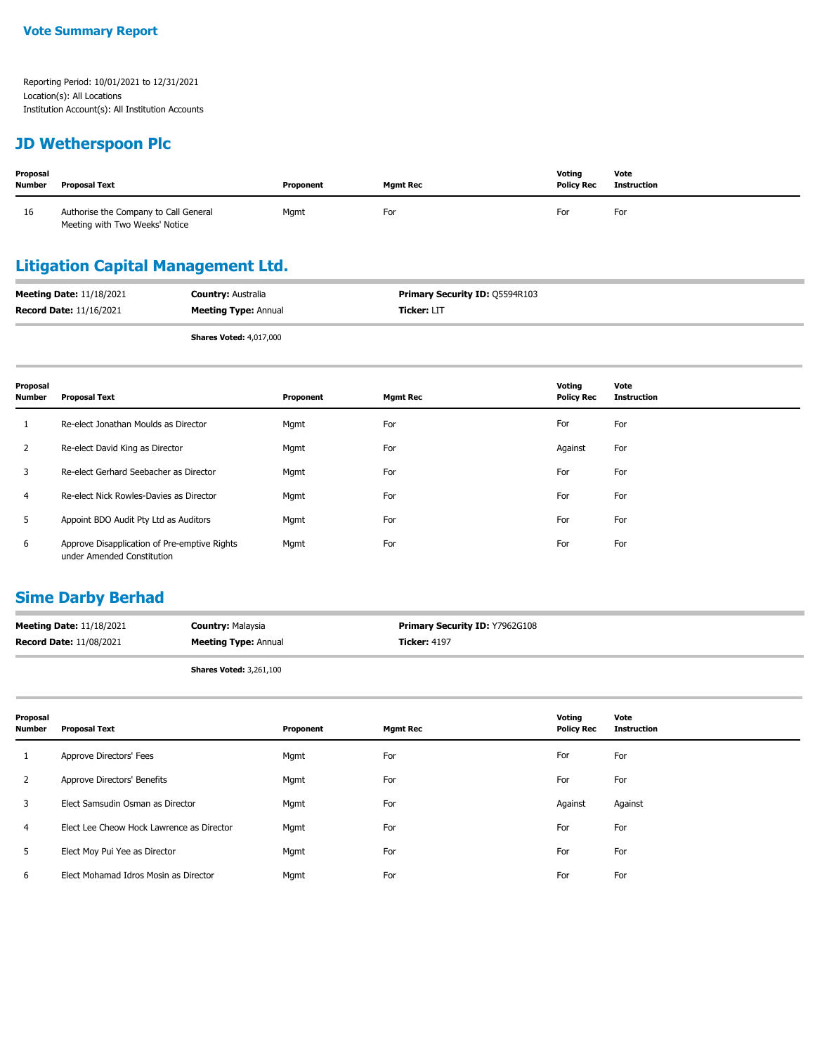#### **JD Wetherspoon Plc**

| Proposal<br><b>Number</b> | <b>Proposal Text</b>                                                    | Proponent | <b>Mamt Rec</b> | Votina<br><b>Policy Rec</b> | Vote<br>Instruction |
|---------------------------|-------------------------------------------------------------------------|-----------|-----------------|-----------------------------|---------------------|
| 16                        | Authorise the Company to Call General<br>Meeting with Two Weeks' Notice | Mgmt      | For             | For                         | For                 |

## **Litigation Capital Management Ltd.**

| <b>Meeting Date: 11/18/2021</b> | <b>Country: Australia</b>      | <b>Primary Security ID: 05594R103</b> |
|---------------------------------|--------------------------------|---------------------------------------|
| <b>Record Date: 11/16/2021</b>  | <b>Meeting Type: Annual</b>    | <b>Ticker: LIT</b>                    |
|                                 | <b>Shares Voted: 4,017,000</b> |                                       |

| Proposal<br><b>Number</b> | <b>Proposal Text</b>                                                       | Proponent | <b>Mgmt Rec</b> | Voting<br><b>Policy Rec</b> | Vote<br><b>Instruction</b> |
|---------------------------|----------------------------------------------------------------------------|-----------|-----------------|-----------------------------|----------------------------|
|                           | Re-elect Jonathan Moulds as Director                                       | Mgmt      | For             | For                         | For                        |
| 2                         | Re-elect David King as Director                                            | Mgmt      | For             | Against                     | For                        |
| 3                         | Re-elect Gerhard Seebacher as Director                                     | Mgmt      | For             | For                         | For                        |
| 4                         | Re-elect Nick Rowles-Davies as Director                                    | Mgmt      | For             | For                         | For                        |
| 5                         | Appoint BDO Audit Pty Ltd as Auditors                                      | Mgmt      | For             | For                         | For                        |
| 6                         | Approve Disapplication of Pre-emptive Rights<br>under Amended Constitution | Mgmt      | For             | For                         | For                        |

#### **Sime Darby Berhad**

| <b>Meeting Date: 11/18/2021</b> | <b>Country: Malaysia</b>    | <b>Primary Security ID: Y7962G108</b> |
|---------------------------------|-----------------------------|---------------------------------------|
| <b>Record Date: 11/08/2021</b>  | <b>Meeting Type: Annual</b> | <b>Ticker: 4197</b>                   |
|                                 |                             |                                       |

**Shares Voted:** 3,261,100

| Proposal<br><b>Number</b> | <b>Proposal Text</b>                      | Proponent | <b>Mgmt Rec</b> | Voting<br><b>Policy Rec</b> | Vote<br><b>Instruction</b> |
|---------------------------|-------------------------------------------|-----------|-----------------|-----------------------------|----------------------------|
|                           | Approve Directors' Fees                   | Mgmt      | For             | For                         | For                        |
| $\mathbf{2}$              | Approve Directors' Benefits               | Mgmt      | For             | For                         | For                        |
| 3                         | Elect Samsudin Osman as Director          | Mgmt      | For             | Against                     | Against                    |
| 4                         | Elect Lee Cheow Hock Lawrence as Director | Mgmt      | For             | For                         | For                        |
| 5                         | Elect Moy Pui Yee as Director             | Mgmt      | For             | For                         | For                        |
| 6                         | Elect Mohamad Idros Mosin as Director     | Mgmt      | For             | For                         | For                        |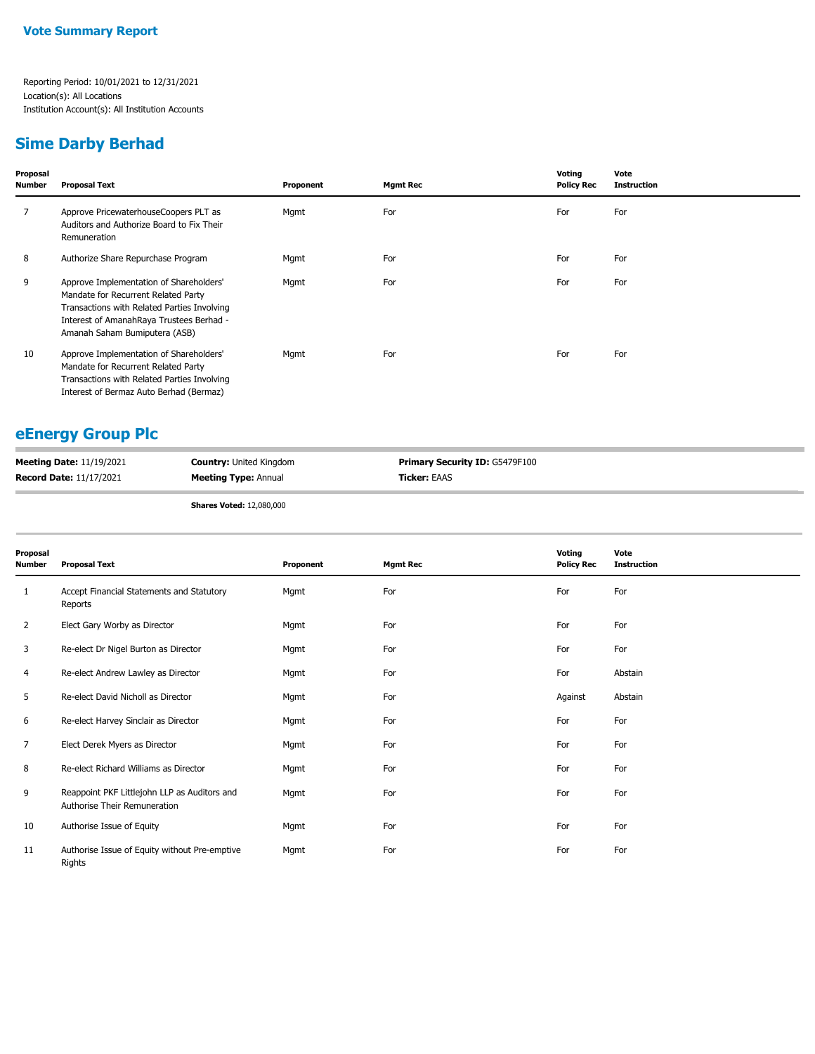#### **Sime Darby Berhad**

| Proposal<br><b>Number</b> | <b>Proposal Text</b>                                                                                                                                                                                       | Proponent | <b>Mgmt Rec</b> | Voting<br><b>Policy Rec</b> | Vote<br><b>Instruction</b> |  |
|---------------------------|------------------------------------------------------------------------------------------------------------------------------------------------------------------------------------------------------------|-----------|-----------------|-----------------------------|----------------------------|--|
|                           | Approve PricewaterhouseCoopers PLT as<br>Auditors and Authorize Board to Fix Their<br>Remuneration                                                                                                         | Mgmt      | For             | For                         | For                        |  |
| 8                         | Authorize Share Repurchase Program                                                                                                                                                                         | Mgmt      | For             | For                         | For                        |  |
| 9                         | Approve Implementation of Shareholders'<br>Mandate for Recurrent Related Party<br>Transactions with Related Parties Involving<br>Interest of AmanahRaya Trustees Berhad -<br>Amanah Saham Bumiputera (ASB) | Mgmt      | For             | For                         | For                        |  |
| 10                        | Approve Implementation of Shareholders'<br>Mandate for Recurrent Related Party<br>Transactions with Related Parties Involving<br>Interest of Bermaz Auto Berhad (Bermaz)                                   | Mgmt      | For             | For                         | For                        |  |

#### **eEnergy Group Plc**

| <b>Meeting Date: 11/19/2021</b> | <b>Country: United Kingdom</b> | <b>Primary Security ID: G5479F100</b> |
|---------------------------------|--------------------------------|---------------------------------------|
| <b>Record Date: 11/17/2021</b>  | <b>Meeting Type: Annual</b>    | <b>Ticker: EAAS</b>                   |

**Shares Voted:** 12,080,000

| Proposal<br><b>Number</b> | <b>Proposal Text</b>                                                         | Proponent | <b>Mgmt Rec</b> | Voting<br><b>Policy Rec</b> | Vote<br><b>Instruction</b> |
|---------------------------|------------------------------------------------------------------------------|-----------|-----------------|-----------------------------|----------------------------|
| 1                         | Accept Financial Statements and Statutory<br>Reports                         | Mgmt      | For             | For                         | For                        |
| 2                         | Elect Gary Worby as Director                                                 | Mgmt      | For             | For                         | For                        |
| 3                         | Re-elect Dr Nigel Burton as Director                                         | Mgmt      | For             | For                         | For                        |
| 4                         | Re-elect Andrew Lawley as Director                                           | Mgmt      | For             | For                         | Abstain                    |
| 5                         | Re-elect David Nicholl as Director                                           | Mgmt      | For             | Against                     | Abstain                    |
| 6                         | Re-elect Harvey Sinclair as Director                                         | Mgmt      | For             | For                         | For                        |
| 7                         | Elect Derek Myers as Director                                                | Mgmt      | For             | For                         | For                        |
| 8                         | Re-elect Richard Williams as Director                                        | Mgmt      | For             | For                         | For                        |
| 9                         | Reappoint PKF Littlejohn LLP as Auditors and<br>Authorise Their Remuneration | Mgmt      | For             | For                         | For                        |
| 10                        | Authorise Issue of Equity                                                    | Mgmt      | For             | For                         | For                        |
| 11                        | Authorise Issue of Equity without Pre-emptive<br>Rights                      | Mgmt      | For             | For                         | For                        |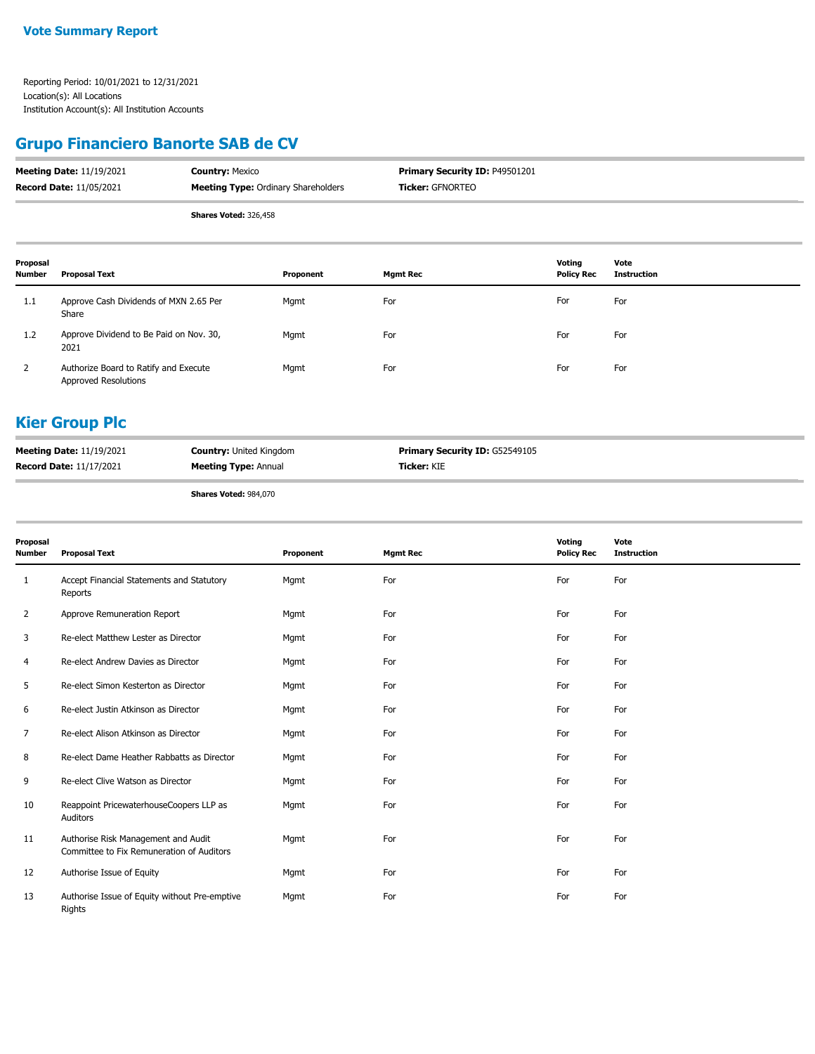## **Grupo Financiero Banorte SAB de CV**

| <b>Meeting Date: 11/19/2021</b> | <b>Country: Mexico</b>                     | <b>Primary Security ID: P49501201</b> |
|---------------------------------|--------------------------------------------|---------------------------------------|
| <b>Record Date: 11/05/2021</b>  | <b>Meeting Type: Ordinary Shareholders</b> | <b>Ticker: GFNORTEO</b>               |
|                                 | Charge Vetadi 226 450                      |                                       |

**Shares Voted:** 326,458

| Proposal<br><b>Number</b> | Proposal Text                                                 | Proponent | <b>Mgmt Rec</b> | Votina<br><b>Policy Rec</b> | Vote<br>Instruction |
|---------------------------|---------------------------------------------------------------|-----------|-----------------|-----------------------------|---------------------|
| 1.1                       | Approve Cash Dividends of MXN 2.65 Per<br>Share               | Mgmt      | For             | For                         | For                 |
| 1.2                       | Approve Dividend to Be Paid on Nov. 30,<br>2021               | Mgmt      | For             | For                         | For                 |
| 2                         | Authorize Board to Ratify and Execute<br>Approved Resolutions | Mgmt      | For             | For                         | For                 |

#### **Kier Group Plc**

| <b>Record Date: 11/17/2021</b><br><b>Ticker: KIE</b><br><b>Meeting Type: Annual</b> | <b>Meeting Date: 11/19/2021</b> | <b>Country: United Kingdom</b> | <b>Primary Security ID: G52549105</b> |
|-------------------------------------------------------------------------------------|---------------------------------|--------------------------------|---------------------------------------|
|                                                                                     |                                 |                                |                                       |

**Shares Voted:** 984,070

| Proposal<br><b>Number</b> | <b>Proposal Text</b>                                                             | Proponent | <b>Mgmt Rec</b> | Voting<br><b>Policy Rec</b> | Vote<br><b>Instruction</b> |
|---------------------------|----------------------------------------------------------------------------------|-----------|-----------------|-----------------------------|----------------------------|
| 1                         | Accept Financial Statements and Statutory<br>Reports                             | Mgmt      | For             | For                         | For                        |
| 2                         | Approve Remuneration Report                                                      | Mgmt      | For             | For                         | For                        |
| 3                         | Re-elect Matthew Lester as Director                                              | Mgmt      | For             | For                         | For                        |
| 4                         | Re-elect Andrew Davies as Director                                               | Mgmt      | For             | For                         | For                        |
| 5                         | Re-elect Simon Kesterton as Director                                             | Mgmt      | For             | For                         | For                        |
| 6                         | Re-elect Justin Atkinson as Director                                             | Mgmt      | For             | For                         | For                        |
| 7                         | Re-elect Alison Atkinson as Director                                             | Mgmt      | For             | For                         | For                        |
| 8                         | Re-elect Dame Heather Rabbatts as Director                                       | Mgmt      | For             | For                         | For                        |
| 9                         | Re-elect Clive Watson as Director                                                | Mgmt      | For             | For                         | For                        |
| 10                        | Reappoint PricewaterhouseCoopers LLP as<br>Auditors                              | Mgmt      | For             | For                         | For                        |
| 11                        | Authorise Risk Management and Audit<br>Committee to Fix Remuneration of Auditors | Mgmt      | For             | For                         | For                        |
| 12                        | Authorise Issue of Equity                                                        | Mgmt      | For             | For                         | For                        |
| 13                        | Authorise Issue of Equity without Pre-emptive<br>Rights                          | Mgmt      | For             | For                         | For                        |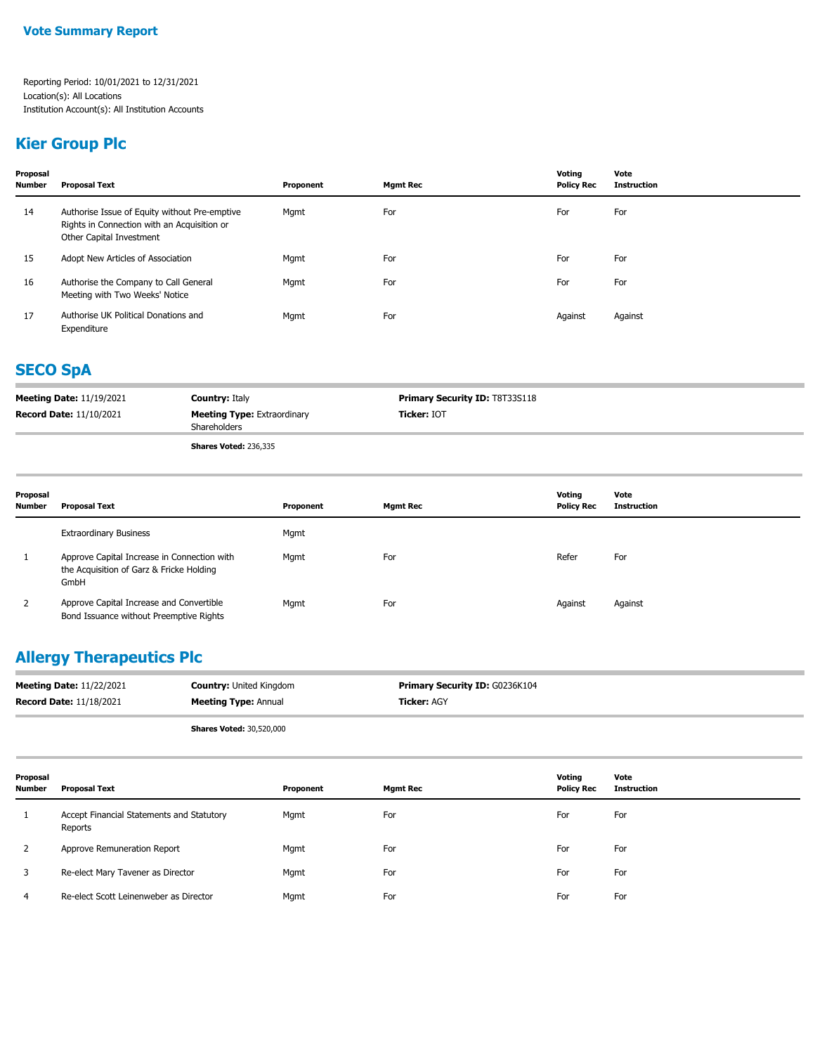#### **Kier Group Plc**

| Proposal<br>Number | <b>Proposal Text</b>                                                                                                     | Proponent | <b>Mgmt Rec</b> | Voting<br><b>Policy Rec</b> | Vote<br><b>Instruction</b> |
|--------------------|--------------------------------------------------------------------------------------------------------------------------|-----------|-----------------|-----------------------------|----------------------------|
| 14                 | Authorise Issue of Equity without Pre-emptive<br>Rights in Connection with an Acquisition or<br>Other Capital Investment | Mgmt      | For             | For                         | For                        |
| 15                 | Adopt New Articles of Association                                                                                        | Mgmt      | For             | For                         | For                        |
| 16                 | Authorise the Company to Call General<br>Meeting with Two Weeks' Notice                                                  | Mgmt      | For             | For                         | For                        |
| 17                 | Authorise UK Political Donations and<br>Expenditure                                                                      | Mgmt      | For             | Against                     | Against                    |

# **SECO SpA**

| <b>Meeting Date: 11/19/2021</b> | <b>Country: Italy</b>              | <b>Primary Security ID: T8T33S118</b> |
|---------------------------------|------------------------------------|---------------------------------------|
| <b>Record Date: 11/10/2021</b>  | <b>Meeting Type: Extraordinary</b> | <b>Ticker: IOT</b>                    |
|                                 | Shareholders                       |                                       |
|                                 | Shares Voted: 236 335              |                                       |

**Shares Voted:** 236,335

| Proposal<br><b>Number</b> | <b>Proposal Text</b>                                                                            | Proponent | <b>Mgmt Rec</b> | Voting<br><b>Policy Rec</b> | Vote<br><b>Instruction</b> |
|---------------------------|-------------------------------------------------------------------------------------------------|-----------|-----------------|-----------------------------|----------------------------|
|                           | <b>Extraordinary Business</b>                                                                   | Mgmt      |                 |                             |                            |
|                           | Approve Capital Increase in Connection with<br>the Acquisition of Garz & Fricke Holding<br>GmbH | Mgmt      | For             | Refer                       | For                        |
| 2                         | Approve Capital Increase and Convertible<br>Bond Issuance without Preemptive Rights             | Mgmt      | For             | Against                     | Against                    |

## **Allergy Therapeutics Plc**

| <b>Meeting Date: 11/22/2021</b> | <b>Country: United Kingdom</b> | <b>Primary Security ID: G0236K104</b> |
|---------------------------------|--------------------------------|---------------------------------------|
| <b>Record Date: 11/18/2021</b>  | <b>Meeting Type: Annual</b>    | <b>Ticker: AGY</b>                    |
|                                 |                                |                                       |

**Shares Voted:** 30,520,000

| Proposal<br><b>Number</b> | Proposal Text                                        | Proponent | <b>Mgmt Rec</b> | Voting<br><b>Policy Rec</b> | Vote<br>Instruction |
|---------------------------|------------------------------------------------------|-----------|-----------------|-----------------------------|---------------------|
|                           | Accept Financial Statements and Statutory<br>Reports | Mgmt      | For             | For                         | For                 |
|                           | Approve Remuneration Report                          | Mgmt      | For             | For                         | For                 |
|                           | Re-elect Mary Tavener as Director                    | Mgmt      | For             | For                         | For                 |
| 4                         | Re-elect Scott Leinenweber as Director               | Mgmt      | For             | For                         | For                 |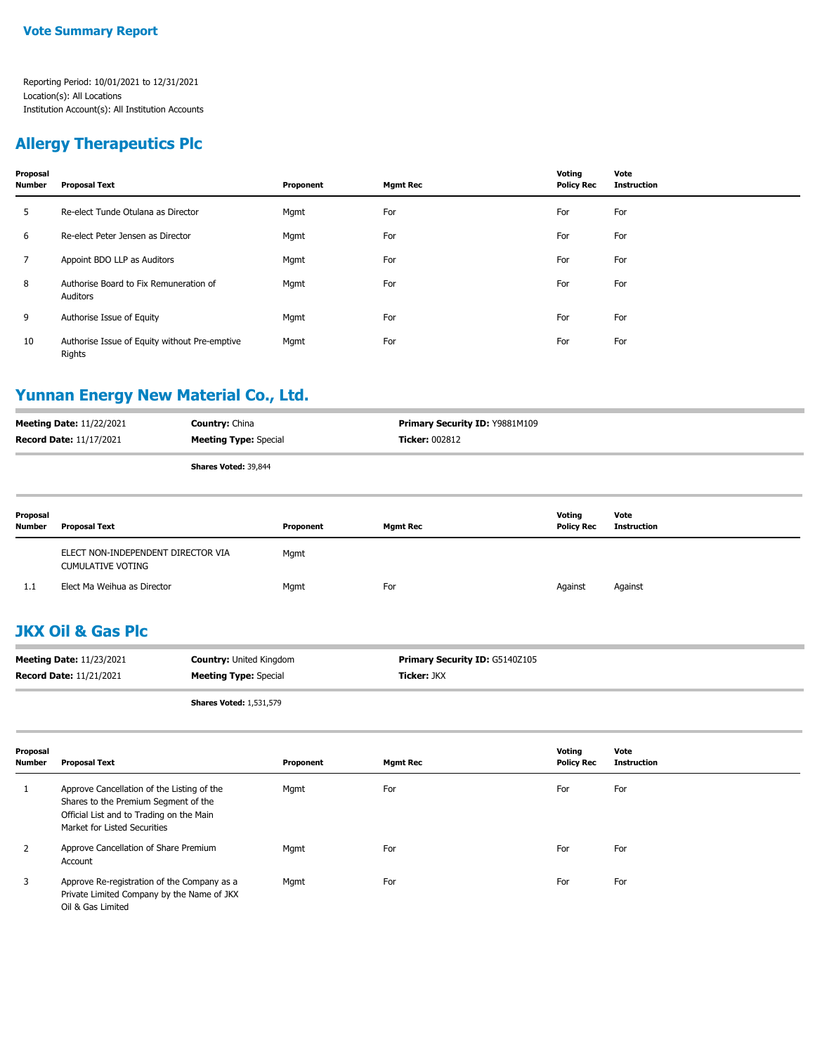### **Allergy Therapeutics Plc**

| Proposal<br><b>Number</b> | <b>Proposal Text</b>                                    | Proponent | <b>Mgmt Rec</b> | Voting<br><b>Policy Rec</b> | Vote<br><b>Instruction</b> |
|---------------------------|---------------------------------------------------------|-----------|-----------------|-----------------------------|----------------------------|
| 5                         | Re-elect Tunde Otulana as Director                      | Mgmt      | For             | For                         | For                        |
| 6                         | Re-elect Peter Jensen as Director                       | Mgmt      | For             | For                         | For                        |
| $\overline{7}$            | Appoint BDO LLP as Auditors                             | Mgmt      | For             | For                         | For                        |
| 8                         | Authorise Board to Fix Remuneration of<br>Auditors      | Mgmt      | For             | For                         | For                        |
| 9                         | Authorise Issue of Equity                               | Mgmt      | For             | For                         | For                        |
| 10                        | Authorise Issue of Equity without Pre-emptive<br>Rights | Mgmt      | For             | For                         | For                        |

#### **Yunnan Energy New Material Co., Ltd.**

| <b>Meeting Date: 11/22/2021</b><br><b>Record Date: 11/17/2021</b> |                                                                | <b>Country: China</b><br><b>Meeting Type: Special</b> |           | Primary Security ID: Y9881M109<br><b>Ticker: 002812</b> |                             |                            |
|-------------------------------------------------------------------|----------------------------------------------------------------|-------------------------------------------------------|-----------|---------------------------------------------------------|-----------------------------|----------------------------|
|                                                                   |                                                                | Shares Voted: 39,844                                  |           |                                                         |                             |                            |
| Proposal<br><b>Number</b>                                         | <b>Proposal Text</b>                                           |                                                       | Proponent | <b>Mgmt Rec</b>                                         | Voting<br><b>Policy Rec</b> | Vote<br><b>Instruction</b> |
|                                                                   | ELECT NON-INDEPENDENT DIRECTOR VIA<br><b>CUMULATIVE VOTING</b> |                                                       | Mgmt      |                                                         |                             |                            |
| 1.1                                                               | Elect Ma Weihua as Director                                    |                                                       | Mgmt      | For                                                     | Against                     | Against                    |

## **JKX Oil & Gas Plc**

| <b>Meeting Date: 11/23/2021</b> | <b>Country:</b> United Kingdom | <b>Primary Security ID: G5140Z105</b> |
|---------------------------------|--------------------------------|---------------------------------------|
| <b>Record Date: 11/21/2021</b>  | <b>Meeting Type:</b> Special   | <b>Ticker: JKX</b>                    |

**Shares Voted:** 1,531,579

| Proposal<br>Number | <b>Proposal Text</b>                                                                                                                                           | Proponent | <b>Mgmt Rec</b> | Voting<br><b>Policy Rec</b> | Vote<br><b>Instruction</b> |
|--------------------|----------------------------------------------------------------------------------------------------------------------------------------------------------------|-----------|-----------------|-----------------------------|----------------------------|
|                    | Approve Cancellation of the Listing of the<br>Shares to the Premium Segment of the<br>Official List and to Trading on the Main<br>Market for Listed Securities | Mgmt      | For             | For                         | For                        |
|                    | Approve Cancellation of Share Premium<br>Account                                                                                                               | Mgmt      | For             | For                         | For                        |
| 3                  | Approve Re-registration of the Company as a<br>Private Limited Company by the Name of JKX<br>Oil & Gas Limited                                                 | Mgmt      | For             | For                         | For                        |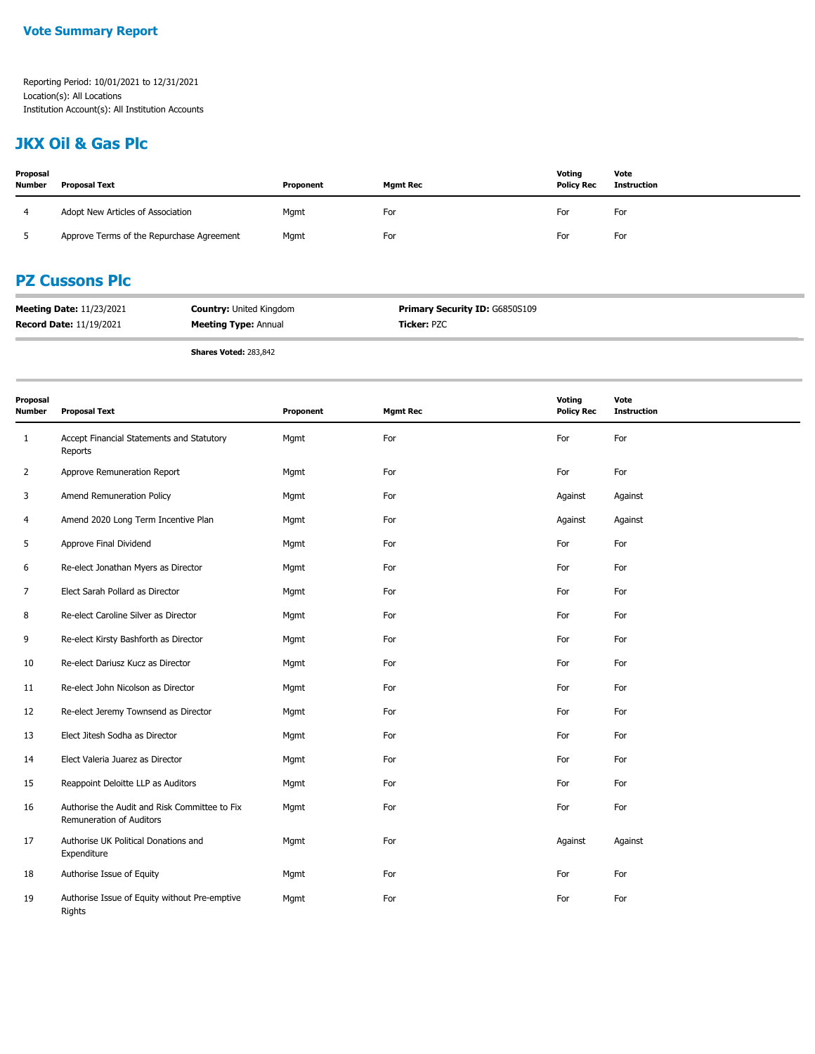### **JKX Oil & Gas Plc**

| Proposal<br><b>Number</b> | <b>Proposal Text</b>                      | Proponent | <b>Mgmt Rec</b> | Voting<br><b>Policy Rec</b> | Vote<br>Instruction |
|---------------------------|-------------------------------------------|-----------|-----------------|-----------------------------|---------------------|
|                           | Adopt New Articles of Association         | Mgmt      | For             | For                         | For                 |
|                           | Approve Terms of the Repurchase Agreement | Mgmt      | For             | For                         | For                 |

### **PZ Cussons Plc**

| <b>Meeting Date: 11/23/2021</b> | <b>Country: United Kingdom</b> | <b>Primary Security ID: G6850S109</b> |
|---------------------------------|--------------------------------|---------------------------------------|
| <b>Record Date: 11/19/2021</b>  | <b>Meeting Type: Annual</b>    | <b>Ticker: PZC</b>                    |

**Shares Voted:** 283,842

| Proposal<br><b>Number</b> | <b>Proposal Text</b>                                                      | Proponent | <b>Mgmt Rec</b> | <b>Voting</b><br><b>Policy Rec</b> | Vote<br><b>Instruction</b> |
|---------------------------|---------------------------------------------------------------------------|-----------|-----------------|------------------------------------|----------------------------|
| $\mathbf{1}$              | Accept Financial Statements and Statutory<br>Reports                      | Mgmt      | For             | For                                | For                        |
| 2                         | Approve Remuneration Report                                               | Mgmt      | For             | For                                | For                        |
| 3                         | Amend Remuneration Policy                                                 | Mgmt      | For             | Against                            | Against                    |
| 4                         | Amend 2020 Long Term Incentive Plan                                       | Mgmt      | For             | Against                            | Against                    |
| 5                         | Approve Final Dividend                                                    | Mgmt      | For             | For                                | For                        |
| 6                         | Re-elect Jonathan Myers as Director                                       | Mgmt      | For             | For                                | For                        |
| 7                         | Elect Sarah Pollard as Director                                           | Mgmt      | For             | For                                | For                        |
| 8                         | Re-elect Caroline Silver as Director                                      | Mgmt      | For             | For                                | For                        |
| 9                         | Re-elect Kirsty Bashforth as Director                                     | Mgmt      | For             | For                                | For                        |
| 10                        | Re-elect Dariusz Kucz as Director                                         | Mgmt      | For             | For                                | For                        |
| 11                        | Re-elect John Nicolson as Director                                        | Mgmt      | For             | For                                | For                        |
| 12                        | Re-elect Jeremy Townsend as Director                                      | Mgmt      | For             | For                                | For                        |
| 13                        | Elect Jitesh Sodha as Director                                            | Mgmt      | For             | For                                | For                        |
| 14                        | Elect Valeria Juarez as Director                                          | Mgmt      | For             | For                                | For                        |
| 15                        | Reappoint Deloitte LLP as Auditors                                        | Mgmt      | For             | For                                | For                        |
| 16                        | Authorise the Audit and Risk Committee to Fix<br>Remuneration of Auditors | Mgmt      | For             | For                                | For                        |
| 17                        | Authorise UK Political Donations and<br>Expenditure                       | Mgmt      | For             | Against                            | Against                    |
| 18                        | Authorise Issue of Equity                                                 | Mgmt      | For             | For                                | For                        |
| 19                        | Authorise Issue of Equity without Pre-emptive<br>Rights                   | Mgmt      | For             | For                                | For                        |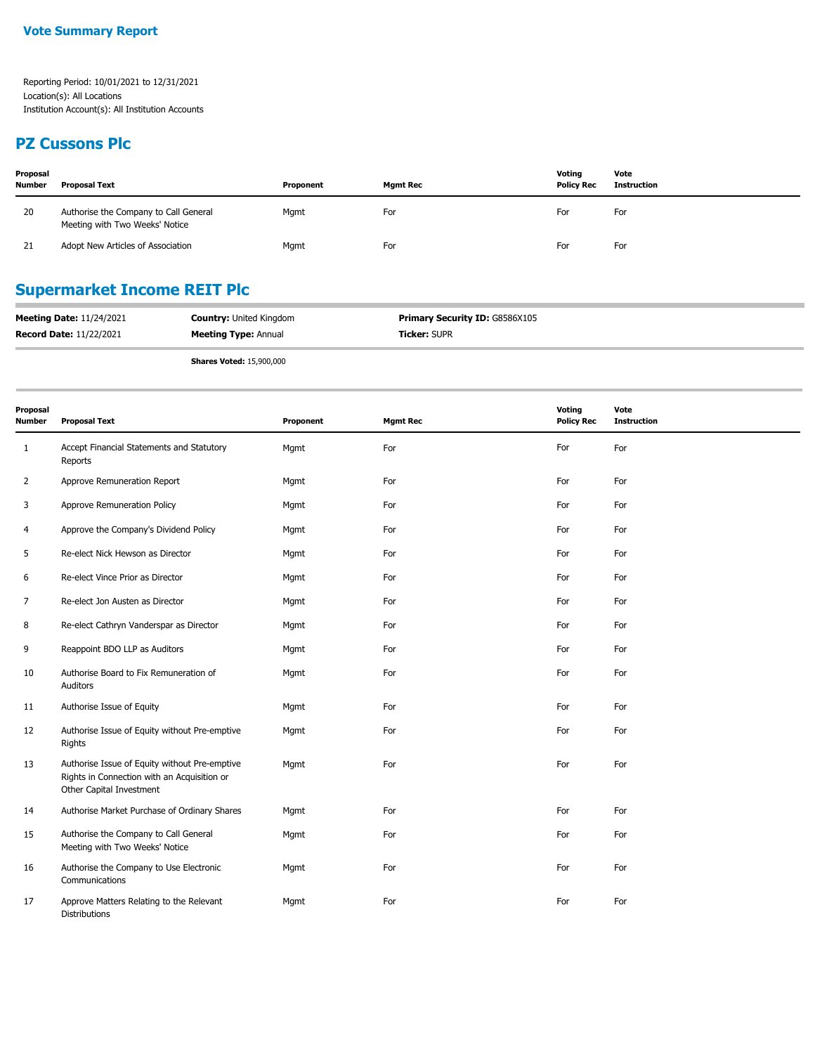#### **PZ Cussons Plc**

| Proposal<br><b>Number</b> | <b>Proposal Text</b>                                                    | Proponent | <b>Mgmt Rec</b> | Voting<br><b>Policy Rec</b> | Vote<br>Instruction |
|---------------------------|-------------------------------------------------------------------------|-----------|-----------------|-----------------------------|---------------------|
| 20                        | Authorise the Company to Call General<br>Meeting with Two Weeks' Notice | Mgmt      | For             | For                         | For                 |
| 21                        | Adopt New Articles of Association                                       | Mgmt      | For             | For                         | For                 |

# **Supermarket Income REIT Plc**

| <b>Meeting Date: 11/24/2021</b> | <b>Country: United Kingdom</b> | Primary Security ID: G8586X105 |
|---------------------------------|--------------------------------|--------------------------------|
| <b>Record Date: 11/22/2021</b>  | <b>Meeting Type: Annual</b>    | <b>Ticker: SUPR</b>            |

**Shares Voted:** 15,900,000

| Proposal<br><b>Number</b> | <b>Proposal Text</b>                                                                                                     | Proponent | <b>Mgmt Rec</b> | Voting<br><b>Policy Rec</b> | Vote<br><b>Instruction</b> |
|---------------------------|--------------------------------------------------------------------------------------------------------------------------|-----------|-----------------|-----------------------------|----------------------------|
| $\mathbf{1}$              | Accept Financial Statements and Statutory<br>Reports                                                                     | Mgmt      | For             | For                         | For                        |
| 2                         | Approve Remuneration Report                                                                                              | Mgmt      | For             | For                         | For                        |
| 3                         | Approve Remuneration Policy                                                                                              | Mgmt      | For             | For                         | For                        |
| 4                         | Approve the Company's Dividend Policy                                                                                    | Mgmt      | For             | For                         | For                        |
| 5                         | Re-elect Nick Hewson as Director                                                                                         | Mgmt      | For             | For                         | For                        |
| 6                         | Re-elect Vince Prior as Director                                                                                         | Mgmt      | For             | For                         | For                        |
| 7                         | Re-elect Jon Austen as Director                                                                                          | Mgmt      | For             | For                         | For                        |
| 8                         | Re-elect Cathryn Vanderspar as Director                                                                                  | Mgmt      | For             | For                         | For                        |
| 9                         | Reappoint BDO LLP as Auditors                                                                                            | Mgmt      | For             | For                         | For                        |
| 10                        | Authorise Board to Fix Remuneration of<br>Auditors                                                                       | Mgmt      | For             | For                         | For                        |
| 11                        | Authorise Issue of Equity                                                                                                | Mgmt      | For             | For                         | For                        |
| 12                        | Authorise Issue of Equity without Pre-emptive<br>Rights                                                                  | Mgmt      | For             | For                         | For                        |
| 13                        | Authorise Issue of Equity without Pre-emptive<br>Rights in Connection with an Acquisition or<br>Other Capital Investment | Mgmt      | For             | For                         | For                        |
| 14                        | Authorise Market Purchase of Ordinary Shares                                                                             | Mgmt      | For             | For                         | For                        |
| 15                        | Authorise the Company to Call General<br>Meeting with Two Weeks' Notice                                                  | Mgmt      | For             | For                         | For                        |
| 16                        | Authorise the Company to Use Electronic<br>Communications                                                                | Mgmt      | For             | For                         | For                        |
| 17                        | Approve Matters Relating to the Relevant<br><b>Distributions</b>                                                         | Mgmt      | For             | For                         | For                        |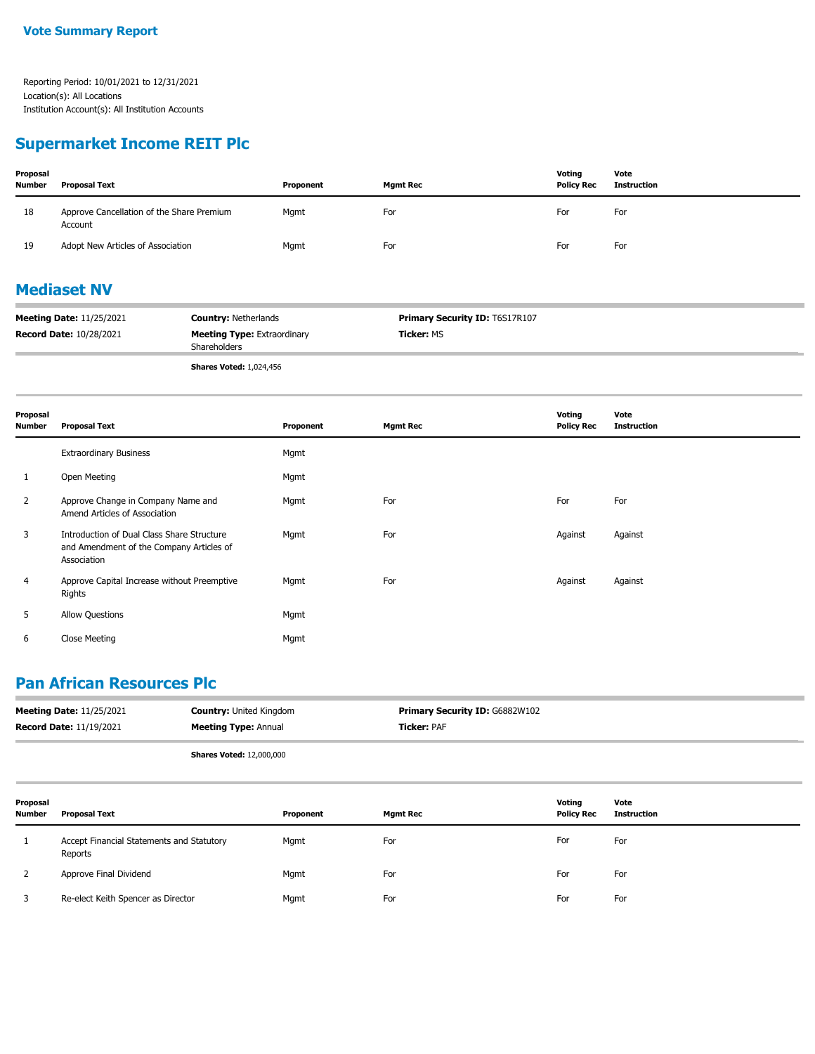#### **Supermarket Income REIT Plc**

| Proposal<br><b>Number</b> | Proposal Text                                        | Proponent | <b>Mgmt Rec</b> | Voting<br><b>Policy Rec</b> | Vote<br><b>Instruction</b> |
|---------------------------|------------------------------------------------------|-----------|-----------------|-----------------------------|----------------------------|
| 18                        | Approve Cancellation of the Share Premium<br>Account | Mgmt      | For             | For                         | For                        |
| 19                        | Adopt New Articles of Association                    | Mgmt      | For             | For                         | For                        |

### **Mediaset NV**

| <b>Meeting Date: 11/25/2021</b> | <b>Country: Netherlands</b>                        | <b>Primary Security ID: T6S17R107</b> |
|---------------------------------|----------------------------------------------------|---------------------------------------|
| <b>Record Date: 10/28/2021</b>  | <b>Meeting Type: Extraordinary</b><br>Shareholders | <b>Ticker: MS</b>                     |
|                                 |                                                    |                                       |

**Shares Voted:** 1,024,456

| Proposal<br><b>Number</b> | <b>Proposal Text</b>                                                                                  | Proponent | <b>Mgmt Rec</b> | Voting<br><b>Policy Rec</b> | Vote<br><b>Instruction</b> |
|---------------------------|-------------------------------------------------------------------------------------------------------|-----------|-----------------|-----------------------------|----------------------------|
|                           | <b>Extraordinary Business</b>                                                                         | Mgmt      |                 |                             |                            |
| 1                         | Open Meeting                                                                                          | Mgmt      |                 |                             |                            |
| 2                         | Approve Change in Company Name and<br>Amend Articles of Association                                   | Mgmt      | For             | For                         | For                        |
| 3                         | Introduction of Dual Class Share Structure<br>and Amendment of the Company Articles of<br>Association | Mgmt      | For             | Against                     | Against                    |
| 4                         | Approve Capital Increase without Preemptive<br>Rights                                                 | Mgmt      | For             | Against                     | Against                    |
| 5                         | <b>Allow Questions</b>                                                                                | Mgmt      |                 |                             |                            |
| 6                         | <b>Close Meeting</b>                                                                                  | Mgmt      |                 |                             |                            |

### **Pan African Resources Plc**

| <b>Meeting Date: 11/25/2021</b> | <b>Country: United Kingdom</b>  | <b>Primary Security ID: G6882W102</b> |
|---------------------------------|---------------------------------|---------------------------------------|
| <b>Record Date: 11/19/2021</b>  | <b>Meeting Type: Annual</b>     | <b>Ticker: PAF</b>                    |
|                                 | <b>Shares Voted: 12,000,000</b> |                                       |

| Proposal<br>Number | Proposal Text                                        | Proponent | <b>Mgmt Rec</b> | Voting<br><b>Policy Rec</b> | Vote<br><b>Instruction</b> |
|--------------------|------------------------------------------------------|-----------|-----------------|-----------------------------|----------------------------|
|                    | Accept Financial Statements and Statutory<br>Reports | Mgmt      | For             | For                         | For                        |
|                    | Approve Final Dividend                               | Mgmt      | For             | For                         | For                        |
|                    | Re-elect Keith Spencer as Director                   | Mgmt      | For             | For                         | For                        |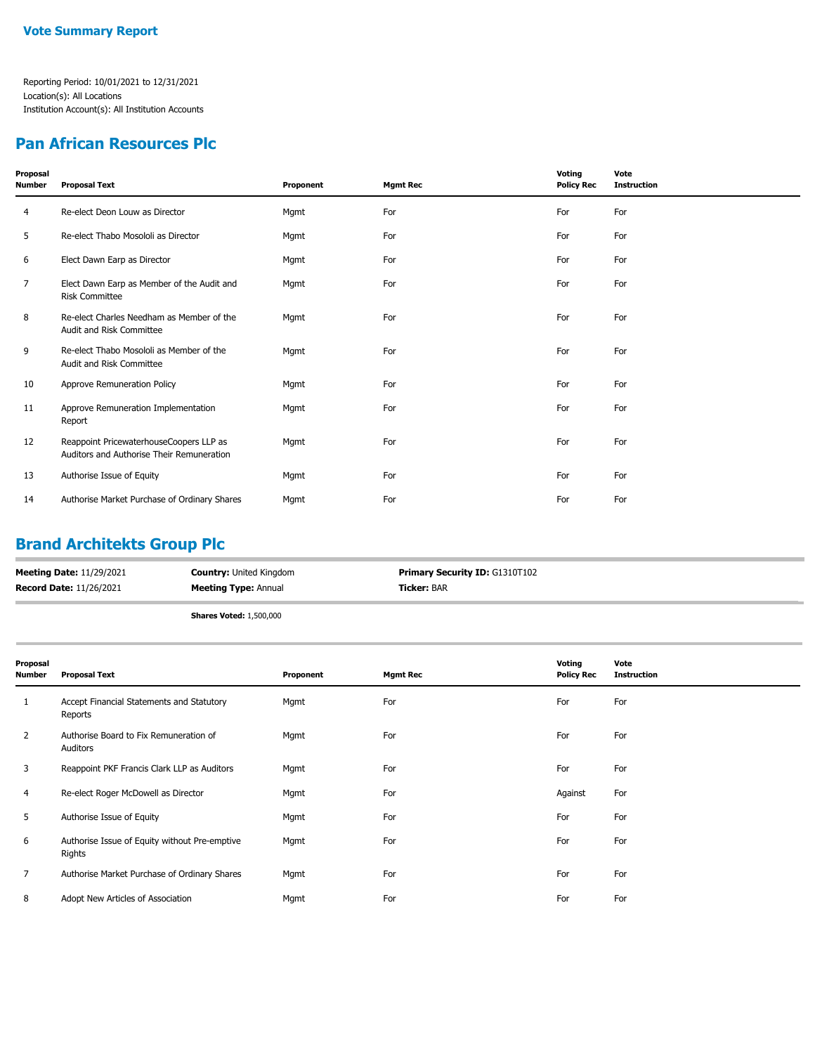#### **Pan African Resources Plc**

| <b>Proposal Text</b>                                                                 | Proponent | <b>Mgmt Rec</b> | Voting<br><b>Policy Rec</b> | Vote<br><b>Instruction</b> |
|--------------------------------------------------------------------------------------|-----------|-----------------|-----------------------------|----------------------------|
| Re-elect Deon Louw as Director                                                       | Mgmt      | For             | For                         | For                        |
| Re-elect Thabo Mosololi as Director                                                  | Mgmt      | For             | For                         | For                        |
| Elect Dawn Earp as Director                                                          | Mgmt      | For             | For                         | For                        |
| Elect Dawn Earp as Member of the Audit and<br><b>Risk Committee</b>                  | Mgmt      | For             | For                         | For                        |
| Re-elect Charles Needham as Member of the<br>Audit and Risk Committee                | Mgmt      | For             | For                         | For                        |
| Re-elect Thabo Mosololi as Member of the<br>Audit and Risk Committee                 | Mgmt      | For             | For                         | For                        |
| Approve Remuneration Policy                                                          | Mgmt      | For             | For                         | For                        |
| Approve Remuneration Implementation<br>Report                                        | Mgmt      | For             | For                         | For                        |
| Reappoint PricewaterhouseCoopers LLP as<br>Auditors and Authorise Their Remuneration | Mgmt      | For             | For                         | For                        |
| Authorise Issue of Equity                                                            | Mgmt      | For             | For                         | For                        |
| Authorise Market Purchase of Ordinary Shares                                         | Mgmt      | For             | For                         | For                        |
|                                                                                      |           |                 |                             |                            |

## **Brand Architekts Group Plc**

| <b>Meeting Date: 11/29/2021</b> | <b>Country:</b> United Kingdom | <b>Primary Security ID: G1310T102</b> |
|---------------------------------|--------------------------------|---------------------------------------|
| <b>Record Date: 11/26/2021</b>  | <b>Meeting Type: Annual</b>    | <b>Ticker:</b> BAR                    |

**Shares Voted:** 1,500,000

| Proposal<br>Number | <b>Proposal Text</b>                                    | Proponent | <b>Mgmt Rec</b> | Voting<br><b>Policy Rec</b> | Vote<br><b>Instruction</b> |
|--------------------|---------------------------------------------------------|-----------|-----------------|-----------------------------|----------------------------|
| $\mathbf{1}$       | Accept Financial Statements and Statutory<br>Reports    | Mgmt      | For             | For                         | For                        |
| $\overline{2}$     | Authorise Board to Fix Remuneration of<br>Auditors      | Mgmt      | For             | For                         | For                        |
| 3                  | Reappoint PKF Francis Clark LLP as Auditors             | Mgmt      | For             | For                         | For                        |
| 4                  | Re-elect Roger McDowell as Director                     | Mgmt      | For             | Against                     | For                        |
| 5                  | Authorise Issue of Equity                               | Mgmt      | For             | For                         | For                        |
| 6                  | Authorise Issue of Equity without Pre-emptive<br>Rights | Mgmt      | For             | For                         | For                        |
| 7                  | Authorise Market Purchase of Ordinary Shares            | Mgmt      | For             | For                         | For                        |
| 8                  | Adopt New Articles of Association                       | Mgmt      | For             | For                         | For                        |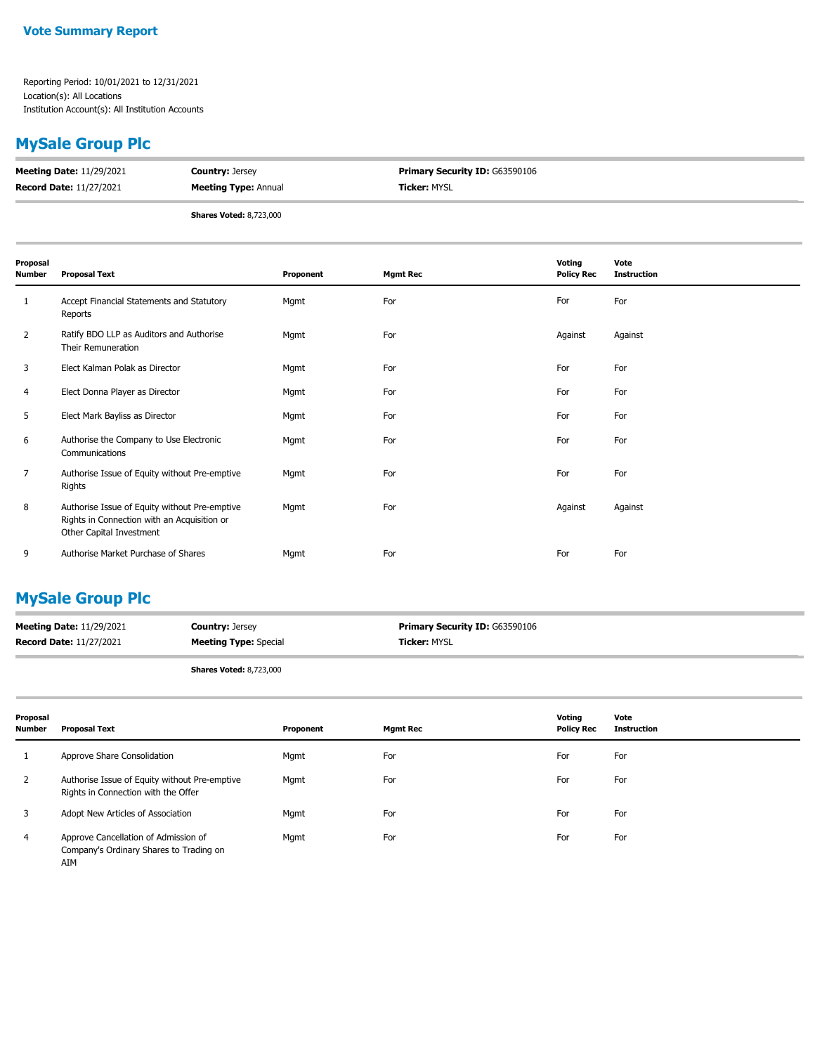## **MySale Group Plc**

| <b>Meeting Date: 11/29/2021</b> | <b>Country: Jersey</b>         | <b>Primary Security ID: G63590106</b> |
|---------------------------------|--------------------------------|---------------------------------------|
| <b>Record Date: 11/27/2021</b>  | <b>Meeting Type: Annual</b>    | <b>Ticker:</b> MYSL                   |
|                                 | <b>Shares Voted: 8,723,000</b> |                                       |

| Proposal<br>Number | <b>Proposal Text</b>                                                                                                     | Proponent | <b>Mgmt Rec</b> | Voting<br><b>Policy Rec</b> | Vote<br><b>Instruction</b> |
|--------------------|--------------------------------------------------------------------------------------------------------------------------|-----------|-----------------|-----------------------------|----------------------------|
| 1                  | Accept Financial Statements and Statutory<br>Reports                                                                     | Mgmt      | For             | For                         | For                        |
| $\overline{2}$     | Ratify BDO LLP as Auditors and Authorise<br>Their Remuneration                                                           | Mgmt      | For             | Against                     | Against                    |
| 3                  | Elect Kalman Polak as Director                                                                                           | Mgmt      | For             | For                         | For                        |
| 4                  | Elect Donna Player as Director                                                                                           | Mgmt      | For             | For                         | For                        |
| 5                  | Elect Mark Bayliss as Director                                                                                           | Mgmt      | For             | For                         | For                        |
| 6                  | Authorise the Company to Use Electronic<br>Communications                                                                | Mgmt      | For             | For                         | For                        |
| $\overline{7}$     | Authorise Issue of Equity without Pre-emptive<br>Rights                                                                  | Mgmt      | For             | For                         | For                        |
| 8                  | Authorise Issue of Equity without Pre-emptive<br>Rights in Connection with an Acquisition or<br>Other Capital Investment | Mgmt      | For             | Against                     | Against                    |
| 9                  | Authorise Market Purchase of Shares                                                                                      | Mgmt      | For             | For                         | For                        |

## **MySale Group Plc**

| <b>Meeting Date: 11/29/2021</b> | <b>Country: Jersey</b>       | <b>Primary Security ID: G63590106</b> |
|---------------------------------|------------------------------|---------------------------------------|
| <b>Record Date: 11/27/2021</b>  | <b>Meeting Type: Special</b> | <b>Ticker: MYSL</b>                   |
|                                 |                              |                                       |

**Shares Voted:** 8,723,000

| Proposal<br><b>Number</b> | Proposal Text                                                                          | Proponent | <b>Mgmt Rec</b> | Voting<br><b>Policy Rec</b> | Vote<br><b>Instruction</b> |
|---------------------------|----------------------------------------------------------------------------------------|-----------|-----------------|-----------------------------|----------------------------|
|                           | Approve Share Consolidation                                                            | Mgmt      | For             | For                         | For                        |
| 2                         | Authorise Issue of Equity without Pre-emptive<br>Rights in Connection with the Offer   | Mgmt      | For             | For                         | For                        |
|                           | Adopt New Articles of Association                                                      | Mgmt      | For             | For                         | For                        |
| 4                         | Approve Cancellation of Admission of<br>Company's Ordinary Shares to Trading on<br>AIM | Mgmt      | For             | For                         | For                        |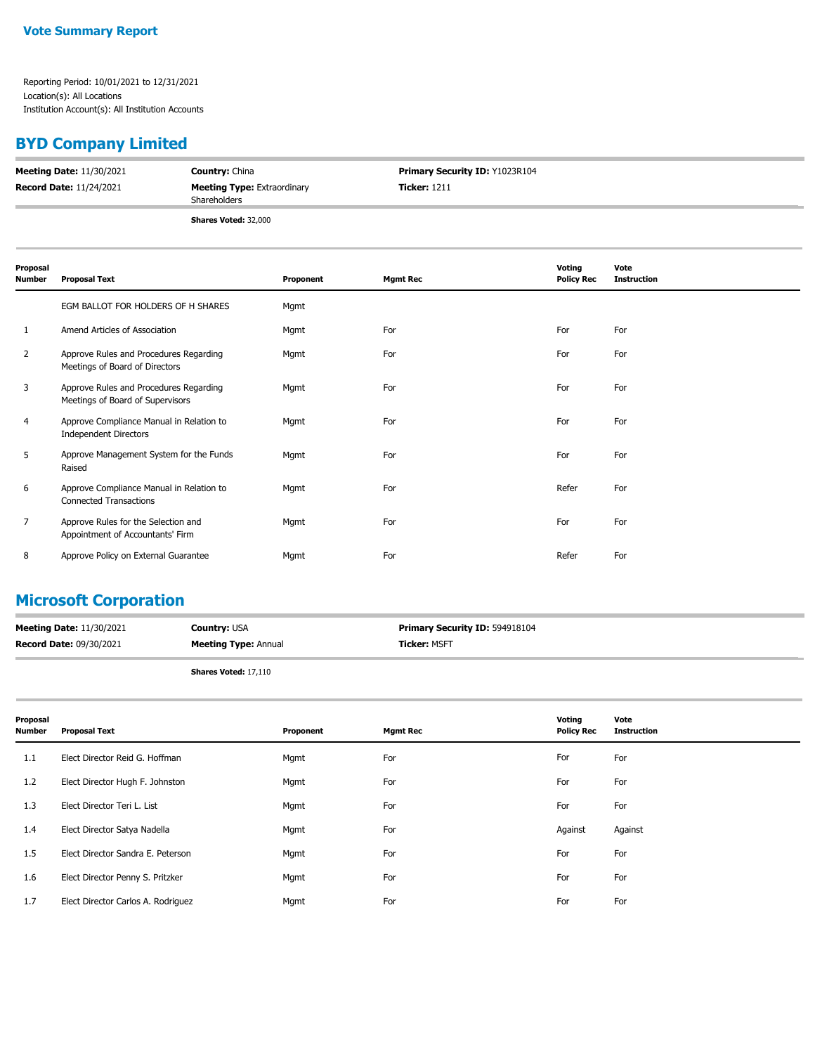## **BYD Company Limited**

| <b>Meeting Date: 11/30/2021</b> | <b>Country: China</b>                              | Primary Security ID: Y1023R104 |
|---------------------------------|----------------------------------------------------|--------------------------------|
| <b>Record Date: 11/24/2021</b>  | <b>Meeting Type: Extraordinary</b><br>Shareholders | <b>Ticker: 1211</b>            |
|                                 | Shares Voted: 32,000                               |                                |

| Proposal<br><b>Number</b> | <b>Proposal Text</b>                                                       | Proponent | <b>Mgmt Rec</b> | Voting<br><b>Policy Rec</b> | Vote<br><b>Instruction</b> |
|---------------------------|----------------------------------------------------------------------------|-----------|-----------------|-----------------------------|----------------------------|
|                           | EGM BALLOT FOR HOLDERS OF H SHARES                                         | Mgmt      |                 |                             |                            |
| 1                         | Amend Articles of Association                                              | Mgmt      | For             | For                         | For                        |
| 2                         | Approve Rules and Procedures Regarding<br>Meetings of Board of Directors   | Mgmt      | For             | For                         | For                        |
| 3                         | Approve Rules and Procedures Regarding<br>Meetings of Board of Supervisors | Mgmt      | For             | For                         | For                        |
| 4                         | Approve Compliance Manual in Relation to<br><b>Independent Directors</b>   | Mgmt      | For             | For                         | For                        |
| 5                         | Approve Management System for the Funds<br>Raised                          | Mgmt      | For             | For                         | For                        |
| 6                         | Approve Compliance Manual in Relation to<br><b>Connected Transactions</b>  | Mgmt      | For             | Refer                       | For                        |
| 7                         | Approve Rules for the Selection and<br>Appointment of Accountants' Firm    | Mgmt      | For             | For                         | For                        |
| 8                         | Approve Policy on External Guarantee                                       | Mgmt      | For             | Refer                       | For                        |

## **Microsoft Corporation**

| <b>Meeting Date: 11/30/2021</b> | <b>Country: USA</b>         | <b>Primary Security ID: 594918104</b> |
|---------------------------------|-----------------------------|---------------------------------------|
| <b>Record Date: 09/30/2021</b>  | <b>Meeting Type: Annual</b> | <b>Ticker: MSFT</b>                   |
|                                 |                             |                                       |

**Shares Voted:** 17,110

| Proposal<br><b>Number</b> | <b>Proposal Text</b>               | Proponent | Mgmt Rec | Voting<br><b>Policy Rec</b> | Vote<br><b>Instruction</b> |
|---------------------------|------------------------------------|-----------|----------|-----------------------------|----------------------------|
| 1.1                       | Elect Director Reid G. Hoffman     | Mgmt      | For      | For                         | For                        |
| 1.2                       | Elect Director Hugh F. Johnston    | Mgmt      | For      | For                         | For                        |
| 1.3                       | Elect Director Teri L. List        | Mgmt      | For      | For                         | For                        |
| 1.4                       | Elect Director Satya Nadella       | Mgmt      | For      | Against                     | Against                    |
| 1.5                       | Elect Director Sandra E. Peterson  | Mgmt      | For      | For                         | For                        |
| 1.6                       | Elect Director Penny S. Pritzker   | Mgmt      | For      | For                         | For                        |
| 1.7                       | Elect Director Carlos A. Rodriguez | Mgmt      | For      | For                         | For                        |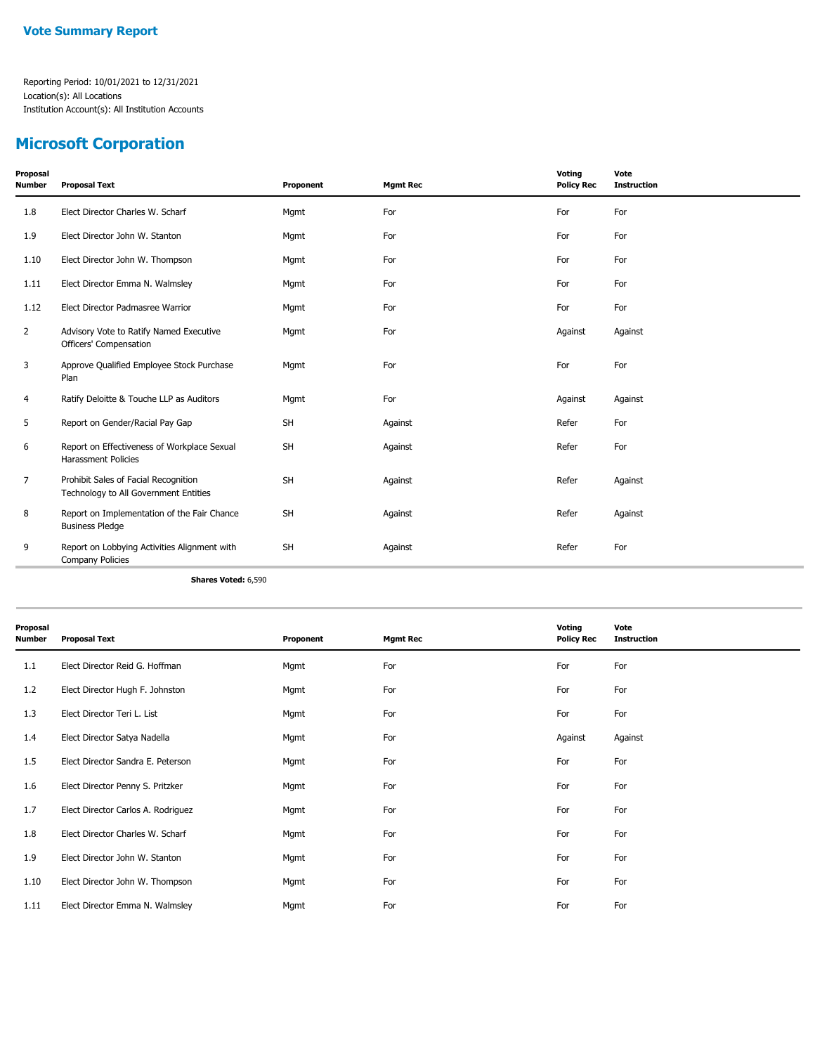## **Microsoft Corporation**

| Proposal<br><b>Number</b> | <b>Proposal Text</b>                                                          | Proponent | <b>Mgmt Rec</b> | Voting<br><b>Policy Rec</b> | Vote<br><b>Instruction</b> |
|---------------------------|-------------------------------------------------------------------------------|-----------|-----------------|-----------------------------|----------------------------|
| 1.8                       | Elect Director Charles W. Scharf                                              | Mgmt      | For             | For                         | For                        |
| 1.9                       | Elect Director John W. Stanton                                                | Mgmt      | For             | For                         | For                        |
| 1.10                      | Elect Director John W. Thompson                                               | Mgmt      | For             | For                         | For                        |
| 1.11                      | Elect Director Emma N. Walmsley                                               | Mgmt      | For             | For                         | For                        |
| 1.12                      | Elect Director Padmasree Warrior                                              | Mgmt      | For             | For                         | For                        |
| $\overline{2}$            | Advisory Vote to Ratify Named Executive<br>Officers' Compensation             | Mgmt      | For             | Against                     | Against                    |
| 3                         | Approve Qualified Employee Stock Purchase<br>Plan                             | Mgmt      | For             | For                         | For                        |
| 4                         | Ratify Deloitte & Touche LLP as Auditors                                      | Mgmt      | For             | Against                     | Against                    |
| 5                         | Report on Gender/Racial Pay Gap                                               | <b>SH</b> | Against         | Refer                       | For                        |
| 6                         | Report on Effectiveness of Workplace Sexual<br><b>Harassment Policies</b>     | <b>SH</b> | Against         | Refer                       | For                        |
| 7                         | Prohibit Sales of Facial Recognition<br>Technology to All Government Entities | <b>SH</b> | Against         | Refer                       | Against                    |
| 8                         | Report on Implementation of the Fair Chance<br><b>Business Pledge</b>         | <b>SH</b> | Against         | Refer                       | Against                    |
| 9                         | Report on Lobbying Activities Alignment with<br><b>Company Policies</b>       | <b>SH</b> | Against         | Refer                       | For                        |

**Shares Voted:** 6,590

| Proposal<br>Number | <b>Proposal Text</b>               | Proponent | <b>Mgmt Rec</b> | Voting<br><b>Policy Rec</b> | Vote<br><b>Instruction</b> |
|--------------------|------------------------------------|-----------|-----------------|-----------------------------|----------------------------|
| 1.1                | Elect Director Reid G. Hoffman     | Mgmt      | For             | For                         | For                        |
| 1.2                | Elect Director Hugh F. Johnston    | Mgmt      | For             | For                         | For                        |
| 1.3                | Elect Director Teri L. List        | Mgmt      | For             | For                         | For                        |
| 1.4                | Elect Director Satya Nadella       | Mgmt      | For             | Against                     | Against                    |
| 1.5                | Elect Director Sandra E. Peterson  | Mgmt      | For             | For                         | For                        |
| 1.6                | Elect Director Penny S. Pritzker   | Mgmt      | For             | For                         | For                        |
| 1.7                | Elect Director Carlos A. Rodriguez | Mgmt      | For             | For                         | For                        |
| 1.8                | Elect Director Charles W. Scharf   | Mgmt      | For             | For                         | For                        |
| 1.9                | Elect Director John W. Stanton     | Mgmt      | For             | For                         | For                        |
| 1.10               | Elect Director John W. Thompson    | Mgmt      | For             | For                         | For                        |
| 1.11               | Elect Director Emma N. Walmsley    | Mgmt      | For             | For                         | For                        |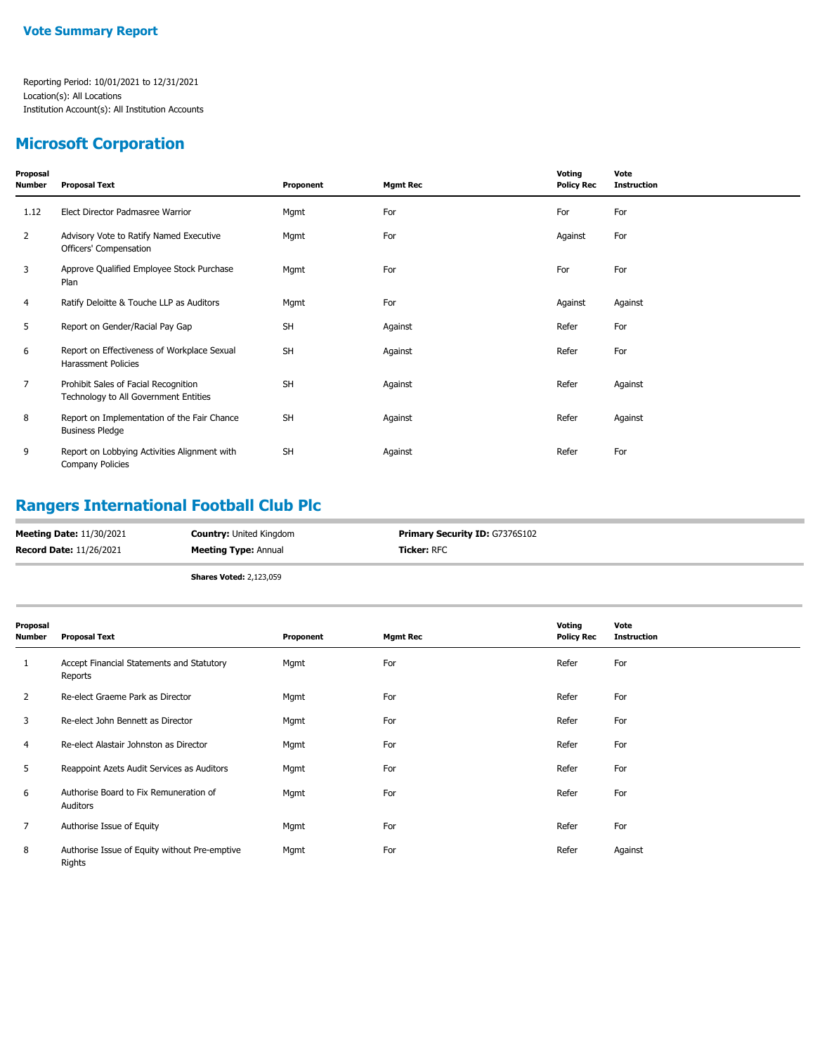#### **Microsoft Corporation**

| Proposal<br><b>Number</b> | <b>Proposal Text</b>                                                          | Proponent | <b>Mgmt Rec</b> | Voting<br><b>Policy Rec</b> | Vote<br><b>Instruction</b> |
|---------------------------|-------------------------------------------------------------------------------|-----------|-----------------|-----------------------------|----------------------------|
| 1.12                      | Elect Director Padmasree Warrior                                              | Mgmt      | For             | For                         | For                        |
| 2                         | Advisory Vote to Ratify Named Executive<br>Officers' Compensation             | Mgmt      | For             | Against                     | For                        |
| 3                         | Approve Qualified Employee Stock Purchase<br>Plan                             | Mgmt      | For             | For                         | For                        |
| 4                         | Ratify Deloitte & Touche LLP as Auditors                                      | Mgmt      | For             | Against                     | Against                    |
| 5                         | Report on Gender/Racial Pay Gap                                               | <b>SH</b> | Against         | Refer                       | For                        |
| 6                         | Report on Effectiveness of Workplace Sexual<br>Harassment Policies            | <b>SH</b> | Against         | Refer                       | For                        |
| $\overline{7}$            | Prohibit Sales of Facial Recognition<br>Technology to All Government Entities | <b>SH</b> | Against         | Refer                       | Against                    |
| 8                         | Report on Implementation of the Fair Chance<br><b>Business Pledge</b>         | <b>SH</b> | Against         | Refer                       | Against                    |
| 9                         | Report on Lobbying Activities Alignment with<br>Company Policies              | <b>SH</b> | Against         | Refer                       | For                        |

### **Rangers International Football Club Plc**

| <b>Record Date: 11/26/2021</b><br>Ticker: RFC<br><b>Meeting Type: Annual</b> | <b>Meeting Date: 11/30/2021</b> | <b>Country: United Kingdom</b> | <b>Primary Security ID: G7376S102</b> |
|------------------------------------------------------------------------------|---------------------------------|--------------------------------|---------------------------------------|
|                                                                              |                                 |                                |                                       |

**Shares Voted:** 2,123,059

| Proposal<br>Number | <b>Proposal Text</b>                                    | Proponent | <b>Mgmt Rec</b> | Voting<br><b>Policy Rec</b> | Vote<br><b>Instruction</b> |
|--------------------|---------------------------------------------------------|-----------|-----------------|-----------------------------|----------------------------|
| 1                  | Accept Financial Statements and Statutory<br>Reports    | Mgmt      | For             | Refer                       | For                        |
| $\overline{2}$     | Re-elect Graeme Park as Director                        | Mgmt      | For             | Refer                       | For                        |
| 3                  | Re-elect John Bennett as Director                       | Mgmt      | For             | Refer                       | For                        |
| 4                  | Re-elect Alastair Johnston as Director                  | Mgmt      | For             | Refer                       | For                        |
| 5                  | Reappoint Azets Audit Services as Auditors              | Mgmt      | For             | Refer                       | For                        |
| 6                  | Authorise Board to Fix Remuneration of<br>Auditors      | Mgmt      | For             | Refer                       | For                        |
| 7                  | Authorise Issue of Equity                               | Mgmt      | For             | Refer                       | For                        |
| 8                  | Authorise Issue of Equity without Pre-emptive<br>Rights | Mgmt      | For             | Refer                       | Against                    |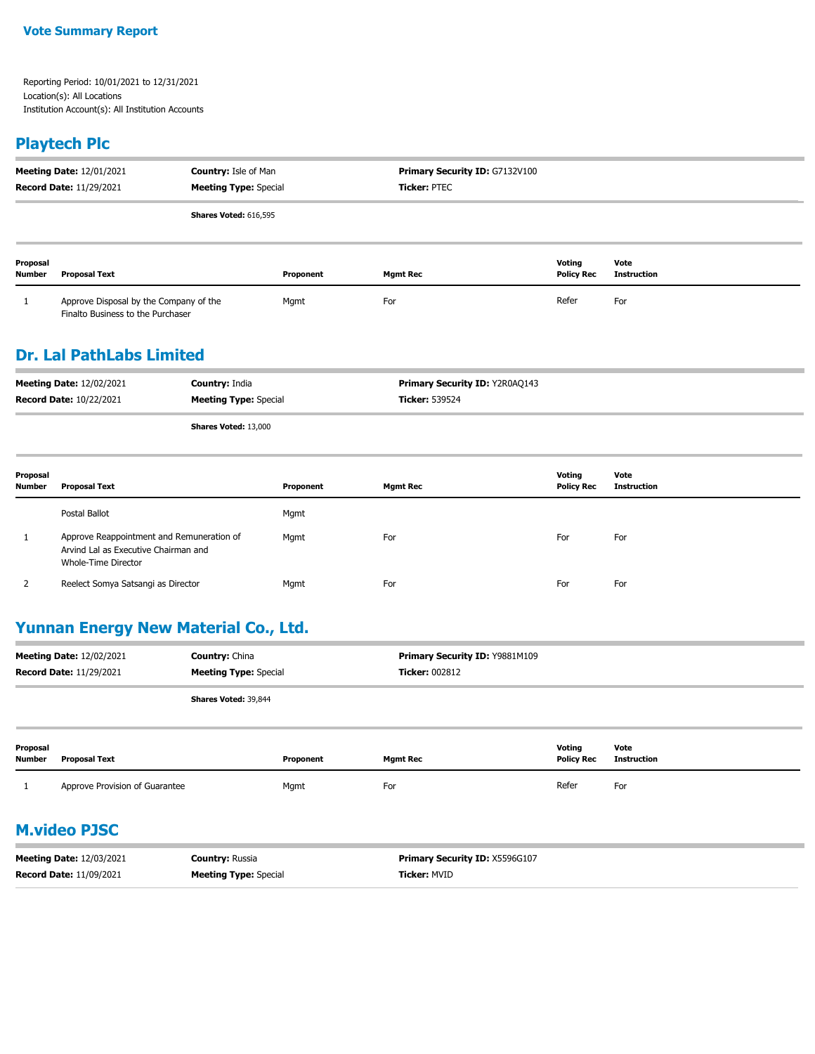### **Playtech Plc**

|                           | <b>Meeting Date: 12/01/2021</b><br><b>Record Date: 11/29/2021</b>           | <b>Country: Isle of Man</b><br><b>Meeting Type: Special</b> |           | Primary Security ID: G7132V100<br><b>Ticker: PTEC</b> |                             |                     |
|---------------------------|-----------------------------------------------------------------------------|-------------------------------------------------------------|-----------|-------------------------------------------------------|-----------------------------|---------------------|
|                           |                                                                             | <b>Shares Voted: 616,595</b>                                |           |                                                       |                             |                     |
| Proposal<br><b>Number</b> | Proposal Text                                                               |                                                             | Proponent | <b>Mgmt Rec</b>                                       | Voting<br><b>Policy Rec</b> | Vote<br>Instruction |
|                           | Approve Disposal by the Company of the<br>Finalto Business to the Purchaser |                                                             | Mgmt      | For                                                   | Refer                       | For                 |

### **Dr. Lal PathLabs Limited**

| <b>Meeting Date: 12/02/2021</b><br><b>Record Date: 10/22/2021</b> | <b>Country: India</b><br><b>Meeting Type: Special</b> | <b>Primary Security ID: Y2R0AQ143</b><br><b>Ticker: 539524</b> |
|-------------------------------------------------------------------|-------------------------------------------------------|----------------------------------------------------------------|
|                                                                   | <b>Shares Voted: 13,000</b>                           |                                                                |
|                                                                   |                                                       |                                                                |

| Proposal<br><b>Number</b> | <b>Proposal Text</b>                                                                                     | Proponent | <b>Mgmt Rec</b> | Voting<br><b>Policy Rec</b> | Vote<br>Instruction |
|---------------------------|----------------------------------------------------------------------------------------------------------|-----------|-----------------|-----------------------------|---------------------|
|                           | Postal Ballot                                                                                            | Mgmt      |                 |                             |                     |
| <u>д.</u>                 | Approve Reappointment and Remuneration of<br>Arvind Lal as Executive Chairman and<br>Whole-Time Director | Mgmt      | For             | For                         | For                 |
|                           | Reelect Somya Satsangi as Director                                                                       | Mgmt      | For             | For                         | For                 |

### **Yunnan Energy New Material Co., Ltd.**

| <b>Meeting Date: 12/02/2021</b><br><b>Record Date: 11/29/2021</b> | <b>Country: China</b><br><b>Meeting Type: Special</b> | Primary Security ID: Y9881M109<br><b>Ticker: 002812</b> |
|-------------------------------------------------------------------|-------------------------------------------------------|---------------------------------------------------------|
|                                                                   | Shares Voted: 39,844                                  |                                                         |
|                                                                   |                                                       |                                                         |

| Proposal<br><b>Number</b> | Proposal Text                  | Proponent | Mamt Rec | Voting<br><b>Policy Rec</b> | Vote<br>Instruction |
|---------------------------|--------------------------------|-----------|----------|-----------------------------|---------------------|
|                           | Approve Provision of Guarantee | Mgmt      | For      | Refer                       | For                 |

## **M.video PJSC**

| <b>Meeting Date: 12/03/2021</b> | <b>Countrv:</b> Russia       | <b>Primary Security ID: X5596G107</b> |
|---------------------------------|------------------------------|---------------------------------------|
| <b>Record Date: 11/09/2021</b>  | <b>Meeting Type: Special</b> | <b>Ticker: MVID</b>                   |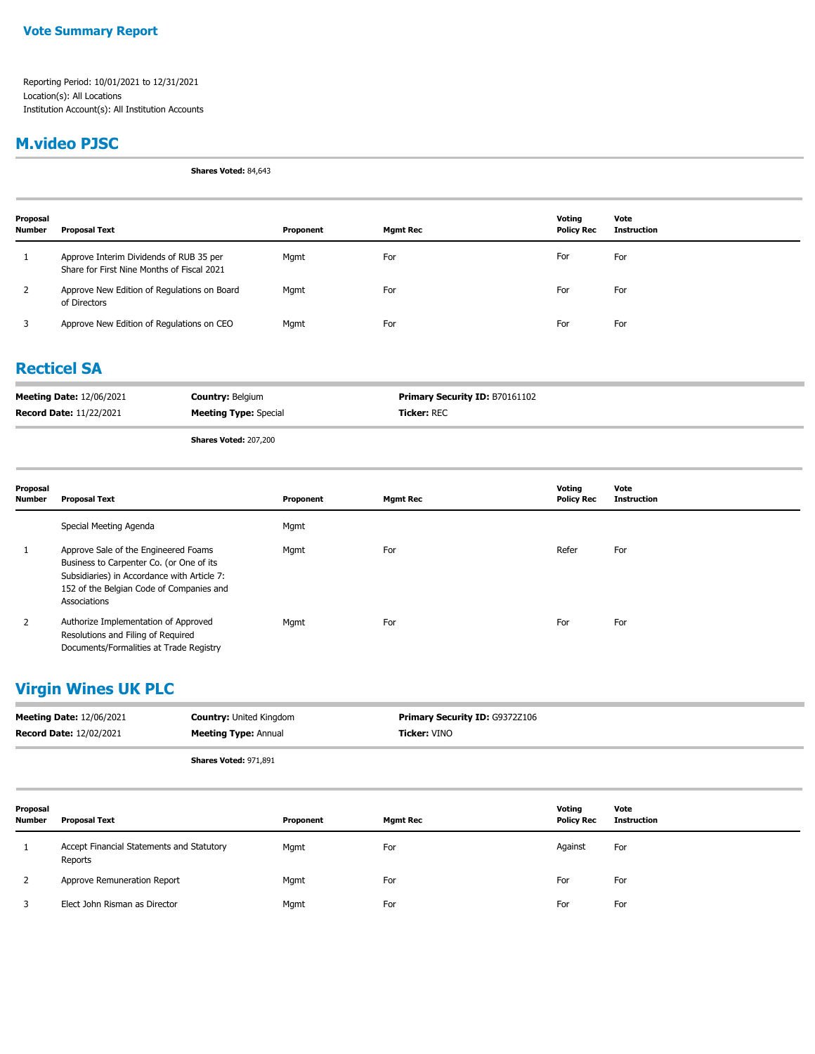#### **M.video PJSC**

**Shares Voted:** 84,643

| Proposal<br><b>Number</b> | Proposal Text                                                                         | Proponent | <b>Mgmt Rec</b> | Votina<br><b>Policy Rec</b> | Vote<br>Instruction |
|---------------------------|---------------------------------------------------------------------------------------|-----------|-----------------|-----------------------------|---------------------|
|                           | Approve Interim Dividends of RUB 35 per<br>Share for First Nine Months of Fiscal 2021 | Mgmt      | For             | For                         | For                 |
| 2                         | Approve New Edition of Regulations on Board<br>of Directors                           | Mgmt      | For             | For                         | For                 |
| 3                         | Approve New Edition of Regulations on CEO                                             | Mgmt      | For             | For                         | For                 |

#### **Recticel SA**

| <b>Meeting Date: 12/06/2021</b> | <b>Country: Belgium</b>      | <b>Primary Security ID: B70161102</b> |
|---------------------------------|------------------------------|---------------------------------------|
| <b>Record Date: 11/22/2021</b>  | <b>Meeting Type: Special</b> | <b>Ticker:</b> REC                    |

**Shares Voted:** 207,200

| Proposal<br><b>Number</b> | <b>Proposal Text</b>                                                                                                                                                                        | Proponent | <b>Mgmt Rec</b> | Voting<br><b>Policy Rec</b> | Vote<br><b>Instruction</b> |
|---------------------------|---------------------------------------------------------------------------------------------------------------------------------------------------------------------------------------------|-----------|-----------------|-----------------------------|----------------------------|
|                           | Special Meeting Agenda                                                                                                                                                                      | Mgmt      |                 |                             |                            |
|                           | Approve Sale of the Engineered Foams<br>Business to Carpenter Co. (or One of its<br>Subsidiaries) in Accordance with Article 7:<br>152 of the Belgian Code of Companies and<br>Associations | Mgmt      | For             | Refer                       | For                        |
| 2                         | Authorize Implementation of Approved<br>Resolutions and Filing of Required<br>Documents/Formalities at Trade Registry                                                                       | Mgmt      | For             | For                         | For                        |

### **Virgin Wines UK PLC**

| <b>Meeting Date: 12/06/2021</b> | <b>Country: United Kingdom</b> | <b>Primary Security ID: G9372Z106</b> |
|---------------------------------|--------------------------------|---------------------------------------|
| <b>Record Date: 12/02/2021</b>  | <b>Meeting Type: Annual</b>    | <b>Ticker: VINO</b>                   |
|                                 | Chause Matadi 071,001          |                                       |

**Shares Voted:** 971,891

| Proposal<br>Number | Proposal Text                                        | Proponent | <b>Mgmt Rec</b> | Voting<br><b>Policy Rec</b> | Vote<br><b>Instruction</b> |
|--------------------|------------------------------------------------------|-----------|-----------------|-----------------------------|----------------------------|
| 1                  | Accept Financial Statements and Statutory<br>Reports | Mgmt      | For             | Against                     | For                        |
| 2                  | Approve Remuneration Report                          | Mgmt      | For             | For                         | For                        |
|                    | Elect John Risman as Director                        | Mgmt      | For             | For                         | For                        |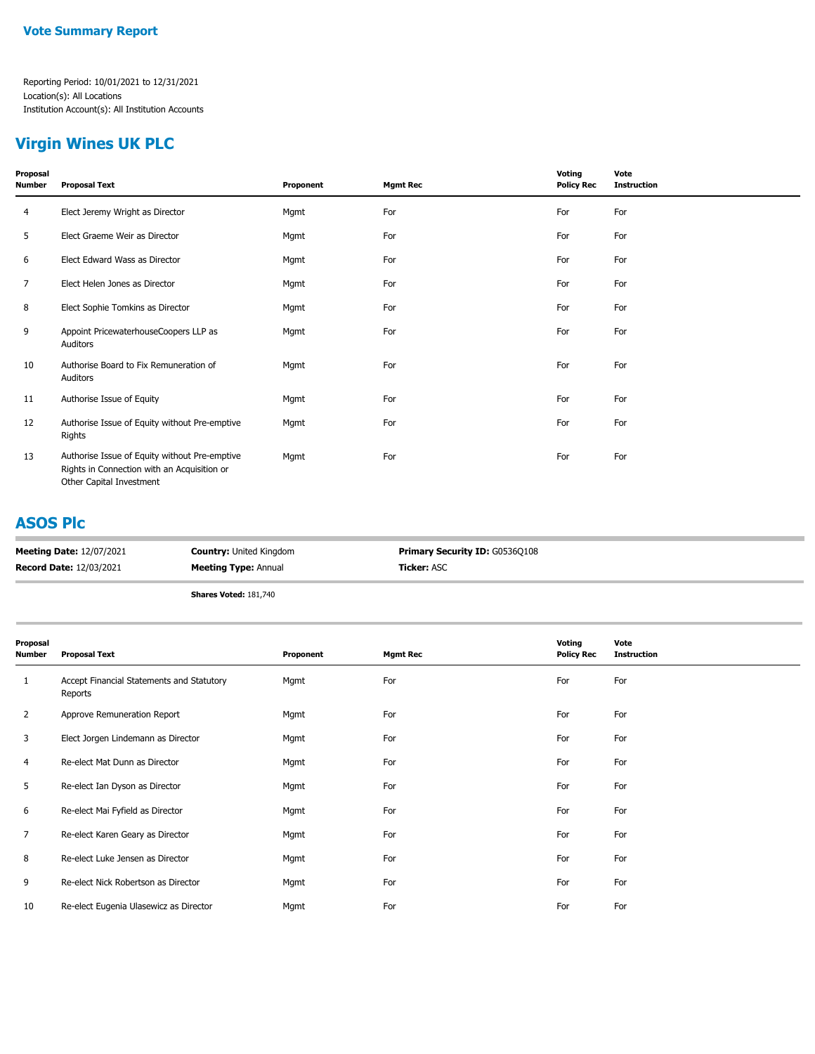## **Virgin Wines UK PLC**

| Proposal<br>Number | <b>Proposal Text</b>                                                                                                     | Proponent | <b>Mgmt Rec</b> | Voting<br><b>Policy Rec</b> | Vote<br><b>Instruction</b> |
|--------------------|--------------------------------------------------------------------------------------------------------------------------|-----------|-----------------|-----------------------------|----------------------------|
| 4                  | Elect Jeremy Wright as Director                                                                                          | Mgmt      | For             | For                         | For                        |
| 5                  | Elect Graeme Weir as Director                                                                                            | Mgmt      | For             | For                         | For                        |
| 6                  | Elect Edward Wass as Director                                                                                            | Mgmt      | For             | For                         | For                        |
| 7                  | Elect Helen Jones as Director                                                                                            | Mgmt      | For             | For                         | For                        |
| 8                  | Elect Sophie Tomkins as Director                                                                                         | Mgmt      | For             | For                         | For                        |
| 9                  | Appoint PricewaterhouseCoopers LLP as<br>Auditors                                                                        | Mgmt      | For             | For                         | For                        |
| 10                 | Authorise Board to Fix Remuneration of<br>Auditors                                                                       | Mgmt      | For             | For                         | For                        |
| 11                 | Authorise Issue of Equity                                                                                                | Mgmt      | For             | For                         | For                        |
| 12                 | Authorise Issue of Equity without Pre-emptive<br>Rights                                                                  | Mgmt      | For             | For                         | For                        |
| 13                 | Authorise Issue of Equity without Pre-emptive<br>Rights in Connection with an Acquisition or<br>Other Capital Investment | Mgmt      | For             | For                         | For                        |

#### **ASOS Plc**

| <b>Meeting Date: 12/07/2021</b> | <b>Country: United Kingdom</b> | <b>Primary Security ID: G0536Q108</b> |
|---------------------------------|--------------------------------|---------------------------------------|
| <b>Record Date: 12/03/2021</b>  | <b>Meeting Type: Annual</b>    | <b>Ticker: ASC</b>                    |
|                                 |                                |                                       |

**Shares Voted:** 181,740

| Proposal<br>Number | <b>Proposal Text</b>                                 | Proponent | <b>Mgmt Rec</b> | Voting<br><b>Policy Rec</b> | Vote<br><b>Instruction</b> |
|--------------------|------------------------------------------------------|-----------|-----------------|-----------------------------|----------------------------|
| 1                  | Accept Financial Statements and Statutory<br>Reports | Mgmt      | For             | For                         | For                        |
| $\overline{2}$     | Approve Remuneration Report                          | Mgmt      | For             | For                         | For                        |
| 3                  | Elect Jorgen Lindemann as Director                   | Mgmt      | For             | For                         | For                        |
| 4                  | Re-elect Mat Dunn as Director                        | Mgmt      | For             | For                         | For                        |
| 5                  | Re-elect Ian Dyson as Director                       | Mgmt      | For             | For                         | For                        |
| 6                  | Re-elect Mai Fyfield as Director                     | Mgmt      | For             | For                         | For                        |
| $\overline{7}$     | Re-elect Karen Geary as Director                     | Mgmt      | For             | For                         | For                        |
| 8                  | Re-elect Luke Jensen as Director                     | Mgmt      | For             | For                         | For                        |
| 9                  | Re-elect Nick Robertson as Director                  | Mgmt      | For             | For                         | For                        |
| 10                 | Re-elect Eugenia Ulasewicz as Director               | Mgmt      | For             | For                         | For                        |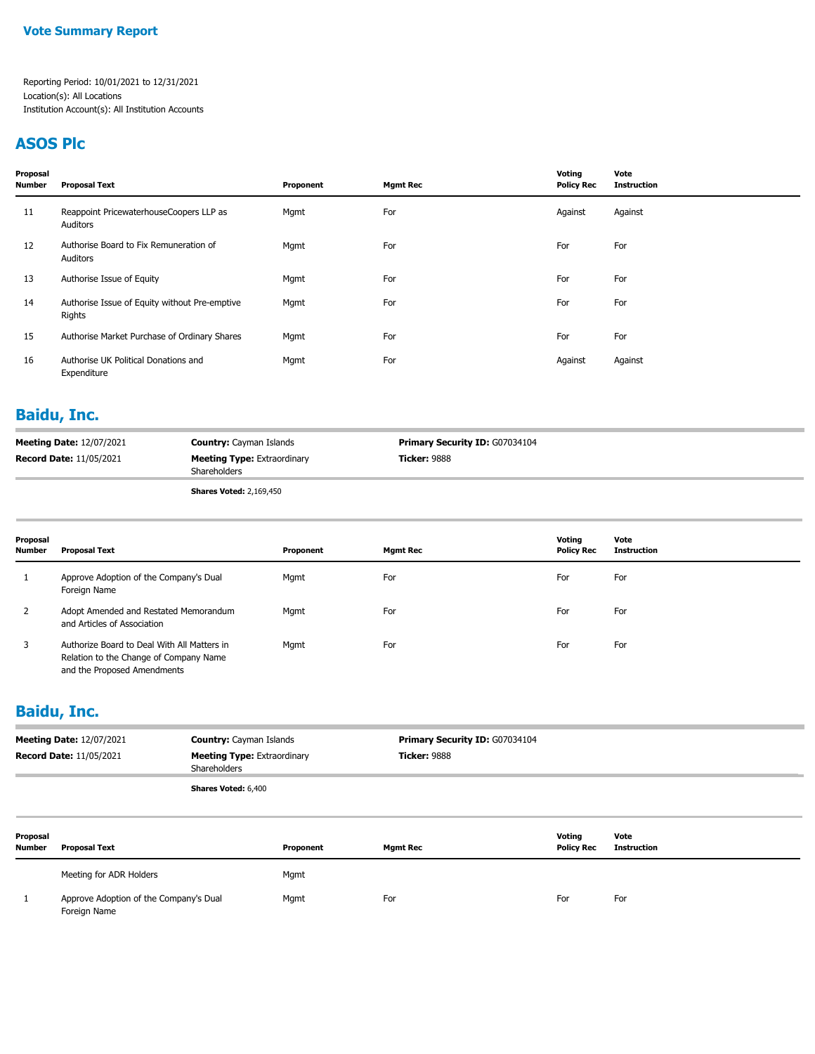#### **ASOS Plc**

| Proposal<br><b>Number</b> | <b>Proposal Text</b>                                    | Proponent | <b>Mgmt Rec</b> | Voting<br><b>Policy Rec</b> | Vote<br><b>Instruction</b> |
|---------------------------|---------------------------------------------------------|-----------|-----------------|-----------------------------|----------------------------|
| 11                        | Reappoint PricewaterhouseCoopers LLP as<br>Auditors     | Mgmt      | For             | Against                     | Against                    |
| 12                        | Authorise Board to Fix Remuneration of<br>Auditors      | Mgmt      | For             | For                         | For                        |
| 13                        | Authorise Issue of Equity                               | Mgmt      | For             | For                         | For                        |
| 14                        | Authorise Issue of Equity without Pre-emptive<br>Rights | Mgmt      | For             | For                         | For                        |
| 15                        | Authorise Market Purchase of Ordinary Shares            | Mgmt      | For             | For                         | For                        |
| 16                        | Authorise UK Political Donations and<br>Expenditure     | Mgmt      | For             | Against                     | Against                    |

#### **Baidu, Inc.**

| <b>Meeting Date: 12/07/2021</b> | <b>Country:</b> Cayman Islands                     | <b>Primary Security ID: G07034104</b> |
|---------------------------------|----------------------------------------------------|---------------------------------------|
| <b>Record Date: 11/05/2021</b>  | <b>Meeting Type: Extraordinary</b><br>Shareholders | <b>Ticker:</b> 9888                   |
|                                 | <b>Shares Voted: 2,169,450</b>                     |                                       |

| Proposal<br><b>Number</b> | <b>Proposal Text</b>                                                                                                 | Proponent | <b>Mgmt Rec</b> | Voting<br><b>Policy Rec</b> | Vote<br><b>Instruction</b> |
|---------------------------|----------------------------------------------------------------------------------------------------------------------|-----------|-----------------|-----------------------------|----------------------------|
|                           | Approve Adoption of the Company's Dual<br>Foreign Name                                                               | Mgmt      | For             | For                         | For                        |
|                           | Adopt Amended and Restated Memorandum<br>and Articles of Association                                                 | Mgmt      | For             | For                         | For                        |
|                           | Authorize Board to Deal With All Matters in<br>Relation to the Change of Company Name<br>and the Proposed Amendments | Mgmt      | For             | For                         | For                        |

### **Baidu, Inc.**

|                           | <b>Meeting Date: 12/07/2021</b><br><b>Record Date: 11/05/2021</b> | <b>Country: Cayman Islands</b><br><b>Meeting Type: Extraordinary</b><br>Shareholders |           | Primary Security ID: G07034104<br><b>Ticker: 9888</b> |                             |                            |  |
|---------------------------|-------------------------------------------------------------------|--------------------------------------------------------------------------------------|-----------|-------------------------------------------------------|-----------------------------|----------------------------|--|
|                           |                                                                   | Shares Voted: 6,400                                                                  |           |                                                       |                             |                            |  |
| Proposal<br><b>Number</b> | <b>Proposal Text</b>                                              |                                                                                      | Proponent | <b>Mgmt Rec</b>                                       | Votina<br><b>Policy Rec</b> | Vote<br><b>Instruction</b> |  |

| Meeting for ADR Holders                                | Mgmt |     |     |     |
|--------------------------------------------------------|------|-----|-----|-----|
| Approve Adoption of the Company's Dual<br>Foreign Name | Mgmt | For | For | For |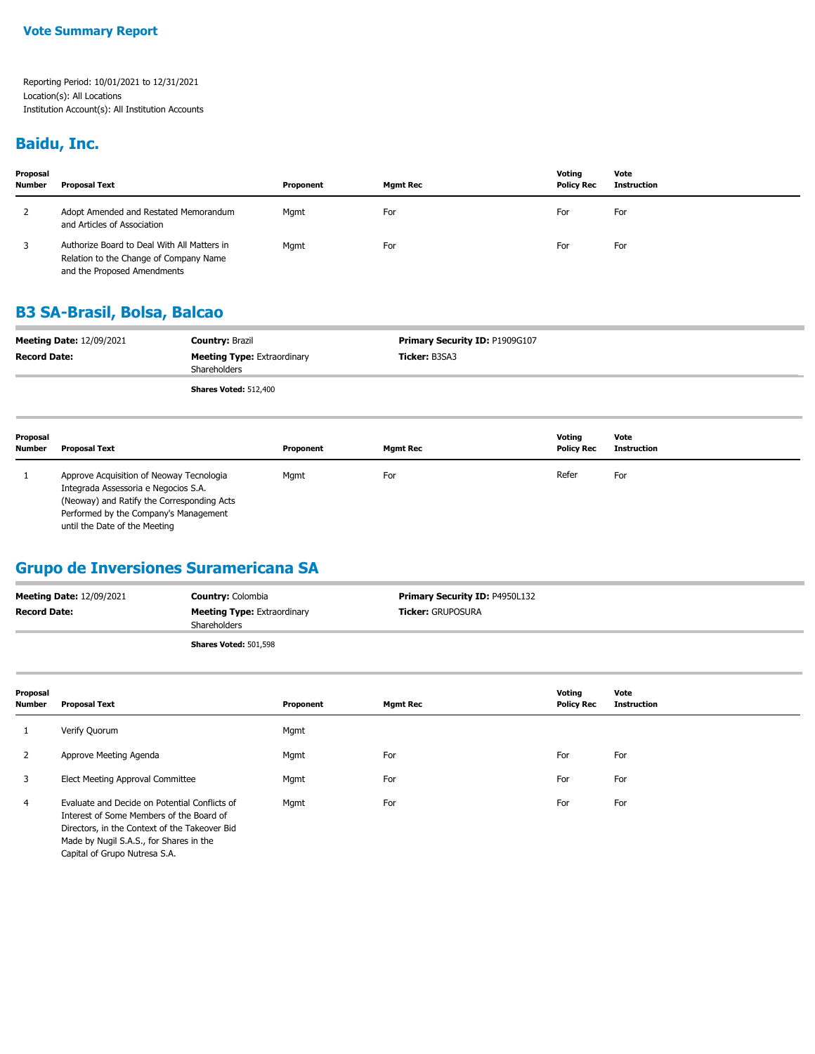#### **Baidu, Inc.**

| Proposal<br><b>Number</b> | <b>Proposal Text</b>                                                                                                 | Proponent | <b>Mgmt Rec</b> | Votina<br><b>Policy Rec</b> | Vote<br>Instruction |
|---------------------------|----------------------------------------------------------------------------------------------------------------------|-----------|-----------------|-----------------------------|---------------------|
| 2                         | Adopt Amended and Restated Memorandum<br>and Articles of Association                                                 | Mgmt      | For             | For                         | For                 |
|                           | Authorize Board to Deal With All Matters in<br>Relation to the Change of Company Name<br>and the Proposed Amendments | Mgmt      | For             | For                         | For                 |

### **B3 SA-Brasil, Bolsa, Balcao**

|                     | <b>Meeting Date: 12/09/2021</b> | <b>Country: Brazil</b>                             | Primary Security ID: P1909G107 |                             |                            |
|---------------------|---------------------------------|----------------------------------------------------|--------------------------------|-----------------------------|----------------------------|
| <b>Record Date:</b> |                                 | <b>Meeting Type: Extraordinary</b><br>Shareholders | Ticker: B3SA3                  |                             |                            |
|                     |                                 | Shares Voted: 512,400                              |                                |                             |                            |
| Proposal<br>Number  | <b>Proposal Text</b>            | Proponent                                          | <b>Mgmt Rec</b>                | Votina<br><b>Policy Rec</b> | Vote<br><b>Instruction</b> |
|                     |                                 |                                                    |                                |                             |                            |

 1 Approve Acquisition of Neoway Tecnologia Integrada Assessoria e Negocios S.A. (Neoway) and Ratify the Corresponding Acts Performed by the Company's Management until the Date of the Meeting Mgmt For Refer For

### **Grupo de Inversiones Suramericana SA**

| <b>Meeting Date: 12/09/2021</b> | <b>Country: Colombia</b>                           | <b>Primary Security ID: P4950L132</b> |
|---------------------------------|----------------------------------------------------|---------------------------------------|
| <b>Record Date:</b>             | <b>Meeting Type: Extraordinary</b><br>Shareholders | <b>Ticker: GRUPOSURA</b>              |
|                                 | Shares Voted: 501,598                              |                                       |

| Proposal<br><b>Number</b> | <b>Proposal Text</b>                                                                                                                                                                                                   | Proponent | <b>Mgmt Rec</b> | Voting<br><b>Policy Rec</b> | Vote<br><b>Instruction</b> |
|---------------------------|------------------------------------------------------------------------------------------------------------------------------------------------------------------------------------------------------------------------|-----------|-----------------|-----------------------------|----------------------------|
| 1                         | Verify Quorum                                                                                                                                                                                                          | Mgmt      |                 |                             |                            |
| 2                         | Approve Meeting Agenda                                                                                                                                                                                                 | Mgmt      | For             | For                         | For                        |
| 3                         | Elect Meeting Approval Committee                                                                                                                                                                                       | Mgmt      | For             | For                         | For                        |
| 4                         | Evaluate and Decide on Potential Conflicts of<br>Interest of Some Members of the Board of<br>Directors, in the Context of the Takeover Bid<br>Made by Nugil S.A.S., for Shares in the<br>Capital of Grupo Nutresa S.A. | Mgmt      | For             | For                         | For                        |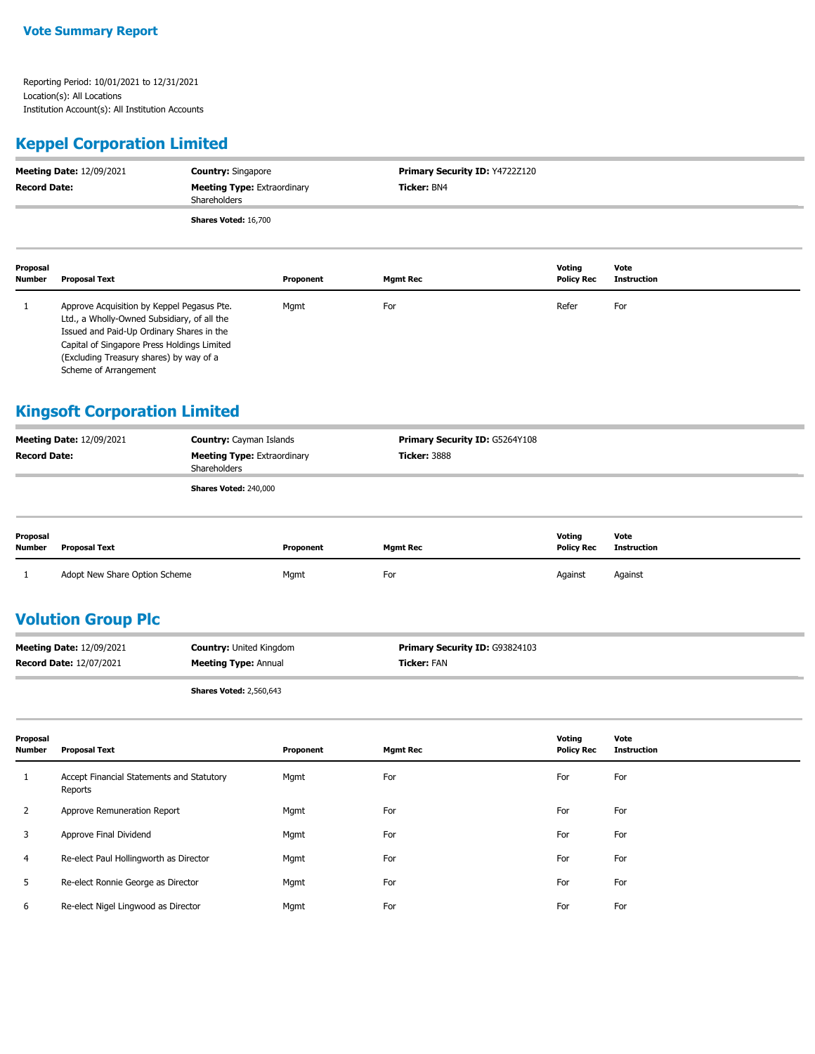### **Keppel Corporation Limited**

| <b>Meeting Date: 12/09/2021</b><br><b>Record Date:</b> |                                                                                                                                        | <b>Country: Singapore</b><br><b>Meeting Type: Extraordinary</b><br>Shareholders |           | Primary Security ID: Y4722Z120<br>Ticker: BN4 |                             |                            |  |
|--------------------------------------------------------|----------------------------------------------------------------------------------------------------------------------------------------|---------------------------------------------------------------------------------|-----------|-----------------------------------------------|-----------------------------|----------------------------|--|
|                                                        |                                                                                                                                        | Shares Voted: 16,700                                                            |           |                                               |                             |                            |  |
| Proposal<br>Number                                     | <b>Proposal Text</b>                                                                                                                   |                                                                                 | Proponent | <b>Mgmt Rec</b>                               | Voting<br><b>Policy Rec</b> | Vote<br><b>Instruction</b> |  |
|                                                        | Approve Acquisition by Keppel Pegasus Pte.<br>Ltd., a Wholly-Owned Subsidiary, of all the<br>Issued and Paid-Up Ordinary Shares in the |                                                                                 | Mgmt      | For                                           | Refer                       | For                        |  |

Capital of Singapore Press Holdings Limited (Excluding Treasury shares) by way of a Scheme of Arrangement

### **Kingsoft Corporation Limited**

| <b>Meeting Date: 12/09/2021</b> | <b>Country:</b> Cayman Islands                     | <b>Primary Security ID: G5264Y108</b> |
|---------------------------------|----------------------------------------------------|---------------------------------------|
| <b>Record Date:</b>             | <b>Meeting Type: Extraordinary</b><br>Shareholders | <b>Ticker: 3888</b>                   |
|                                 | Shares Voted: 240,000                              |                                       |

| Proposal<br>Number | Proposal Text                 | Proponent | Mamt Rec | Voting<br><b>Policy Rec</b> | Vote<br>Instruction |
|--------------------|-------------------------------|-----------|----------|-----------------------------|---------------------|
|                    | Adopt New Share Option Scheme | Mgmt      | For      | Against                     | Against             |

### **Volution Group Plc**

| <b>Meeting Date: 12/09/2021</b> | <b>Country:</b> United Kingdom | <b>Primary Security ID: G93824103</b> |
|---------------------------------|--------------------------------|---------------------------------------|
| <b>Record Date: 12/07/2021</b>  | <b>Meeting Type: Annual</b>    | Ticker: FAN                           |
|                                 |                                |                                       |

**Shares Voted:** 2,560,643

| Proposal<br><b>Number</b> | <b>Proposal Text</b>                                 | Proponent | <b>Mgmt Rec</b> | Voting<br><b>Policy Rec</b> | Vote<br><b>Instruction</b> |
|---------------------------|------------------------------------------------------|-----------|-----------------|-----------------------------|----------------------------|
|                           | Accept Financial Statements and Statutory<br>Reports | Mgmt      | For             | For                         | For                        |
| 2                         | Approve Remuneration Report                          | Mgmt      | For             | For                         | For                        |
| 3                         | Approve Final Dividend                               | Mgmt      | For             | For                         | For                        |
| 4                         | Re-elect Paul Hollingworth as Director               | Mgmt      | For             | For                         | For                        |
| 5                         | Re-elect Ronnie George as Director                   | Mgmt      | For             | For                         | For                        |
| 6                         | Re-elect Nigel Lingwood as Director                  | Mgmt      | For             | For                         | For                        |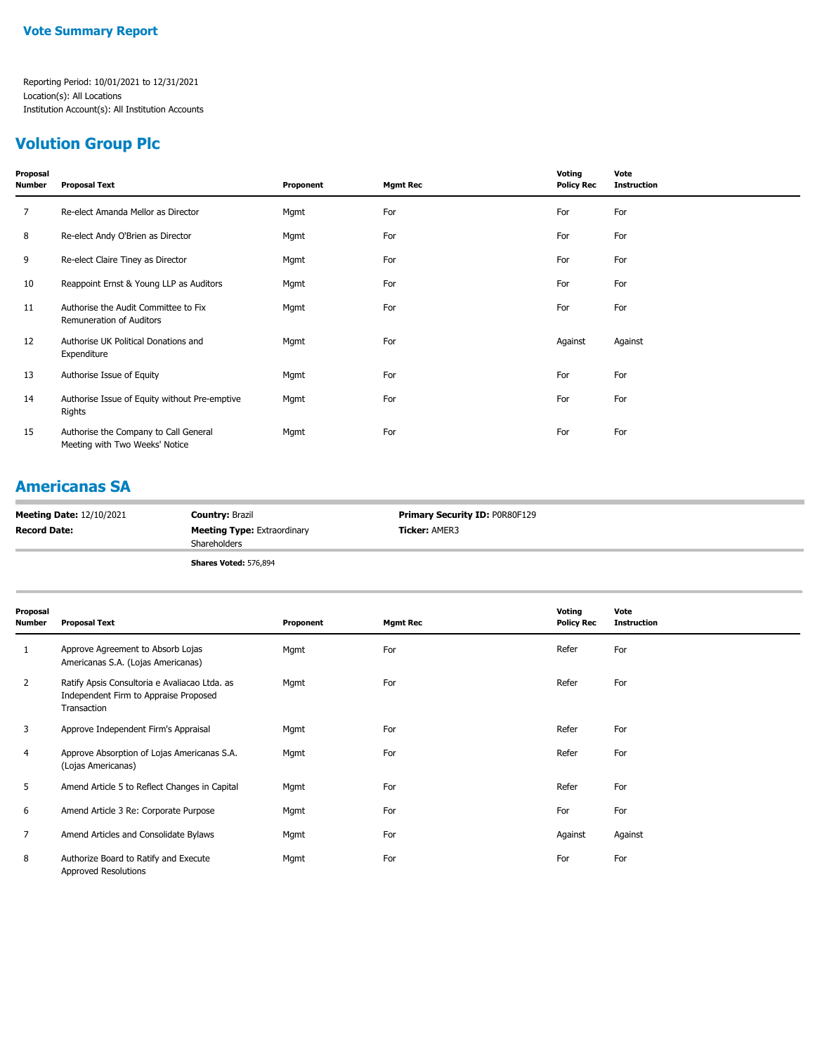# **Volution Group Plc**

| Proposal<br>Number | <b>Proposal Text</b>                                                    | Proponent | <b>Mgmt Rec</b> | Voting<br><b>Policy Rec</b> | Vote<br><b>Instruction</b> |
|--------------------|-------------------------------------------------------------------------|-----------|-----------------|-----------------------------|----------------------------|
| 7                  | Re-elect Amanda Mellor as Director                                      | Mgmt      | For             | For                         | For                        |
| 8                  | Re-elect Andy O'Brien as Director                                       | Mgmt      | For             | For                         | For                        |
| 9                  | Re-elect Claire Tiney as Director                                       | Mgmt      | For             | For                         | For                        |
| 10                 | Reappoint Ernst & Young LLP as Auditors                                 | Mgmt      | For             | For                         | For                        |
| 11                 | Authorise the Audit Committee to Fix<br>Remuneration of Auditors        | Mgmt      | For             | For                         | For                        |
| 12                 | Authorise UK Political Donations and<br>Expenditure                     | Mgmt      | For             | Against                     | Against                    |
| 13                 | Authorise Issue of Equity                                               | Mgmt      | For             | For                         | For                        |
| 14                 | Authorise Issue of Equity without Pre-emptive<br>Rights                 | Mgmt      | For             | For                         | For                        |
| 15                 | Authorise the Company to Call General<br>Meeting with Two Weeks' Notice | Mgmt      | For             | For                         | For                        |
|                    |                                                                         |           |                 |                             |                            |

### **Americanas SA**

| <b>Meeting Date: 12/10/2021</b> | <b>Country: Brazil</b>                             | <b>Primary Security ID: POR80F129</b> |
|---------------------------------|----------------------------------------------------|---------------------------------------|
| <b>Record Date:</b>             | <b>Meeting Type: Extraordinary</b><br>Shareholders | <b>Ticker: AMER3</b>                  |
|                                 | Shares Voted: 576,894                              |                                       |

| Proposal<br><b>Number</b> | <b>Proposal Text</b>                                                                                  | Proponent | <b>Mgmt Rec</b> | Voting<br><b>Policy Rec</b> | Vote<br><b>Instruction</b> |
|---------------------------|-------------------------------------------------------------------------------------------------------|-----------|-----------------|-----------------------------|----------------------------|
|                           | Approve Agreement to Absorb Lojas<br>Americanas S.A. (Lojas Americanas)                               | Mgmt      | For             | Refer                       | For                        |
| $\overline{2}$            | Ratify Apsis Consultoria e Avaliacao Ltda. as<br>Independent Firm to Appraise Proposed<br>Transaction | Mgmt      | For             | Refer                       | For                        |
| 3                         | Approve Independent Firm's Appraisal                                                                  | Mgmt      | For             | Refer                       | For                        |
| 4                         | Approve Absorption of Lojas Americanas S.A.<br>(Lojas Americanas)                                     | Mgmt      | For             | Refer                       | For                        |
| 5                         | Amend Article 5 to Reflect Changes in Capital                                                         | Mgmt      | For             | Refer                       | For                        |
| 6                         | Amend Article 3 Re: Corporate Purpose                                                                 | Mgmt      | For             | For                         | For                        |
| 7                         | Amend Articles and Consolidate Bylaws                                                                 | Mgmt      | For             | Against                     | Against                    |
| 8                         | Authorize Board to Ratify and Execute<br>Approved Resolutions                                         | Mgmt      | For             | For                         | For                        |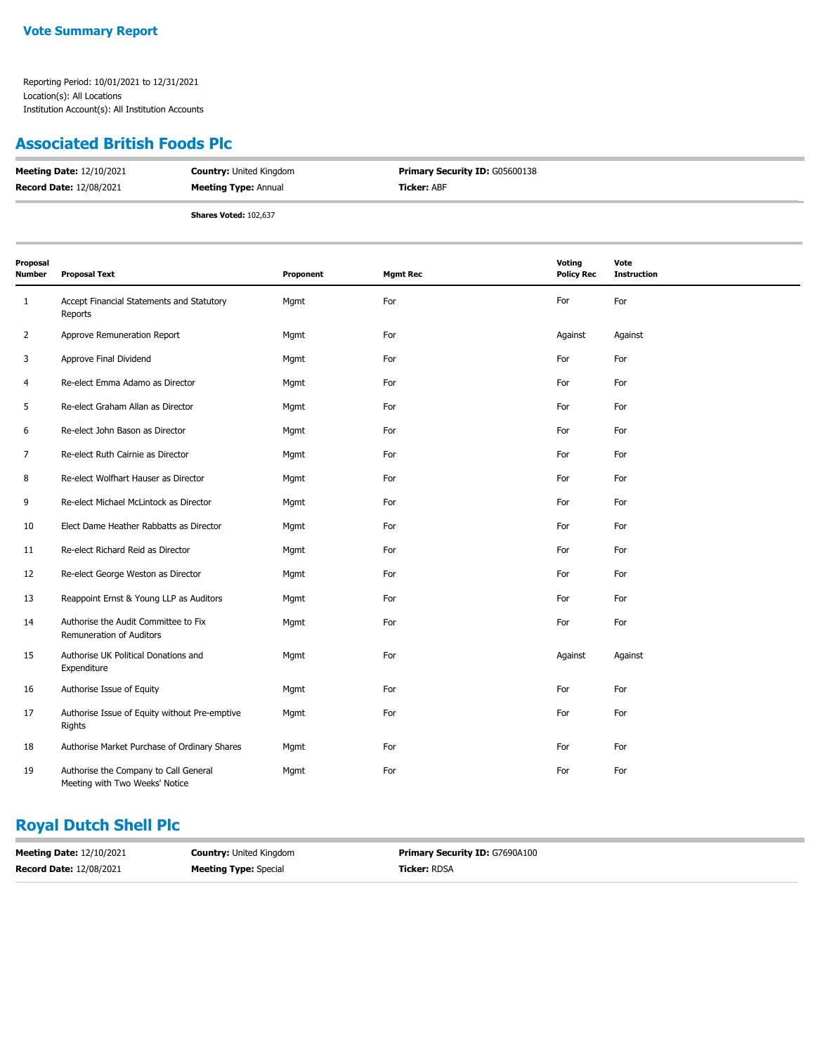#### **Associated British Foods Plc**

| <b>Meeting Date: 12/10/2021</b> | <b>Country: United Kingdom</b> | <b>Primary Security ID: G05600138</b> |
|---------------------------------|--------------------------------|---------------------------------------|
| <b>Record Date: 12/08/2021</b>  | <b>Meeting Type: Annual</b>    | <b>Ticker: ABF</b>                    |
|                                 | <b>Shares Voted: 102,637</b>   |                                       |

| Proposal<br>Number | <b>Proposal Text</b>                                                    | Proponent | <b>Mgmt Rec</b> | Voting<br><b>Policy Rec</b> | Vote<br><b>Instruction</b> |
|--------------------|-------------------------------------------------------------------------|-----------|-----------------|-----------------------------|----------------------------|
| 1                  | Accept Financial Statements and Statutory<br>Reports                    | Mgmt      | For             | For                         | For                        |
| 2                  | Approve Remuneration Report                                             | Mgmt      | For             | Against                     | Against                    |
| 3                  | Approve Final Dividend                                                  | Mgmt      | For             | For                         | For                        |
| 4                  | Re-elect Emma Adamo as Director                                         | Mgmt      | For             | For                         | For                        |
| 5                  | Re-elect Graham Allan as Director                                       | Mgmt      | For             | For                         | For                        |
| 6                  | Re-elect John Bason as Director                                         | Mgmt      | For             | For                         | For                        |
| 7                  | Re-elect Ruth Cairnie as Director                                       | Mgmt      | For             | For                         | For                        |
| 8                  | Re-elect Wolfhart Hauser as Director                                    | Mgmt      | For             | For                         | For                        |
| 9                  | Re-elect Michael McLintock as Director                                  | Mgmt      | For             | For                         | For                        |
| 10                 | Elect Dame Heather Rabbatts as Director                                 | Mgmt      | For             | For                         | For                        |
| 11                 | Re-elect Richard Reid as Director                                       | Mgmt      | For             | For                         | For                        |
| 12                 | Re-elect George Weston as Director                                      | Mgmt      | For             | For                         | For                        |
| 13                 | Reappoint Ernst & Young LLP as Auditors                                 | Mgmt      | For             | For                         | For                        |
| 14                 | Authorise the Audit Committee to Fix<br>Remuneration of Auditors        | Mgmt      | For             | For                         | For                        |
| 15                 | Authorise UK Political Donations and<br>Expenditure                     | Mgmt      | For             | Against                     | Against                    |
| 16                 | Authorise Issue of Equity                                               | Mgmt      | For             | For                         | For                        |
| 17                 | Authorise Issue of Equity without Pre-emptive<br>Rights                 | Mgmt      | For             | For                         | For                        |
| 18                 | Authorise Market Purchase of Ordinary Shares                            | Mgmt      | For             | For                         | For                        |
| 19                 | Authorise the Company to Call General<br>Meeting with Two Weeks' Notice | Mgmt      | For             | For                         | For                        |

## **Royal Dutch Shell Plc**

| <b>Meeting Date: 12/10/2021</b> | <b>Country: United Kingdom</b> | <b>Primary Security ID: G7690A100</b> |
|---------------------------------|--------------------------------|---------------------------------------|
| <b>Record Date: 12/08/2021</b>  | <b>Meeting Type:</b> Special   | <b>Ticker: RDSA</b>                   |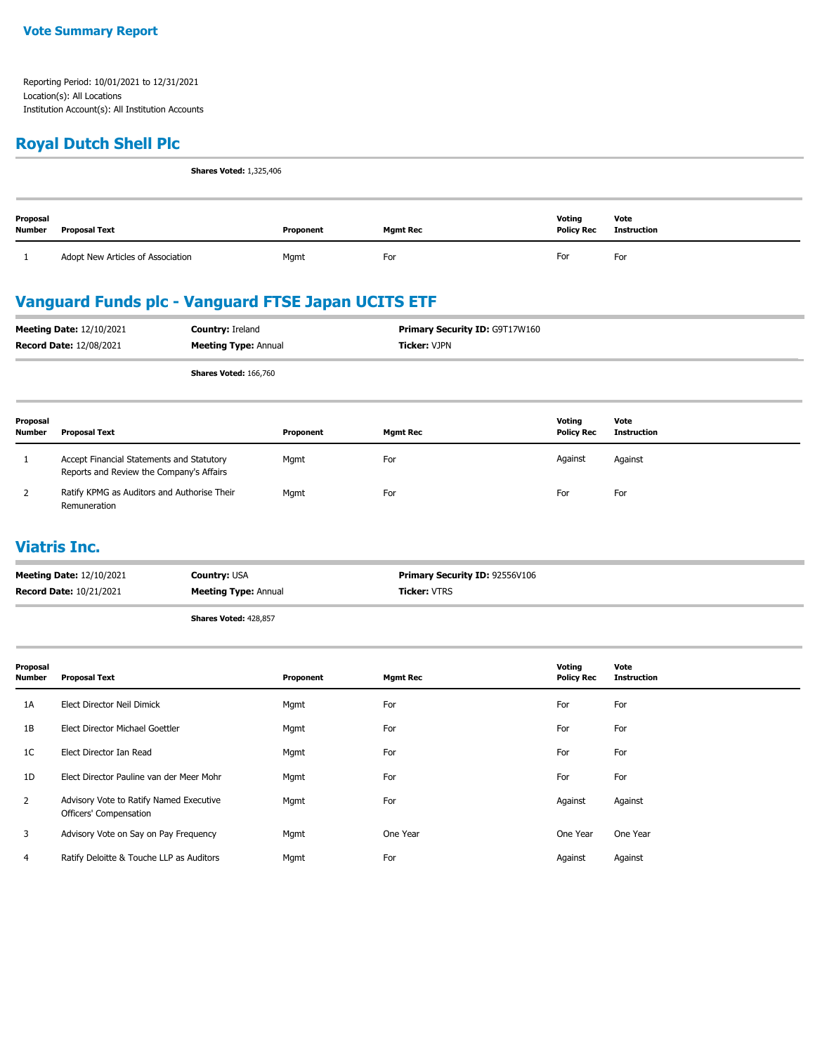### **Royal Dutch Shell Plc**

**Shares Voted:** 1,325,406

| Proposal<br><b>Number</b> | <b>Proposal Text</b>              | Proponent | Mgmt Rec | Voting<br><b>Policy Rec</b> | Vote<br>Instruction |
|---------------------------|-----------------------------------|-----------|----------|-----------------------------|---------------------|
|                           | Adopt New Articles of Association | Mgmt      | For      | For                         | For                 |

## **Vanguard Funds plc - Vanguard FTSE Japan UCITS ETF**

| <b>Meeting Date: 12/10/2021</b><br><b>Record Date: 12/08/2021</b> |                                                                                       | Country: Ireland<br><b>Meeting Type: Annual</b> |           | Primary Security ID: G9T17W160<br><b>Ticker: VJPN</b> |                 |                             |                            |
|-------------------------------------------------------------------|---------------------------------------------------------------------------------------|-------------------------------------------------|-----------|-------------------------------------------------------|-----------------|-----------------------------|----------------------------|
|                                                                   |                                                                                       | Shares Voted: 166,760                           |           |                                                       |                 |                             |                            |
| Proposal<br><b>Number</b>                                         | <b>Proposal Text</b>                                                                  |                                                 | Proponent |                                                       | <b>Mgmt Rec</b> | Voting<br><b>Policy Rec</b> | Vote<br><b>Instruction</b> |
|                                                                   | Accept Financial Statements and Statutory<br>Reports and Review the Company's Affairs |                                                 | Mgmt      | For                                                   |                 | Against                     | Against                    |
|                                                                   | Ratify KPMG as Auditors and Authorise Their<br>Remuneration                           |                                                 | Mgmt      | For                                                   |                 | For                         | For                        |

#### **Viatris Inc.**

| <b>Record Date: 10/21/2021</b>  | <b>Meeting Type: Annual</b> | <b>Ticker:</b> VTRS            |
|---------------------------------|-----------------------------|--------------------------------|
| <b>Meeting Date: 12/10/2021</b> | <b>Country: USA</b>         | Primary Security ID: 92556V106 |

**Shares Voted:** 428,857

| Proposal<br>Number | <b>Proposal Text</b>                                              | Proponent | <b>Mgmt Rec</b> | Voting<br><b>Policy Rec</b> | Vote<br><b>Instruction</b> |
|--------------------|-------------------------------------------------------------------|-----------|-----------------|-----------------------------|----------------------------|
| 1A                 | Elect Director Neil Dimick                                        | Mgmt      | For             | For                         | For                        |
| 1B                 | Elect Director Michael Goettler                                   | Mgmt      | For             | For                         | For                        |
| 1C                 | Elect Director Ian Read                                           | Mgmt      | For             | For                         | For                        |
| 1D                 | Elect Director Pauline van der Meer Mohr                          | Mgmt      | For             | For                         | For                        |
| 2                  | Advisory Vote to Ratify Named Executive<br>Officers' Compensation | Mgmt      | For             | Against                     | Against                    |
| 3                  | Advisory Vote on Say on Pay Frequency                             | Mgmt      | One Year        | One Year                    | One Year                   |
| 4                  | Ratify Deloitte & Touche LLP as Auditors                          | Mgmt      | For             | Against                     | Against                    |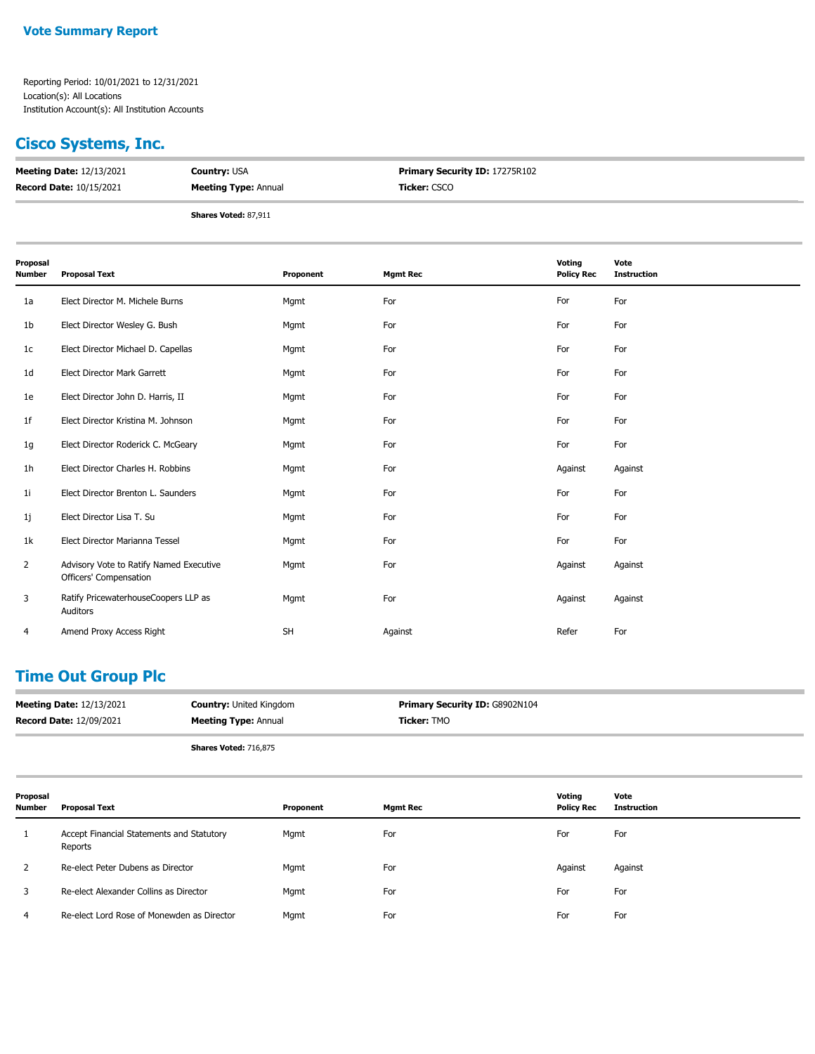#### **Cisco Systems, Inc.**

| <b>Meeting Date: 12/13/2021</b> | <b>Country: USA</b>         | <b>Primary Security ID: 17275R102</b> |
|---------------------------------|-----------------------------|---------------------------------------|
| <b>Record Date: 10/15/2021</b>  | <b>Meeting Type: Annual</b> | <b>Ticker: CSCO</b>                   |
|                                 | Shares Voted: 87,911        |                                       |

| Proposal<br>Number | <b>Proposal Text</b>                                              | Proponent | <b>Mgmt Rec</b> | Voting<br><b>Policy Rec</b> | Vote<br><b>Instruction</b> |
|--------------------|-------------------------------------------------------------------|-----------|-----------------|-----------------------------|----------------------------|
| 1a                 | Elect Director M. Michele Burns                                   | Mgmt      | For             | For                         | For                        |
| 1b                 | Elect Director Wesley G. Bush                                     | Mgmt      | For             | For                         | For                        |
| 1c                 | Elect Director Michael D. Capellas                                | Mgmt      | For             | For                         | For                        |
| 1d                 | Elect Director Mark Garrett                                       | Mgmt      | For             | For                         | For                        |
| 1e                 | Elect Director John D. Harris, II                                 | Mgmt      | For             | For                         | For                        |
| 1f                 | Elect Director Kristina M. Johnson                                | Mgmt      | For             | For                         | For                        |
| 1g                 | Elect Director Roderick C. McGeary                                | Mgmt      | For             | For                         | For                        |
| 1h                 | Elect Director Charles H. Robbins                                 | Mgmt      | For             | Against                     | Against                    |
| 11                 | Elect Director Brenton L. Saunders                                | Mgmt      | For             | For                         | For                        |
| 1j                 | Elect Director Lisa T. Su                                         | Mgmt      | For             | For                         | For                        |
| 1k                 | Elect Director Marianna Tessel                                    | Mgmt      | For             | For                         | For                        |
| $\overline{2}$     | Advisory Vote to Ratify Named Executive<br>Officers' Compensation | Mgmt      | For             | Against                     | Against                    |
| 3                  | Ratify PricewaterhouseCoopers LLP as<br>Auditors                  | Mgmt      | For             | Against                     | Against                    |
| 4                  | Amend Proxy Access Right                                          | <b>SH</b> | Against         | Refer                       | For                        |

### **Time Out Group Plc**

| <b>Record Date: 12/09/2021</b><br><b>Ticker:</b> TMO<br><b>Meeting Type: Annual</b>                        |  |
|------------------------------------------------------------------------------------------------------------|--|
| <b>Primary Security ID: G8902N104</b><br><b>Meeting Date: 12/13/2021</b><br><b>Country: United Kingdom</b> |  |

**Shares Voted:** 716,875

**Proposal Number Proposal Text Proponent Mgmt Rec Voting Policy Rec Vote Instruction** 1 Accept Financial Statements and Statutory Reports Mgmt For For For 2 Re-elect Peter Dubens as Director **Mgmt** For For Against Against Against Against Against Against Against Against 3 Re-elect Alexander Collins as Director Mgmt For For For For For For For For For 4 Re-elect Lord Rose of Monewden as Director Mgmt For For For For For For For For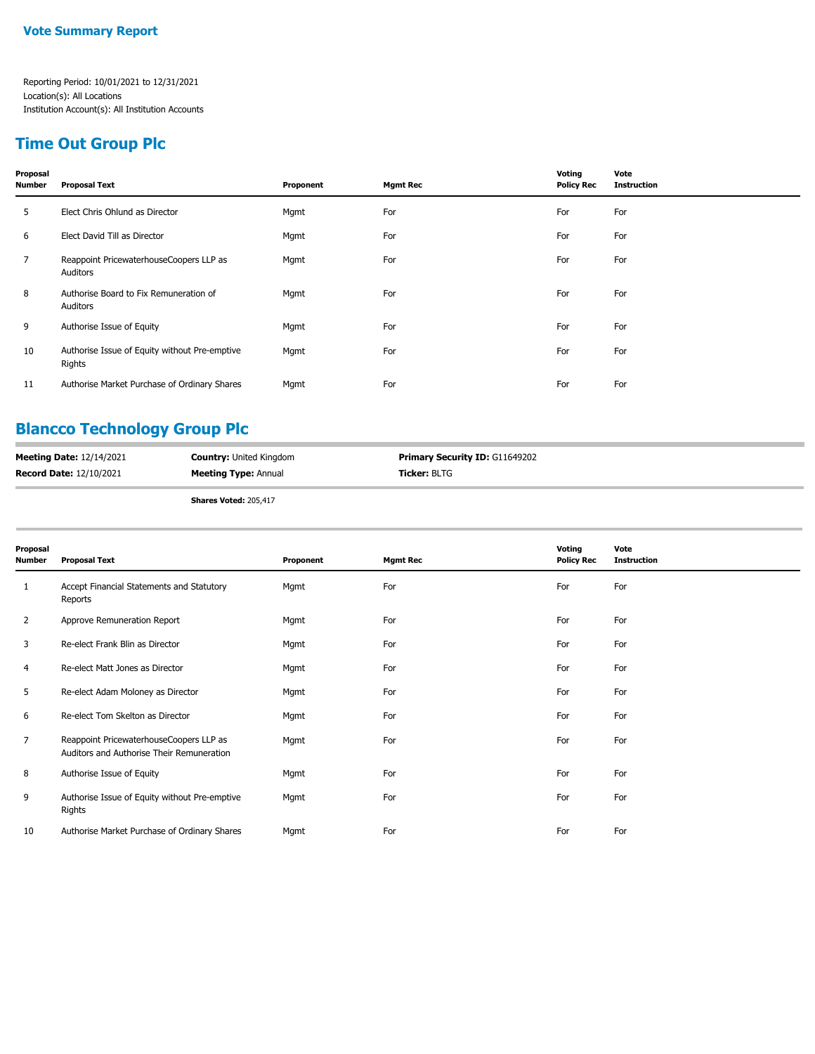## **Time Out Group Plc**

| Proposal<br><b>Number</b> | <b>Proposal Text</b>                                    | Proponent | <b>Mgmt Rec</b> | Voting<br><b>Policy Rec</b> | Vote<br><b>Instruction</b> |
|---------------------------|---------------------------------------------------------|-----------|-----------------|-----------------------------|----------------------------|
| 5                         | Elect Chris Ohlund as Director                          | Mgmt      | For             | For                         | For                        |
| 6                         | Elect David Till as Director                            | Mgmt      | For             | For                         | For                        |
| $7^{\circ}$               | Reappoint PricewaterhouseCoopers LLP as<br>Auditors     | Mgmt      | For             | For                         | For                        |
| 8                         | Authorise Board to Fix Remuneration of<br>Auditors      | Mgmt      | For             | For                         | For                        |
| 9                         | Authorise Issue of Equity                               | Mgmt      | For             | For                         | For                        |
| 10                        | Authorise Issue of Equity without Pre-emptive<br>Rights | Mgmt      | For             | For                         | For                        |
| 11                        | Authorise Market Purchase of Ordinary Shares            | Mgmt      | For             | For                         | For                        |

## **Blancco Technology Group Plc**

| <b>Meeting Date: 12/14/2021</b> | <b>Country:</b> United Kingdom | <b>Primary Security ID: G11649202</b> |
|---------------------------------|--------------------------------|---------------------------------------|
| <b>Record Date: 12/10/2021</b>  | <b>Meeting Type: Annual</b>    | <b>Ticker:</b> BLTG                   |
|                                 |                                |                                       |

**Shares Voted:** 205,417

| Proposal<br><b>Number</b> | <b>Proposal Text</b>                                                                 | Proponent | <b>Mgmt Rec</b> | Voting<br><b>Policy Rec</b> | Vote<br><b>Instruction</b> |
|---------------------------|--------------------------------------------------------------------------------------|-----------|-----------------|-----------------------------|----------------------------|
| 1                         | Accept Financial Statements and Statutory<br>Reports                                 | Mgmt      | For             | For                         | For                        |
| 2                         | Approve Remuneration Report                                                          | Mgmt      | For             | For                         | For                        |
| 3                         | Re-elect Frank Blin as Director                                                      | Mgmt      | For             | For                         | For                        |
| 4                         | Re-elect Matt Jones as Director                                                      | Mgmt      | For             | For                         | For                        |
| 5                         | Re-elect Adam Moloney as Director                                                    | Mgmt      | For             | For                         | For                        |
| 6                         | Re-elect Tom Skelton as Director                                                     | Mgmt      | For             | For                         | For                        |
| 7                         | Reappoint PricewaterhouseCoopers LLP as<br>Auditors and Authorise Their Remuneration | Mgmt      | For             | For                         | For                        |
| 8                         | Authorise Issue of Equity                                                            | Mgmt      | For             | For                         | For                        |
| 9                         | Authorise Issue of Equity without Pre-emptive<br>Rights                              | Mgmt      | For             | For                         | For                        |
| 10                        | Authorise Market Purchase of Ordinary Shares                                         | Mgmt      | For             | For                         | For                        |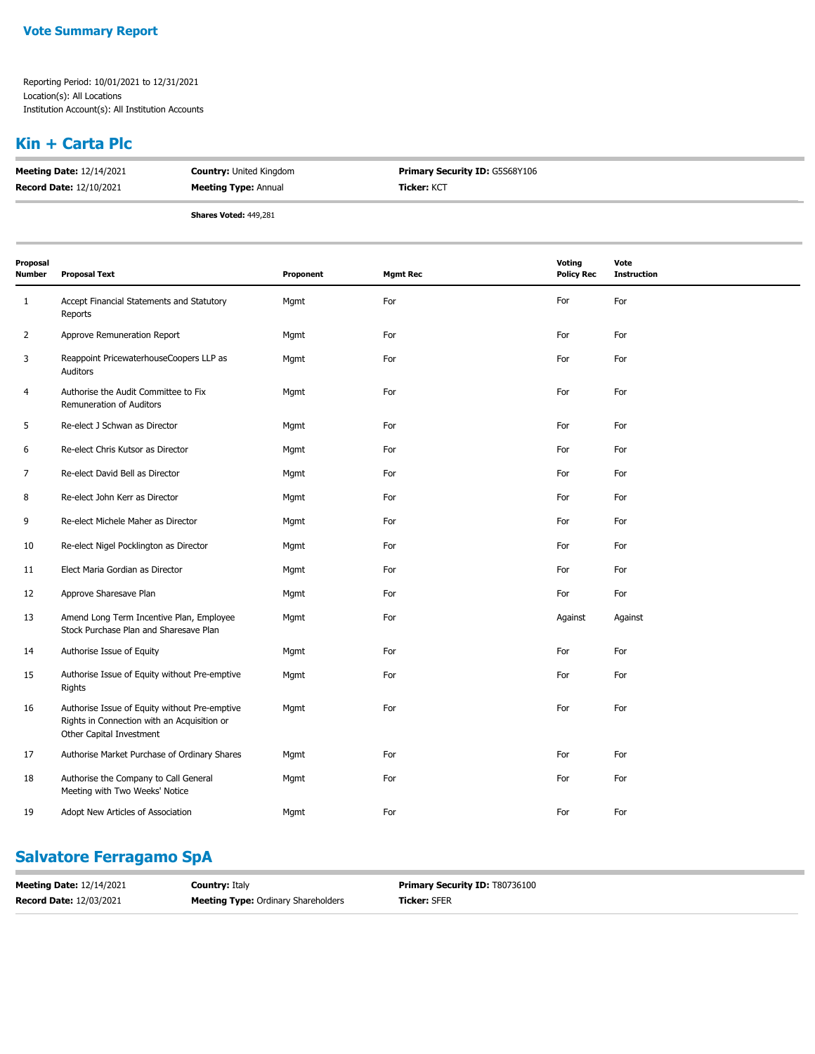### **Kin + Carta Plc**

| <b>Meeting Date: 12/14/2021</b> | <b>Country: United Kingdom</b> | <b>Primary Security ID: G5S68Y106</b> |
|---------------------------------|--------------------------------|---------------------------------------|
| <b>Record Date: 12/10/2021</b>  | <b>Meeting Type: Annual</b>    | <b>Ticker: KCT</b>                    |
|                                 | <b>Shares Voted: 449,281</b>   |                                       |

| Proposal<br>Number | <b>Proposal Text</b>                                                                                                     | Proponent | <b>Mgmt Rec</b> | Voting<br><b>Policy Rec</b> | Vote<br><b>Instruction</b> |
|--------------------|--------------------------------------------------------------------------------------------------------------------------|-----------|-----------------|-----------------------------|----------------------------|
| 1                  | Accept Financial Statements and Statutory<br>Reports                                                                     | Mgmt      | For             | For                         | For                        |
| 2                  | Approve Remuneration Report                                                                                              | Mgmt      | For             | For                         | For                        |
| 3                  | Reappoint PricewaterhouseCoopers LLP as<br>Auditors                                                                      | Mgmt      | For             | For                         | For                        |
| 4                  | Authorise the Audit Committee to Fix<br>Remuneration of Auditors                                                         | Mgmt      | For             | For                         | For                        |
| 5                  | Re-elect J Schwan as Director                                                                                            | Mgmt      | For             | For                         | For                        |
| 6                  | Re-elect Chris Kutsor as Director                                                                                        | Mgmt      | For             | For                         | For                        |
| 7                  | Re-elect David Bell as Director                                                                                          | Mgmt      | For             | For                         | For                        |
| 8                  | Re-elect John Kerr as Director                                                                                           | Mgmt      | For             | For                         | For                        |
| 9                  | Re-elect Michele Maher as Director                                                                                       | Mgmt      | For             | For                         | For                        |
| 10                 | Re-elect Nigel Pocklington as Director                                                                                   | Mgmt      | For             | For                         | For                        |
| 11                 | Elect Maria Gordian as Director                                                                                          | Mgmt      | For             | For                         | For                        |
| 12                 | Approve Sharesave Plan                                                                                                   | Mgmt      | For             | For                         | For                        |
| 13                 | Amend Long Term Incentive Plan, Employee<br>Stock Purchase Plan and Sharesave Plan                                       | Mgmt      | For             | Against                     | Against                    |
| 14                 | Authorise Issue of Equity                                                                                                | Mgmt      | For             | For                         | For                        |
| 15                 | Authorise Issue of Equity without Pre-emptive<br>Rights                                                                  | Mgmt      | For             | For                         | For                        |
| 16                 | Authorise Issue of Equity without Pre-emptive<br>Rights in Connection with an Acquisition or<br>Other Capital Investment | Mgmt      | For             | For                         | For                        |
| 17                 | Authorise Market Purchase of Ordinary Shares                                                                             | Mgmt      | For             | For                         | For                        |
| 18                 | Authorise the Company to Call General<br>Meeting with Two Weeks' Notice                                                  | Mgmt      | For             | For                         | For                        |
| 19                 | Adopt New Articles of Association                                                                                        | Mgmt      | For             | For                         | For                        |
|                    |                                                                                                                          |           |                 |                             |                            |

## **Salvatore Ferragamo SpA**

| <b>Meeting Date: 12/14/2021</b> | <b>Country: Italy</b>                      | <b>Primary Security ID: T80736100</b> |
|---------------------------------|--------------------------------------------|---------------------------------------|
| <b>Record Date: 12/03/2021</b>  | <b>Meeting Type:</b> Ordinary Shareholders | <b>Ticker: SFER</b>                   |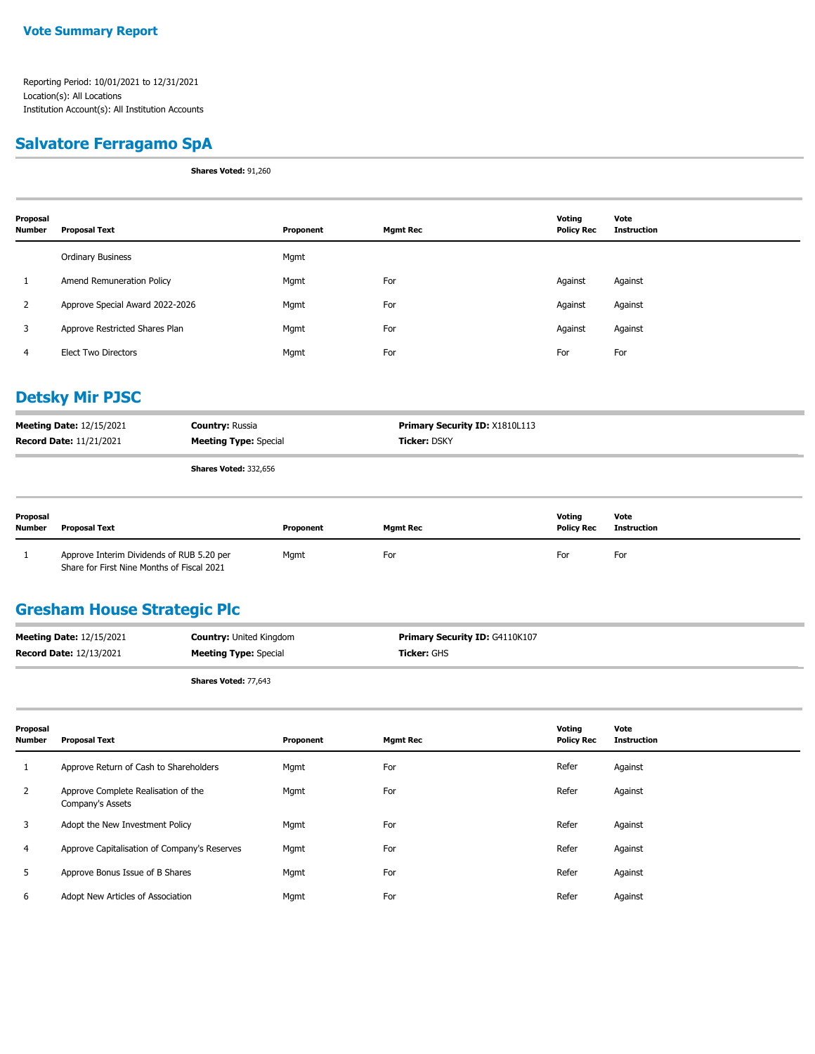#### **Salvatore Ferragamo SpA**

**Shares Voted:** 91,260

| Proposal<br><b>Number</b> | <b>Proposal Text</b>            | Proponent | <b>Mgmt Rec</b> | Voting<br><b>Policy Rec</b> | Vote<br>Instruction |
|---------------------------|---------------------------------|-----------|-----------------|-----------------------------|---------------------|
|                           | <b>Ordinary Business</b>        | Mgmt      |                 |                             |                     |
|                           | Amend Remuneration Policy       | Mgmt      | For             | Against                     | Against             |
| 2                         | Approve Special Award 2022-2026 | Mgmt      | For             | Against                     | Against             |
| 3                         | Approve Restricted Shares Plan  | Mgmt      | For             | Against                     | Against             |
| 4                         | <b>Elect Two Directors</b>      | Mgmt      | For             | For                         | For                 |

## **Detsky Mir PJSC**

| <b>Meeting Date: 12/15/2021</b> | <b>Country: Russia</b>       | <b>Primary Security ID: X1810L113</b> |
|---------------------------------|------------------------------|---------------------------------------|
| <b>Record Date: 11/21/2021</b>  | <b>Meeting Type: Special</b> | <b>Ticker: DSKY</b>                   |
|                                 | <b>Shares Voted: 332,656</b> |                                       |

| Proposal<br><b>Number</b> | Proposal Text                                                                           | Proponent | <b>Mamt Rec</b> | Votina<br><b>Policy Rec</b> | Vote<br>Instruction |
|---------------------------|-----------------------------------------------------------------------------------------|-----------|-----------------|-----------------------------|---------------------|
|                           | Approve Interim Dividends of RUB 5.20 per<br>Share for First Nine Months of Fiscal 2021 | Mgmt      | For             | For                         | For                 |

#### **Gresham House Strategic Plc**

| <b>Meeting Date: 12/15/2021</b> | <b>Country: United Kingdom</b> | <b>Primary Security ID: G4110K107</b> |
|---------------------------------|--------------------------------|---------------------------------------|
| <b>Record Date: 12/13/2021</b>  | <b>Meeting Type: Special</b>   | <b>Ticker:</b> GHS                    |
|                                 |                                |                                       |

**Shares Voted:** 77,643

| Proposal<br><b>Number</b> | Proposal Text                                           | Proponent | <b>Mgmt Rec</b> | Voting<br><b>Policy Rec</b> | Vote<br><b>Instruction</b> |
|---------------------------|---------------------------------------------------------|-----------|-----------------|-----------------------------|----------------------------|
|                           | Approve Return of Cash to Shareholders                  | Mgmt      | For             | Refer                       | Against                    |
| $\mathbf{2}$              | Approve Complete Realisation of the<br>Company's Assets | Mgmt      | For             | Refer                       | Against                    |
| 3                         | Adopt the New Investment Policy                         | Mgmt      | For             | Refer                       | Against                    |
| 4                         | Approve Capitalisation of Company's Reserves            | Mgmt      | For             | Refer                       | Against                    |
| 5                         | Approve Bonus Issue of B Shares                         | Mgmt      | For             | Refer                       | Against                    |
| 6                         | Adopt New Articles of Association                       | Mgmt      | For             | Refer                       | Against                    |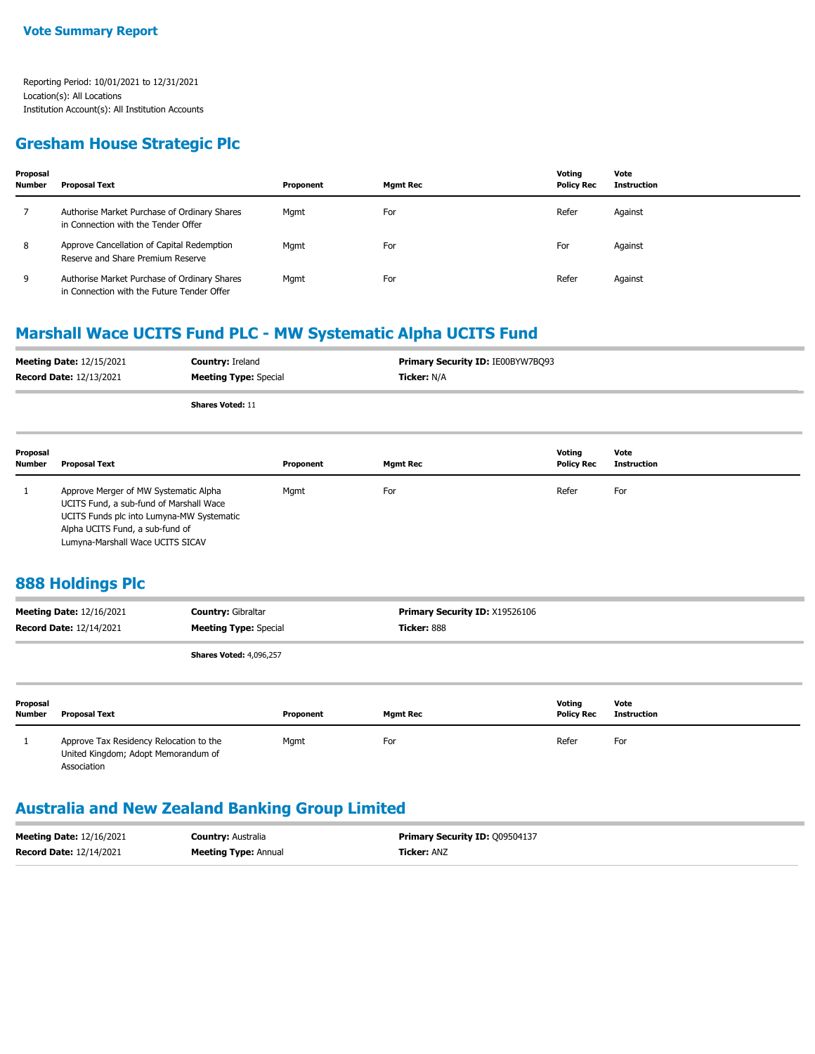#### **Gresham House Strategic Plc**

| Proposal<br><b>Number</b> | <b>Proposal Text</b>                                                                       | Proponent | Mgmt Rec | Votina<br><b>Policy Rec</b> | Vote<br>Instruction |
|---------------------------|--------------------------------------------------------------------------------------------|-----------|----------|-----------------------------|---------------------|
|                           | Authorise Market Purchase of Ordinary Shares<br>in Connection with the Tender Offer        | Mgmt      | For      | Refer                       | Against             |
| 8                         | Approve Cancellation of Capital Redemption<br>Reserve and Share Premium Reserve            | Mgmt      | For      | For                         | Against             |
| 9                         | Authorise Market Purchase of Ordinary Shares<br>in Connection with the Future Tender Offer | Mgmt      | For      | Refer                       | Against             |

### **Marshall Wace UCITS Fund PLC - MW Systematic Alpha UCITS Fund**

| <b>Meeting Date: 12/15/2021</b> | <b>Country: Ireland</b>      | Primary Security ID: IE00BYW7BQ93 |
|---------------------------------|------------------------------|-----------------------------------|
| <b>Record Date: 12/13/2021</b>  | <b>Meeting Type:</b> Special | <b>Ticker: N/A</b>                |
|                                 | <b>Shares Voted: 11</b>      |                                   |

| Proposal<br><b>Number</b> | Proposal Text                                                                                                                                                                                        | Proponent | <b>Mgmt Rec</b> | Votina<br><b>Policy Rec</b> | Vote<br>Instruction |
|---------------------------|------------------------------------------------------------------------------------------------------------------------------------------------------------------------------------------------------|-----------|-----------------|-----------------------------|---------------------|
|                           | Approve Merger of MW Systematic Alpha<br>UCITS Fund, a sub-fund of Marshall Wace<br>UCITS Funds plc into Lumyna-MW Systematic<br>Alpha UCITS Fund, a sub-fund of<br>Lumvna-Marshall Wace UCITS SICAV | Mgmt      | For             | Refer                       | For                 |

#### **888 Holdings Plc**

| <b>Meeting Date: 12/16/2021</b><br><b>Record Date: 12/14/2021</b> |                                                                                               | <b>Country: Gibraltar</b><br><b>Meeting Type: Special</b> |           | <b>Primary Security ID: X19526106</b><br>Ticker: 888 |                             |                            |  |
|-------------------------------------------------------------------|-----------------------------------------------------------------------------------------------|-----------------------------------------------------------|-----------|------------------------------------------------------|-----------------------------|----------------------------|--|
|                                                                   |                                                                                               | <b>Shares Voted: 4,096,257</b>                            |           |                                                      |                             |                            |  |
| Proposal<br><b>Number</b>                                         | <b>Proposal Text</b>                                                                          |                                                           | Proponent | <b>Mgmt Rec</b>                                      | Votina<br><b>Policy Rec</b> | Vote<br><b>Instruction</b> |  |
|                                                                   | Approve Tax Residency Relocation to the<br>United Kingdom; Adopt Memorandum of<br>Association |                                                           | Mgmt      | For                                                  | Refer                       | For                        |  |

## **Australia and New Zealand Banking Group Limited**

| <b>Meeting Date: 12/16/2021</b> | <b>Country: Australia</b>   | <b>Primary Security ID: 009504137</b> |
|---------------------------------|-----------------------------|---------------------------------------|
| <b>Record Date: 12/14/2021</b>  | <b>Meeting Type: Annual</b> | <b>Ticker: ANZ</b>                    |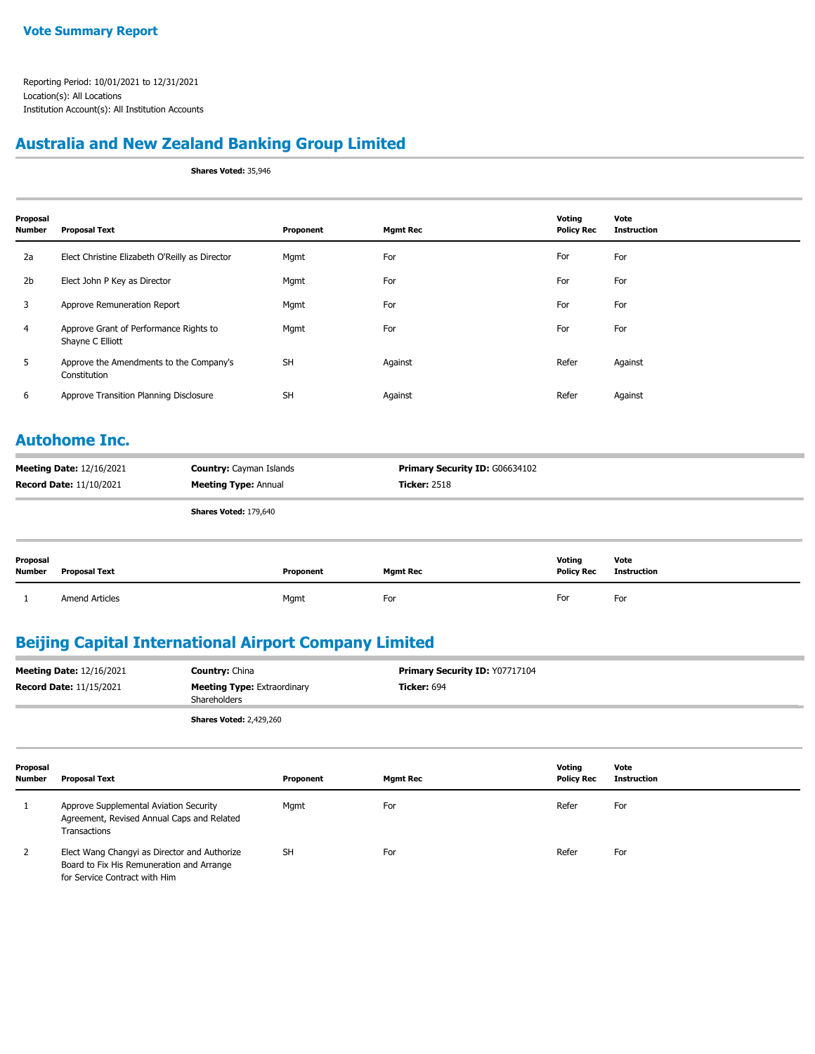### **Australia and New Zealand Banking Group Limited**

**Shares Voted:** 35,946

| Proposal<br><b>Number</b> | <b>Proposal Text</b>                                       | Proponent | <b>Mgmt Rec</b> | Voting<br><b>Policy Rec</b> | Vote<br><b>Instruction</b> |
|---------------------------|------------------------------------------------------------|-----------|-----------------|-----------------------------|----------------------------|
| 2a                        | Elect Christine Elizabeth O'Reilly as Director             | Mgmt      | For             | For                         | For                        |
| 2 <sub>b</sub>            | Elect John P Key as Director                               | Mgmt      | For             | For                         | For                        |
| 3                         | Approve Remuneration Report                                | Mgmt      | For             | For                         | For                        |
| 4                         | Approve Grant of Performance Rights to<br>Shayne C Elliott | Mgmt      | For             | For                         | For                        |
| 5                         | Approve the Amendments to the Company's<br>Constitution    | <b>SH</b> | Against         | Refer                       | Against                    |
| 6                         | Approve Transition Planning Disclosure                     | <b>SH</b> | Against         | Refer                       | Against                    |

#### **Autohome Inc.**

| <b>Meeting Date: 12/16/2021</b><br><b>Record Date: 11/10/2021</b> |                       | <b>Country: Cayman Islands</b><br><b>Meeting Type: Annual</b> |           | <b>Primary Security ID: G06634102</b><br><b>Ticker: 2518</b> |                             |                            |
|-------------------------------------------------------------------|-----------------------|---------------------------------------------------------------|-----------|--------------------------------------------------------------|-----------------------------|----------------------------|
|                                                                   |                       | Shares Voted: 179,640                                         |           |                                                              |                             |                            |
| Proposal<br>Number                                                | <b>Proposal Text</b>  |                                                               | Proponent | <b>Mgmt Rec</b>                                              | Voting<br><b>Policy Rec</b> | Vote<br><b>Instruction</b> |
|                                                                   | <b>Amend Articles</b> |                                                               | Mgmt      | For                                                          | For                         | For                        |

## **Beijing Capital International Airport Company Limited**

| <b>Meeting Date: 12/16/2021</b> | <b>Country: China</b>                              | <b>Primary Security ID: Y07717104</b> |  |  |
|---------------------------------|----------------------------------------------------|---------------------------------------|--|--|
| <b>Record Date: 11/15/2021</b>  | <b>Meeting Type: Extraordinary</b><br>Shareholders | <b>Ticker:</b> 694                    |  |  |
|                                 | <b>Shares Voted: 2,429,260</b>                     |                                       |  |  |

| Proposal<br><b>Number</b> | <b>Proposal Text</b>                                                                                                       | Proponent | <b>Mgmt Rec</b> | Votina<br><b>Policy Rec</b> | Vote<br>Instruction |
|---------------------------|----------------------------------------------------------------------------------------------------------------------------|-----------|-----------------|-----------------------------|---------------------|
|                           | Approve Supplemental Aviation Security<br>Agreement, Revised Annual Caps and Related<br>Transactions                       | Mgmt      | For             | Refer                       | For                 |
| 2                         | Elect Wang Changyi as Director and Authorize<br>Board to Fix His Remuneration and Arrange<br>for Service Contract with Him | <b>SH</b> | For             | Refer                       | For                 |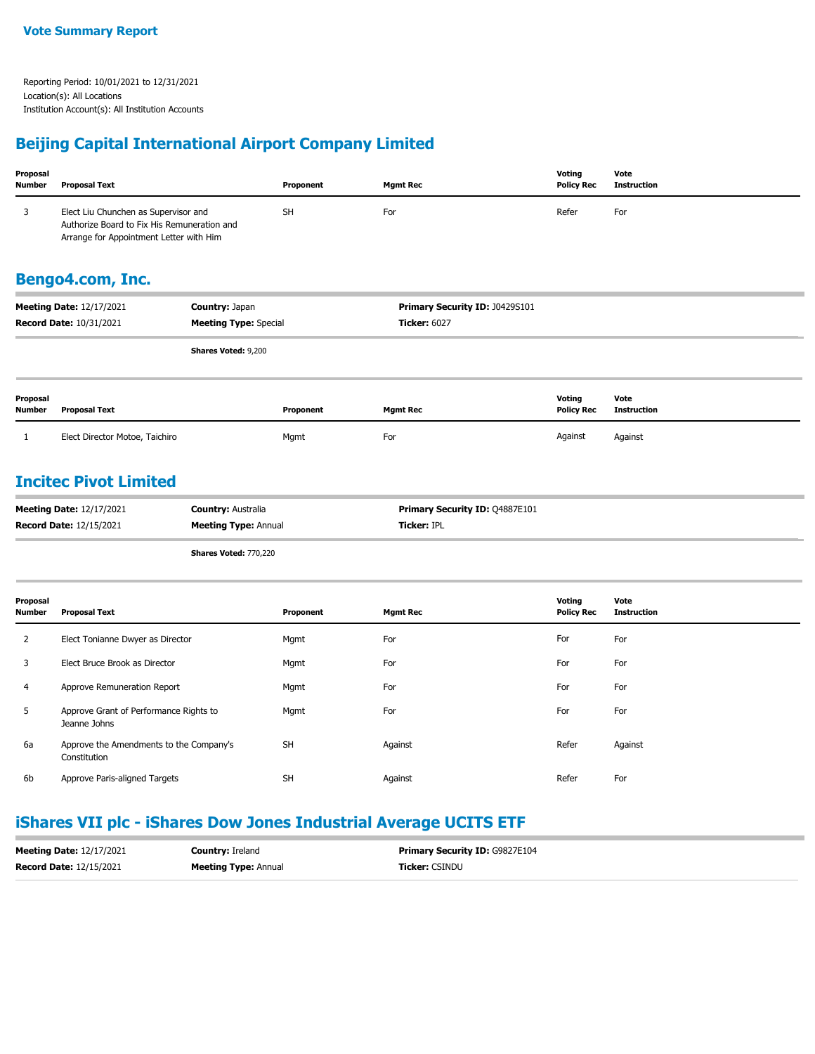### **Beijing Capital International Airport Company Limited**

| Proposal<br><b>Number</b> | <b>Proposal Text</b>                                                                                                           |                                                          | Proponent | <b>Mgmt Rec</b>                               | Voting<br><b>Policy Rec</b>        | Vote<br><b>Instruction</b> |
|---------------------------|--------------------------------------------------------------------------------------------------------------------------------|----------------------------------------------------------|-----------|-----------------------------------------------|------------------------------------|----------------------------|
| 3                         | Elect Liu Chunchen as Supervisor and<br>Authorize Board to Fix His Remuneration and<br>Arrange for Appointment Letter with Him |                                                          | <b>SH</b> | For                                           | Refer                              | For                        |
|                           | Bengo4.com, Inc.                                                                                                               |                                                          |           |                                               |                                    |                            |
|                           | <b>Meeting Date: 12/17/2021</b>                                                                                                | Country: Japan                                           |           | Primary Security ID: J0429S101                |                                    |                            |
|                           | Record Date: 10/31/2021                                                                                                        | <b>Meeting Type: Special</b>                             |           | <b>Ticker: 6027</b>                           |                                    |                            |
|                           |                                                                                                                                | <b>Shares Voted: 9,200</b>                               |           |                                               |                                    |                            |
| Proposal<br><b>Number</b> | <b>Proposal Text</b>                                                                                                           |                                                          | Proponent | <b>Mgmt Rec</b>                               | Voting<br><b>Policy Rec</b>        | Vote<br><b>Instruction</b> |
| 1                         | Elect Director Motoe, Taichiro                                                                                                 |                                                          | Mgmt      | For                                           | Against                            | Against                    |
|                           | <b>Incitec Pivot Limited</b><br><b>Meeting Date: 12/17/2021</b><br><b>Record Date: 12/15/2021</b>                              | <b>Country: Australia</b><br><b>Meeting Type: Annual</b> |           | Primary Security ID: Q4887E101<br>Ticker: IPL |                                    |                            |
|                           |                                                                                                                                | Shares Voted: 770,220                                    |           |                                               |                                    |                            |
| Proposal<br><b>Number</b> | <b>Proposal Text</b>                                                                                                           |                                                          | Proponent | <b>Mgmt Rec</b>                               | <b>Voting</b><br><b>Policy Rec</b> | Vote<br><b>Instruction</b> |
| $\overline{2}$            | Elect Tonianne Dwyer as Director                                                                                               |                                                          | Mgmt      | For                                           | For                                | For                        |
| 3                         | Elect Bruce Brook as Director                                                                                                  |                                                          | Mgmt      | For                                           | For                                | For                        |
| 4                         | Approve Remuneration Report                                                                                                    |                                                          | Mgmt      | For                                           | For                                | For                        |
| 5                         | Approve Grant of Performance Rights to<br>Jeanne Johns                                                                         |                                                          | Mgmt      | For                                           | For                                | For                        |
| 6a                        | Approve the Amendments to the Company's<br>Constitution                                                                        |                                                          | <b>SH</b> | Against                                       | Refer                              | Against                    |

### **iShares VII plc - iShares Dow Jones Industrial Average UCITS ETF**

6b Approve Paris-aligned Targets **SH** SH Against Against Against Refer For

| <b>Meeting Date: 12/17/2021</b> | <b>Country: Ireland</b>     | <b>Primary Security ID: G9827E104</b> |
|---------------------------------|-----------------------------|---------------------------------------|
| <b>Record Date: 12/15/2021</b>  | <b>Meeting Type: Annual</b> | <b>Ticker: CSINDU</b>                 |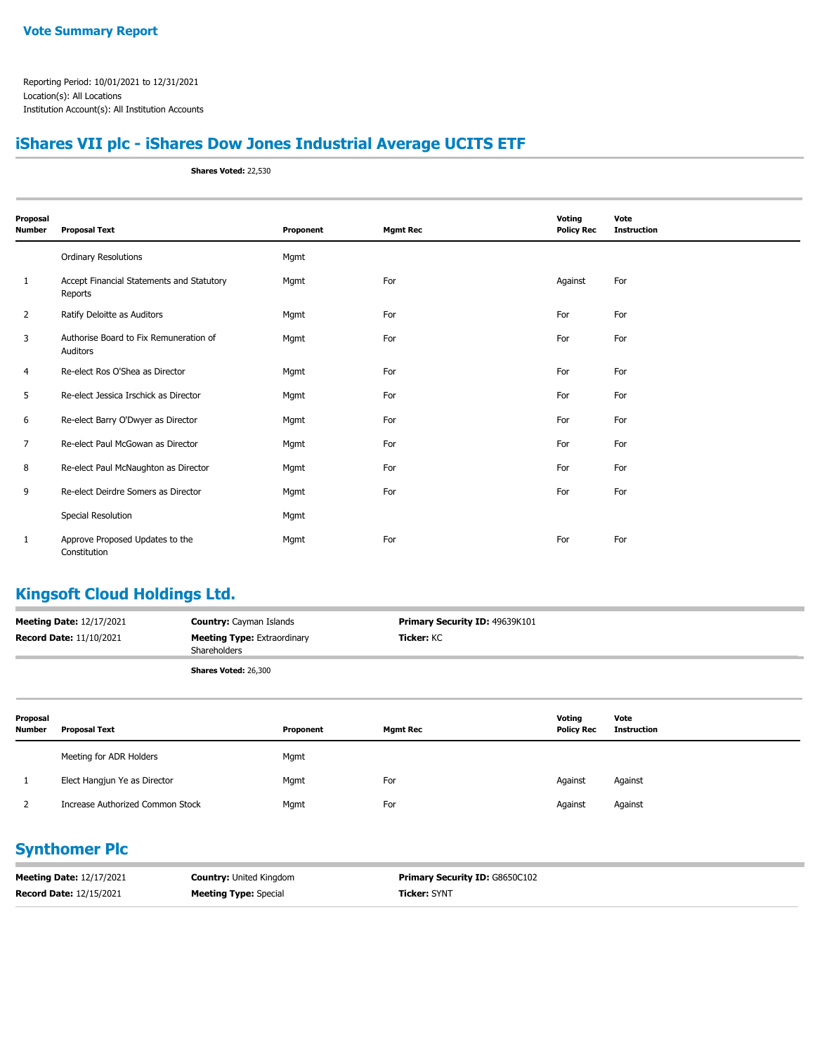## **iShares VII plc - iShares Dow Jones Industrial Average UCITS ETF**

**Shares Voted:** 22,530

| Proposal<br>Number | <b>Proposal Text</b>                                 | Proponent | <b>Mgmt Rec</b> | Voting<br><b>Policy Rec</b> | Vote<br><b>Instruction</b> |
|--------------------|------------------------------------------------------|-----------|-----------------|-----------------------------|----------------------------|
|                    | <b>Ordinary Resolutions</b>                          | Mgmt      |                 |                             |                            |
| 1                  | Accept Financial Statements and Statutory<br>Reports | Mgmt      | For             | Against                     | For                        |
| $\overline{2}$     | Ratify Deloitte as Auditors                          | Mgmt      | For             | For                         | For                        |
| 3                  | Authorise Board to Fix Remuneration of<br>Auditors   | Mgmt      | For             | For                         | For                        |
| 4                  | Re-elect Ros O'Shea as Director                      | Mgmt      | For             | For                         | For                        |
| 5                  | Re-elect Jessica Irschick as Director                | Mgmt      | For             | For                         | For                        |
| 6                  | Re-elect Barry O'Dwyer as Director                   | Mgmt      | For             | For                         | For                        |
| 7                  | Re-elect Paul McGowan as Director                    | Mgmt      | For             | For                         | For                        |
| 8                  | Re-elect Paul McNaughton as Director                 | Mgmt      | For             | For                         | For                        |
| 9                  | Re-elect Deirdre Somers as Director                  | Mgmt      | For             | For                         | For                        |
|                    | Special Resolution                                   | Mgmt      |                 |                             |                            |
| 1                  | Approve Proposed Updates to the<br>Constitution      | Mgmt      | For             | For                         | For                        |

## **Kingsoft Cloud Holdings Ltd.**

| <b>Meeting Date: 12/17/2021</b> | <b>Country:</b> Cayman Islands                            | <b>Primary Security ID: 49639K101</b> |
|---------------------------------|-----------------------------------------------------------|---------------------------------------|
| <b>Record Date: 11/10/2021</b>  | <b>Meeting Type:</b> Extraordinary<br><b>Shareholders</b> | <b>Ticker:</b> KC                     |
|                                 | <b>Shares Voted: 26,300</b>                               |                                       |

| Proposal<br><b>Number</b> | <b>Proposal Text</b>             | Proponent | <b>Mgmt Rec</b> | Voting<br><b>Policy Rec</b> | Vote<br><b>Instruction</b> |
|---------------------------|----------------------------------|-----------|-----------------|-----------------------------|----------------------------|
|                           | Meeting for ADR Holders          | Mgmt      |                 |                             |                            |
|                           | Elect Hangjun Ye as Director     | Mgmt      | For             | Against                     | Against                    |
|                           | Increase Authorized Common Stock | Mgmt      | For             | Against                     | Against                    |

#### **Synthomer Plc**

| <b>Meeting Date: 12/17/2021</b> | <b>Country: United Kingdom</b> | <b>Primary Security ID: G8650C102</b> |
|---------------------------------|--------------------------------|---------------------------------------|
| <b>Record Date: 12/15/2021</b>  | <b>Meeting Type: Special</b>   | <b>Ticker: SYNT</b>                   |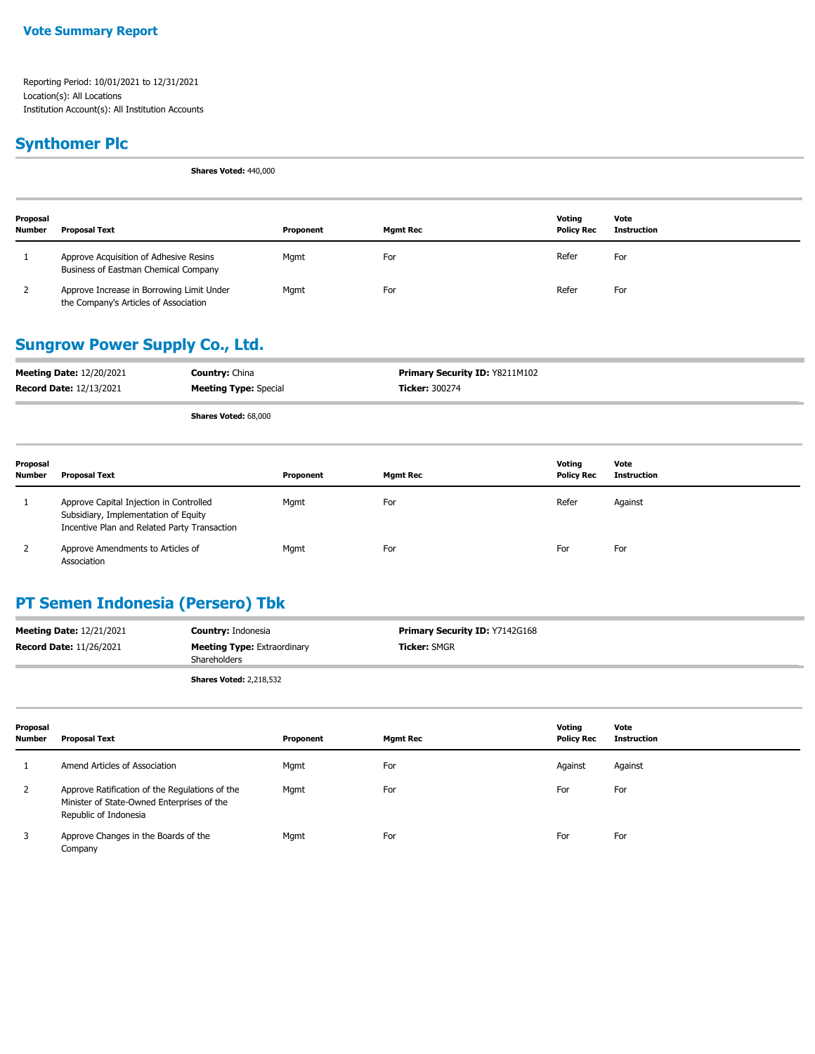### **Synthomer Plc**

**Shares Voted:** 440,000

| Proposal<br><b>Number</b> | <b>Proposal Text</b>                                                               | Proponent | Mgmt Rec | Votina<br><b>Policy Rec</b> | Vote<br><b>Instruction</b> |
|---------------------------|------------------------------------------------------------------------------------|-----------|----------|-----------------------------|----------------------------|
|                           | Approve Acquisition of Adhesive Resins<br>Business of Eastman Chemical Company     | Mgmt      | For      | Refer                       | For                        |
|                           | Approve Increase in Borrowing Limit Under<br>the Company's Articles of Association | Mamt      | For      | Refer                       | For                        |

#### **Sungrow Power Supply Co., Ltd.**

| <b>Meeting Date: 12/20/2021</b> | <b>Country: China</b>        | <b>Primary Security ID: Y8211M102</b> |
|---------------------------------|------------------------------|---------------------------------------|
| <b>Record Date: 12/13/2021</b>  | <b>Meeting Type:</b> Special | <b>Ticker: 300274</b>                 |
|                                 | $-1$<br>.                    |                                       |

**Shares Voted:** 68,000

| Proposal<br><b>Number</b> | Proposal Text                                                                                                                   | Proponent | <b>Mgmt Rec</b> | Votina<br><b>Policy Rec</b> | Vote<br>Instruction |
|---------------------------|---------------------------------------------------------------------------------------------------------------------------------|-----------|-----------------|-----------------------------|---------------------|
|                           | Approve Capital Injection in Controlled<br>Subsidiary, Implementation of Equity<br>Incentive Plan and Related Party Transaction | Mgmt      | For             | Refer                       | Against             |
| $\epsilon$                | Approve Amendments to Articles of<br>Association                                                                                | Mgmt      | For             | For                         | For                 |

## **PT Semen Indonesia (Persero) Tbk**

| <b>Meeting Date: 12/21/2021</b> | <b>Country: Indonesia</b>                          | <b>Primary Security ID: Y7142G168</b> |
|---------------------------------|----------------------------------------------------|---------------------------------------|
| <b>Record Date: 11/26/2021</b>  | <b>Meeting Type: Extraordinary</b><br>Shareholders | <b>Ticker: SMGR</b>                   |
|                                 | <b>Shares Voted: 2,218,532</b>                     |                                       |

| Proposal<br><b>Number</b> | Proposal Text                                                                                                         | Proponent | <b>Mgmt Rec</b> | Votina<br><b>Policy Rec</b> | Vote<br><b>Instruction</b> |
|---------------------------|-----------------------------------------------------------------------------------------------------------------------|-----------|-----------------|-----------------------------|----------------------------|
|                           | Amend Articles of Association                                                                                         | Mgmt      | For             | Against                     | Against                    |
| 2                         | Approve Ratification of the Regulations of the<br>Minister of State-Owned Enterprises of the<br>Republic of Indonesia | Mgmt      | For             | For                         | For                        |
| 3                         | Approve Changes in the Boards of the<br>Company                                                                       | Mgmt      | For             | For                         | For                        |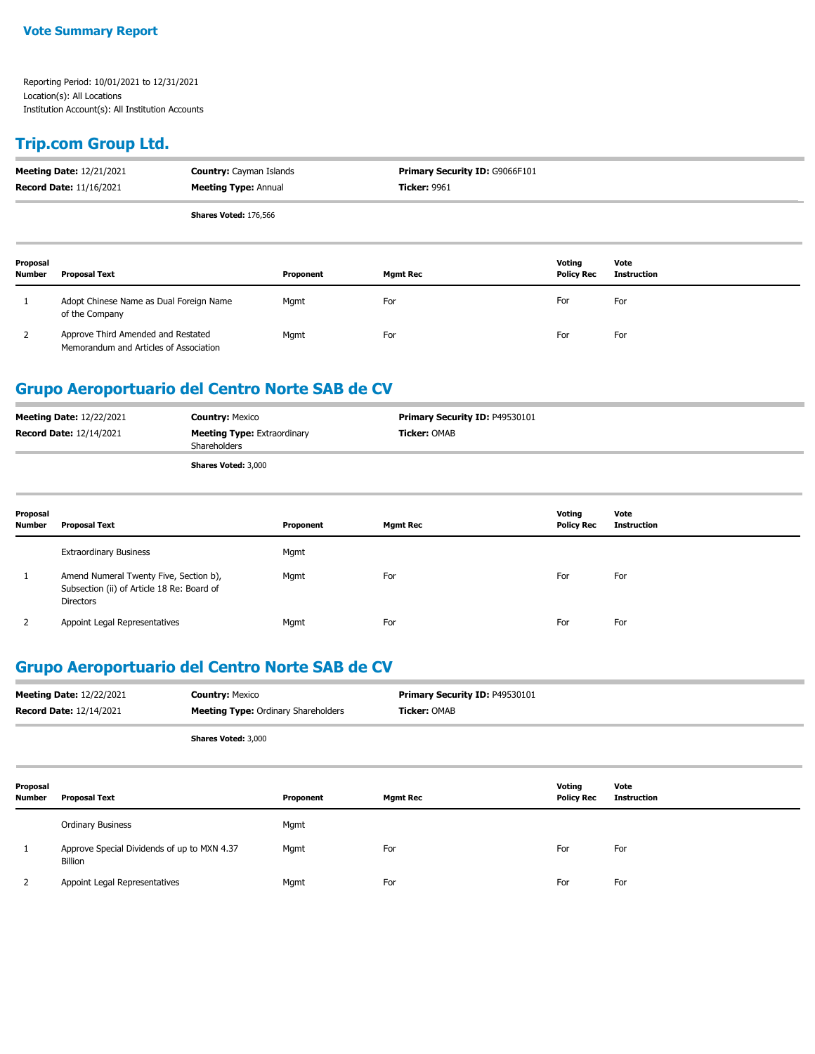#### **Trip.com Group Ltd.**

|                           | <b>Meeting Date: 12/21/2021</b><br><b>Record Date: 11/16/2021</b>            | <b>Country: Cayman Islands</b><br><b>Meeting Type: Annual</b> |                 | Primary Security ID: G9066F101<br><b>Ticker: 9961</b> |                            |  |
|---------------------------|------------------------------------------------------------------------------|---------------------------------------------------------------|-----------------|-------------------------------------------------------|----------------------------|--|
|                           | Shares Voted: 176,566                                                        |                                                               |                 |                                                       |                            |  |
| Proposal<br><b>Number</b> | <b>Proposal Text</b>                                                         | Proponent                                                     | <b>Mgmt Rec</b> | Voting<br><b>Policy Rec</b>                           | Vote<br><b>Instruction</b> |  |
|                           | Adopt Chinese Name as Dual Foreign Name<br>of the Company                    | Mgmt                                                          | For             | For                                                   | For                        |  |
| 2                         | Approve Third Amended and Restated<br>Memorandum and Articles of Association | Mgmt                                                          | For             | For                                                   | For                        |  |

#### **Grupo Aeroportuario del Centro Norte SAB de CV**

| <b>Meeting Date: 12/22/2021</b> | <b>Country: Mexico</b>                             | <b>Primary Security ID: P49530101</b> |
|---------------------------------|----------------------------------------------------|---------------------------------------|
| <b>Record Date: 12/14/2021</b>  | <b>Meeting Type: Extraordinary</b><br>Shareholders | <b>Ticker: OMAB</b>                   |
|                                 | <b>Shares Voted: 3,000</b>                         |                                       |

| Proposal<br><b>Number</b> | Proposal Text                                                                                     | Proponent | <b>Mgmt Rec</b> | Voting<br><b>Policy Rec</b> | Vote<br>Instruction |
|---------------------------|---------------------------------------------------------------------------------------------------|-----------|-----------------|-----------------------------|---------------------|
|                           | <b>Extraordinary Business</b>                                                                     | Mgmt      |                 |                             |                     |
|                           | Amend Numeral Twenty Five, Section b),<br>Subsection (ii) of Article 18 Re: Board of<br>Directors | Mgmt      | For             | For                         | For                 |
|                           | Appoint Legal Representatives                                                                     | Mgmt      | For             | For                         | For                 |

### **Grupo Aeroportuario del Centro Norte SAB de CV**

| <b>Meeting Date: 12/22/2021</b> | <b>Country: Mexico</b>                     | <b>Primary Security ID: P49530101</b> |
|---------------------------------|--------------------------------------------|---------------------------------------|
| <b>Record Date: 12/14/2021</b>  | <b>Meeting Type: Ordinary Shareholders</b> | <b>Ticker:</b> OMAB                   |
|                                 | <b>Shares Voted: 3,000</b>                 |                                       |

| Proposal<br><b>Number</b> | <b>Proposal Text</b>                                   | Proponent | <b>Mgmt Rec</b> | Voting<br><b>Policy Rec</b> | Vote<br><b>Instruction</b> |
|---------------------------|--------------------------------------------------------|-----------|-----------------|-----------------------------|----------------------------|
|                           | <b>Ordinary Business</b>                               | Mgmt      |                 |                             |                            |
|                           | Approve Special Dividends of up to MXN 4.37<br>Billion | Mgmt      | For             | For                         | For                        |
|                           | Appoint Legal Representatives                          | Mgmt      | For             | For                         | For                        |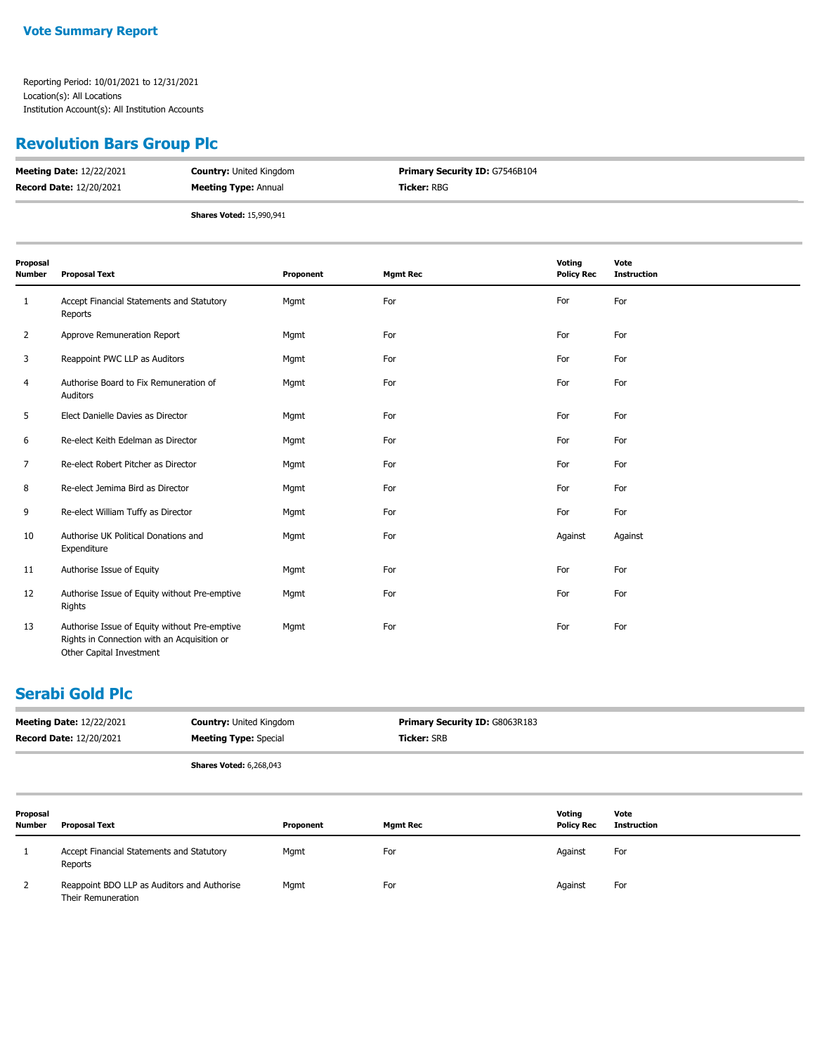# **Revolution Bars Group Plc**

| <b>Meeting Date: 12/22/2021</b> | <b>Country: United Kingdom</b>  | <b>Primary Security ID: G7546B104</b> |
|---------------------------------|---------------------------------|---------------------------------------|
| <b>Record Date: 12/20/2021</b>  | <b>Meeting Type: Annual</b>     | <b>Ticker:</b> RBG                    |
|                                 | <b>Shares Voted: 15,990,941</b> |                                       |

| Proposal<br>Number | <b>Proposal Text</b>                                                                                                     | Proponent | <b>Mgmt Rec</b> | Voting<br><b>Policy Rec</b> | Vote<br><b>Instruction</b> |
|--------------------|--------------------------------------------------------------------------------------------------------------------------|-----------|-----------------|-----------------------------|----------------------------|
| 1                  | Accept Financial Statements and Statutory<br>Reports                                                                     | Mgmt      | For             | For                         | For                        |
| 2                  | Approve Remuneration Report                                                                                              | Mgmt      | For             | For                         | For                        |
| 3                  | Reappoint PWC LLP as Auditors                                                                                            | Mgmt      | For             | For                         | For                        |
| 4                  | Authorise Board to Fix Remuneration of<br>Auditors                                                                       | Mgmt      | For             | For                         | For                        |
| 5                  | Elect Danielle Davies as Director                                                                                        | Mgmt      | For             | For                         | For                        |
| 6                  | Re-elect Keith Edelman as Director                                                                                       | Mgmt      | For             | For                         | For                        |
| 7                  | Re-elect Robert Pitcher as Director                                                                                      | Mgmt      | For             | For                         | For                        |
| 8                  | Re-elect Jemima Bird as Director                                                                                         | Mgmt      | For             | For                         | For                        |
| 9                  | Re-elect William Tuffy as Director                                                                                       | Mgmt      | For             | For                         | For                        |
| 10                 | Authorise UK Political Donations and<br>Expenditure                                                                      | Mgmt      | For             | Against                     | Against                    |
| 11                 | Authorise Issue of Equity                                                                                                | Mgmt      | For             | For                         | For                        |
| 12                 | Authorise Issue of Equity without Pre-emptive<br>Rights                                                                  | Mgmt      | For             | For                         | For                        |
| 13                 | Authorise Issue of Equity without Pre-emptive<br>Rights in Connection with an Acquisition or<br>Other Capital Investment | Mgmt      | For             | For                         | For                        |

### **Serabi Gold Plc**

|                    | <b>Meeting Date: 12/22/2021</b><br><b>Record Date: 12/20/2021</b> | <b>Country: United Kingdom</b><br><b>Meeting Type: Special</b> |                 | Primary Security ID: G8063R183<br><b>Ticker: SRB</b> |                            |  |
|--------------------|-------------------------------------------------------------------|----------------------------------------------------------------|-----------------|------------------------------------------------------|----------------------------|--|
|                    | <b>Shares Voted: 6,268,043</b>                                    |                                                                |                 |                                                      |                            |  |
| Proposal<br>Number | <b>Proposal Text</b>                                              | Proponent                                                      | <b>Mgmt Rec</b> | Voting<br><b>Policy Rec</b>                          | Vote<br><b>Instruction</b> |  |
|                    | Accept Financial Statements and Statutory<br>Reports              | Mgmt                                                           | For             | Against                                              | For                        |  |
| 2                  | Reappoint BDO LLP as Auditors and Authorise<br>Their Remuneration | Mgmt                                                           | For             | Against                                              | For                        |  |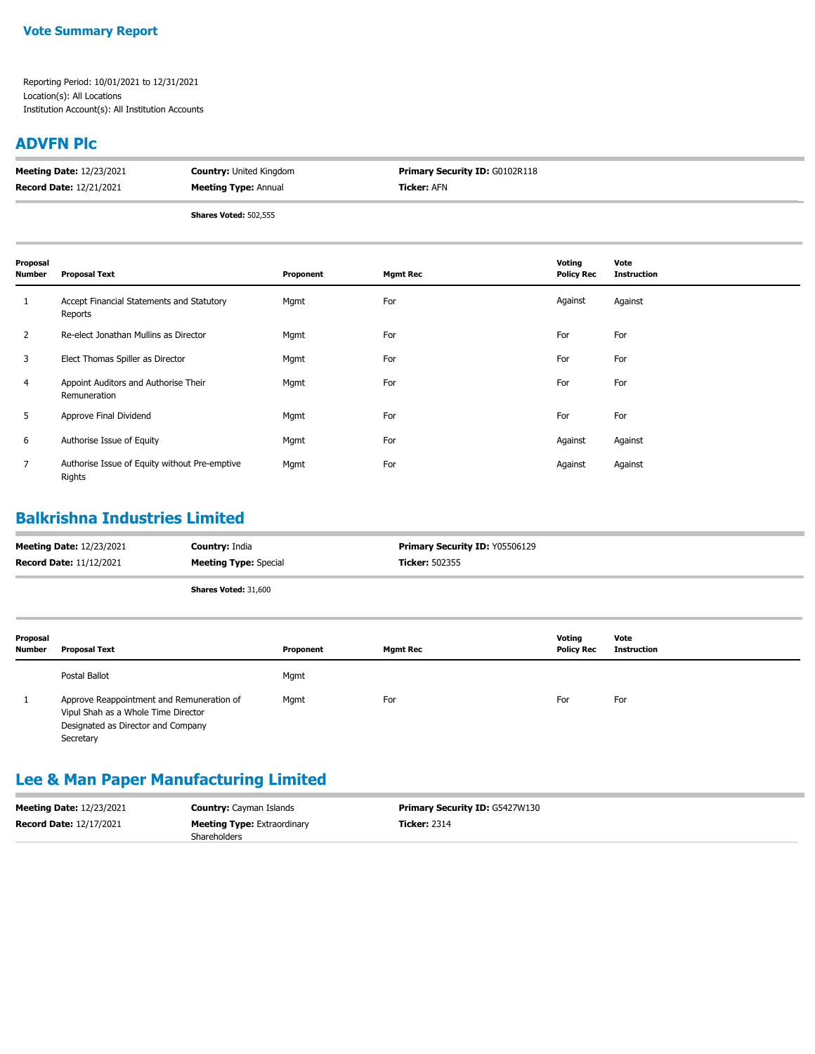#### **ADVFN Plc**

| <b>Meeting Date: 12/23/2021</b> | <b>Country:</b> United Kingdom | <b>Primary Security ID: G0102R118</b> |
|---------------------------------|--------------------------------|---------------------------------------|
| <b>Record Date: 12/21/2021</b>  | <b>Meeting Type: Annual</b>    | <b>Ticker:</b> AFN                    |
|                                 |                                |                                       |

**Shares Voted:** 502,555

| Proposal<br><b>Number</b> | <b>Proposal Text</b>                                    | Proponent | <b>Mgmt Rec</b> | Voting<br><b>Policy Rec</b> | Vote<br><b>Instruction</b> |
|---------------------------|---------------------------------------------------------|-----------|-----------------|-----------------------------|----------------------------|
| 1                         | Accept Financial Statements and Statutory<br>Reports    | Mgmt      | For             | Against                     | Against                    |
| $\overline{2}$            | Re-elect Jonathan Mullins as Director                   | Mgmt      | For             | For                         | For                        |
| 3                         | Elect Thomas Spiller as Director                        | Mgmt      | For             | For                         | For                        |
| 4                         | Appoint Auditors and Authorise Their<br>Remuneration    | Mgmt      | For             | For                         | For                        |
| 5                         | Approve Final Dividend                                  | Mgmt      | For             | For                         | For                        |
| 6                         | Authorise Issue of Equity                               | Mgmt      | For             | Against                     | Against                    |
| $\overline{7}$            | Authorise Issue of Equity without Pre-emptive<br>Rights | Mgmt      | For             | Against                     | Against                    |

## **Balkrishna Industries Limited**

| <b>Meeting Date: 12/23/2021</b> | <b>Country: India</b>        | <b>Primary Security ID: Y05506129</b> |
|---------------------------------|------------------------------|---------------------------------------|
| <b>Record Date: 11/12/2021</b>  | <b>Meeting Type: Special</b> | <b>Ticker:</b> 502355                 |
|                                 |                              |                                       |

**Shares Voted:** 31,600

| Proposal<br><b>Number</b> | Proposal Text                                                                                                                       | Proponent | <b>Mgmt Rec</b> | Votina<br><b>Policy Rec</b> | Vote<br><b>Instruction</b> |
|---------------------------|-------------------------------------------------------------------------------------------------------------------------------------|-----------|-----------------|-----------------------------|----------------------------|
|                           | Postal Ballot                                                                                                                       | Mgmt      |                 |                             |                            |
|                           | Approve Reappointment and Remuneration of<br>Vipul Shah as a Whole Time Director<br>Designated as Director and Company<br>Secretary | Mgmt      | For             | For                         | For                        |

# **Lee & Man Paper Manufacturing Limited**

| <b>Meeting Date: 12/23/2021</b> | <b>Country:</b> Cayman Islands     | <b>Primary Security ID: G5427W130</b> |
|---------------------------------|------------------------------------|---------------------------------------|
| <b>Record Date: 12/17/2021</b>  | <b>Meeting Type:</b> Extraordinary | <b>Ticker: 2314</b>                   |
|                                 | Shareholders                       |                                       |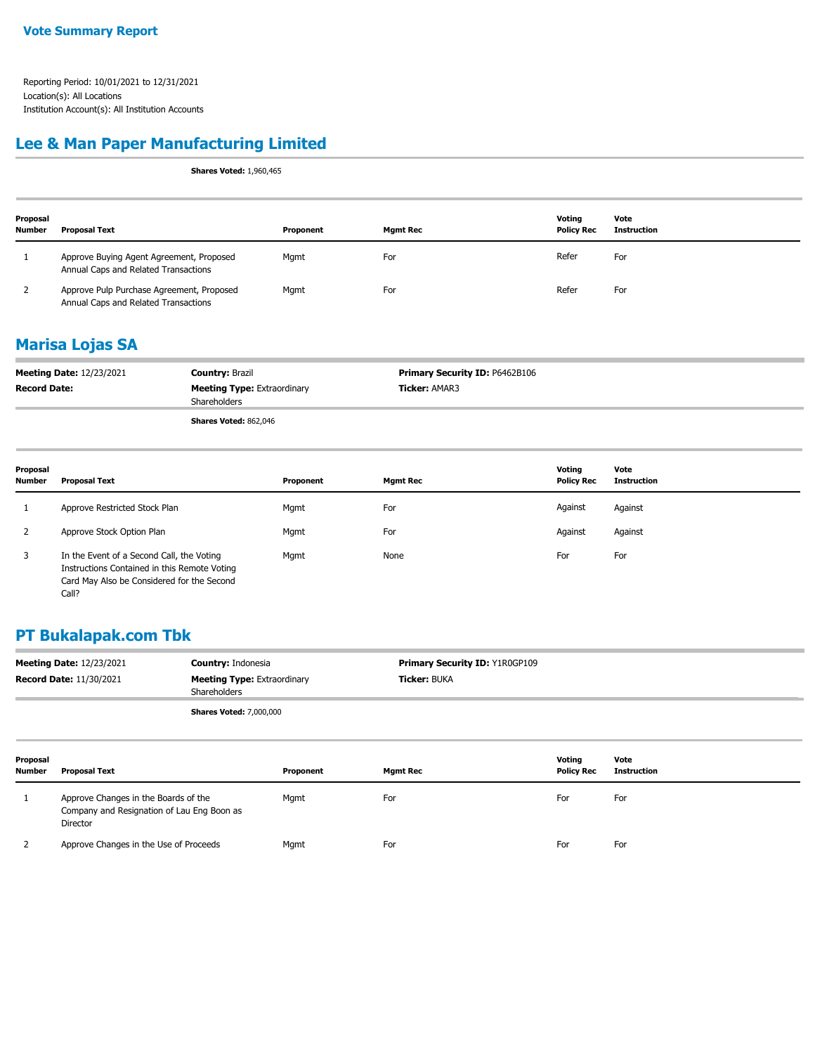## **Lee & Man Paper Manufacturing Limited**

**Shares Voted:** 1,960,465

| Proposal<br><b>Number</b> | <b>Proposal Text</b>                                                              | Proponent | <b>Mgmt Rec</b> | Votina<br><b>Policy Rec</b> | Vote<br>Instruction |
|---------------------------|-----------------------------------------------------------------------------------|-----------|-----------------|-----------------------------|---------------------|
|                           | Approve Buying Agent Agreement, Proposed<br>Annual Caps and Related Transactions  | Mgmt      | For             | Refer                       | For                 |
|                           | Approve Pulp Purchase Agreement, Proposed<br>Annual Caps and Related Transactions | Mgmt      | For             | Refer                       | For                 |

### **Marisa Lojas SA**

| <b>Meeting Date: 12/23/2021</b> | <b>Country: Brazil</b>                             | <b>Primary Security ID: P6462B106</b> |
|---------------------------------|----------------------------------------------------|---------------------------------------|
| <b>Record Date:</b>             | <b>Meeting Type: Extraordinary</b><br>Shareholders | <b>Ticker: AMAR3</b>                  |
|                                 | Shares Voted: 862,046                              |                                       |

| Proposal<br><b>Number</b> | <b>Proposal Text</b>                                                                                                                             | Proponent | <b>Mgmt Rec</b> | Voting<br><b>Policy Rec</b> | Vote<br><b>Instruction</b> |
|---------------------------|--------------------------------------------------------------------------------------------------------------------------------------------------|-----------|-----------------|-----------------------------|----------------------------|
|                           | Approve Restricted Stock Plan                                                                                                                    | Mgmt      | For             | Against                     | Against                    |
|                           | Approve Stock Option Plan                                                                                                                        | Mgmt      | For             | Against                     | Against                    |
|                           | In the Event of a Second Call, the Voting<br>Instructions Contained in this Remote Voting<br>Card May Also be Considered for the Second<br>Call? | Mgmt      | None            | For                         | For                        |

## **PT Bukalapak.com Tbk**

| <b>Meeting Date: 12/23/2021</b> | <b>Country: Indonesia</b>                                 | <b>Primary Security ID: Y1R0GP109</b> |
|---------------------------------|-----------------------------------------------------------|---------------------------------------|
| <b>Record Date: 11/30/2021</b>  | <b>Meeting Type: Extraordinary</b><br><b>Shareholders</b> | <b>Ticker:</b> BUKA                   |
|                                 | <b>Shares Voted: 7,000,000</b>                            |                                       |

| Proposal<br><b>Number</b> | Proposal Text                                                                                  | Proponent | Mamt Rec | Voting<br><b>Policy Rec</b> | Vote<br>Instruction |
|---------------------------|------------------------------------------------------------------------------------------------|-----------|----------|-----------------------------|---------------------|
|                           | Approve Changes in the Boards of the<br>Company and Resignation of Lau Eng Boon as<br>Director | Mgmt      | For      | For                         | For                 |
|                           | Approve Changes in the Use of Proceeds                                                         | Mgmt      | For      | For                         | For                 |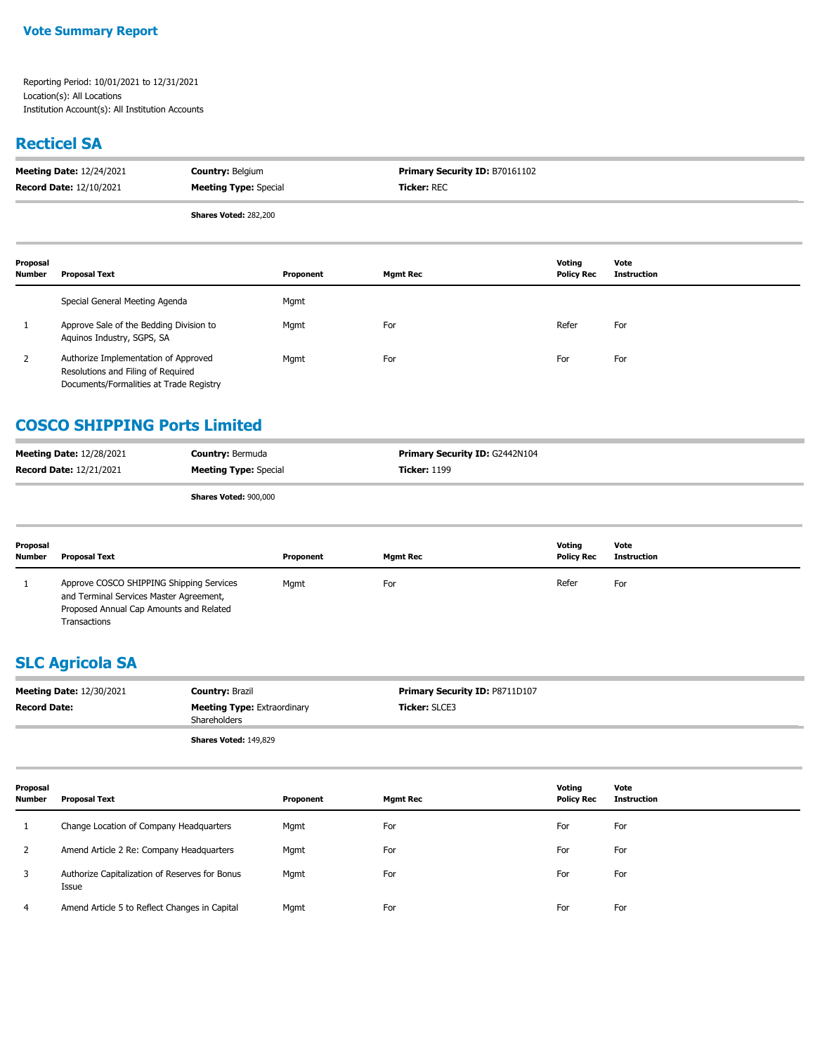## **Recticel SA**

| <b>Meeting Date: 12/24/2021</b> | <b>Country: Belgium</b>      | <b>Primary Security ID: B70161102</b> |
|---------------------------------|------------------------------|---------------------------------------|
| <b>Record Date: 12/10/2021</b>  | <b>Meeting Type: Special</b> | <b>Ticker: REC</b>                    |
|                                 | <b>Shares Voted: 282,200</b> |                                       |

| Proposal<br><b>Number</b> | <b>Proposal Text</b>                                                                                                  | Proponent | Mgmt Rec | Votina<br><b>Policy Rec</b> | Vote<br>Instruction |
|---------------------------|-----------------------------------------------------------------------------------------------------------------------|-----------|----------|-----------------------------|---------------------|
|                           | Special General Meeting Agenda                                                                                        | Mgmt      |          |                             |                     |
|                           | Approve Sale of the Bedding Division to<br>Aguinos Industry, SGPS, SA                                                 | Mgmt      | For      | Refer                       | For                 |
|                           | Authorize Implementation of Approved<br>Resolutions and Filing of Required<br>Documents/Formalities at Trade Registry | Mgmt      | For      | For                         | For                 |

## **COSCO SHIPPING Ports Limited**

| <b>Meeting Date: 12/28/2021</b> | <b>Country: Bermuda</b>      | <b>Primary Security ID: G2442N104</b> |
|---------------------------------|------------------------------|---------------------------------------|
| <b>Record Date: 12/21/2021</b>  | <b>Meeting Type:</b> Special | <b>Ticker: 1199</b>                   |
|                                 | Shares Voted: 900,000        |                                       |

**Shares Voted:** 900,000

| Proposal<br><b>Number</b> | <b>Proposal Text</b>                                                                                                                           | Proponent | <b>Mamt Rec</b> | Votina<br><b>Policy Rec</b> | Vote<br>Instruction |
|---------------------------|------------------------------------------------------------------------------------------------------------------------------------------------|-----------|-----------------|-----------------------------|---------------------|
|                           | Approve COSCO SHIPPING Shipping Services<br>and Terminal Services Master Agreement,<br>Proposed Annual Cap Amounts and Related<br>Transactions | Mgmt      | For             | Refer                       | For                 |

# **SLC Agricola SA**

| <b>Meeting Date: 12/30/2021</b> | <b>Country: Brazil</b>                             | <b>Primary Security ID: P8711D107</b> |
|---------------------------------|----------------------------------------------------|---------------------------------------|
| <b>Record Date:</b>             | <b>Meeting Type:</b> Extraordinary<br>Shareholders | <b>Ticker: SLCE3</b>                  |
|                                 | <b>Shares Voted: 149,829</b>                       |                                       |

| Proposal<br><b>Number</b> | <b>Proposal Text</b>                                    | Proponent | <b>Mgmt Rec</b> | Voting<br><b>Policy Rec</b> | Vote<br><b>Instruction</b> |
|---------------------------|---------------------------------------------------------|-----------|-----------------|-----------------------------|----------------------------|
|                           | Change Location of Company Headquarters                 | Mgmt      | For             | For                         | For                        |
|                           | Amend Article 2 Re: Company Headquarters                | Mgmt      | For             | For                         | For                        |
| 3                         | Authorize Capitalization of Reserves for Bonus<br>Issue | Mgmt      | For             | For                         | For                        |
| 4                         | Amend Article 5 to Reflect Changes in Capital           | Mgmt      | For             | For                         | For                        |